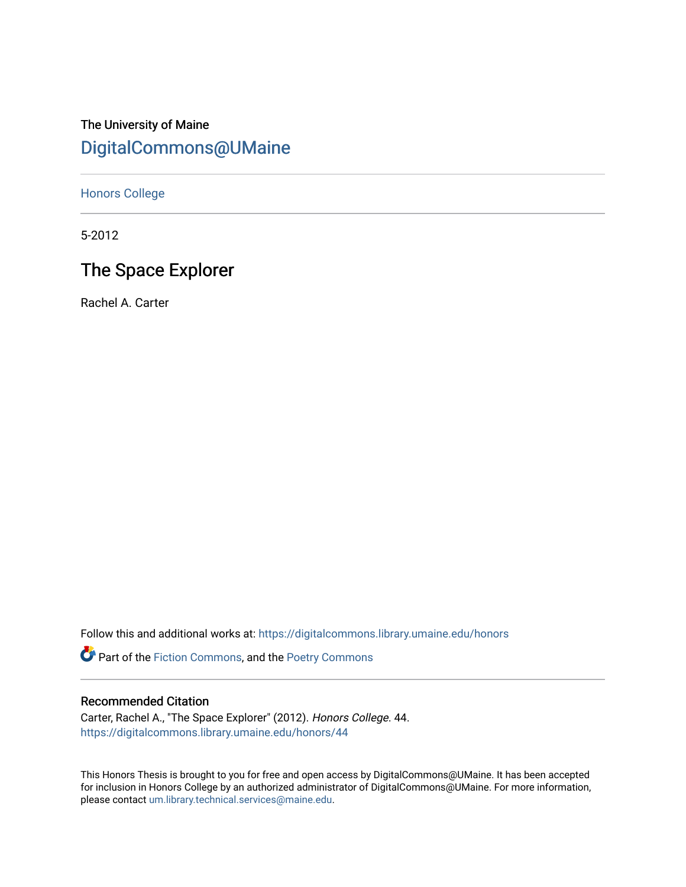# The University of Maine [DigitalCommons@UMaine](https://digitalcommons.library.umaine.edu/)

[Honors College](https://digitalcommons.library.umaine.edu/honors)

5-2012

# The Space Explorer

Rachel A. Carter

Follow this and additional works at: [https://digitalcommons.library.umaine.edu/honors](https://digitalcommons.library.umaine.edu/honors?utm_source=digitalcommons.library.umaine.edu%2Fhonors%2F44&utm_medium=PDF&utm_campaign=PDFCoverPages) 

Part of the [Fiction Commons,](http://network.bepress.com/hgg/discipline/1151?utm_source=digitalcommons.library.umaine.edu%2Fhonors%2F44&utm_medium=PDF&utm_campaign=PDFCoverPages) and the [Poetry Commons](http://network.bepress.com/hgg/discipline/1153?utm_source=digitalcommons.library.umaine.edu%2Fhonors%2F44&utm_medium=PDF&utm_campaign=PDFCoverPages)

### Recommended Citation

Carter, Rachel A., "The Space Explorer" (2012). Honors College. 44. [https://digitalcommons.library.umaine.edu/honors/44](https://digitalcommons.library.umaine.edu/honors/44?utm_source=digitalcommons.library.umaine.edu%2Fhonors%2F44&utm_medium=PDF&utm_campaign=PDFCoverPages) 

This Honors Thesis is brought to you for free and open access by DigitalCommons@UMaine. It has been accepted for inclusion in Honors College by an authorized administrator of DigitalCommons@UMaine. For more information, please contact [um.library.technical.services@maine.edu.](mailto:um.library.technical.services@maine.edu)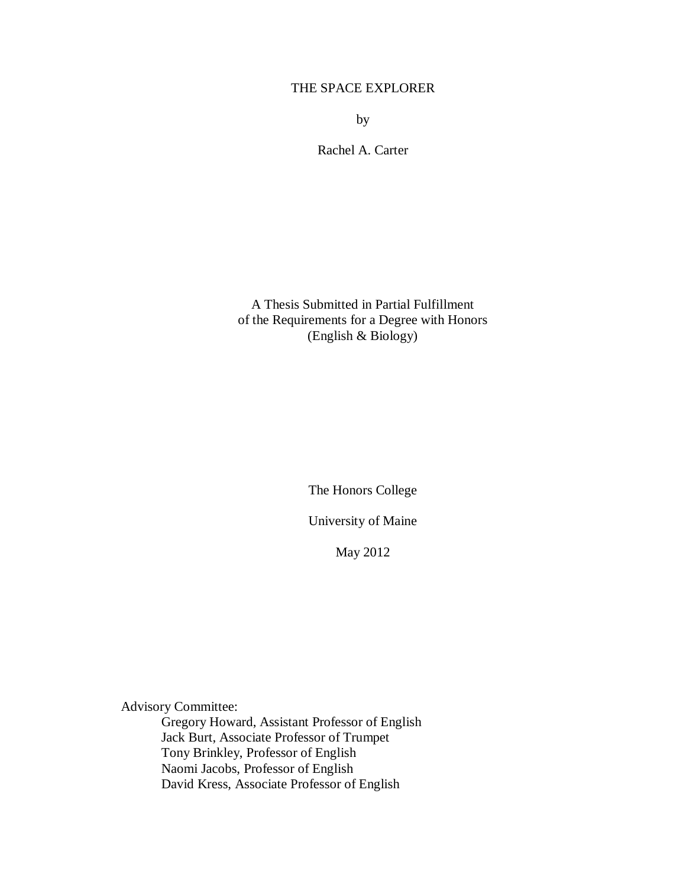## THE SPACE EXPLORER

by

Rachel A. Carter

A Thesis Submitted in Partial Fulfillment of the Requirements for a Degree with Honors (English & Biology)

The Honors College

University of Maine

May 2012

Advisory Committee:

Gregory Howard, Assistant Professor of English Jack Burt, Associate Professor of Trumpet Tony Brinkley, Professor of English Naomi Jacobs, Professor of English David Kress, Associate Professor of English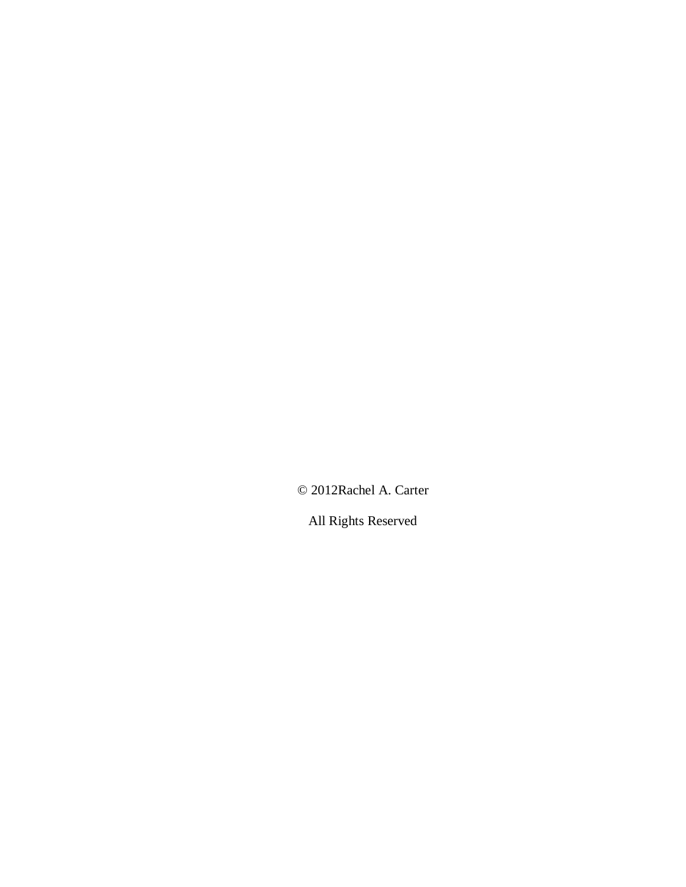© 2012Rachel A. Carter

All Rights Reserved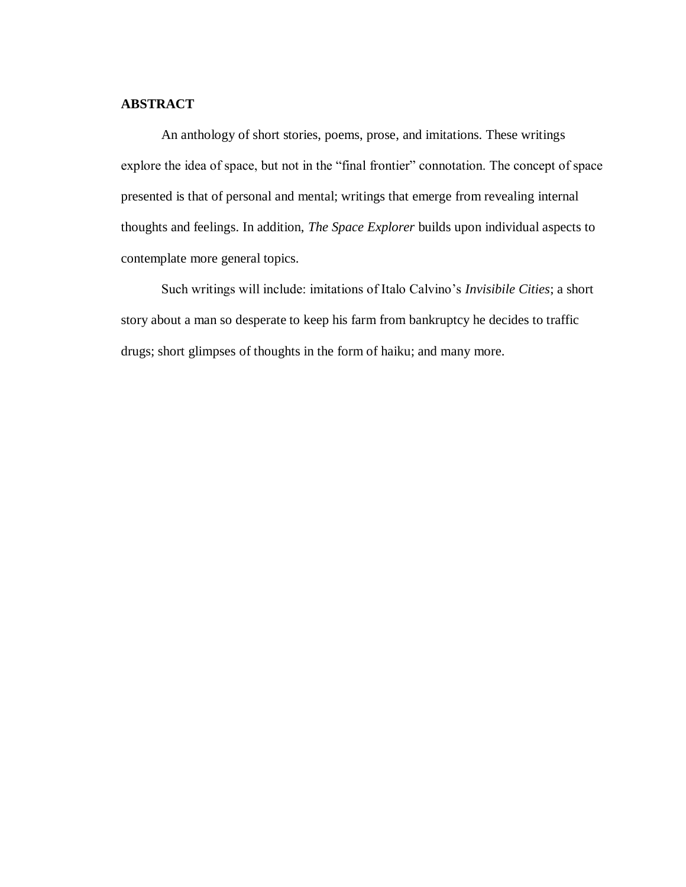#### **ABSTRACT**

An anthology of short stories, poems, prose, and imitations. These writings explore the idea of space, but not in the "final frontier" connotation. The concept of space presented is that of personal and mental; writings that emerge from revealing internal thoughts and feelings. In addition, *The Space Explorer* builds upon individual aspects to contemplate more general topics.

Such writings will include: imitations of Italo Calvino's *Invisibile Cities*; a short story about a man so desperate to keep his farm from bankruptcy he decides to traffic drugs; short glimpses of thoughts in the form of haiku; and many more.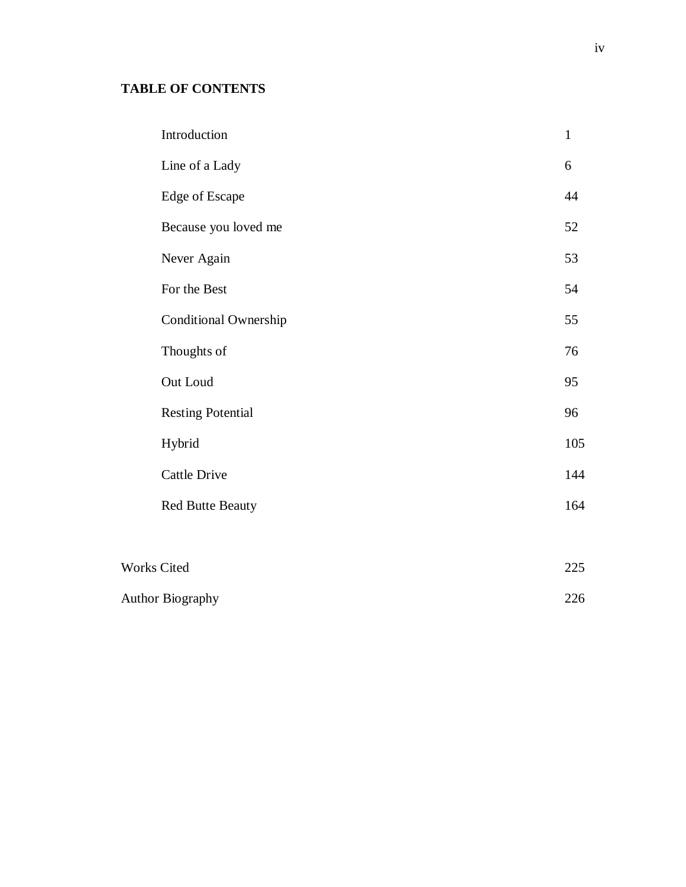# **TABLE OF CONTENTS**

|                         | Introduction                 | $\mathbf{1}$ |
|-------------------------|------------------------------|--------------|
|                         | Line of a Lady               | 6            |
|                         | <b>Edge of Escape</b>        | 44           |
|                         | Because you loved me         | 52           |
|                         | Never Again                  | 53           |
|                         | For the Best                 | 54           |
|                         | <b>Conditional Ownership</b> | 55           |
|                         | Thoughts of                  | 76           |
|                         | Out Loud                     | 95           |
|                         | <b>Resting Potential</b>     | 96           |
|                         | Hybrid                       | 105          |
|                         | <b>Cattle Drive</b>          | 144          |
|                         | <b>Red Butte Beauty</b>      | 164          |
|                         |                              |              |
| Works Cited             |                              | 225          |
| <b>Author Biography</b> |                              | 226          |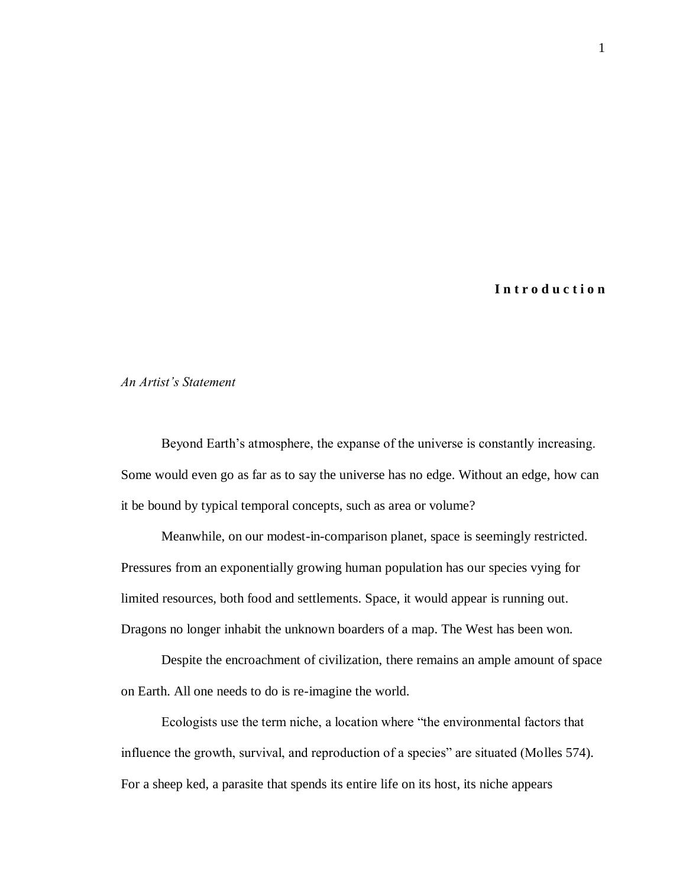### **I n t r o d u c t i o n**

#### *An Artist's Statement*

Beyond Earth's atmosphere, the expanse of the universe is constantly increasing. Some would even go as far as to say the universe has no edge. Without an edge, how can it be bound by typical temporal concepts, such as area or volume?

Meanwhile, on our modest-in-comparison planet, space is seemingly restricted. Pressures from an exponentially growing human population has our species vying for limited resources, both food and settlements. Space, it would appear is running out. Dragons no longer inhabit the unknown boarders of a map. The West has been won.

Despite the encroachment of civilization, there remains an ample amount of space on Earth. All one needs to do is re-imagine the world.

Ecologists use the term niche, a location where "the environmental factors that influence the growth, survival, and reproduction of a species" are situated (Molles 574). For a sheep ked, a parasite that spends its entire life on its host, its niche appears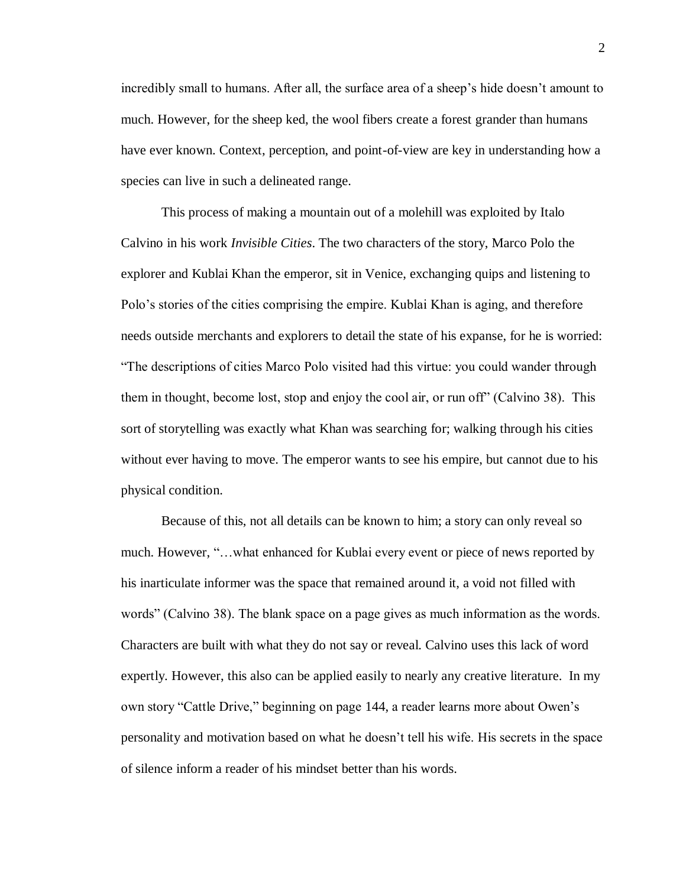incredibly small to humans. After all, the surface area of a sheep's hide doesn't amount to much. However, for the sheep ked, the wool fibers create a forest grander than humans have ever known. Context, perception, and point-of-view are key in understanding how a species can live in such a delineated range.

This process of making a mountain out of a molehill was exploited by Italo Calvino in his work *Invisible Cities*. The two characters of the story, Marco Polo the explorer and Kublai Khan the emperor, sit in Venice, exchanging quips and listening to Polo's stories of the cities comprising the empire. Kublai Khan is aging, and therefore needs outside merchants and explorers to detail the state of his expanse, for he is worried: "The descriptions of cities Marco Polo visited had this virtue: you could wander through them in thought, become lost, stop and enjoy the cool air, or run off" (Calvino 38). This sort of storytelling was exactly what Khan was searching for; walking through his cities without ever having to move. The emperor wants to see his empire, but cannot due to his physical condition.

Because of this, not all details can be known to him; a story can only reveal so much. However, "…what enhanced for Kublai every event or piece of news reported by his inarticulate informer was the space that remained around it, a void not filled with words" (Calvino 38). The blank space on a page gives as much information as the words. Characters are built with what they do not say or reveal. Calvino uses this lack of word expertly. However, this also can be applied easily to nearly any creative literature. In my own story "Cattle Drive," beginning on page 144, a reader learns more about Owen's personality and motivation based on what he doesn't tell his wife. His secrets in the space of silence inform a reader of his mindset better than his words.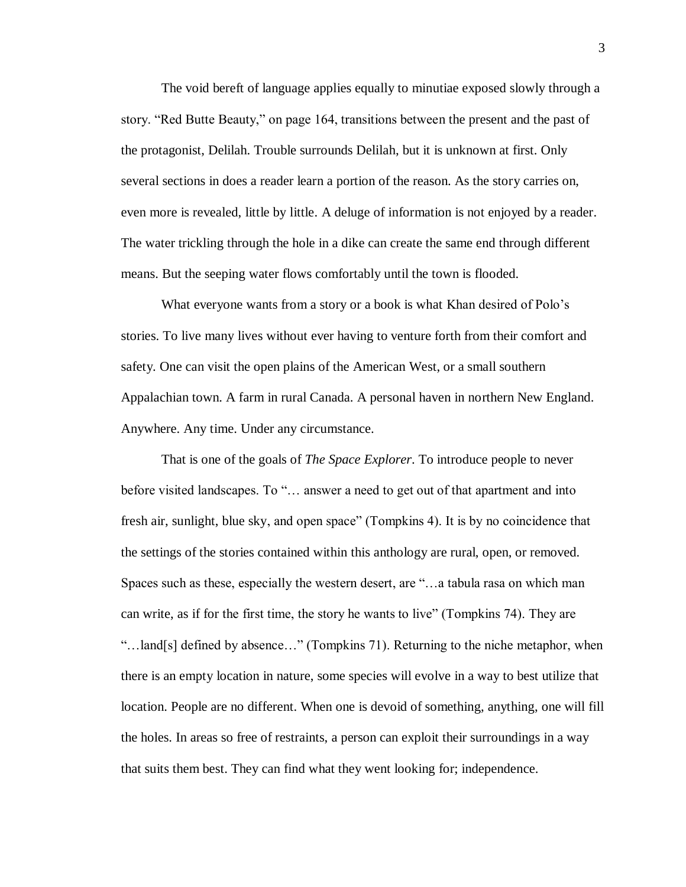The void bereft of language applies equally to minutiae exposed slowly through a story. "Red Butte Beauty," on page 164, transitions between the present and the past of the protagonist, Delilah. Trouble surrounds Delilah, but it is unknown at first. Only several sections in does a reader learn a portion of the reason. As the story carries on, even more is revealed, little by little. A deluge of information is not enjoyed by a reader. The water trickling through the hole in a dike can create the same end through different means. But the seeping water flows comfortably until the town is flooded.

What everyone wants from a story or a book is what Khan desired of Polo's stories. To live many lives without ever having to venture forth from their comfort and safety. One can visit the open plains of the American West, or a small southern Appalachian town. A farm in rural Canada. A personal haven in northern New England. Anywhere. Any time. Under any circumstance.

That is one of the goals of *The Space Explorer*. To introduce people to never before visited landscapes. To "… answer a need to get out of that apartment and into fresh air, sunlight, blue sky, and open space" (Tompkins 4). It is by no coincidence that the settings of the stories contained within this anthology are rural, open, or removed. Spaces such as these, especially the western desert, are "…a tabula rasa on which man can write, as if for the first time, the story he wants to live" (Tompkins 74). They are "…land[s] defined by absence…" (Tompkins 71). Returning to the niche metaphor, when there is an empty location in nature, some species will evolve in a way to best utilize that location. People are no different. When one is devoid of something, anything, one will fill the holes. In areas so free of restraints, a person can exploit their surroundings in a way that suits them best. They can find what they went looking for; independence.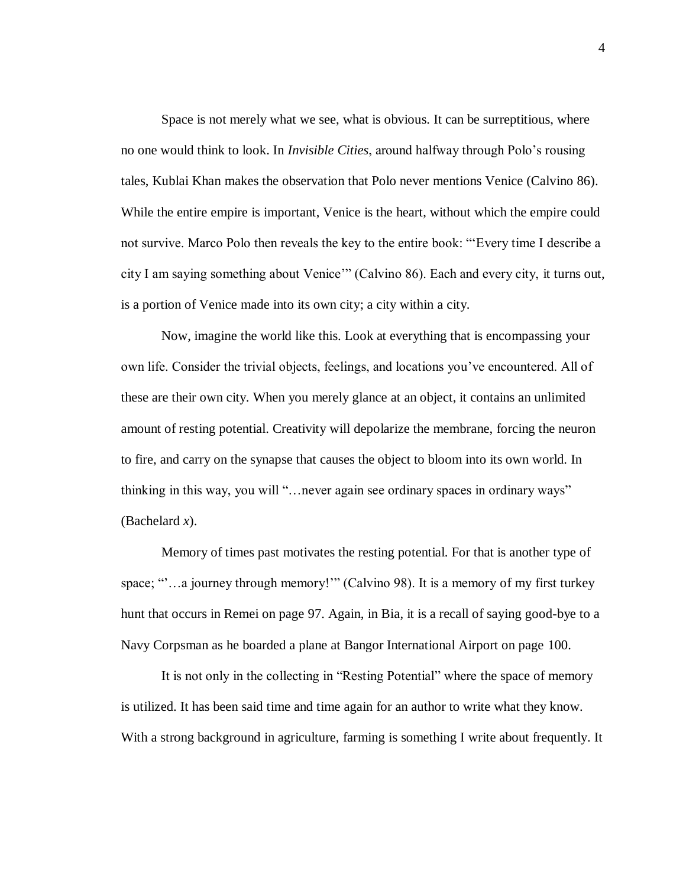Space is not merely what we see, what is obvious. It can be surreptitious, where no one would think to look. In *Invisible Cities*, around halfway through Polo's rousing tales, Kublai Khan makes the observation that Polo never mentions Venice (Calvino 86). While the entire empire is important, Venice is the heart, without which the empire could not survive. Marco Polo then reveals the key to the entire book: "'Every time I describe a city I am saying something about Venice'" (Calvino 86). Each and every city, it turns out, is a portion of Venice made into its own city; a city within a city.

Now, imagine the world like this. Look at everything that is encompassing your own life. Consider the trivial objects, feelings, and locations you've encountered. All of these are their own city. When you merely glance at an object, it contains an unlimited amount of resting potential. Creativity will depolarize the membrane, forcing the neuron to fire, and carry on the synapse that causes the object to bloom into its own world. In thinking in this way, you will "…never again see ordinary spaces in ordinary ways" (Bachelard *x*).

Memory of times past motivates the resting potential. For that is another type of space; ""...a journey through memory!"" (Calvino 98). It is a memory of my first turkey hunt that occurs in Remei on page 97. Again, in Bia, it is a recall of saying good-bye to a Navy Corpsman as he boarded a plane at Bangor International Airport on page 100.

It is not only in the collecting in "Resting Potential" where the space of memory is utilized. It has been said time and time again for an author to write what they know. With a strong background in agriculture, farming is something I write about frequently. It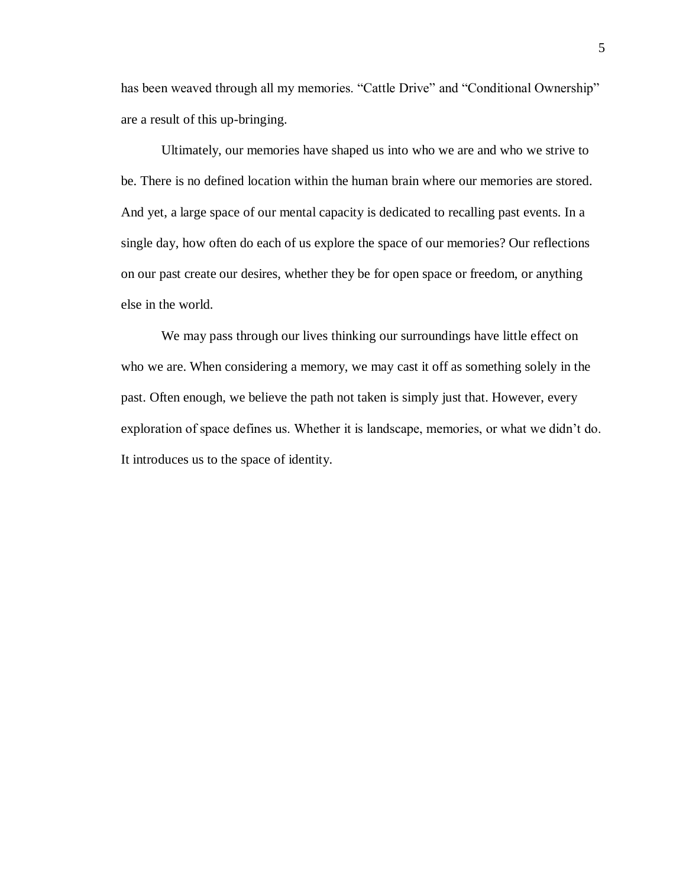has been weaved through all my memories. "Cattle Drive" and "Conditional Ownership" are a result of this up-bringing.

Ultimately, our memories have shaped us into who we are and who we strive to be. There is no defined location within the human brain where our memories are stored. And yet, a large space of our mental capacity is dedicated to recalling past events. In a single day, how often do each of us explore the space of our memories? Our reflections on our past create our desires, whether they be for open space or freedom, or anything else in the world.

We may pass through our lives thinking our surroundings have little effect on who we are. When considering a memory, we may cast it off as something solely in the past. Often enough, we believe the path not taken is simply just that. However, every exploration of space defines us. Whether it is landscape, memories, or what we didn't do. It introduces us to the space of identity.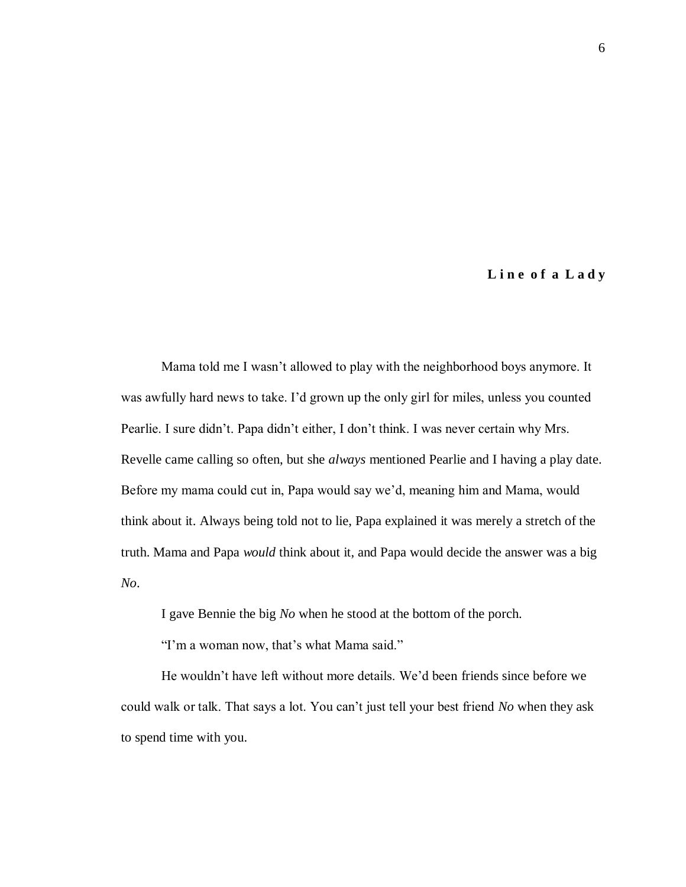#### **L i n e o f a L a d y**

Mama told me I wasn't allowed to play with the neighborhood boys anymore. It was awfully hard news to take. I'd grown up the only girl for miles, unless you counted Pearlie. I sure didn't. Papa didn't either, I don't think. I was never certain why Mrs. Revelle came calling so often, but she *always* mentioned Pearlie and I having a play date. Before my mama could cut in, Papa would say we'd, meaning him and Mama, would think about it. Always being told not to lie, Papa explained it was merely a stretch of the truth. Mama and Papa *would* think about it, and Papa would decide the answer was a big *No*.

I gave Bennie the big *No* when he stood at the bottom of the porch.

"I'm a woman now, that's what Mama said."

He wouldn't have left without more details. We'd been friends since before we could walk or talk. That says a lot. You can't just tell your best friend *No* when they ask to spend time with you.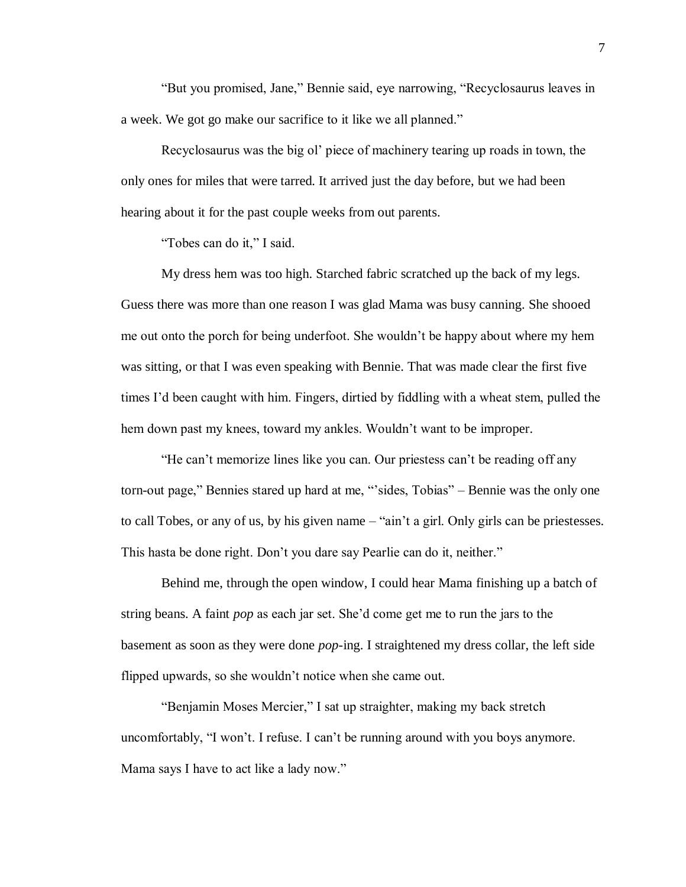"But you promised, Jane," Bennie said, eye narrowing, "Recyclosaurus leaves in a week. We got go make our sacrifice to it like we all planned."

Recyclosaurus was the big ol' piece of machinery tearing up roads in town, the only ones for miles that were tarred. It arrived just the day before, but we had been hearing about it for the past couple weeks from out parents.

"Tobes can do it," I said.

My dress hem was too high. Starched fabric scratched up the back of my legs. Guess there was more than one reason I was glad Mama was busy canning. She shooed me out onto the porch for being underfoot. She wouldn't be happy about where my hem was sitting, or that I was even speaking with Bennie. That was made clear the first five times I'd been caught with him. Fingers, dirtied by fiddling with a wheat stem, pulled the hem down past my knees, toward my ankles. Wouldn't want to be improper.

"He can't memorize lines like you can. Our priestess can't be reading off any torn-out page," Bennies stared up hard at me, "'sides, Tobias" – Bennie was the only one to call Tobes, or any of us, by his given name – "ain't a girl. Only girls can be priestesses. This hasta be done right. Don't you dare say Pearlie can do it, neither."

Behind me, through the open window, I could hear Mama finishing up a batch of string beans. A faint *pop* as each jar set. She'd come get me to run the jars to the basement as soon as they were done *pop*-ing. I straightened my dress collar, the left side flipped upwards, so she wouldn't notice when she came out.

"Benjamin Moses Mercier," I sat up straighter, making my back stretch uncomfortably, "I won't. I refuse. I can't be running around with you boys anymore. Mama says I have to act like a lady now."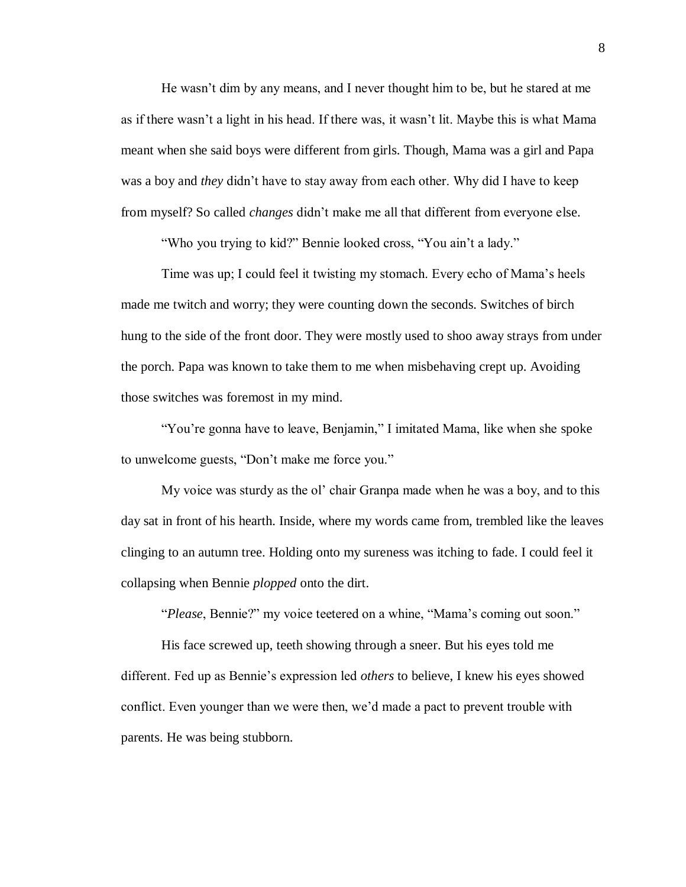He wasn't dim by any means, and I never thought him to be, but he stared at me as if there wasn't a light in his head. If there was, it wasn't lit. Maybe this is what Mama meant when she said boys were different from girls. Though, Mama was a girl and Papa was a boy and *they* didn't have to stay away from each other. Why did I have to keep from myself? So called *changes* didn't make me all that different from everyone else.

"Who you trying to kid?" Bennie looked cross, "You ain't a lady."

Time was up; I could feel it twisting my stomach. Every echo of Mama's heels made me twitch and worry; they were counting down the seconds. Switches of birch hung to the side of the front door. They were mostly used to shoo away strays from under the porch. Papa was known to take them to me when misbehaving crept up. Avoiding those switches was foremost in my mind.

"You're gonna have to leave, Benjamin," I imitated Mama, like when she spoke to unwelcome guests, "Don't make me force you."

My voice was sturdy as the ol' chair Granpa made when he was a boy, and to this day sat in front of his hearth. Inside, where my words came from, trembled like the leaves clinging to an autumn tree. Holding onto my sureness was itching to fade. I could feel it collapsing when Bennie *plopped* onto the dirt.

"*Please*, Bennie?" my voice teetered on a whine, "Mama's coming out soon."

His face screwed up, teeth showing through a sneer. But his eyes told me different. Fed up as Bennie's expression led *others* to believe, I knew his eyes showed conflict. Even younger than we were then, we'd made a pact to prevent trouble with parents. He was being stubborn.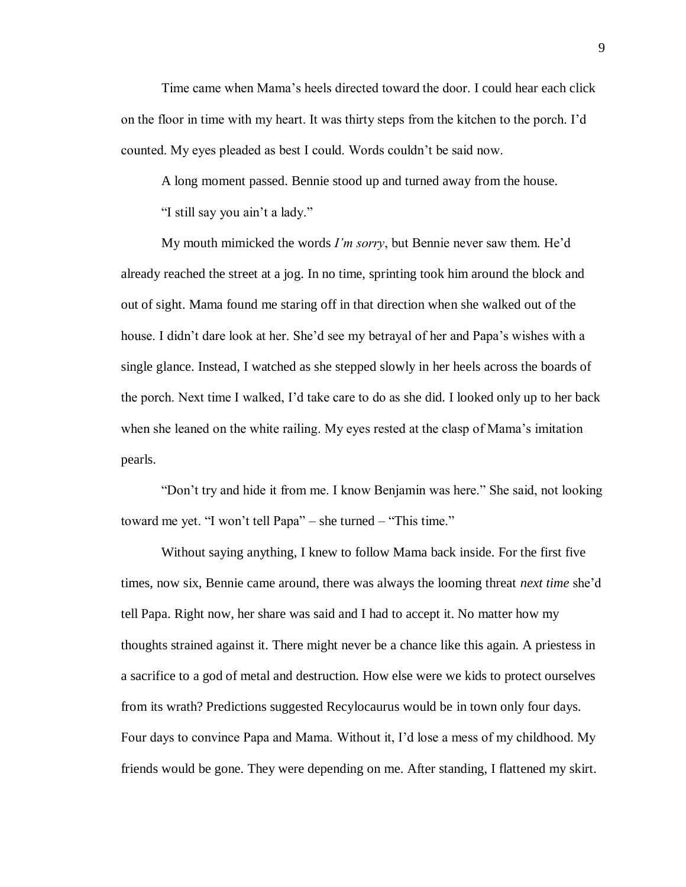Time came when Mama's heels directed toward the door. I could hear each click on the floor in time with my heart. It was thirty steps from the kitchen to the porch. I'd counted. My eyes pleaded as best I could. Words couldn't be said now.

A long moment passed. Bennie stood up and turned away from the house.

"I still say you ain't a lady."

My mouth mimicked the words *I'm sorry*, but Bennie never saw them. He'd already reached the street at a jog. In no time, sprinting took him around the block and out of sight. Mama found me staring off in that direction when she walked out of the house. I didn't dare look at her. She'd see my betrayal of her and Papa's wishes with a single glance. Instead, I watched as she stepped slowly in her heels across the boards of the porch. Next time I walked, I'd take care to do as she did. I looked only up to her back when she leaned on the white railing. My eyes rested at the clasp of Mama's imitation pearls.

"Don't try and hide it from me. I know Benjamin was here." She said, not looking toward me yet. "I won't tell Papa" – she turned – "This time."

Without saying anything, I knew to follow Mama back inside. For the first five times, now six, Bennie came around, there was always the looming threat *next time* she'd tell Papa. Right now, her share was said and I had to accept it. No matter how my thoughts strained against it. There might never be a chance like this again. A priestess in a sacrifice to a god of metal and destruction. How else were we kids to protect ourselves from its wrath? Predictions suggested Recylocaurus would be in town only four days. Four days to convince Papa and Mama. Without it, I'd lose a mess of my childhood. My friends would be gone. They were depending on me. After standing, I flattened my skirt.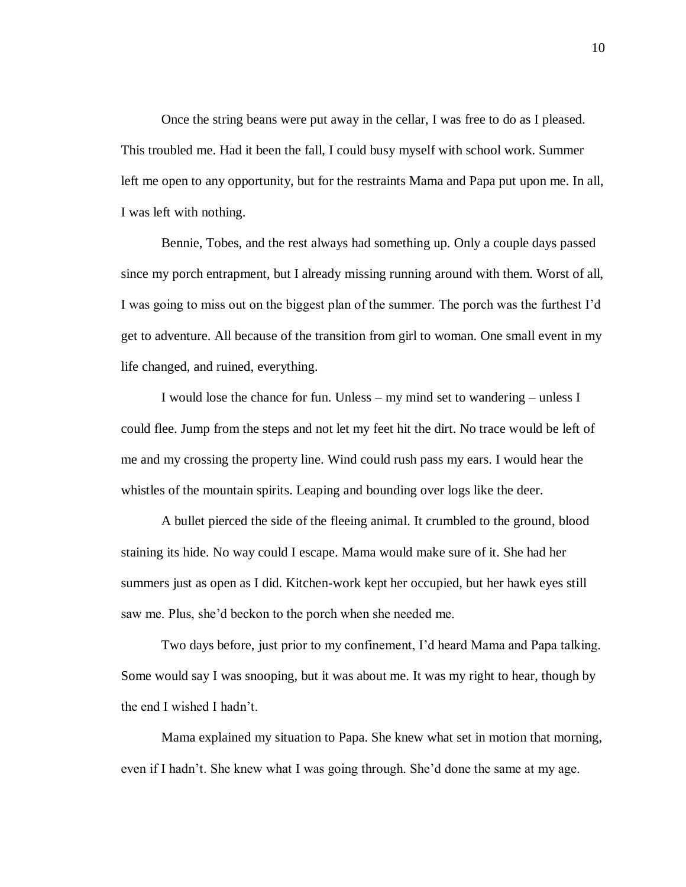Once the string beans were put away in the cellar, I was free to do as I pleased. This troubled me. Had it been the fall, I could busy myself with school work. Summer left me open to any opportunity, but for the restraints Mama and Papa put upon me. In all, I was left with nothing.

Bennie, Tobes, and the rest always had something up. Only a couple days passed since my porch entrapment, but I already missing running around with them. Worst of all, I was going to miss out on the biggest plan of the summer. The porch was the furthest I'd get to adventure. All because of the transition from girl to woman. One small event in my life changed, and ruined, everything.

I would lose the chance for fun. Unless – my mind set to wandering – unless I could flee. Jump from the steps and not let my feet hit the dirt. No trace would be left of me and my crossing the property line. Wind could rush pass my ears. I would hear the whistles of the mountain spirits. Leaping and bounding over logs like the deer.

A bullet pierced the side of the fleeing animal. It crumbled to the ground, blood staining its hide. No way could I escape. Mama would make sure of it. She had her summers just as open as I did. Kitchen-work kept her occupied, but her hawk eyes still saw me. Plus, she'd beckon to the porch when she needed me.

Two days before, just prior to my confinement, I'd heard Mama and Papa talking. Some would say I was snooping, but it was about me. It was my right to hear, though by the end I wished I hadn't.

Mama explained my situation to Papa. She knew what set in motion that morning, even if I hadn't. She knew what I was going through. She'd done the same at my age.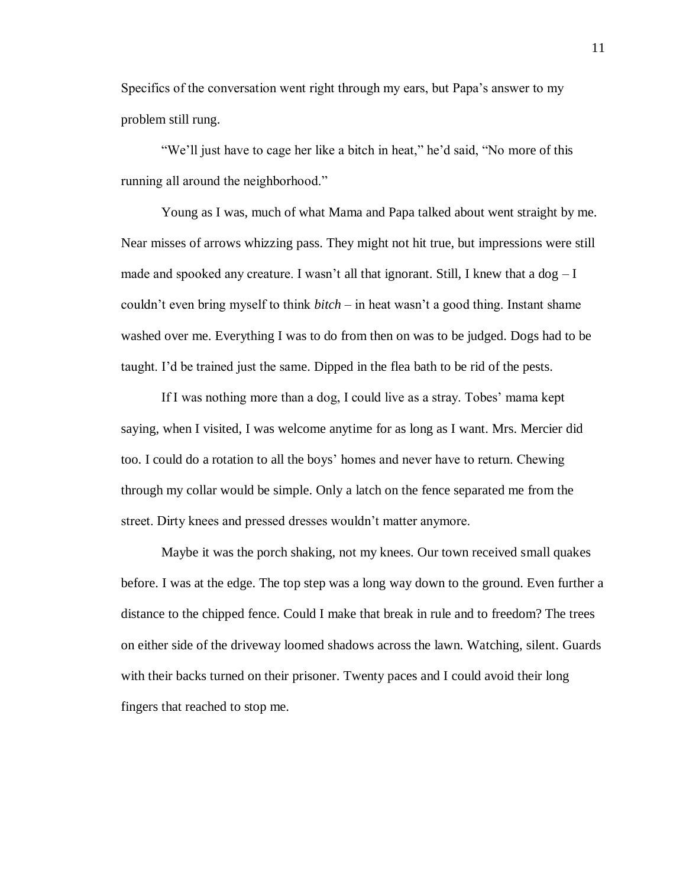Specifics of the conversation went right through my ears, but Papa's answer to my problem still rung.

"We'll just have to cage her like a bitch in heat," he'd said, "No more of this running all around the neighborhood."

Young as I was, much of what Mama and Papa talked about went straight by me. Near misses of arrows whizzing pass. They might not hit true, but impressions were still made and spooked any creature. I wasn't all that ignorant. Still, I knew that a  $\log - I$ couldn't even bring myself to think *bitch* – in heat wasn't a good thing. Instant shame washed over me. Everything I was to do from then on was to be judged. Dogs had to be taught. I'd be trained just the same. Dipped in the flea bath to be rid of the pests.

If I was nothing more than a dog, I could live as a stray. Tobes' mama kept saying, when I visited, I was welcome anytime for as long as I want. Mrs. Mercier did too. I could do a rotation to all the boys' homes and never have to return. Chewing through my collar would be simple. Only a latch on the fence separated me from the street. Dirty knees and pressed dresses wouldn't matter anymore.

Maybe it was the porch shaking, not my knees. Our town received small quakes before. I was at the edge. The top step was a long way down to the ground. Even further a distance to the chipped fence. Could I make that break in rule and to freedom? The trees on either side of the driveway loomed shadows across the lawn. Watching, silent. Guards with their backs turned on their prisoner. Twenty paces and I could avoid their long fingers that reached to stop me.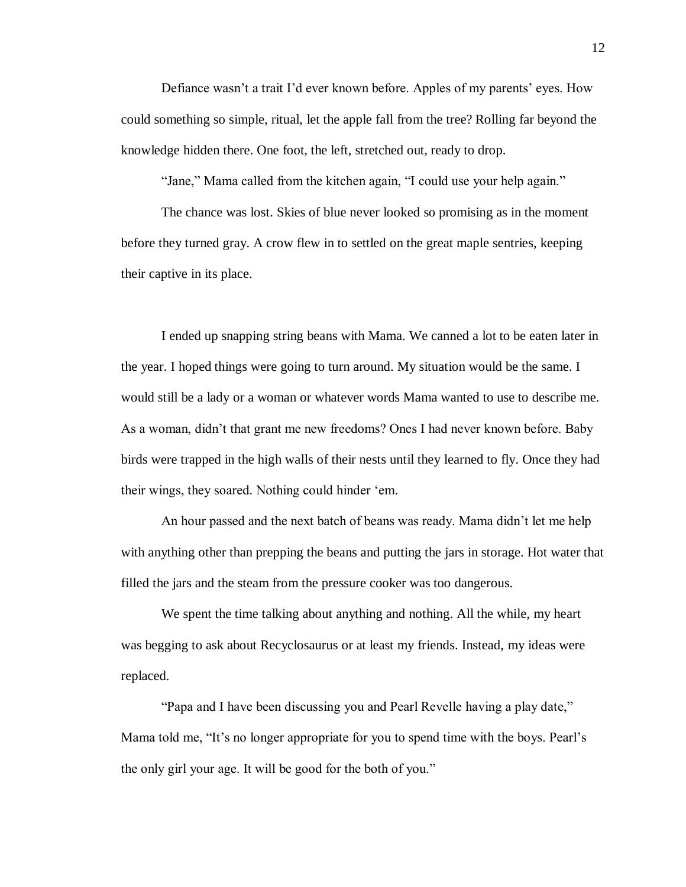Defiance wasn't a trait I'd ever known before. Apples of my parents' eyes. How could something so simple, ritual, let the apple fall from the tree? Rolling far beyond the knowledge hidden there. One foot, the left, stretched out, ready to drop.

"Jane," Mama called from the kitchen again, "I could use your help again."

The chance was lost. Skies of blue never looked so promising as in the moment before they turned gray. A crow flew in to settled on the great maple sentries, keeping their captive in its place.

I ended up snapping string beans with Mama. We canned a lot to be eaten later in the year. I hoped things were going to turn around. My situation would be the same. I would still be a lady or a woman or whatever words Mama wanted to use to describe me. As a woman, didn't that grant me new freedoms? Ones I had never known before. Baby birds were trapped in the high walls of their nests until they learned to fly. Once they had their wings, they soared. Nothing could hinder 'em.

An hour passed and the next batch of beans was ready. Mama didn't let me help with anything other than prepping the beans and putting the jars in storage. Hot water that filled the jars and the steam from the pressure cooker was too dangerous.

We spent the time talking about anything and nothing. All the while, my heart was begging to ask about Recyclosaurus or at least my friends. Instead, my ideas were replaced.

"Papa and I have been discussing you and Pearl Revelle having a play date," Mama told me, "It's no longer appropriate for you to spend time with the boys. Pearl's the only girl your age. It will be good for the both of you."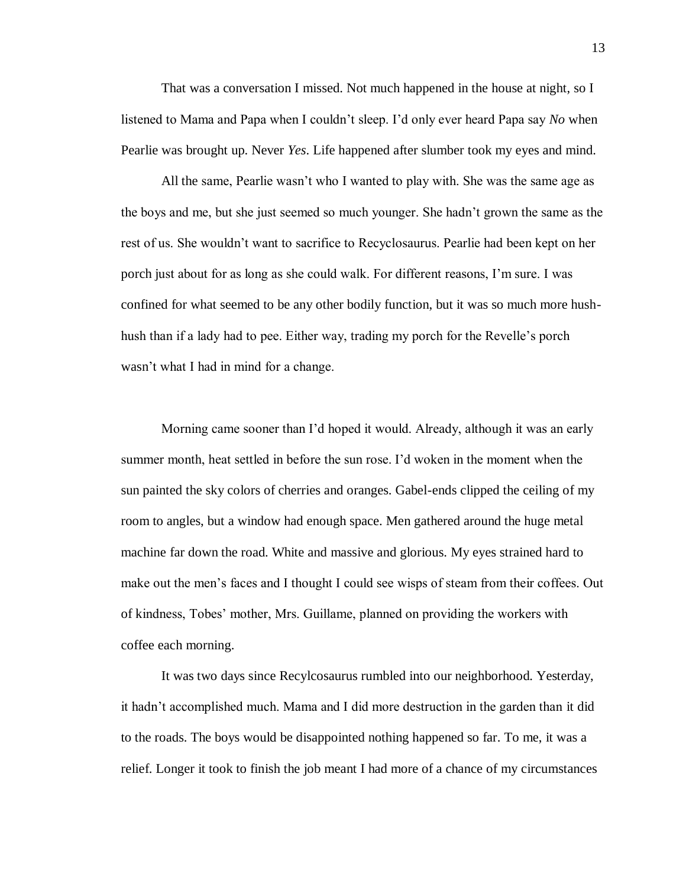That was a conversation I missed. Not much happened in the house at night, so I listened to Mama and Papa when I couldn't sleep. I'd only ever heard Papa say *No* when Pearlie was brought up. Never *Yes*. Life happened after slumber took my eyes and mind.

All the same, Pearlie wasn't who I wanted to play with. She was the same age as the boys and me, but she just seemed so much younger. She hadn't grown the same as the rest of us. She wouldn't want to sacrifice to Recyclosaurus. Pearlie had been kept on her porch just about for as long as she could walk. For different reasons, I'm sure. I was confined for what seemed to be any other bodily function, but it was so much more hushhush than if a lady had to pee. Either way, trading my porch for the Revelle's porch wasn't what I had in mind for a change.

Morning came sooner than I'd hoped it would. Already, although it was an early summer month, heat settled in before the sun rose. I'd woken in the moment when the sun painted the sky colors of cherries and oranges. Gabel-ends clipped the ceiling of my room to angles, but a window had enough space. Men gathered around the huge metal machine far down the road. White and massive and glorious. My eyes strained hard to make out the men's faces and I thought I could see wisps of steam from their coffees. Out of kindness, Tobes' mother, Mrs. Guillame, planned on providing the workers with coffee each morning.

It was two days since Recylcosaurus rumbled into our neighborhood. Yesterday, it hadn't accomplished much. Mama and I did more destruction in the garden than it did to the roads. The boys would be disappointed nothing happened so far. To me, it was a relief. Longer it took to finish the job meant I had more of a chance of my circumstances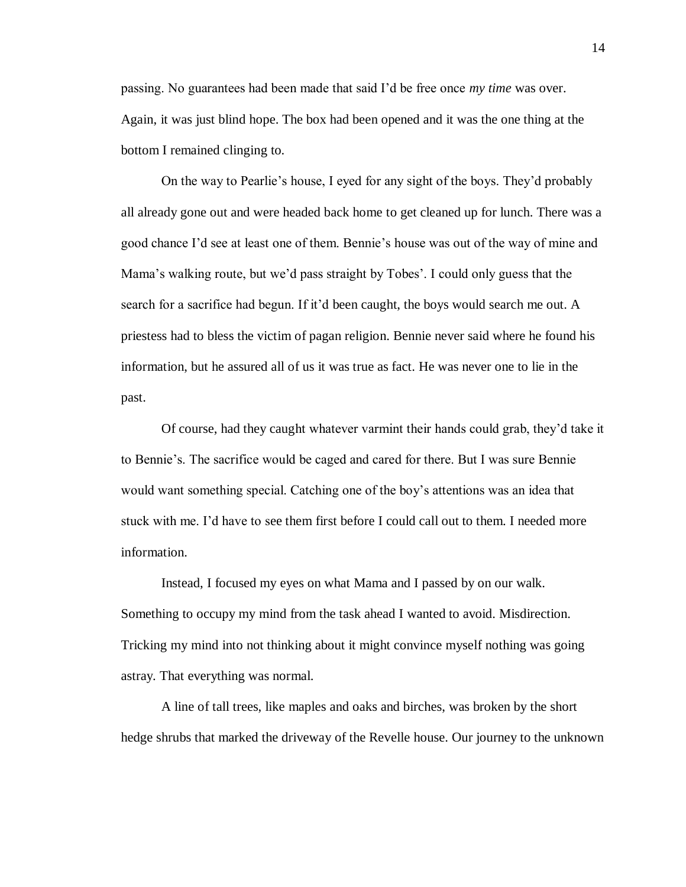passing. No guarantees had been made that said I'd be free once *my time* was over. Again, it was just blind hope. The box had been opened and it was the one thing at the bottom I remained clinging to.

On the way to Pearlie's house, I eyed for any sight of the boys. They'd probably all already gone out and were headed back home to get cleaned up for lunch. There was a good chance I'd see at least one of them. Bennie's house was out of the way of mine and Mama's walking route, but we'd pass straight by Tobes'. I could only guess that the search for a sacrifice had begun. If it'd been caught, the boys would search me out. A priestess had to bless the victim of pagan religion. Bennie never said where he found his information, but he assured all of us it was true as fact. He was never one to lie in the past.

Of course, had they caught whatever varmint their hands could grab, they'd take it to Bennie's. The sacrifice would be caged and cared for there. But I was sure Bennie would want something special. Catching one of the boy's attentions was an idea that stuck with me. I'd have to see them first before I could call out to them. I needed more information.

Instead, I focused my eyes on what Mama and I passed by on our walk. Something to occupy my mind from the task ahead I wanted to avoid. Misdirection. Tricking my mind into not thinking about it might convince myself nothing was going astray. That everything was normal.

A line of tall trees, like maples and oaks and birches, was broken by the short hedge shrubs that marked the driveway of the Revelle house. Our journey to the unknown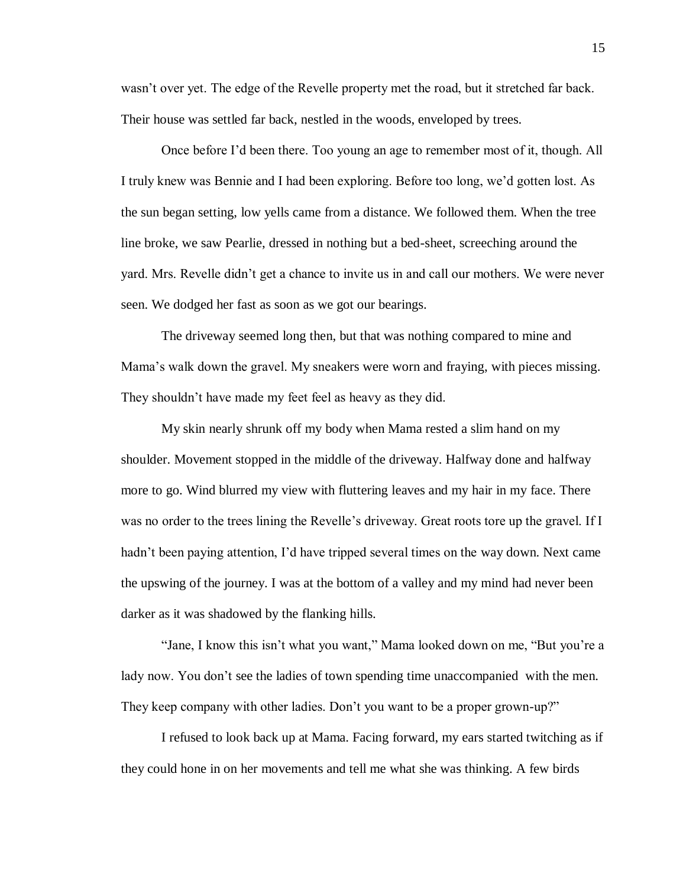wasn't over yet. The edge of the Revelle property met the road, but it stretched far back. Their house was settled far back, nestled in the woods, enveloped by trees.

Once before I'd been there. Too young an age to remember most of it, though. All I truly knew was Bennie and I had been exploring. Before too long, we'd gotten lost. As the sun began setting, low yells came from a distance. We followed them. When the tree line broke, we saw Pearlie, dressed in nothing but a bed-sheet, screeching around the yard. Mrs. Revelle didn't get a chance to invite us in and call our mothers. We were never seen. We dodged her fast as soon as we got our bearings.

The driveway seemed long then, but that was nothing compared to mine and Mama's walk down the gravel. My sneakers were worn and fraying, with pieces missing. They shouldn't have made my feet feel as heavy as they did.

My skin nearly shrunk off my body when Mama rested a slim hand on my shoulder. Movement stopped in the middle of the driveway. Halfway done and halfway more to go. Wind blurred my view with fluttering leaves and my hair in my face. There was no order to the trees lining the Revelle's driveway. Great roots tore up the gravel. If I hadn't been paying attention, I'd have tripped several times on the way down. Next came the upswing of the journey. I was at the bottom of a valley and my mind had never been darker as it was shadowed by the flanking hills.

"Jane, I know this isn't what you want," Mama looked down on me, "But you're a lady now. You don't see the ladies of town spending time unaccompanied with the men. They keep company with other ladies. Don't you want to be a proper grown-up?"

I refused to look back up at Mama. Facing forward, my ears started twitching as if they could hone in on her movements and tell me what she was thinking. A few birds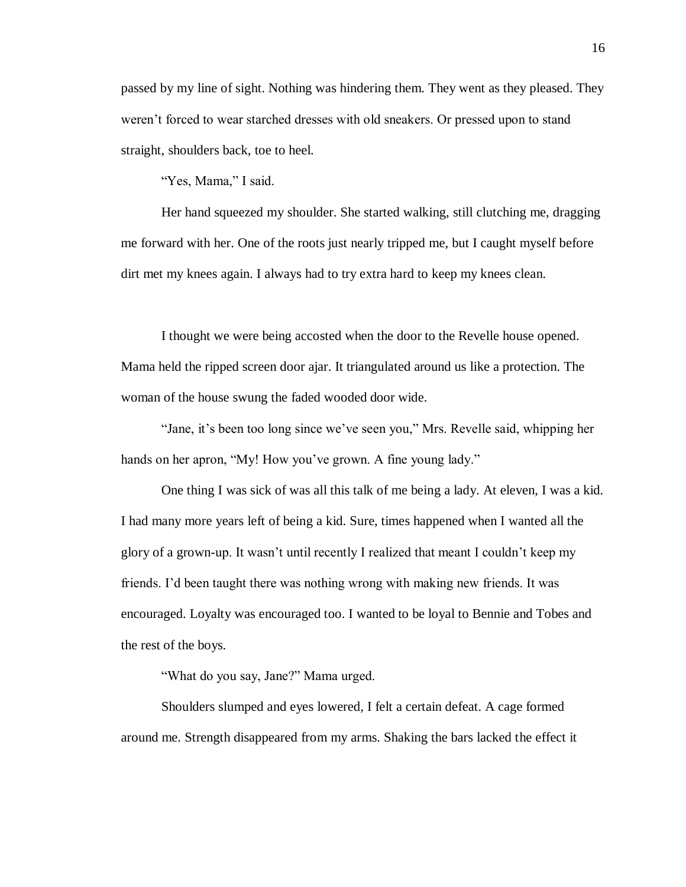passed by my line of sight. Nothing was hindering them. They went as they pleased. They weren't forced to wear starched dresses with old sneakers. Or pressed upon to stand straight, shoulders back, toe to heel.

"Yes, Mama," I said.

Her hand squeezed my shoulder. She started walking, still clutching me, dragging me forward with her. One of the roots just nearly tripped me, but I caught myself before dirt met my knees again. I always had to try extra hard to keep my knees clean.

I thought we were being accosted when the door to the Revelle house opened. Mama held the ripped screen door ajar. It triangulated around us like a protection. The woman of the house swung the faded wooded door wide.

"Jane, it's been too long since we've seen you," Mrs. Revelle said, whipping her hands on her apron, "My! How you've grown. A fine young lady."

One thing I was sick of was all this talk of me being a lady. At eleven, I was a kid. I had many more years left of being a kid. Sure, times happened when I wanted all the glory of a grown-up. It wasn't until recently I realized that meant I couldn't keep my friends. I'd been taught there was nothing wrong with making new friends. It was encouraged. Loyalty was encouraged too. I wanted to be loyal to Bennie and Tobes and the rest of the boys.

"What do you say, Jane?" Mama urged.

Shoulders slumped and eyes lowered, I felt a certain defeat. A cage formed around me. Strength disappeared from my arms. Shaking the bars lacked the effect it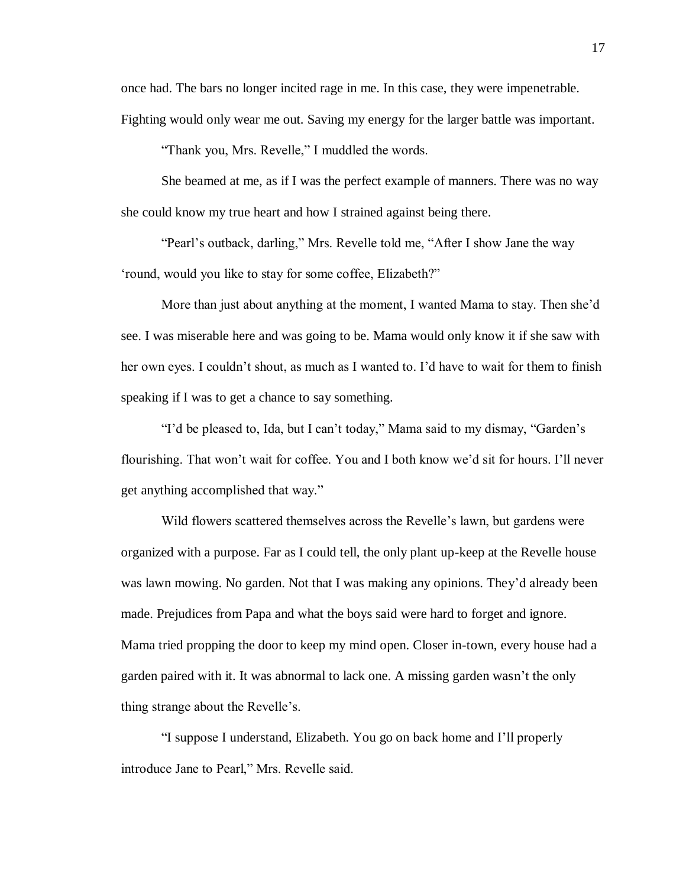once had. The bars no longer incited rage in me. In this case, they were impenetrable. Fighting would only wear me out. Saving my energy for the larger battle was important.

"Thank you, Mrs. Revelle," I muddled the words.

She beamed at me, as if I was the perfect example of manners. There was no way she could know my true heart and how I strained against being there.

"Pearl's outback, darling," Mrs. Revelle told me, "After I show Jane the way 'round, would you like to stay for some coffee, Elizabeth?"

More than just about anything at the moment, I wanted Mama to stay. Then she'd see. I was miserable here and was going to be. Mama would only know it if she saw with her own eyes. I couldn't shout, as much as I wanted to. I'd have to wait for them to finish speaking if I was to get a chance to say something.

"I'd be pleased to, Ida, but I can't today," Mama said to my dismay, "Garden's flourishing. That won't wait for coffee. You and I both know we'd sit for hours. I'll never get anything accomplished that way."

Wild flowers scattered themselves across the Revelle's lawn, but gardens were organized with a purpose. Far as I could tell, the only plant up-keep at the Revelle house was lawn mowing. No garden. Not that I was making any opinions. They'd already been made. Prejudices from Papa and what the boys said were hard to forget and ignore. Mama tried propping the door to keep my mind open. Closer in-town, every house had a garden paired with it. It was abnormal to lack one. A missing garden wasn't the only thing strange about the Revelle's.

"I suppose I understand, Elizabeth. You go on back home and I'll properly introduce Jane to Pearl," Mrs. Revelle said.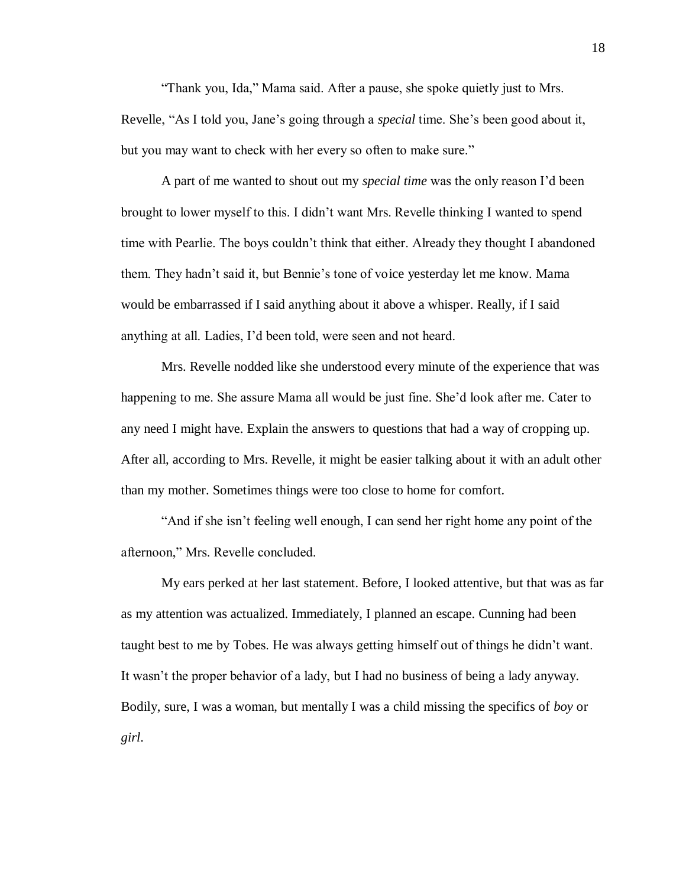"Thank you, Ida," Mama said. After a pause, she spoke quietly just to Mrs. Revelle, "As I told you, Jane's going through a *special* time. She's been good about it, but you may want to check with her every so often to make sure."

A part of me wanted to shout out my *special time* was the only reason I'd been brought to lower myself to this. I didn't want Mrs. Revelle thinking I wanted to spend time with Pearlie. The boys couldn't think that either. Already they thought I abandoned them. They hadn't said it, but Bennie's tone of voice yesterday let me know. Mama would be embarrassed if I said anything about it above a whisper. Really, if I said anything at all. Ladies, I'd been told, were seen and not heard.

Mrs. Revelle nodded like she understood every minute of the experience that was happening to me. She assure Mama all would be just fine. She'd look after me. Cater to any need I might have. Explain the answers to questions that had a way of cropping up. After all, according to Mrs. Revelle, it might be easier talking about it with an adult other than my mother. Sometimes things were too close to home for comfort.

"And if she isn't feeling well enough, I can send her right home any point of the afternoon," Mrs. Revelle concluded.

My ears perked at her last statement. Before, I looked attentive, but that was as far as my attention was actualized. Immediately, I planned an escape. Cunning had been taught best to me by Tobes. He was always getting himself out of things he didn't want. It wasn't the proper behavior of a lady, but I had no business of being a lady anyway. Bodily, sure, I was a woman, but mentally I was a child missing the specifics of *boy* or *girl*.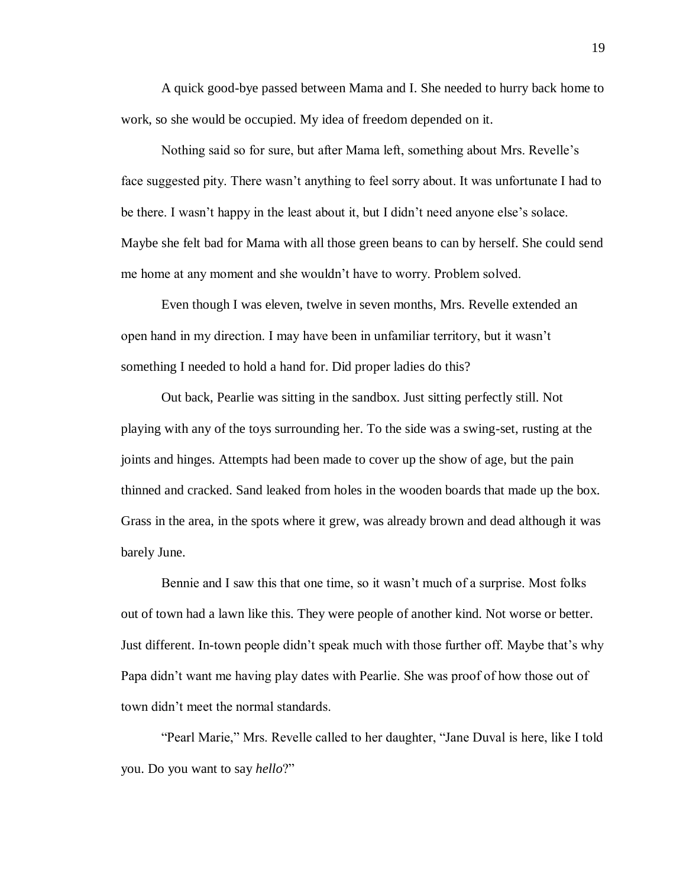A quick good-bye passed between Mama and I. She needed to hurry back home to work, so she would be occupied. My idea of freedom depended on it.

Nothing said so for sure, but after Mama left, something about Mrs. Revelle's face suggested pity. There wasn't anything to feel sorry about. It was unfortunate I had to be there. I wasn't happy in the least about it, but I didn't need anyone else's solace. Maybe she felt bad for Mama with all those green beans to can by herself. She could send me home at any moment and she wouldn't have to worry. Problem solved.

Even though I was eleven, twelve in seven months, Mrs. Revelle extended an open hand in my direction. I may have been in unfamiliar territory, but it wasn't something I needed to hold a hand for. Did proper ladies do this?

Out back, Pearlie was sitting in the sandbox. Just sitting perfectly still. Not playing with any of the toys surrounding her. To the side was a swing-set, rusting at the joints and hinges. Attempts had been made to cover up the show of age, but the pain thinned and cracked. Sand leaked from holes in the wooden boards that made up the box. Grass in the area, in the spots where it grew, was already brown and dead although it was barely June.

Bennie and I saw this that one time, so it wasn't much of a surprise. Most folks out of town had a lawn like this. They were people of another kind. Not worse or better. Just different. In-town people didn't speak much with those further off. Maybe that's why Papa didn't want me having play dates with Pearlie. She was proof of how those out of town didn't meet the normal standards.

"Pearl Marie," Mrs. Revelle called to her daughter, "Jane Duval is here, like I told you. Do you want to say *hello*?"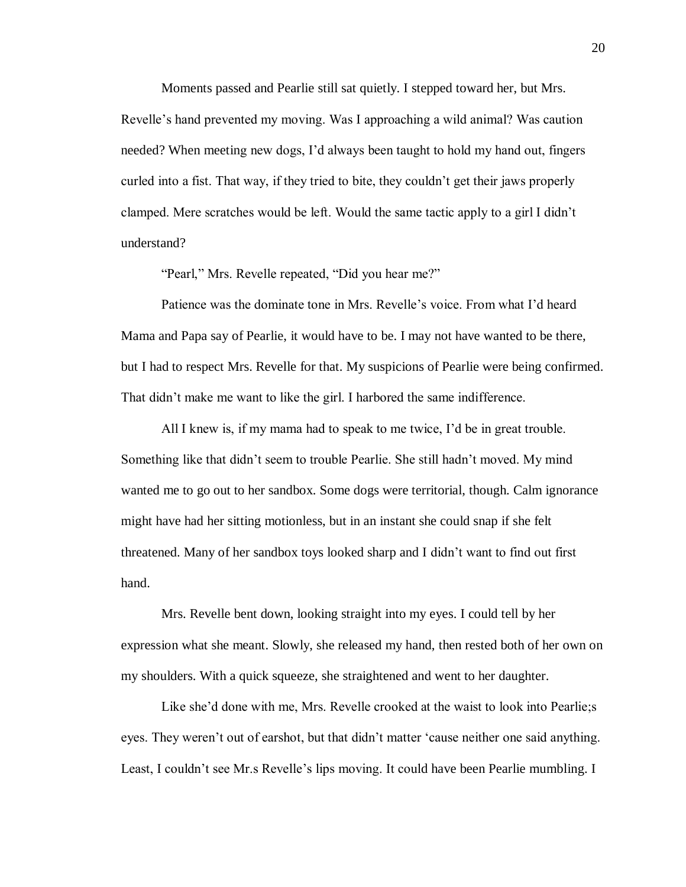Moments passed and Pearlie still sat quietly. I stepped toward her, but Mrs. Revelle's hand prevented my moving. Was I approaching a wild animal? Was caution needed? When meeting new dogs, I'd always been taught to hold my hand out, fingers curled into a fist. That way, if they tried to bite, they couldn't get their jaws properly clamped. Mere scratches would be left. Would the same tactic apply to a girl I didn't understand?

"Pearl," Mrs. Revelle repeated, "Did you hear me?"

Patience was the dominate tone in Mrs. Revelle's voice. From what I'd heard Mama and Papa say of Pearlie, it would have to be. I may not have wanted to be there, but I had to respect Mrs. Revelle for that. My suspicions of Pearlie were being confirmed. That didn't make me want to like the girl. I harbored the same indifference.

All I knew is, if my mama had to speak to me twice, I'd be in great trouble. Something like that didn't seem to trouble Pearlie. She still hadn't moved. My mind wanted me to go out to her sandbox. Some dogs were territorial, though. Calm ignorance might have had her sitting motionless, but in an instant she could snap if she felt threatened. Many of her sandbox toys looked sharp and I didn't want to find out first hand.

Mrs. Revelle bent down, looking straight into my eyes. I could tell by her expression what she meant. Slowly, she released my hand, then rested both of her own on my shoulders. With a quick squeeze, she straightened and went to her daughter.

Like she'd done with me, Mrs. Revelle crooked at the waist to look into Pearlie;s eyes. They weren't out of earshot, but that didn't matter 'cause neither one said anything. Least, I couldn't see Mr.s Revelle's lips moving. It could have been Pearlie mumbling. I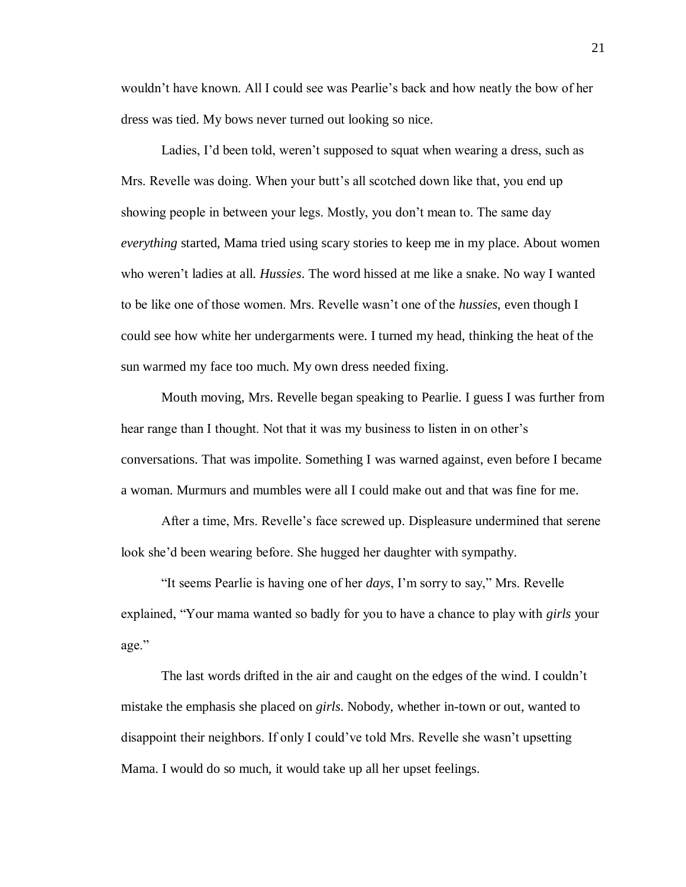wouldn't have known. All I could see was Pearlie's back and how neatly the bow of her dress was tied. My bows never turned out looking so nice.

Ladies, I'd been told, weren't supposed to squat when wearing a dress, such as Mrs. Revelle was doing. When your butt's all scotched down like that, you end up showing people in between your legs. Mostly, you don't mean to. The same day *everything* started, Mama tried using scary stories to keep me in my place. About women who weren't ladies at all. *Hussies*. The word hissed at me like a snake. No way I wanted to be like one of those women. Mrs. Revelle wasn't one of the *hussies*, even though I could see how white her undergarments were. I turned my head, thinking the heat of the sun warmed my face too much. My own dress needed fixing.

Mouth moving, Mrs. Revelle began speaking to Pearlie. I guess I was further from hear range than I thought. Not that it was my business to listen in on other's conversations. That was impolite. Something I was warned against, even before I became a woman. Murmurs and mumbles were all I could make out and that was fine for me.

After a time, Mrs. Revelle's face screwed up. Displeasure undermined that serene look she'd been wearing before. She hugged her daughter with sympathy.

"It seems Pearlie is having one of her *days*, I'm sorry to say," Mrs. Revelle explained, "Your mama wanted so badly for you to have a chance to play with *girls* your age."

The last words drifted in the air and caught on the edges of the wind. I couldn't mistake the emphasis she placed on *girls*. Nobody, whether in-town or out, wanted to disappoint their neighbors. If only I could've told Mrs. Revelle she wasn't upsetting Mama. I would do so much, it would take up all her upset feelings.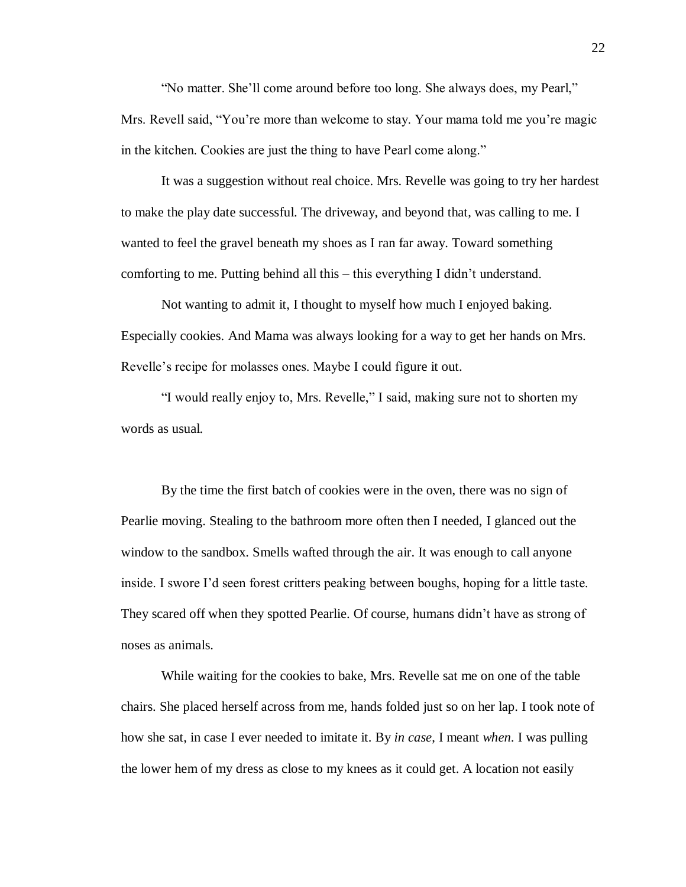"No matter. She'll come around before too long. She always does, my Pearl," Mrs. Revell said, "You're more than welcome to stay. Your mama told me you're magic in the kitchen. Cookies are just the thing to have Pearl come along."

It was a suggestion without real choice. Mrs. Revelle was going to try her hardest to make the play date successful. The driveway, and beyond that, was calling to me. I wanted to feel the gravel beneath my shoes as I ran far away. Toward something comforting to me. Putting behind all this – this everything I didn't understand.

Not wanting to admit it, I thought to myself how much I enjoyed baking. Especially cookies. And Mama was always looking for a way to get her hands on Mrs. Revelle's recipe for molasses ones. Maybe I could figure it out.

"I would really enjoy to, Mrs. Revelle," I said, making sure not to shorten my words as usual.

By the time the first batch of cookies were in the oven, there was no sign of Pearlie moving. Stealing to the bathroom more often then I needed, I glanced out the window to the sandbox. Smells wafted through the air. It was enough to call anyone inside. I swore I'd seen forest critters peaking between boughs, hoping for a little taste. They scared off when they spotted Pearlie. Of course, humans didn't have as strong of noses as animals.

While waiting for the cookies to bake, Mrs. Revelle sat me on one of the table chairs. She placed herself across from me, hands folded just so on her lap. I took note of how she sat, in case I ever needed to imitate it. By *in case*, I meant *when*. I was pulling the lower hem of my dress as close to my knees as it could get. A location not easily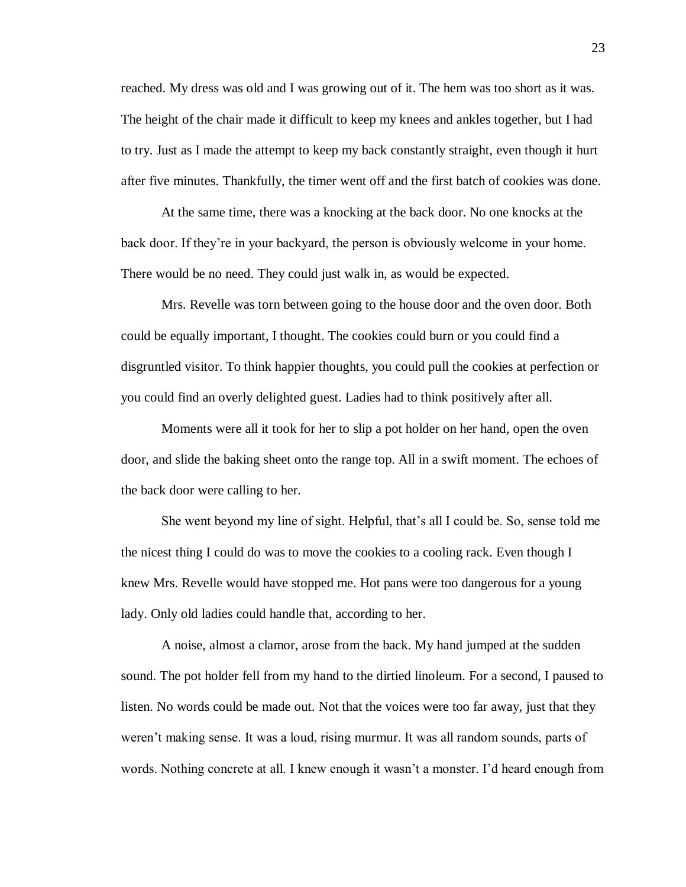reached. My dress was old and I was growing out of it. The hem was too short as it was. The height of the chair made it difficult to keep my knees and ankles together, but I had to try. Just as I made the attempt to keep my back constantly straight, even though it hurt after five minutes. Thankfully, the timer went off and the first batch of cookies was done.

At the same time, there was a knocking at the back door. No one knocks at the back door. If they're in your backyard, the person is obviously welcome in your home. There would be no need. They could just walk in, as would be expected.

Mrs. Revelle was torn between going to the house door and the oven door. Both could be equally important, I thought. The cookies could burn or you could find a disgruntled visitor. To think happier thoughts, you could pull the cookies at perfection or you could find an overly delighted guest. Ladies had to think positively after all.

Moments were all it took for her to slip a pot holder on her hand, open the oven door, and slide the baking sheet onto the range top. All in a swift moment. The echoes of the back door were calling to her.

She went beyond my line of sight. Helpful, that's all I could be. So, sense told me the nicest thing I could do was to move the cookies to a cooling rack. Even though I knew Mrs. Revelle would have stopped me. Hot pans were too dangerous for a young lady. Only old ladies could handle that, according to her.

A noise, almost a clamor, arose from the back. My hand jumped at the sudden sound. The pot holder fell from my hand to the dirtied linoleum. For a second, I paused to listen. No words could be made out. Not that the voices were too far away, just that they weren't making sense. It was a loud, rising murmur. It was all random sounds, parts of words. Nothing concrete at all. I knew enough it wasn't a monster. I'd heard enough from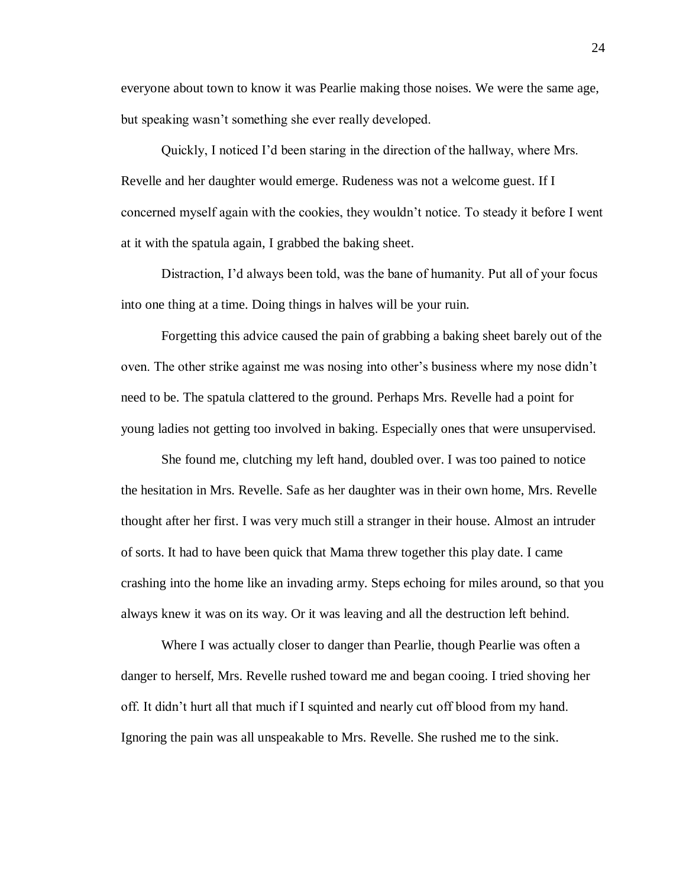everyone about town to know it was Pearlie making those noises. We were the same age, but speaking wasn't something she ever really developed.

Quickly, I noticed I'd been staring in the direction of the hallway, where Mrs. Revelle and her daughter would emerge. Rudeness was not a welcome guest. If I concerned myself again with the cookies, they wouldn't notice. To steady it before I went at it with the spatula again, I grabbed the baking sheet.

Distraction, I'd always been told, was the bane of humanity. Put all of your focus into one thing at a time. Doing things in halves will be your ruin.

Forgetting this advice caused the pain of grabbing a baking sheet barely out of the oven. The other strike against me was nosing into other's business where my nose didn't need to be. The spatula clattered to the ground. Perhaps Mrs. Revelle had a point for young ladies not getting too involved in baking. Especially ones that were unsupervised.

She found me, clutching my left hand, doubled over. I was too pained to notice the hesitation in Mrs. Revelle. Safe as her daughter was in their own home, Mrs. Revelle thought after her first. I was very much still a stranger in their house. Almost an intruder of sorts. It had to have been quick that Mama threw together this play date. I came crashing into the home like an invading army. Steps echoing for miles around, so that you always knew it was on its way. Or it was leaving and all the destruction left behind.

Where I was actually closer to danger than Pearlie, though Pearlie was often a danger to herself, Mrs. Revelle rushed toward me and began cooing. I tried shoving her off. It didn't hurt all that much if I squinted and nearly cut off blood from my hand. Ignoring the pain was all unspeakable to Mrs. Revelle. She rushed me to the sink.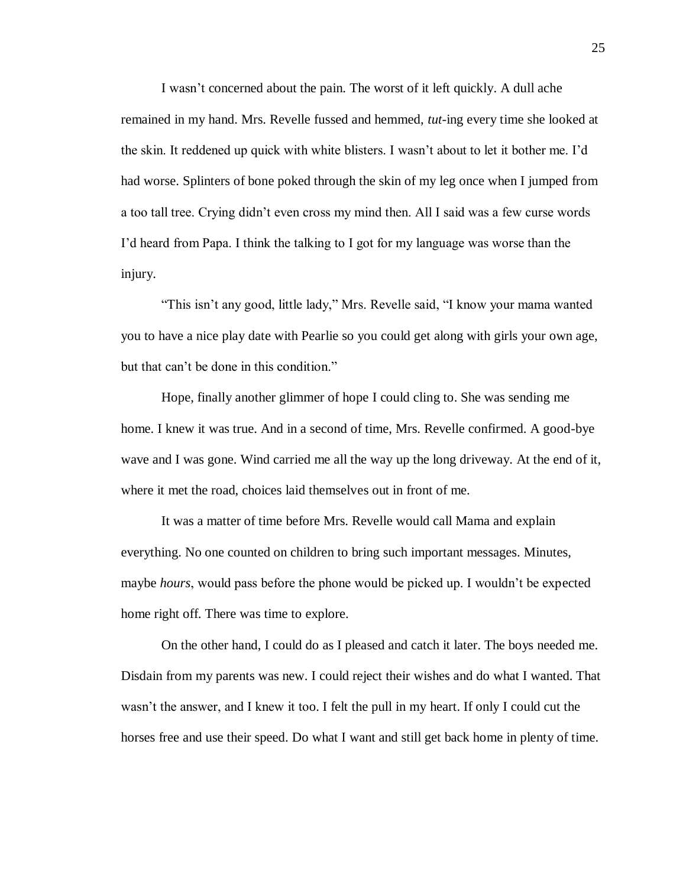I wasn't concerned about the pain. The worst of it left quickly. A dull ache remained in my hand. Mrs. Revelle fussed and hemmed, *tut*-ing every time she looked at the skin. It reddened up quick with white blisters. I wasn't about to let it bother me. I'd had worse. Splinters of bone poked through the skin of my leg once when I jumped from a too tall tree. Crying didn't even cross my mind then. All I said was a few curse words I'd heard from Papa. I think the talking to I got for my language was worse than the injury.

"This isn't any good, little lady," Mrs. Revelle said, "I know your mama wanted you to have a nice play date with Pearlie so you could get along with girls your own age, but that can't be done in this condition."

Hope, finally another glimmer of hope I could cling to. She was sending me home. I knew it was true. And in a second of time, Mrs. Revelle confirmed. A good-bye wave and I was gone. Wind carried me all the way up the long driveway. At the end of it, where it met the road, choices laid themselves out in front of me.

It was a matter of time before Mrs. Revelle would call Mama and explain everything. No one counted on children to bring such important messages. Minutes, maybe *hours*, would pass before the phone would be picked up. I wouldn't be expected home right off. There was time to explore.

On the other hand, I could do as I pleased and catch it later. The boys needed me. Disdain from my parents was new. I could reject their wishes and do what I wanted. That wasn't the answer, and I knew it too. I felt the pull in my heart. If only I could cut the horses free and use their speed. Do what I want and still get back home in plenty of time.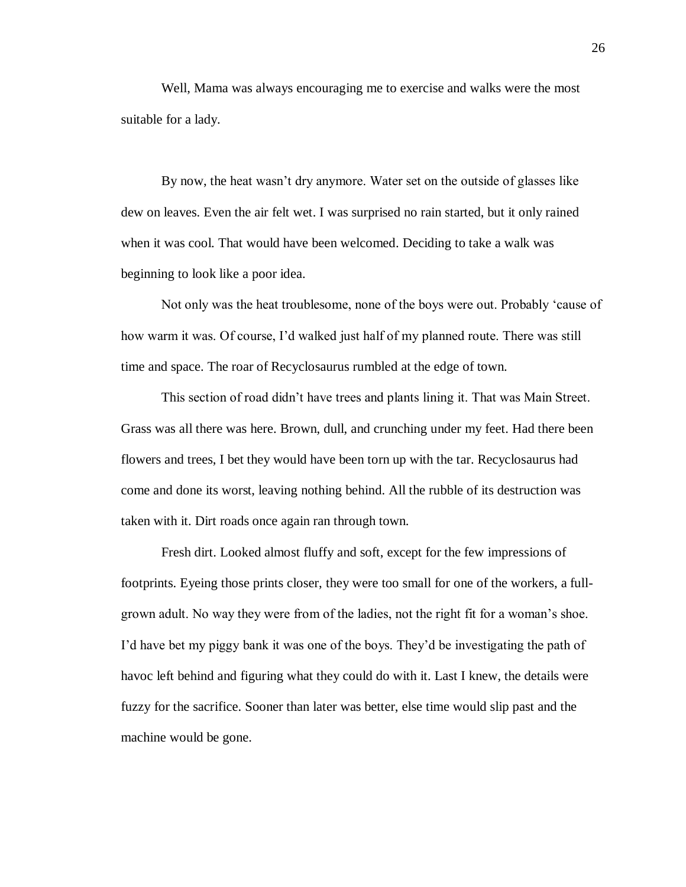Well, Mama was always encouraging me to exercise and walks were the most suitable for a lady.

By now, the heat wasn't dry anymore. Water set on the outside of glasses like dew on leaves. Even the air felt wet. I was surprised no rain started, but it only rained when it was cool. That would have been welcomed. Deciding to take a walk was beginning to look like a poor idea.

Not only was the heat troublesome, none of the boys were out. Probably 'cause of how warm it was. Of course, I'd walked just half of my planned route. There was still time and space. The roar of Recyclosaurus rumbled at the edge of town.

This section of road didn't have trees and plants lining it. That was Main Street. Grass was all there was here. Brown, dull, and crunching under my feet. Had there been flowers and trees, I bet they would have been torn up with the tar. Recyclosaurus had come and done its worst, leaving nothing behind. All the rubble of its destruction was taken with it. Dirt roads once again ran through town.

Fresh dirt. Looked almost fluffy and soft, except for the few impressions of footprints. Eyeing those prints closer, they were too small for one of the workers, a fullgrown adult. No way they were from of the ladies, not the right fit for a woman's shoe. I'd have bet my piggy bank it was one of the boys. They'd be investigating the path of havoc left behind and figuring what they could do with it. Last I knew, the details were fuzzy for the sacrifice. Sooner than later was better, else time would slip past and the machine would be gone.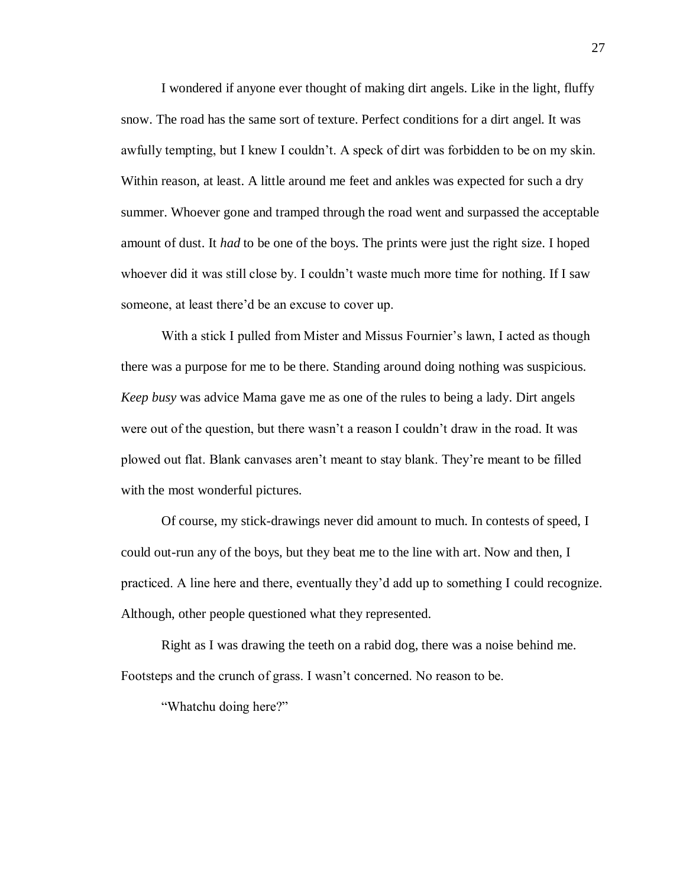I wondered if anyone ever thought of making dirt angels. Like in the light, fluffy snow. The road has the same sort of texture. Perfect conditions for a dirt angel. It was awfully tempting, but I knew I couldn't. A speck of dirt was forbidden to be on my skin. Within reason, at least. A little around me feet and ankles was expected for such a dry summer. Whoever gone and tramped through the road went and surpassed the acceptable amount of dust. It *had* to be one of the boys. The prints were just the right size. I hoped whoever did it was still close by. I couldn't waste much more time for nothing. If I saw someone, at least there'd be an excuse to cover up.

With a stick I pulled from Mister and Missus Fournier's lawn, I acted as though there was a purpose for me to be there. Standing around doing nothing was suspicious. *Keep busy* was advice Mama gave me as one of the rules to being a lady. Dirt angels were out of the question, but there wasn't a reason I couldn't draw in the road. It was plowed out flat. Blank canvases aren't meant to stay blank. They're meant to be filled with the most wonderful pictures.

Of course, my stick-drawings never did amount to much. In contests of speed, I could out-run any of the boys, but they beat me to the line with art. Now and then, I practiced. A line here and there, eventually they'd add up to something I could recognize. Although, other people questioned what they represented.

Right as I was drawing the teeth on a rabid dog, there was a noise behind me. Footsteps and the crunch of grass. I wasn't concerned. No reason to be.

"Whatchu doing here?"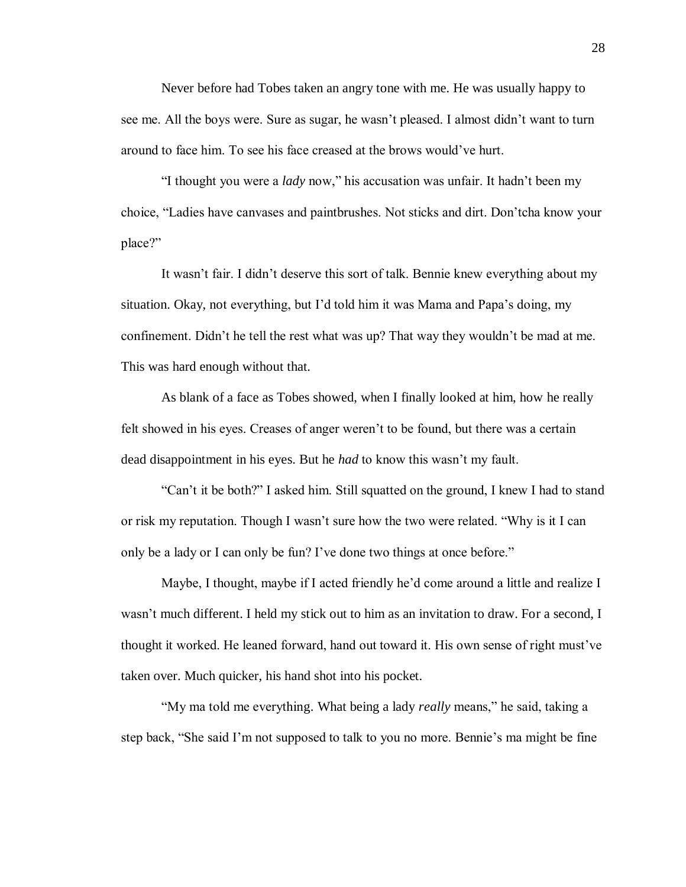Never before had Tobes taken an angry tone with me. He was usually happy to see me. All the boys were. Sure as sugar, he wasn't pleased. I almost didn't want to turn around to face him. To see his face creased at the brows would've hurt.

"I thought you were a *lady* now," his accusation was unfair. It hadn't been my choice, "Ladies have canvases and paintbrushes. Not sticks and dirt. Don'tcha know your place?"

It wasn't fair. I didn't deserve this sort of talk. Bennie knew everything about my situation. Okay, not everything, but I'd told him it was Mama and Papa's doing, my confinement. Didn't he tell the rest what was up? That way they wouldn't be mad at me. This was hard enough without that.

As blank of a face as Tobes showed, when I finally looked at him, how he really felt showed in his eyes. Creases of anger weren't to be found, but there was a certain dead disappointment in his eyes. But he *had* to know this wasn't my fault.

"Can't it be both?" I asked him. Still squatted on the ground, I knew I had to stand or risk my reputation. Though I wasn't sure how the two were related. "Why is it I can only be a lady or I can only be fun? I've done two things at once before."

Maybe, I thought, maybe if I acted friendly he'd come around a little and realize I wasn't much different. I held my stick out to him as an invitation to draw. For a second, I thought it worked. He leaned forward, hand out toward it. His own sense of right must've taken over. Much quicker, his hand shot into his pocket.

"My ma told me everything. What being a lady *really* means," he said, taking a step back, "She said I'm not supposed to talk to you no more. Bennie's ma might be fine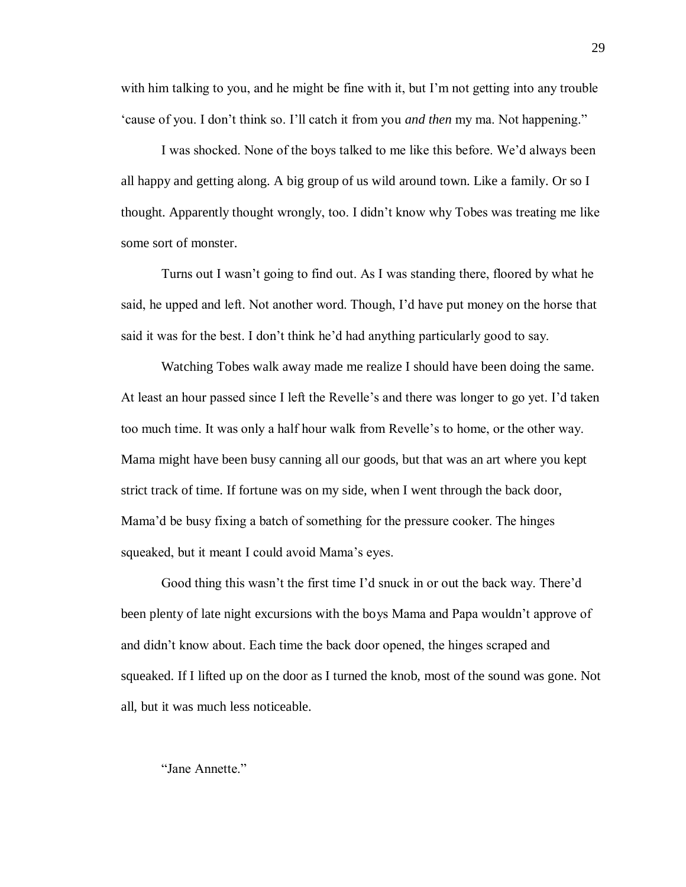with him talking to you, and he might be fine with it, but I'm not getting into any trouble 'cause of you. I don't think so. I'll catch it from you *and then* my ma. Not happening."

I was shocked. None of the boys talked to me like this before. We'd always been all happy and getting along. A big group of us wild around town. Like a family. Or so I thought. Apparently thought wrongly, too. I didn't know why Tobes was treating me like some sort of monster.

Turns out I wasn't going to find out. As I was standing there, floored by what he said, he upped and left. Not another word. Though, I'd have put money on the horse that said it was for the best. I don't think he'd had anything particularly good to say.

Watching Tobes walk away made me realize I should have been doing the same. At least an hour passed since I left the Revelle's and there was longer to go yet. I'd taken too much time. It was only a half hour walk from Revelle's to home, or the other way. Mama might have been busy canning all our goods, but that was an art where you kept strict track of time. If fortune was on my side, when I went through the back door, Mama'd be busy fixing a batch of something for the pressure cooker. The hinges squeaked, but it meant I could avoid Mama's eyes.

Good thing this wasn't the first time I'd snuck in or out the back way. There'd been plenty of late night excursions with the boys Mama and Papa wouldn't approve of and didn't know about. Each time the back door opened, the hinges scraped and squeaked. If I lifted up on the door as I turned the knob, most of the sound was gone. Not all, but it was much less noticeable.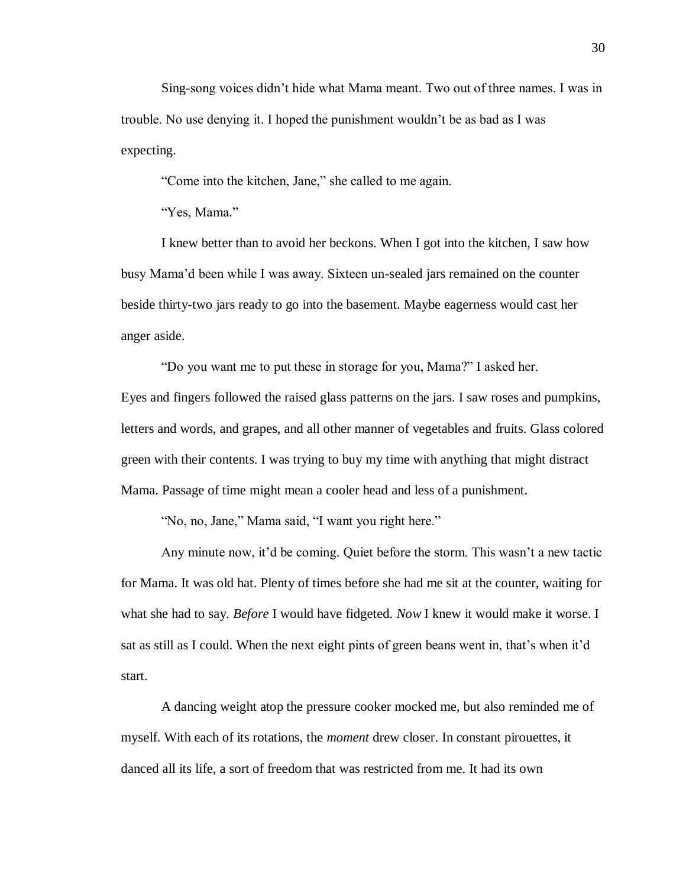Sing-song voices didn't hide what Mama meant. Two out of three names. I was in trouble. No use denying it. I hoped the punishment wouldn't be as bad as I was expecting.

"Come into the kitchen, Jane," she called to me again.

"Yes, Mama."

I knew better than to avoid her beckons. When I got into the kitchen, I saw how busy Mama'd been while I was away. Sixteen un-sealed jars remained on the counter beside thirty-two jars ready to go into the basement. Maybe eagerness would cast her anger aside.

"Do you want me to put these in storage for you, Mama?" I asked her.

Eyes and fingers followed the raised glass patterns on the jars. I saw roses and pumpkins, letters and words, and grapes, and all other manner of vegetables and fruits. Glass colored green with their contents. I was trying to buy my time with anything that might distract Mama. Passage of time might mean a cooler head and less of a punishment.

"No, no, Jane," Mama said, "I want you right here."

Any minute now, it'd be coming. Quiet before the storm. This wasn't a new tactic for Mama. It was old hat. Plenty of times before she had me sit at the counter, waiting for what she had to say. *Before* I would have fidgeted. *Now* I knew it would make it worse. I sat as still as I could. When the next eight pints of green beans went in, that's when it'd start.

A dancing weight atop the pressure cooker mocked me, but also reminded me of myself. With each of its rotations, the *moment* drew closer. In constant pirouettes, it danced all its life, a sort of freedom that was restricted from me. It had its own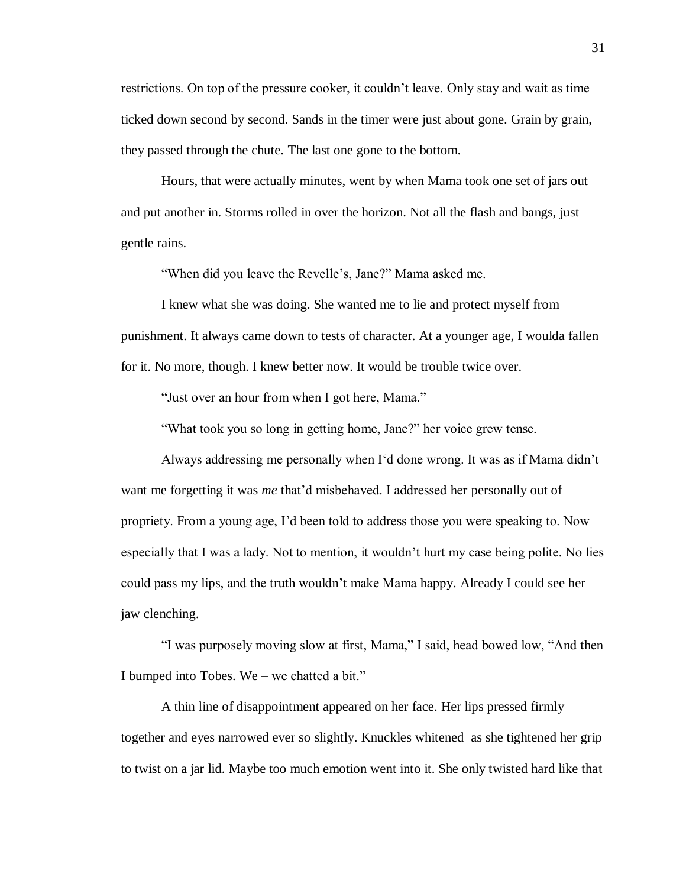restrictions. On top of the pressure cooker, it couldn't leave. Only stay and wait as time ticked down second by second. Sands in the timer were just about gone. Grain by grain, they passed through the chute. The last one gone to the bottom.

Hours, that were actually minutes, went by when Mama took one set of jars out and put another in. Storms rolled in over the horizon. Not all the flash and bangs, just gentle rains.

"When did you leave the Revelle's, Jane?" Mama asked me.

I knew what she was doing. She wanted me to lie and protect myself from punishment. It always came down to tests of character. At a younger age, I woulda fallen for it. No more, though. I knew better now. It would be trouble twice over.

"Just over an hour from when I got here, Mama."

"What took you so long in getting home, Jane?" her voice grew tense.

Always addressing me personally when I'd done wrong. It was as if Mama didn't want me forgetting it was *me* that'd misbehaved. I addressed her personally out of propriety. From a young age, I'd been told to address those you were speaking to. Now especially that I was a lady. Not to mention, it wouldn't hurt my case being polite. No lies could pass my lips, and the truth wouldn't make Mama happy. Already I could see her jaw clenching.

"I was purposely moving slow at first, Mama," I said, head bowed low, "And then I bumped into Tobes. We – we chatted a bit."

A thin line of disappointment appeared on her face. Her lips pressed firmly together and eyes narrowed ever so slightly. Knuckles whitened as she tightened her grip to twist on a jar lid. Maybe too much emotion went into it. She only twisted hard like that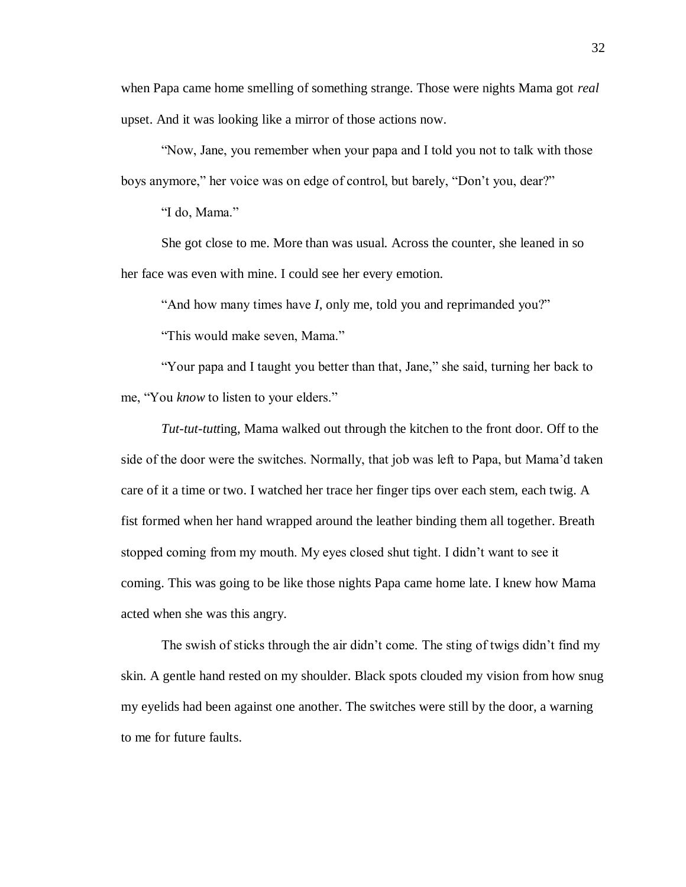when Papa came home smelling of something strange. Those were nights Mama got *real* upset. And it was looking like a mirror of those actions now.

"Now, Jane, you remember when your papa and I told you not to talk with those boys anymore," her voice was on edge of control, but barely, "Don't you, dear?"

"I do, Mama."

She got close to me. More than was usual. Across the counter, she leaned in so her face was even with mine. I could see her every emotion.

"And how many times have *I*, only me, told you and reprimanded you?"

"This would make seven, Mama."

"Your papa and I taught you better than that, Jane," she said, turning her back to me, "You *know* to listen to your elders."

*Tut-tut-tutt*ing, Mama walked out through the kitchen to the front door. Off to the side of the door were the switches. Normally, that job was left to Papa, but Mama'd taken care of it a time or two. I watched her trace her finger tips over each stem, each twig. A fist formed when her hand wrapped around the leather binding them all together. Breath stopped coming from my mouth. My eyes closed shut tight. I didn't want to see it coming. This was going to be like those nights Papa came home late. I knew how Mama acted when she was this angry.

The swish of sticks through the air didn't come. The sting of twigs didn't find my skin. A gentle hand rested on my shoulder. Black spots clouded my vision from how snug my eyelids had been against one another. The switches were still by the door, a warning to me for future faults.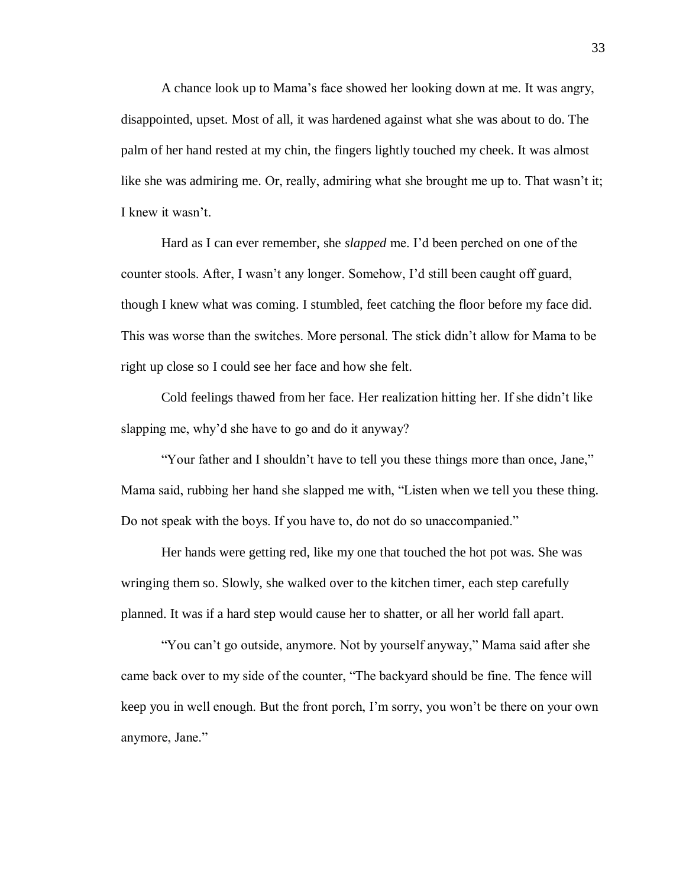A chance look up to Mama's face showed her looking down at me. It was angry, disappointed, upset. Most of all, it was hardened against what she was about to do. The palm of her hand rested at my chin, the fingers lightly touched my cheek. It was almost like she was admiring me. Or, really, admiring what she brought me up to. That wasn't it; I knew it wasn't.

Hard as I can ever remember, she *slapped* me. I'd been perched on one of the counter stools. After, I wasn't any longer. Somehow, I'd still been caught off guard, though I knew what was coming. I stumbled, feet catching the floor before my face did. This was worse than the switches. More personal. The stick didn't allow for Mama to be right up close so I could see her face and how she felt.

Cold feelings thawed from her face. Her realization hitting her. If she didn't like slapping me, why'd she have to go and do it anyway?

"Your father and I shouldn't have to tell you these things more than once, Jane," Mama said, rubbing her hand she slapped me with, "Listen when we tell you these thing. Do not speak with the boys. If you have to, do not do so unaccompanied."

Her hands were getting red, like my one that touched the hot pot was. She was wringing them so. Slowly, she walked over to the kitchen timer, each step carefully planned. It was if a hard step would cause her to shatter, or all her world fall apart.

"You can't go outside, anymore. Not by yourself anyway," Mama said after she came back over to my side of the counter, "The backyard should be fine. The fence will keep you in well enough. But the front porch, I'm sorry, you won't be there on your own anymore, Jane."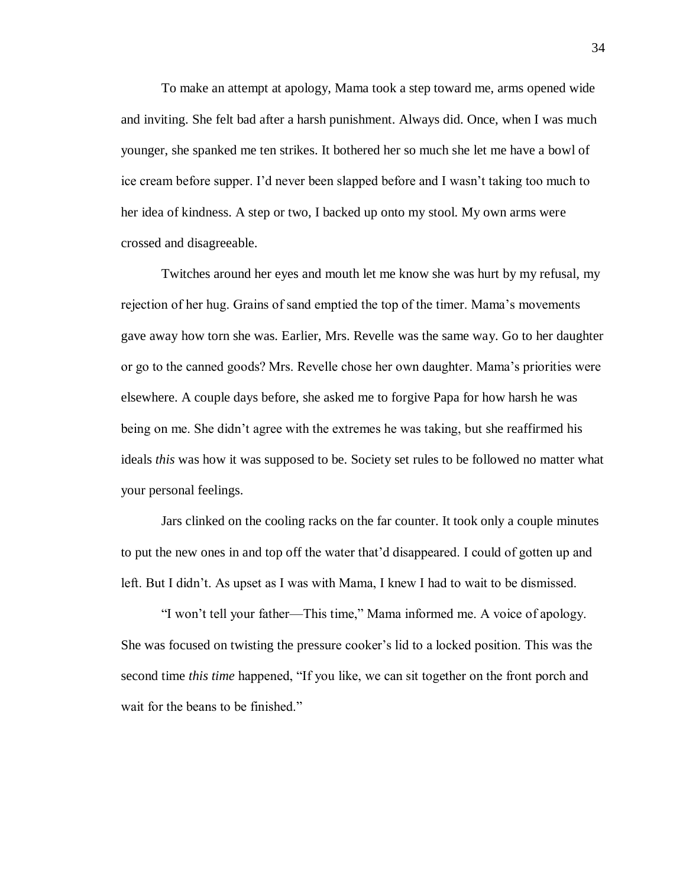To make an attempt at apology, Mama took a step toward me, arms opened wide and inviting. She felt bad after a harsh punishment. Always did. Once, when I was much younger, she spanked me ten strikes. It bothered her so much she let me have a bowl of ice cream before supper. I'd never been slapped before and I wasn't taking too much to her idea of kindness. A step or two, I backed up onto my stool. My own arms were crossed and disagreeable.

Twitches around her eyes and mouth let me know she was hurt by my refusal, my rejection of her hug. Grains of sand emptied the top of the timer. Mama's movements gave away how torn she was. Earlier, Mrs. Revelle was the same way. Go to her daughter or go to the canned goods? Mrs. Revelle chose her own daughter. Mama's priorities were elsewhere. A couple days before, she asked me to forgive Papa for how harsh he was being on me. She didn't agree with the extremes he was taking, but she reaffirmed his ideals *this* was how it was supposed to be. Society set rules to be followed no matter what your personal feelings.

Jars clinked on the cooling racks on the far counter. It took only a couple minutes to put the new ones in and top off the water that'd disappeared. I could of gotten up and left. But I didn't. As upset as I was with Mama, I knew I had to wait to be dismissed.

"I won't tell your father—This time," Mama informed me. A voice of apology. She was focused on twisting the pressure cooker's lid to a locked position. This was the second time *this time* happened, "If you like, we can sit together on the front porch and wait for the beans to be finished."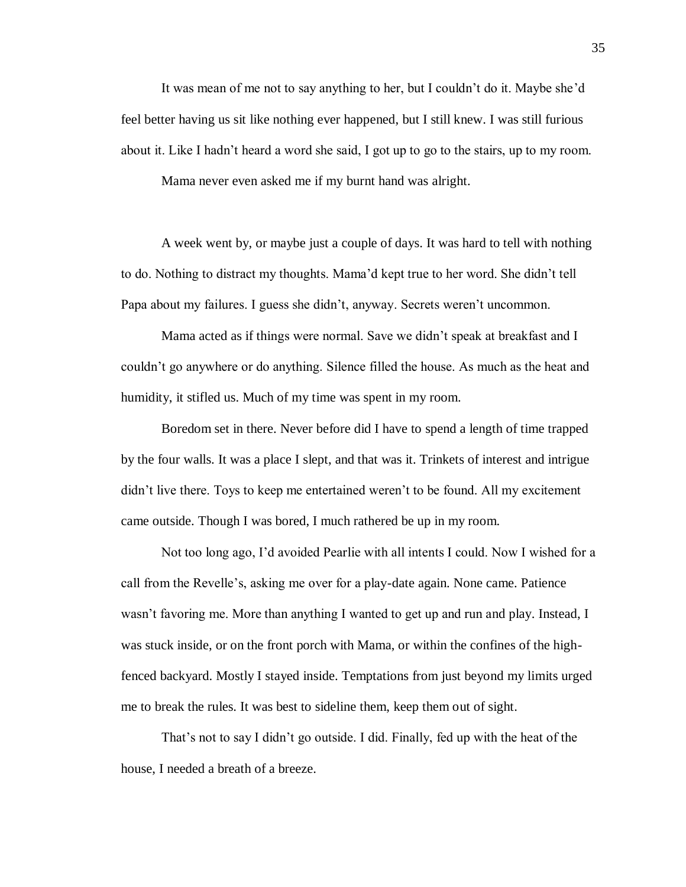It was mean of me not to say anything to her, but I couldn't do it. Maybe she'd feel better having us sit like nothing ever happened, but I still knew. I was still furious about it. Like I hadn't heard a word she said, I got up to go to the stairs, up to my room.

Mama never even asked me if my burnt hand was alright.

A week went by, or maybe just a couple of days. It was hard to tell with nothing to do. Nothing to distract my thoughts. Mama'd kept true to her word. She didn't tell Papa about my failures. I guess she didn't, anyway. Secrets weren't uncommon.

Mama acted as if things were normal. Save we didn't speak at breakfast and I couldn't go anywhere or do anything. Silence filled the house. As much as the heat and humidity, it stifled us. Much of my time was spent in my room.

Boredom set in there. Never before did I have to spend a length of time trapped by the four walls. It was a place I slept, and that was it. Trinkets of interest and intrigue didn't live there. Toys to keep me entertained weren't to be found. All my excitement came outside. Though I was bored, I much rathered be up in my room.

Not too long ago, I'd avoided Pearlie with all intents I could. Now I wished for a call from the Revelle's, asking me over for a play-date again. None came. Patience wasn't favoring me. More than anything I wanted to get up and run and play. Instead, I was stuck inside, or on the front porch with Mama, or within the confines of the highfenced backyard. Mostly I stayed inside. Temptations from just beyond my limits urged me to break the rules. It was best to sideline them, keep them out of sight.

That's not to say I didn't go outside. I did. Finally, fed up with the heat of the house, I needed a breath of a breeze.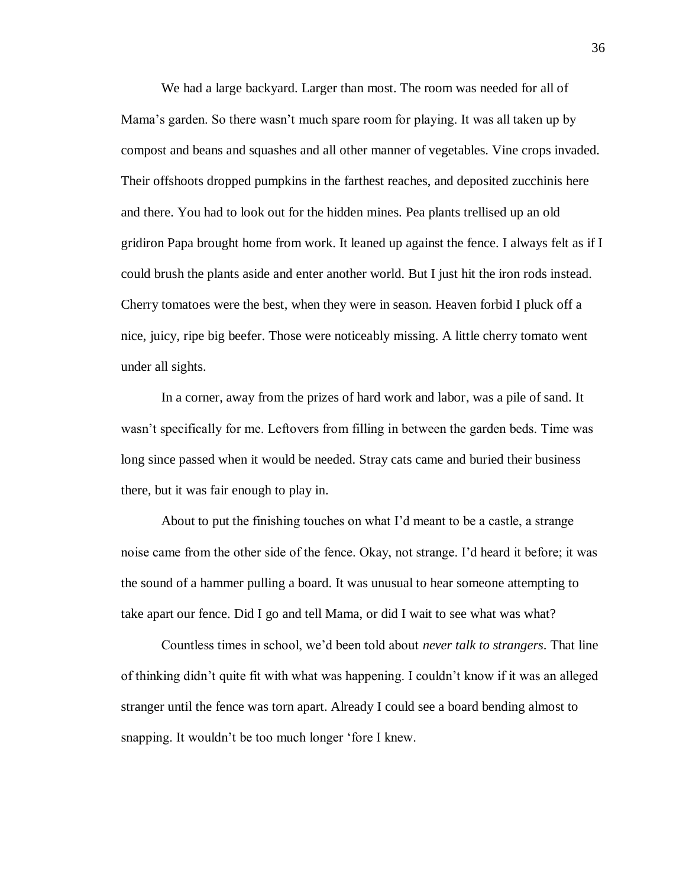We had a large backyard. Larger than most. The room was needed for all of Mama's garden. So there wasn't much spare room for playing. It was all taken up by compost and beans and squashes and all other manner of vegetables. Vine crops invaded. Their offshoots dropped pumpkins in the farthest reaches, and deposited zucchinis here and there. You had to look out for the hidden mines. Pea plants trellised up an old gridiron Papa brought home from work. It leaned up against the fence. I always felt as if I could brush the plants aside and enter another world. But I just hit the iron rods instead. Cherry tomatoes were the best, when they were in season. Heaven forbid I pluck off a nice, juicy, ripe big beefer. Those were noticeably missing. A little cherry tomato went under all sights.

In a corner, away from the prizes of hard work and labor, was a pile of sand. It wasn't specifically for me. Leftovers from filling in between the garden beds. Time was long since passed when it would be needed. Stray cats came and buried their business there, but it was fair enough to play in.

About to put the finishing touches on what I'd meant to be a castle, a strange noise came from the other side of the fence. Okay, not strange. I'd heard it before; it was the sound of a hammer pulling a board. It was unusual to hear someone attempting to take apart our fence. Did I go and tell Mama, or did I wait to see what was what?

Countless times in school, we'd been told about *never talk to strangers*. That line of thinking didn't quite fit with what was happening. I couldn't know if it was an alleged stranger until the fence was torn apart. Already I could see a board bending almost to snapping. It wouldn't be too much longer 'fore I knew.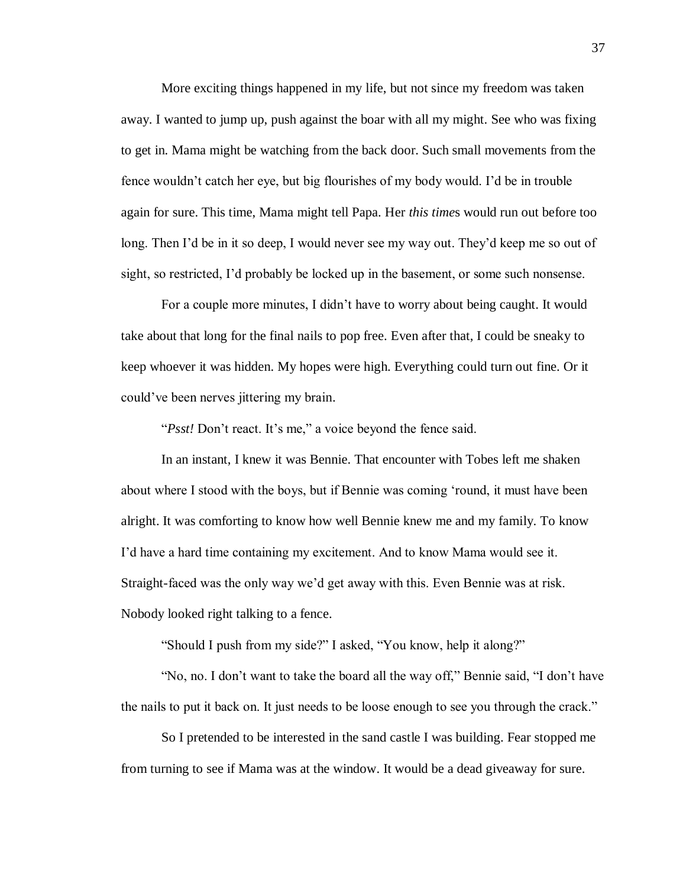More exciting things happened in my life, but not since my freedom was taken away. I wanted to jump up, push against the boar with all my might. See who was fixing to get in. Mama might be watching from the back door. Such small movements from the fence wouldn't catch her eye, but big flourishes of my body would. I'd be in trouble again for sure. This time, Mama might tell Papa. Her *this time*s would run out before too long. Then I'd be in it so deep, I would never see my way out. They'd keep me so out of sight, so restricted, I'd probably be locked up in the basement, or some such nonsense.

For a couple more minutes, I didn't have to worry about being caught. It would take about that long for the final nails to pop free. Even after that, I could be sneaky to keep whoever it was hidden. My hopes were high. Everything could turn out fine. Or it could've been nerves jittering my brain.

"*Psst!* Don't react. It's me," a voice beyond the fence said.

In an instant, I knew it was Bennie. That encounter with Tobes left me shaken about where I stood with the boys, but if Bennie was coming 'round, it must have been alright. It was comforting to know how well Bennie knew me and my family. To know I'd have a hard time containing my excitement. And to know Mama would see it. Straight-faced was the only way we'd get away with this. Even Bennie was at risk. Nobody looked right talking to a fence.

"Should I push from my side?" I asked, "You know, help it along?"

"No, no. I don't want to take the board all the way off," Bennie said, "I don't have the nails to put it back on. It just needs to be loose enough to see you through the crack."

So I pretended to be interested in the sand castle I was building. Fear stopped me from turning to see if Mama was at the window. It would be a dead giveaway for sure.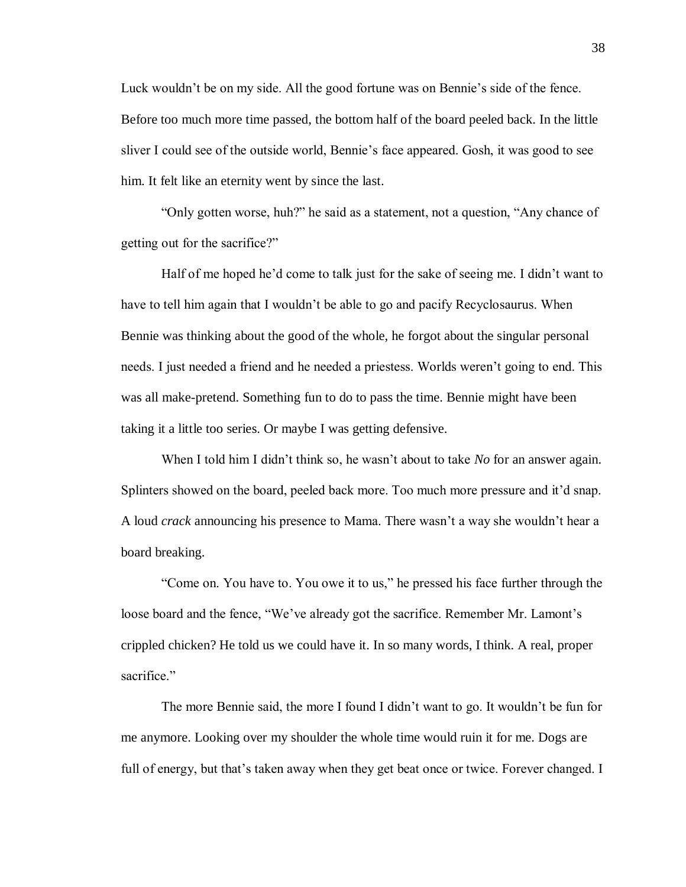Luck wouldn't be on my side. All the good fortune was on Bennie's side of the fence. Before too much more time passed, the bottom half of the board peeled back. In the little sliver I could see of the outside world, Bennie's face appeared. Gosh, it was good to see him. It felt like an eternity went by since the last.

"Only gotten worse, huh?" he said as a statement, not a question, "Any chance of getting out for the sacrifice?"

Half of me hoped he'd come to talk just for the sake of seeing me. I didn't want to have to tell him again that I wouldn't be able to go and pacify Recyclosaurus. When Bennie was thinking about the good of the whole, he forgot about the singular personal needs. I just needed a friend and he needed a priestess. Worlds weren't going to end. This was all make-pretend. Something fun to do to pass the time. Bennie might have been taking it a little too series. Or maybe I was getting defensive.

When I told him I didn't think so, he wasn't about to take *No* for an answer again. Splinters showed on the board, peeled back more. Too much more pressure and it'd snap. A loud *crack* announcing his presence to Mama. There wasn't a way she wouldn't hear a board breaking.

"Come on. You have to. You owe it to us," he pressed his face further through the loose board and the fence, "We've already got the sacrifice. Remember Mr. Lamont's crippled chicken? He told us we could have it. In so many words, I think. A real, proper sacrifice."

The more Bennie said, the more I found I didn't want to go. It wouldn't be fun for me anymore. Looking over my shoulder the whole time would ruin it for me. Dogs are full of energy, but that's taken away when they get beat once or twice. Forever changed. I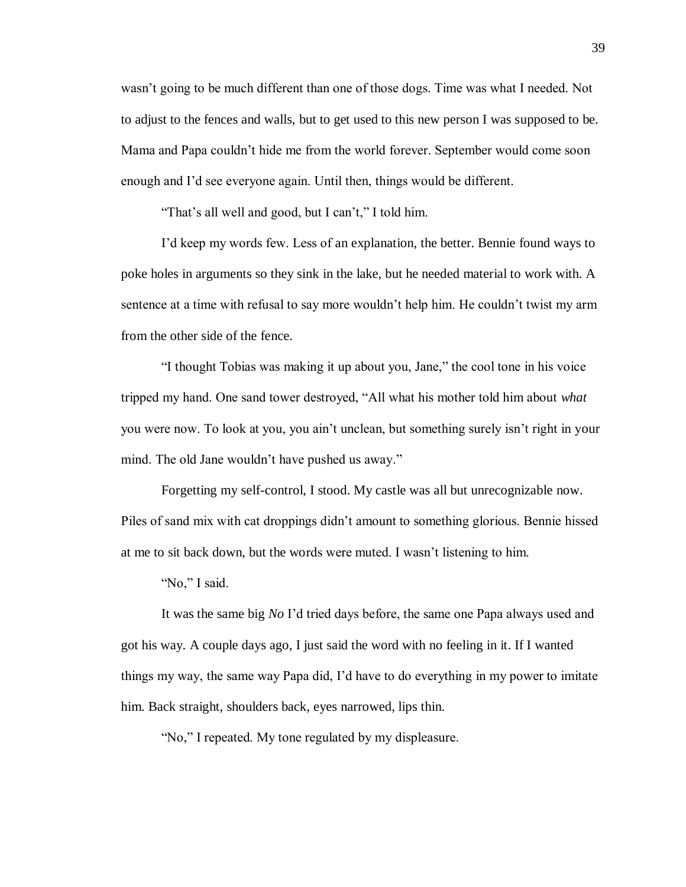wasn't going to be much different than one of those dogs. Time was what I needed. Not to adjust to the fences and walls, but to get used to this new person I was supposed to be. Mama and Papa couldn't hide me from the world forever. September would come soon enough and I'd see everyone again. Until then, things would be different.

"That's all well and good, but I can't," I told him.

I'd keep my words few. Less of an explanation, the better. Bennie found ways to poke holes in arguments so they sink in the lake, but he needed material to work with. A sentence at a time with refusal to say more wouldn't help him. He couldn't twist my arm from the other side of the fence.

"I thought Tobias was making it up about you, Jane," the cool tone in his voice tripped my hand. One sand tower destroyed, "All what his mother told him about *what* you were now. To look at you, you ain't unclean, but something surely isn't right in your mind. The old Jane wouldn't have pushed us away."

Forgetting my self-control, I stood. My castle was all but unrecognizable now. Piles of sand mix with cat droppings didn't amount to something glorious. Bennie hissed at me to sit back down, but the words were muted. I wasn't listening to him.

"No," I said.

It was the same big *No* I'd tried days before, the same one Papa always used and got his way. A couple days ago, I just said the word with no feeling in it. If I wanted things my way, the same way Papa did, I'd have to do everything in my power to imitate him. Back straight, shoulders back, eyes narrowed, lips thin.

"No," I repeated. My tone regulated by my displeasure.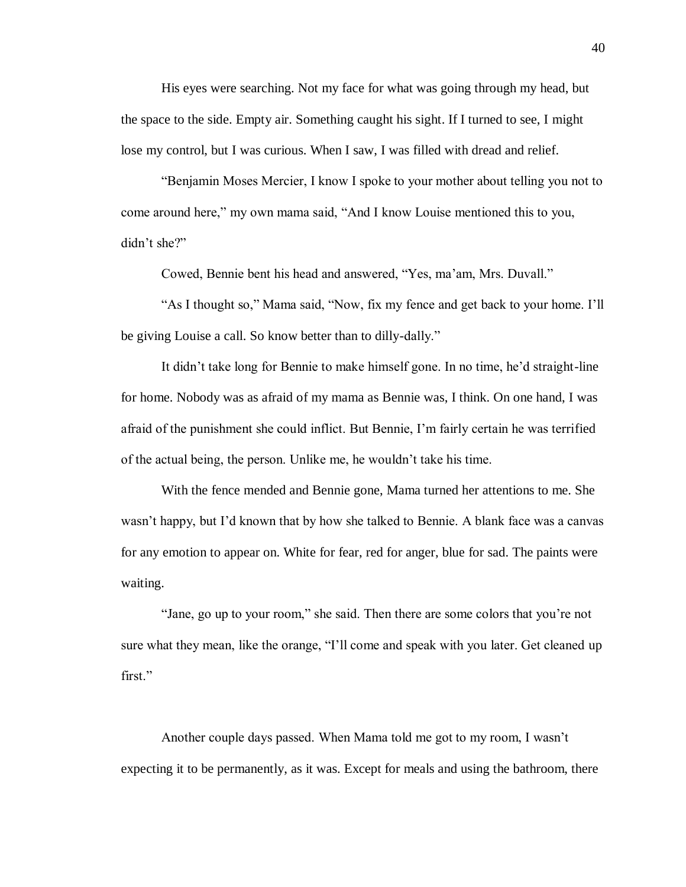His eyes were searching. Not my face for what was going through my head, but the space to the side. Empty air. Something caught his sight. If I turned to see, I might lose my control, but I was curious. When I saw, I was filled with dread and relief.

"Benjamin Moses Mercier, I know I spoke to your mother about telling you not to come around here," my own mama said, "And I know Louise mentioned this to you, didn't she?"

Cowed, Bennie bent his head and answered, "Yes, ma'am, Mrs. Duvall."

"As I thought so," Mama said, "Now, fix my fence and get back to your home. I'll be giving Louise a call. So know better than to dilly-dally."

It didn't take long for Bennie to make himself gone. In no time, he'd straight-line for home. Nobody was as afraid of my mama as Bennie was, I think. On one hand, I was afraid of the punishment she could inflict. But Bennie, I'm fairly certain he was terrified of the actual being, the person. Unlike me, he wouldn't take his time.

With the fence mended and Bennie gone, Mama turned her attentions to me. She wasn't happy, but I'd known that by how she talked to Bennie. A blank face was a canvas for any emotion to appear on. White for fear, red for anger, blue for sad. The paints were waiting.

"Jane, go up to your room," she said. Then there are some colors that you're not sure what they mean, like the orange, "I'll come and speak with you later. Get cleaned up first."

Another couple days passed. When Mama told me got to my room, I wasn't expecting it to be permanently, as it was. Except for meals and using the bathroom, there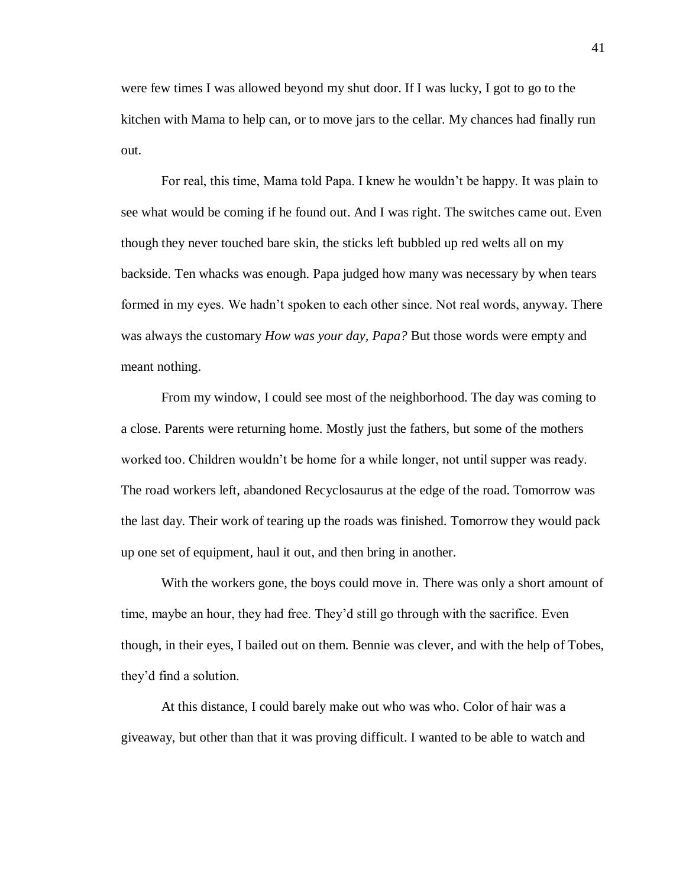were few times I was allowed beyond my shut door. If I was lucky, I got to go to the kitchen with Mama to help can, or to move jars to the cellar. My chances had finally run out.

For real, this time, Mama told Papa. I knew he wouldn't be happy. It was plain to see what would be coming if he found out. And I was right. The switches came out. Even though they never touched bare skin, the sticks left bubbled up red welts all on my backside. Ten whacks was enough. Papa judged how many was necessary by when tears formed in my eyes. We hadn't spoken to each other since. Not real words, anyway. There was always the customary *How was your day, Papa?* But those words were empty and meant nothing.

From my window, I could see most of the neighborhood. The day was coming to a close. Parents were returning home. Mostly just the fathers, but some of the mothers worked too. Children wouldn't be home for a while longer, not until supper was ready. The road workers left, abandoned Recyclosaurus at the edge of the road. Tomorrow was the last day. Their work of tearing up the roads was finished. Tomorrow they would pack up one set of equipment, haul it out, and then bring in another.

With the workers gone, the boys could move in. There was only a short amount of time, maybe an hour, they had free. They'd still go through with the sacrifice. Even though, in their eyes, I bailed out on them. Bennie was clever, and with the help of Tobes, they'd find a solution.

At this distance, I could barely make out who was who. Color of hair was a giveaway, but other than that it was proving difficult. I wanted to be able to watch and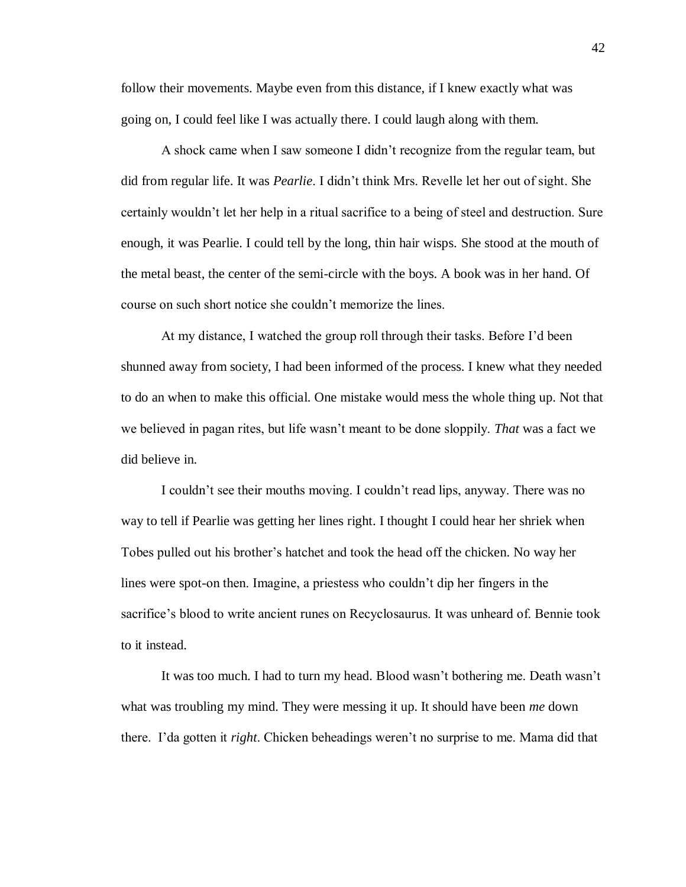follow their movements. Maybe even from this distance, if I knew exactly what was going on, I could feel like I was actually there. I could laugh along with them.

A shock came when I saw someone I didn't recognize from the regular team, but did from regular life. It was *Pearlie*. I didn't think Mrs. Revelle let her out of sight. She certainly wouldn't let her help in a ritual sacrifice to a being of steel and destruction. Sure enough, it was Pearlie. I could tell by the long, thin hair wisps. She stood at the mouth of the metal beast, the center of the semi-circle with the boys. A book was in her hand. Of course on such short notice she couldn't memorize the lines.

At my distance, I watched the group roll through their tasks. Before I'd been shunned away from society, I had been informed of the process. I knew what they needed to do an when to make this official. One mistake would mess the whole thing up. Not that we believed in pagan rites, but life wasn't meant to be done sloppily. *That* was a fact we did believe in.

I couldn't see their mouths moving. I couldn't read lips, anyway. There was no way to tell if Pearlie was getting her lines right. I thought I could hear her shriek when Tobes pulled out his brother's hatchet and took the head off the chicken. No way her lines were spot-on then. Imagine, a priestess who couldn't dip her fingers in the sacrifice's blood to write ancient runes on Recyclosaurus. It was unheard of. Bennie took to it instead.

It was too much. I had to turn my head. Blood wasn't bothering me. Death wasn't what was troubling my mind. They were messing it up. It should have been *me* down there. I'da gotten it *right*. Chicken beheadings weren't no surprise to me. Mama did that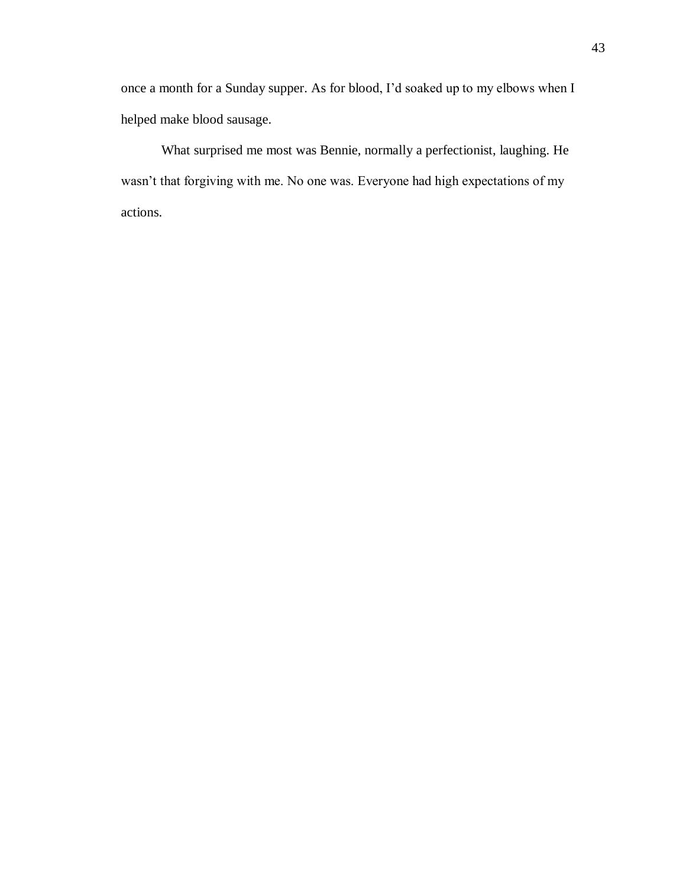once a month for a Sunday supper. As for blood, I'd soaked up to my elbows when I helped make blood sausage.

What surprised me most was Bennie, normally a perfectionist, laughing. He wasn't that forgiving with me. No one was. Everyone had high expectations of my actions.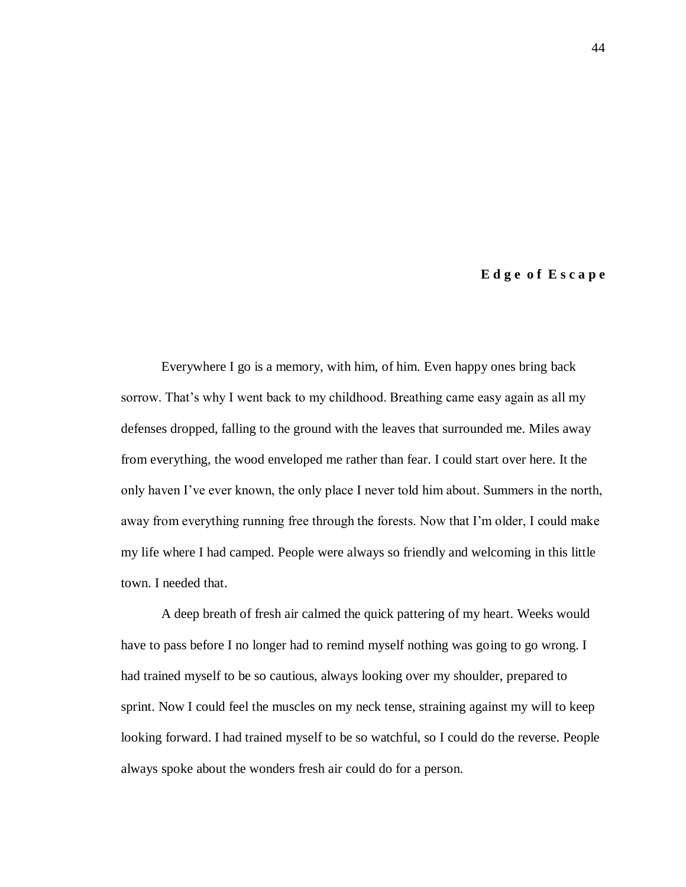## **E d g e o f E s c a p e**

Everywhere I go is a memory, with him, of him. Even happy ones bring back sorrow. That's why I went back to my childhood. Breathing came easy again as all my defenses dropped, falling to the ground with the leaves that surrounded me. Miles away from everything, the wood enveloped me rather than fear. I could start over here. It the only haven I've ever known, the only place I never told him about. Summers in the north, away from everything running free through the forests. Now that I'm older, I could make my life where I had camped. People were always so friendly and welcoming in this little town. I needed that.

A deep breath of fresh air calmed the quick pattering of my heart. Weeks would have to pass before I no longer had to remind myself nothing was going to go wrong. I had trained myself to be so cautious, always looking over my shoulder, prepared to sprint. Now I could feel the muscles on my neck tense, straining against my will to keep looking forward. I had trained myself to be so watchful, so I could do the reverse. People always spoke about the wonders fresh air could do for a person.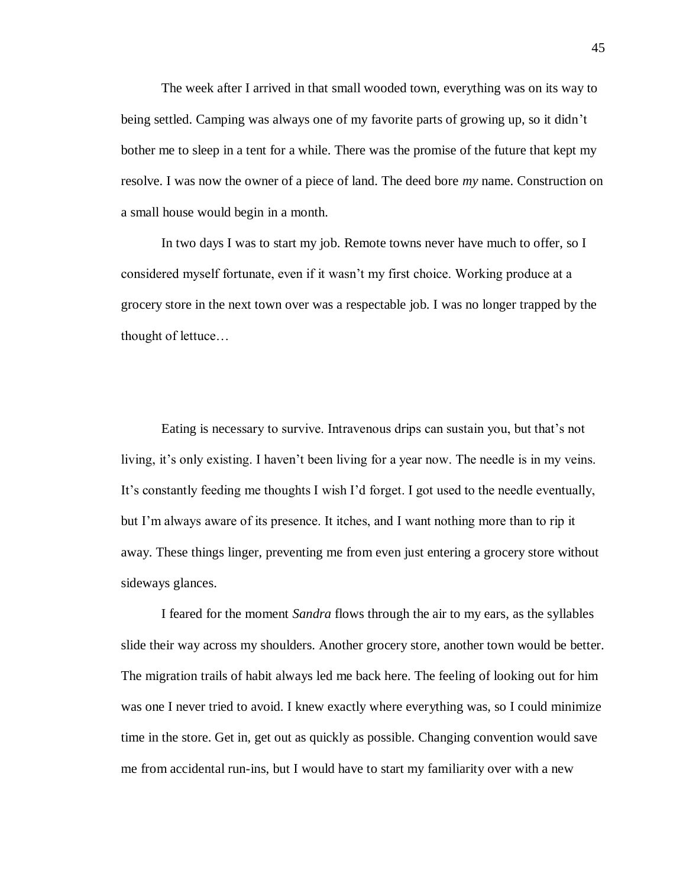The week after I arrived in that small wooded town, everything was on its way to being settled. Camping was always one of my favorite parts of growing up, so it didn't bother me to sleep in a tent for a while. There was the promise of the future that kept my resolve. I was now the owner of a piece of land. The deed bore *my* name. Construction on a small house would begin in a month.

In two days I was to start my job. Remote towns never have much to offer, so I considered myself fortunate, even if it wasn't my first choice. Working produce at a grocery store in the next town over was a respectable job. I was no longer trapped by the thought of lettuce…

Eating is necessary to survive. Intravenous drips can sustain you, but that's not living, it's only existing. I haven't been living for a year now. The needle is in my veins. It's constantly feeding me thoughts I wish I'd forget. I got used to the needle eventually, but I'm always aware of its presence. It itches, and I want nothing more than to rip it away. These things linger, preventing me from even just entering a grocery store without sideways glances.

I feared for the moment *Sandra* flows through the air to my ears, as the syllables slide their way across my shoulders. Another grocery store, another town would be better. The migration trails of habit always led me back here. The feeling of looking out for him was one I never tried to avoid. I knew exactly where everything was, so I could minimize time in the store. Get in, get out as quickly as possible. Changing convention would save me from accidental run-ins, but I would have to start my familiarity over with a new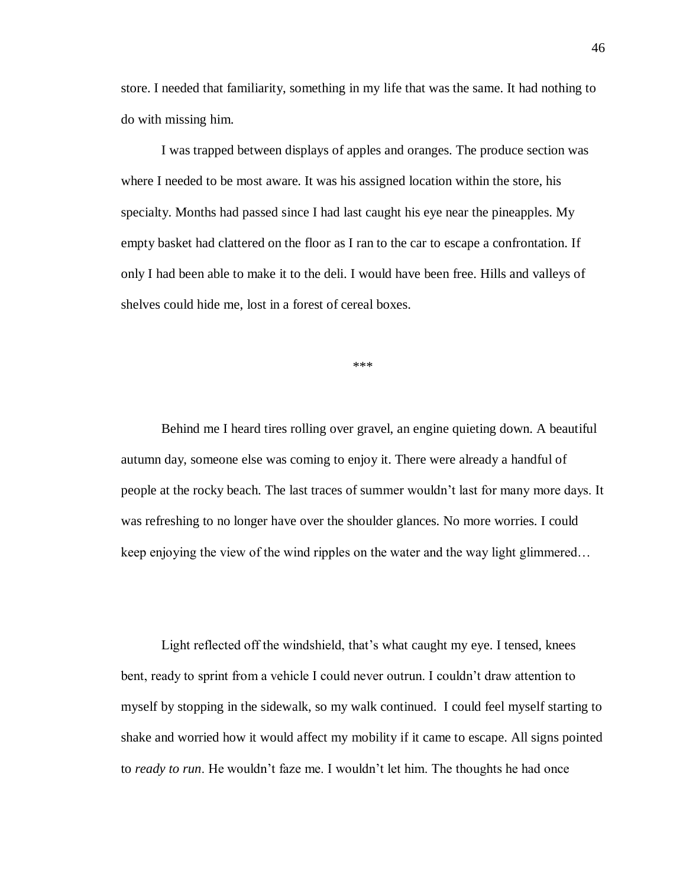store. I needed that familiarity, something in my life that was the same. It had nothing to do with missing him.

I was trapped between displays of apples and oranges. The produce section was where I needed to be most aware. It was his assigned location within the store, his specialty. Months had passed since I had last caught his eye near the pineapples. My empty basket had clattered on the floor as I ran to the car to escape a confrontation. If only I had been able to make it to the deli. I would have been free. Hills and valleys of shelves could hide me, lost in a forest of cereal boxes.

\*\*\*

Behind me I heard tires rolling over gravel, an engine quieting down. A beautiful autumn day, someone else was coming to enjoy it. There were already a handful of people at the rocky beach. The last traces of summer wouldn't last for many more days. It was refreshing to no longer have over the shoulder glances. No more worries. I could keep enjoying the view of the wind ripples on the water and the way light glimmered…

Light reflected off the windshield, that's what caught my eye. I tensed, knees bent, ready to sprint from a vehicle I could never outrun. I couldn't draw attention to myself by stopping in the sidewalk, so my walk continued. I could feel myself starting to shake and worried how it would affect my mobility if it came to escape. All signs pointed to *ready to run*. He wouldn't faze me. I wouldn't let him. The thoughts he had once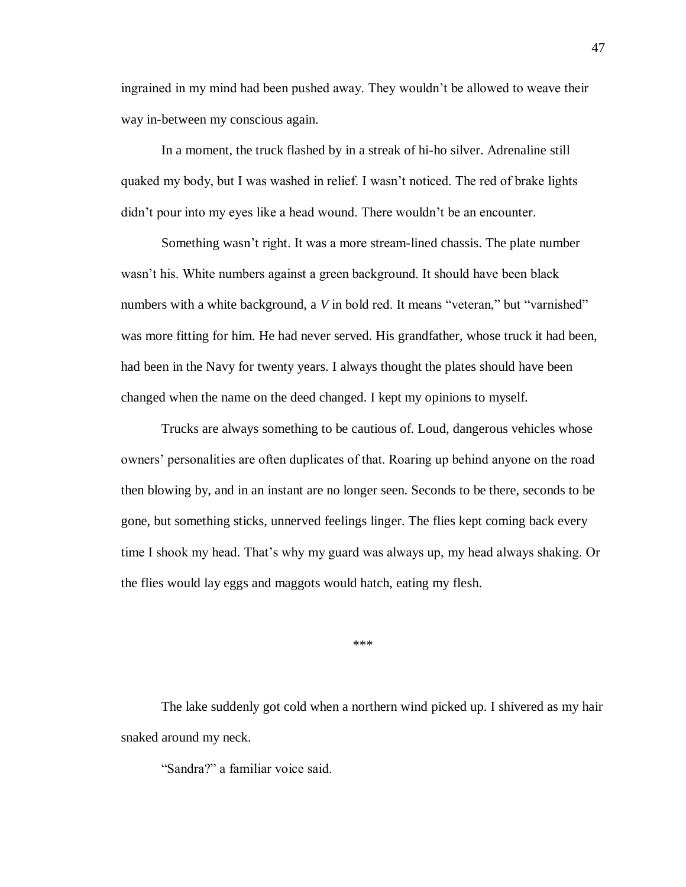ingrained in my mind had been pushed away. They wouldn't be allowed to weave their way in-between my conscious again.

In a moment, the truck flashed by in a streak of hi-ho silver. Adrenaline still quaked my body, but I was washed in relief. I wasn't noticed. The red of brake lights didn't pour into my eyes like a head wound. There wouldn't be an encounter.

Something wasn't right. It was a more stream-lined chassis. The plate number wasn't his. White numbers against a green background. It should have been black numbers with a white background, a V in bold red. It means "veteran," but "varnished" was more fitting for him. He had never served. His grandfather, whose truck it had been, had been in the Navy for twenty years. I always thought the plates should have been changed when the name on the deed changed. I kept my opinions to myself.

Trucks are always something to be cautious of. Loud, dangerous vehicles whose owners' personalities are often duplicates of that. Roaring up behind anyone on the road then blowing by, and in an instant are no longer seen. Seconds to be there, seconds to be gone, but something sticks, unnerved feelings linger. The flies kept coming back every time I shook my head. That's why my guard was always up, my head always shaking. Or the flies would lay eggs and maggots would hatch, eating my flesh.

\*\*\*

The lake suddenly got cold when a northern wind picked up. I shivered as my hair snaked around my neck.

"Sandra?" a familiar voice said.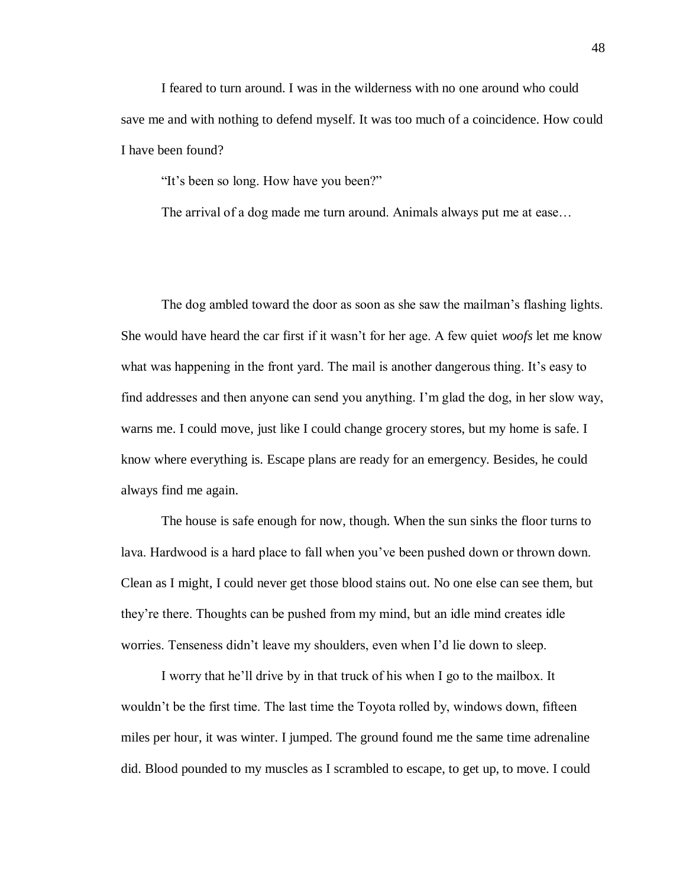I feared to turn around. I was in the wilderness with no one around who could save me and with nothing to defend myself. It was too much of a coincidence. How could I have been found?

"It's been so long. How have you been?"

The arrival of a dog made me turn around. Animals always put me at ease…

The dog ambled toward the door as soon as she saw the mailman's flashing lights. She would have heard the car first if it wasn't for her age. A few quiet *woofs* let me know what was happening in the front yard. The mail is another dangerous thing. It's easy to find addresses and then anyone can send you anything. I'm glad the dog, in her slow way, warns me. I could move, just like I could change grocery stores, but my home is safe. I know where everything is. Escape plans are ready for an emergency. Besides, he could always find me again.

The house is safe enough for now, though. When the sun sinks the floor turns to lava. Hardwood is a hard place to fall when you've been pushed down or thrown down. Clean as I might, I could never get those blood stains out. No one else can see them, but they're there. Thoughts can be pushed from my mind, but an idle mind creates idle worries. Tenseness didn't leave my shoulders, even when I'd lie down to sleep.

I worry that he'll drive by in that truck of his when I go to the mailbox. It wouldn't be the first time. The last time the Toyota rolled by, windows down, fifteen miles per hour, it was winter. I jumped. The ground found me the same time adrenaline did. Blood pounded to my muscles as I scrambled to escape, to get up, to move. I could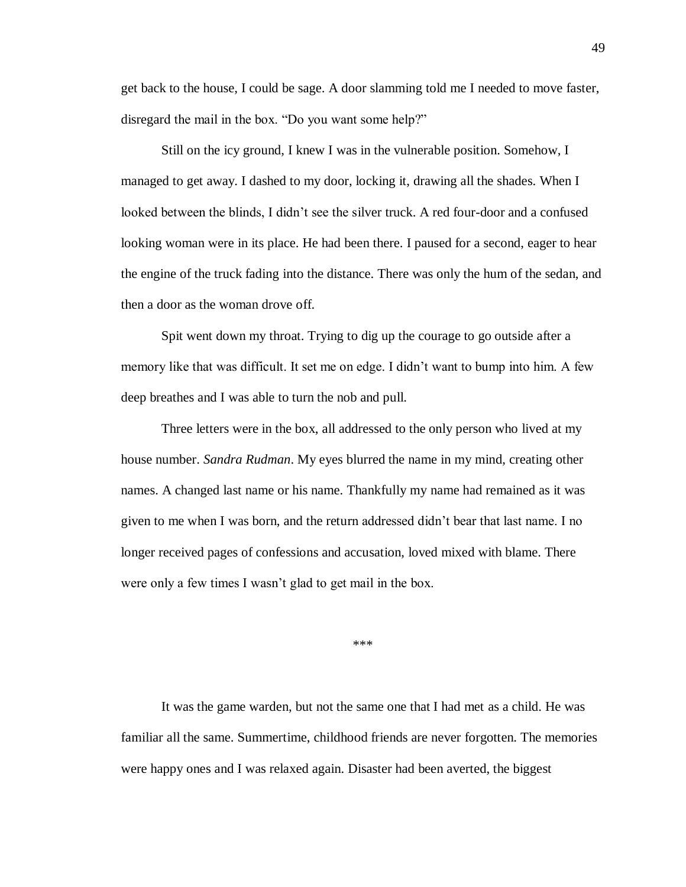get back to the house, I could be sage. A door slamming told me I needed to move faster, disregard the mail in the box. "Do you want some help?"

Still on the icy ground, I knew I was in the vulnerable position. Somehow, I managed to get away. I dashed to my door, locking it, drawing all the shades. When I looked between the blinds, I didn't see the silver truck. A red four-door and a confused looking woman were in its place. He had been there. I paused for a second, eager to hear the engine of the truck fading into the distance. There was only the hum of the sedan, and then a door as the woman drove off.

Spit went down my throat. Trying to dig up the courage to go outside after a memory like that was difficult. It set me on edge. I didn't want to bump into him. A few deep breathes and I was able to turn the nob and pull.

Three letters were in the box, all addressed to the only person who lived at my house number. *Sandra Rudman*. My eyes blurred the name in my mind, creating other names. A changed last name or his name. Thankfully my name had remained as it was given to me when I was born, and the return addressed didn't bear that last name. I no longer received pages of confessions and accusation, loved mixed with blame. There were only a few times I wasn't glad to get mail in the box.

\*\*\*

It was the game warden, but not the same one that I had met as a child. He was familiar all the same. Summertime, childhood friends are never forgotten. The memories were happy ones and I was relaxed again. Disaster had been averted, the biggest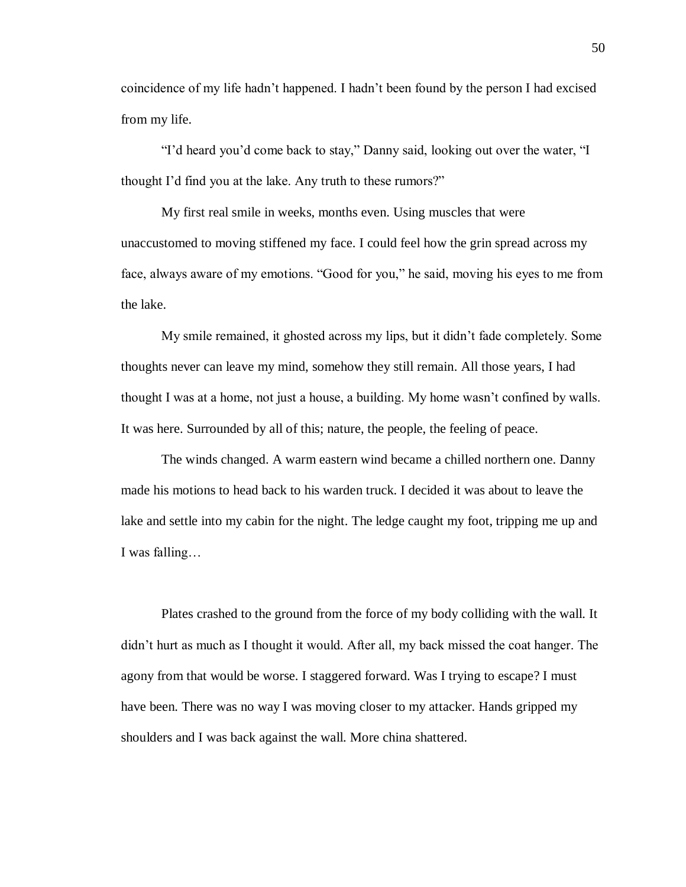coincidence of my life hadn't happened. I hadn't been found by the person I had excised from my life.

"I'd heard you'd come back to stay," Danny said, looking out over the water, "I thought I'd find you at the lake. Any truth to these rumors?"

My first real smile in weeks, months even. Using muscles that were unaccustomed to moving stiffened my face. I could feel how the grin spread across my face, always aware of my emotions. "Good for you," he said, moving his eyes to me from the lake.

My smile remained, it ghosted across my lips, but it didn't fade completely. Some thoughts never can leave my mind, somehow they still remain. All those years, I had thought I was at a home, not just a house, a building. My home wasn't confined by walls. It was here. Surrounded by all of this; nature, the people, the feeling of peace.

The winds changed. A warm eastern wind became a chilled northern one. Danny made his motions to head back to his warden truck. I decided it was about to leave the lake and settle into my cabin for the night. The ledge caught my foot, tripping me up and I was falling…

Plates crashed to the ground from the force of my body colliding with the wall. It didn't hurt as much as I thought it would. After all, my back missed the coat hanger. The agony from that would be worse. I staggered forward. Was I trying to escape? I must have been. There was no way I was moving closer to my attacker. Hands gripped my shoulders and I was back against the wall. More china shattered.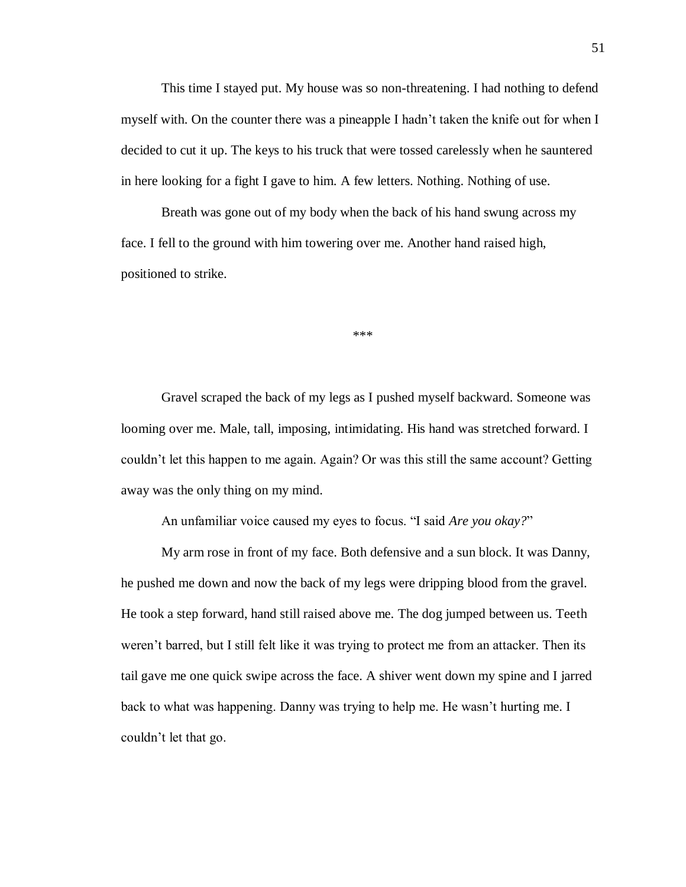This time I stayed put. My house was so non-threatening. I had nothing to defend myself with. On the counter there was a pineapple I hadn't taken the knife out for when I decided to cut it up. The keys to his truck that were tossed carelessly when he sauntered in here looking for a fight I gave to him. A few letters. Nothing. Nothing of use.

Breath was gone out of my body when the back of his hand swung across my face. I fell to the ground with him towering over me. Another hand raised high, positioned to strike.

\*\*\*

Gravel scraped the back of my legs as I pushed myself backward. Someone was looming over me. Male, tall, imposing, intimidating. His hand was stretched forward. I couldn't let this happen to me again. Again? Or was this still the same account? Getting away was the only thing on my mind.

An unfamiliar voice caused my eyes to focus. "I said *Are you okay?*"

My arm rose in front of my face. Both defensive and a sun block. It was Danny, he pushed me down and now the back of my legs were dripping blood from the gravel. He took a step forward, hand still raised above me. The dog jumped between us. Teeth weren't barred, but I still felt like it was trying to protect me from an attacker. Then its tail gave me one quick swipe across the face. A shiver went down my spine and I jarred back to what was happening. Danny was trying to help me. He wasn't hurting me. I couldn't let that go.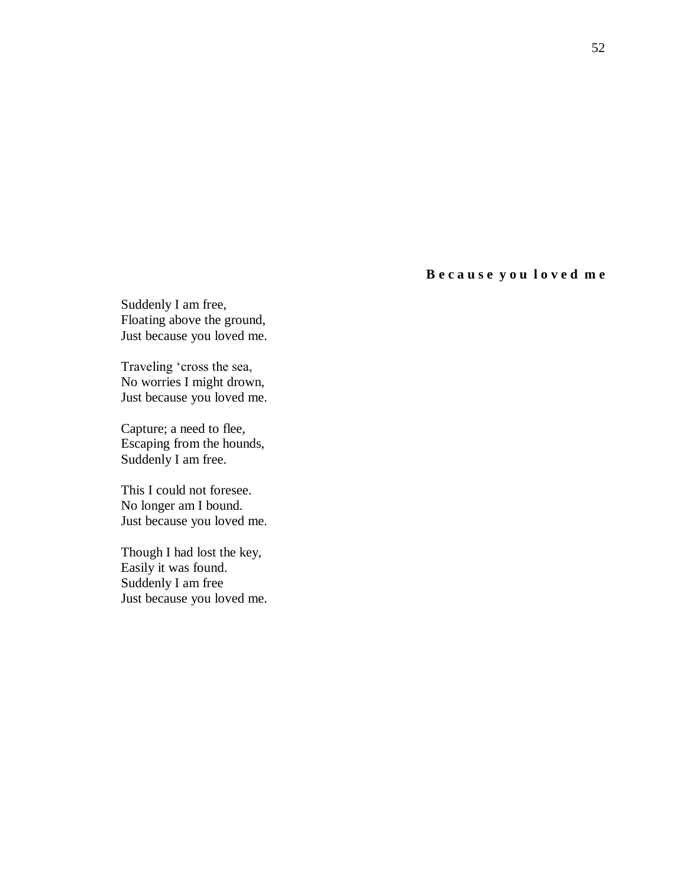## **B e c a u s e y o u l o v e d m e**

Suddenly I am free, Floating above the ground, Just because you loved me.

Traveling 'cross the sea, No worries I might drown, Just because you loved me.

Capture; a need to flee, Escaping from the hounds, Suddenly I am free.

This I could not foresee. No longer am I bound. Just because you loved me.

Though I had lost the key, Easily it was found. Suddenly I am free Just because you loved me.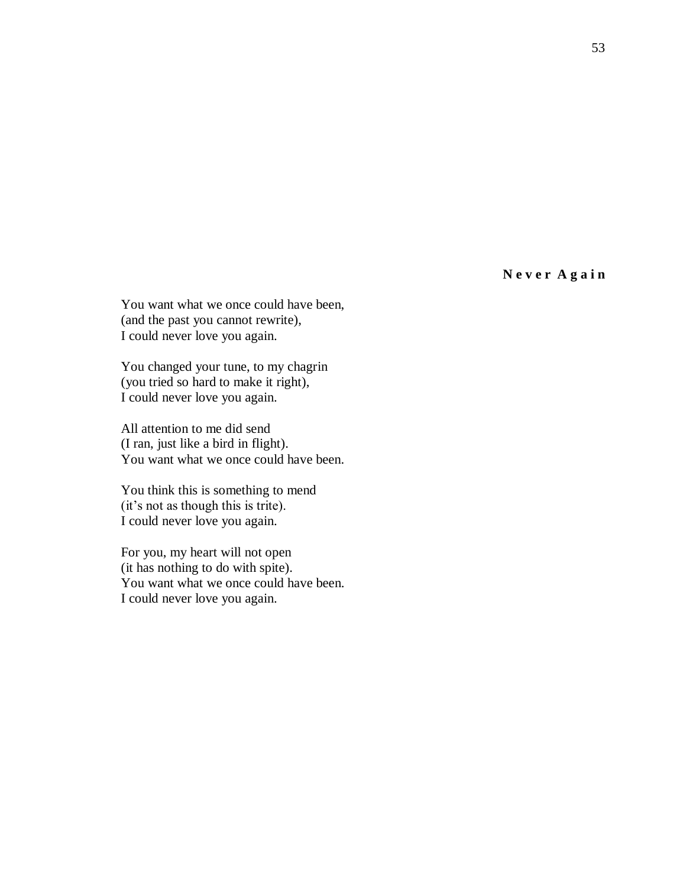**N e v e r A g a i n**

You want what we once could have been, (and the past you cannot rewrite), I could never love you again.

You changed your tune, to my chagrin (you tried so hard to make it right), I could never love you again.

All attention to me did send (I ran, just like a bird in flight). You want what we once could have been.

You think this is something to mend (it's not as though this is trite). I could never love you again.

For you, my heart will not open (it has nothing to do with spite). You want what we once could have been. I could never love you again.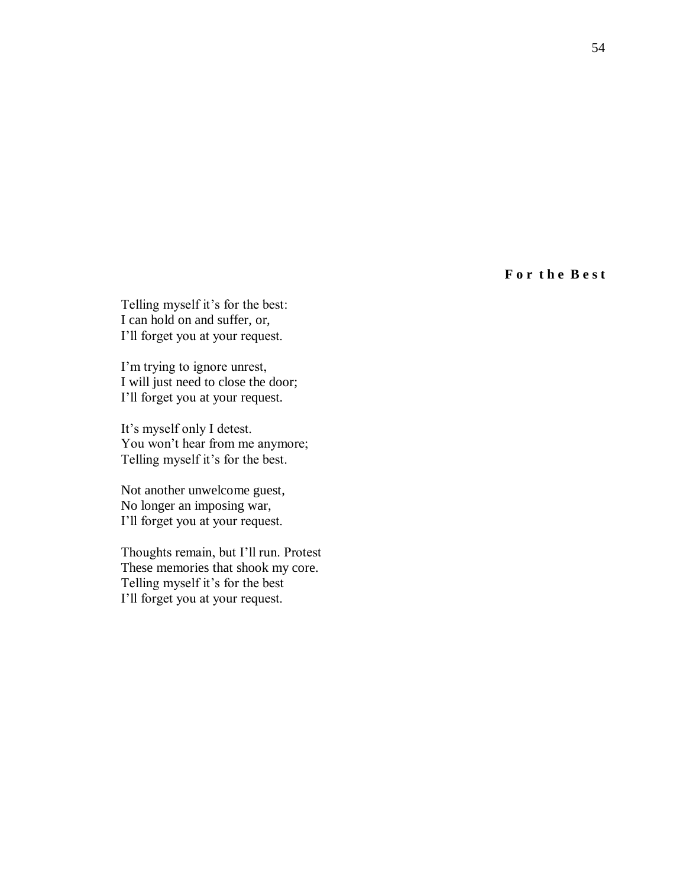**F o r t h e B e s t**

Telling myself it's for the best: I can hold on and suffer, or, I'll forget you at your request.

I'm trying to ignore unrest, I will just need to close the door; I'll forget you at your request.

It's myself only I detest. You won't hear from me anymore; Telling myself it's for the best.

Not another unwelcome guest, No longer an imposing war, I'll forget you at your request.

Thoughts remain, but I'll run. Protest These memories that shook my core. Telling myself it's for the best I'll forget you at your request.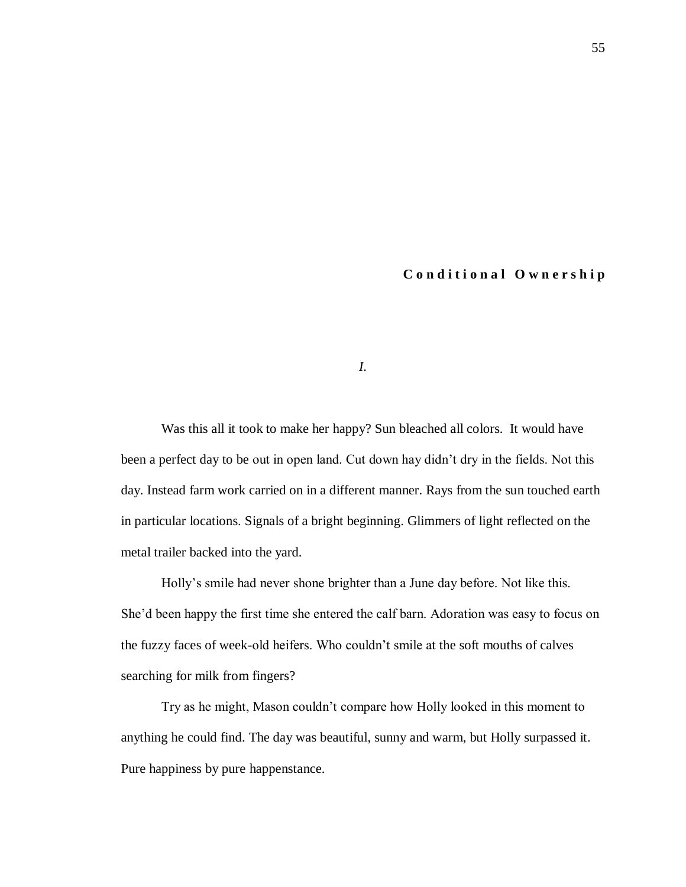## **C o n d i t i o n a l O w n e r s h i p**

*I.*

Was this all it took to make her happy? Sun bleached all colors. It would have been a perfect day to be out in open land. Cut down hay didn't dry in the fields. Not this day. Instead farm work carried on in a different manner. Rays from the sun touched earth in particular locations. Signals of a bright beginning. Glimmers of light reflected on the metal trailer backed into the yard.

Holly's smile had never shone brighter than a June day before. Not like this. She'd been happy the first time she entered the calf barn. Adoration was easy to focus on the fuzzy faces of week-old heifers. Who couldn't smile at the soft mouths of calves searching for milk from fingers?

Try as he might, Mason couldn't compare how Holly looked in this moment to anything he could find. The day was beautiful, sunny and warm, but Holly surpassed it. Pure happiness by pure happenstance.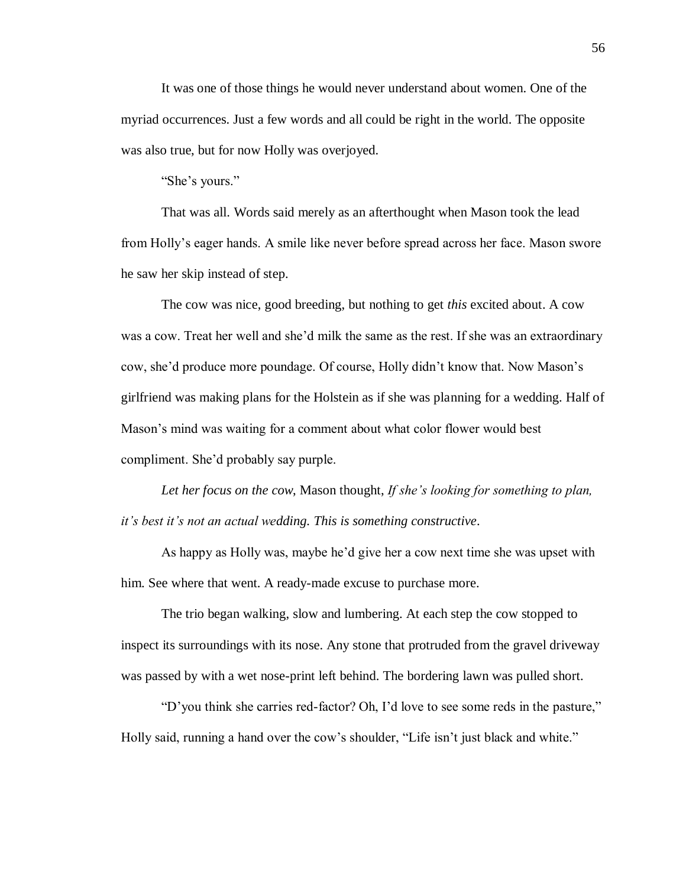It was one of those things he would never understand about women. One of the myriad occurrences. Just a few words and all could be right in the world. The opposite was also true, but for now Holly was overjoyed.

"She's yours."

That was all. Words said merely as an afterthought when Mason took the lead from Holly's eager hands. A smile like never before spread across her face. Mason swore he saw her skip instead of step.

The cow was nice, good breeding, but nothing to get *this* excited about. A cow was a cow. Treat her well and she'd milk the same as the rest. If she was an extraordinary cow, she'd produce more poundage. Of course, Holly didn't know that. Now Mason's girlfriend was making plans for the Holstein as if she was planning for a wedding. Half of Mason's mind was waiting for a comment about what color flower would best compliment. She'd probably say purple.

*Let her focus on the cow*, Mason thought, *If she's looking for something to plan, it's best it's not an actual wedding. This is something constructive*.

As happy as Holly was, maybe he'd give her a cow next time she was upset with him. See where that went. A ready-made excuse to purchase more.

The trio began walking, slow and lumbering. At each step the cow stopped to inspect its surroundings with its nose. Any stone that protruded from the gravel driveway was passed by with a wet nose-print left behind. The bordering lawn was pulled short.

"D'you think she carries red-factor? Oh, I'd love to see some reds in the pasture," Holly said, running a hand over the cow's shoulder, "Life isn't just black and white."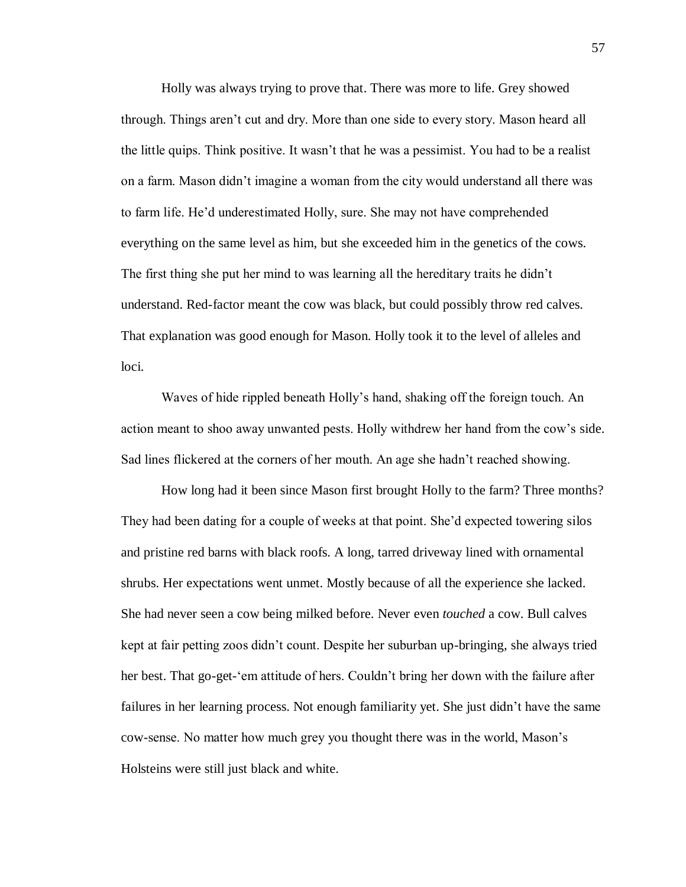Holly was always trying to prove that. There was more to life. Grey showed through. Things aren't cut and dry. More than one side to every story. Mason heard all the little quips. Think positive. It wasn't that he was a pessimist. You had to be a realist on a farm. Mason didn't imagine a woman from the city would understand all there was to farm life. He'd underestimated Holly, sure. She may not have comprehended everything on the same level as him, but she exceeded him in the genetics of the cows. The first thing she put her mind to was learning all the hereditary traits he didn't understand. Red-factor meant the cow was black, but could possibly throw red calves. That explanation was good enough for Mason. Holly took it to the level of alleles and loci.

Waves of hide rippled beneath Holly's hand, shaking off the foreign touch. An action meant to shoo away unwanted pests. Holly withdrew her hand from the cow's side. Sad lines flickered at the corners of her mouth. An age she hadn't reached showing.

How long had it been since Mason first brought Holly to the farm? Three months? They had been dating for a couple of weeks at that point. She'd expected towering silos and pristine red barns with black roofs. A long, tarred driveway lined with ornamental shrubs. Her expectations went unmet. Mostly because of all the experience she lacked. She had never seen a cow being milked before. Never even *touched* a cow. Bull calves kept at fair petting zoos didn't count. Despite her suburban up-bringing, she always tried her best. That go-get-'em attitude of hers. Couldn't bring her down with the failure after failures in her learning process. Not enough familiarity yet. She just didn't have the same cow-sense. No matter how much grey you thought there was in the world, Mason's Holsteins were still just black and white.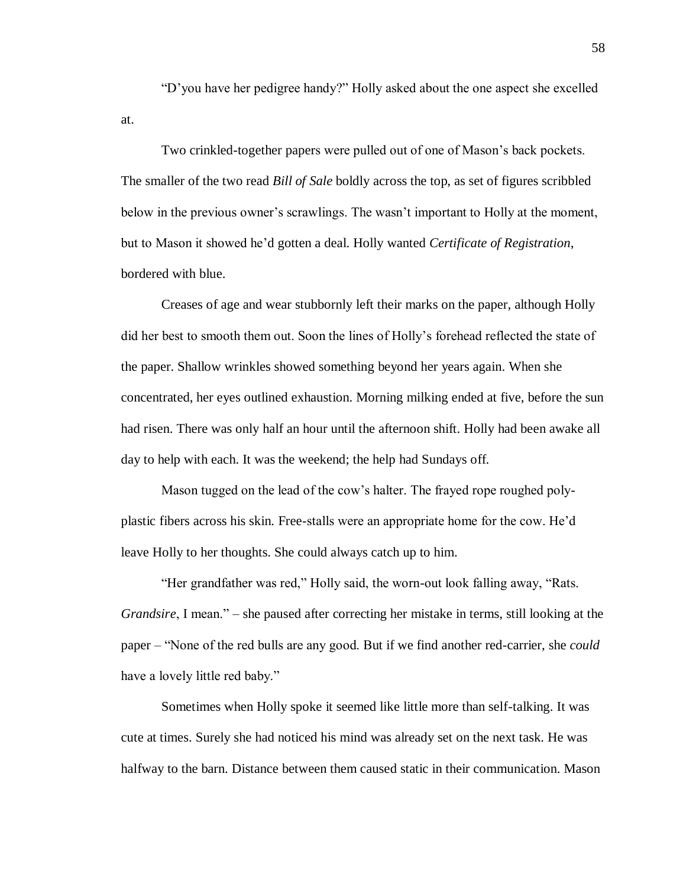"D'you have her pedigree handy?" Holly asked about the one aspect she excelled at.

Two crinkled-together papers were pulled out of one of Mason's back pockets. The smaller of the two read *Bill of Sale* boldly across the top, as set of figures scribbled below in the previous owner's scrawlings. The wasn't important to Holly at the moment, but to Mason it showed he'd gotten a deal. Holly wanted *Certificate of Registration*, bordered with blue.

Creases of age and wear stubbornly left their marks on the paper, although Holly did her best to smooth them out. Soon the lines of Holly's forehead reflected the state of the paper. Shallow wrinkles showed something beyond her years again. When she concentrated, her eyes outlined exhaustion. Morning milking ended at five, before the sun had risen. There was only half an hour until the afternoon shift. Holly had been awake all day to help with each. It was the weekend; the help had Sundays off.

Mason tugged on the lead of the cow's halter. The frayed rope roughed polyplastic fibers across his skin. Free-stalls were an appropriate home for the cow. He'd leave Holly to her thoughts. She could always catch up to him.

"Her grandfather was red," Holly said, the worn-out look falling away, "Rats. *Grandsire*, I mean." – she paused after correcting her mistake in terms, still looking at the paper – "None of the red bulls are any good. But if we find another red-carrier, she *could* have a lovely little red baby."

Sometimes when Holly spoke it seemed like little more than self-talking. It was cute at times. Surely she had noticed his mind was already set on the next task. He was halfway to the barn. Distance between them caused static in their communication. Mason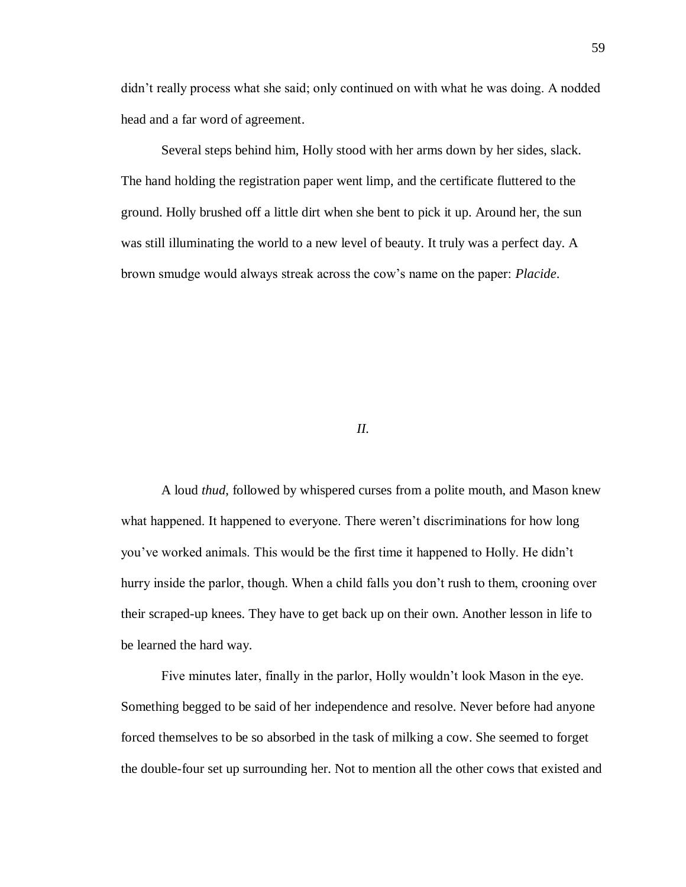didn't really process what she said; only continued on with what he was doing. A nodded head and a far word of agreement.

Several steps behind him, Holly stood with her arms down by her sides, slack. The hand holding the registration paper went limp, and the certificate fluttered to the ground. Holly brushed off a little dirt when she bent to pick it up. Around her, the sun was still illuminating the world to a new level of beauty. It truly was a perfect day. A brown smudge would always streak across the cow's name on the paper: *Placide*.

## *II.*

A loud *thud*, followed by whispered curses from a polite mouth, and Mason knew what happened. It happened to everyone. There weren't discriminations for how long you've worked animals. This would be the first time it happened to Holly. He didn't hurry inside the parlor, though. When a child falls you don't rush to them, crooning over their scraped-up knees. They have to get back up on their own. Another lesson in life to be learned the hard way.

Five minutes later, finally in the parlor, Holly wouldn't look Mason in the eye. Something begged to be said of her independence and resolve. Never before had anyone forced themselves to be so absorbed in the task of milking a cow. She seemed to forget the double-four set up surrounding her. Not to mention all the other cows that existed and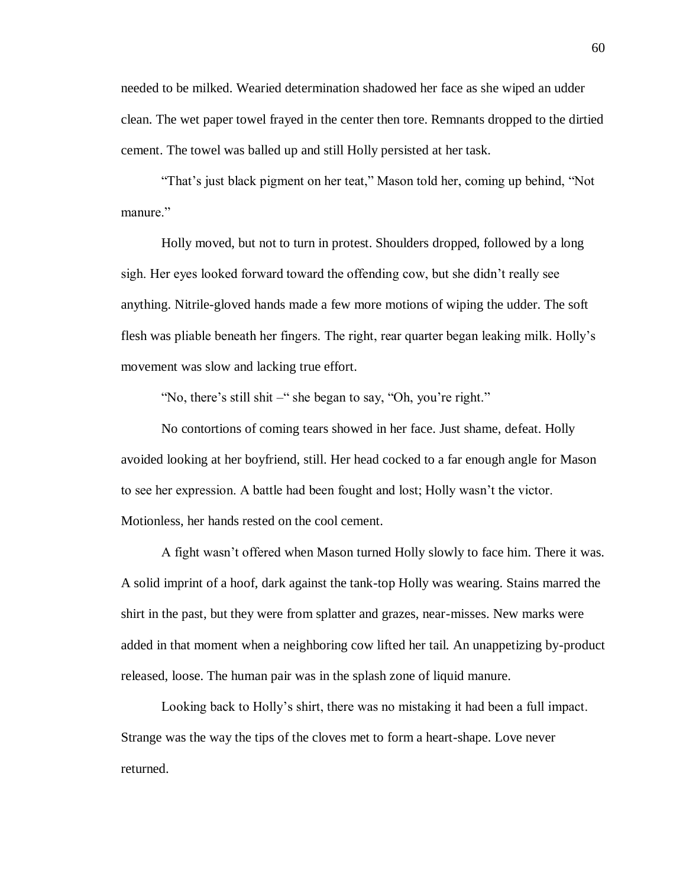needed to be milked. Wearied determination shadowed her face as she wiped an udder clean. The wet paper towel frayed in the center then tore. Remnants dropped to the dirtied cement. The towel was balled up and still Holly persisted at her task.

"That's just black pigment on her teat," Mason told her, coming up behind, "Not manure."

Holly moved, but not to turn in protest. Shoulders dropped, followed by a long sigh. Her eyes looked forward toward the offending cow, but she didn't really see anything. Nitrile-gloved hands made a few more motions of wiping the udder. The soft flesh was pliable beneath her fingers. The right, rear quarter began leaking milk. Holly's movement was slow and lacking true effort.

"No, there's still shit –" she began to say, "Oh, you're right."

No contortions of coming tears showed in her face. Just shame, defeat. Holly avoided looking at her boyfriend, still. Her head cocked to a far enough angle for Mason to see her expression. A battle had been fought and lost; Holly wasn't the victor. Motionless, her hands rested on the cool cement.

A fight wasn't offered when Mason turned Holly slowly to face him. There it was. A solid imprint of a hoof, dark against the tank-top Holly was wearing. Stains marred the shirt in the past, but they were from splatter and grazes, near-misses. New marks were added in that moment when a neighboring cow lifted her tail. An unappetizing by-product released, loose. The human pair was in the splash zone of liquid manure.

Looking back to Holly's shirt, there was no mistaking it had been a full impact. Strange was the way the tips of the cloves met to form a heart-shape. Love never returned.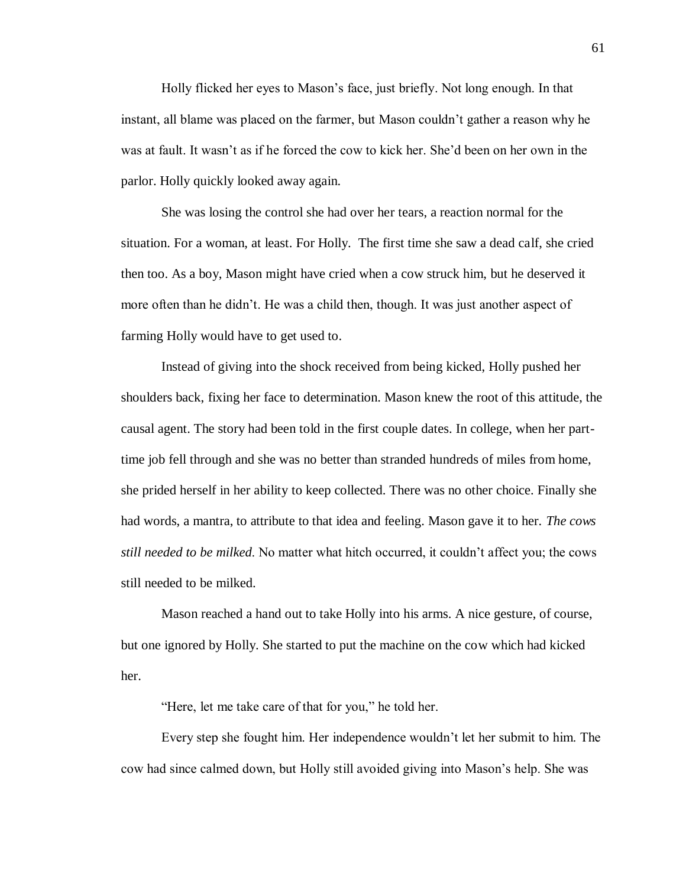Holly flicked her eyes to Mason's face, just briefly. Not long enough. In that instant, all blame was placed on the farmer, but Mason couldn't gather a reason why he was at fault. It wasn't as if he forced the cow to kick her. She'd been on her own in the parlor. Holly quickly looked away again.

She was losing the control she had over her tears, a reaction normal for the situation. For a woman, at least. For Holly. The first time she saw a dead calf, she cried then too. As a boy, Mason might have cried when a cow struck him, but he deserved it more often than he didn't. He was a child then, though. It was just another aspect of farming Holly would have to get used to.

Instead of giving into the shock received from being kicked, Holly pushed her shoulders back, fixing her face to determination. Mason knew the root of this attitude, the causal agent. The story had been told in the first couple dates. In college, when her parttime job fell through and she was no better than stranded hundreds of miles from home, she prided herself in her ability to keep collected. There was no other choice. Finally she had words, a mantra, to attribute to that idea and feeling. Mason gave it to her. *The cows still needed to be milked*. No matter what hitch occurred, it couldn't affect you; the cows still needed to be milked.

Mason reached a hand out to take Holly into his arms. A nice gesture, of course, but one ignored by Holly. She started to put the machine on the cow which had kicked her.

"Here, let me take care of that for you," he told her.

Every step she fought him. Her independence wouldn't let her submit to him. The cow had since calmed down, but Holly still avoided giving into Mason's help. She was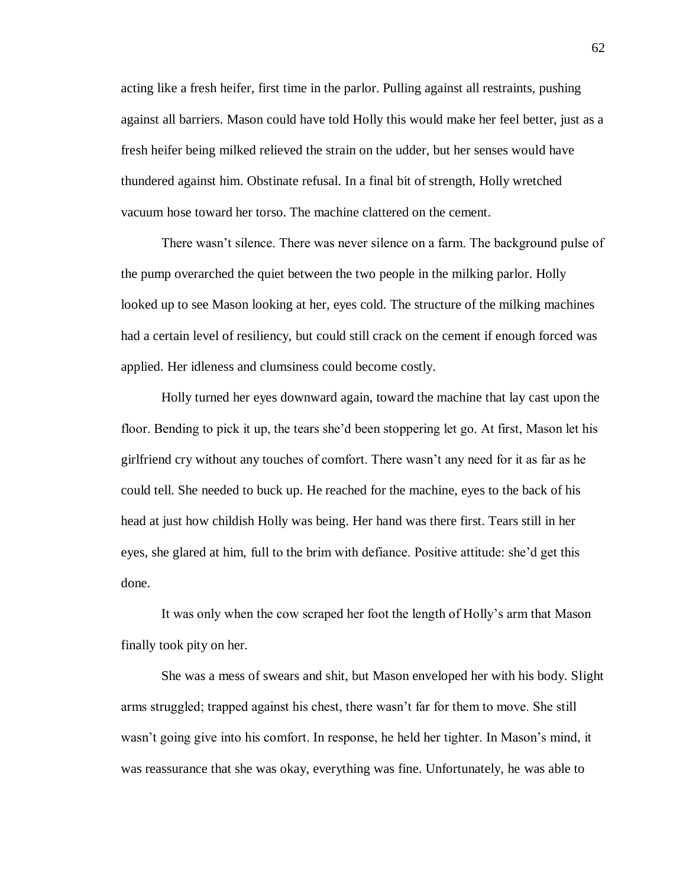acting like a fresh heifer, first time in the parlor. Pulling against all restraints, pushing against all barriers. Mason could have told Holly this would make her feel better, just as a fresh heifer being milked relieved the strain on the udder, but her senses would have thundered against him. Obstinate refusal. In a final bit of strength, Holly wretched vacuum hose toward her torso. The machine clattered on the cement.

There wasn't silence. There was never silence on a farm. The background pulse of the pump overarched the quiet between the two people in the milking parlor. Holly looked up to see Mason looking at her, eyes cold. The structure of the milking machines had a certain level of resiliency, but could still crack on the cement if enough forced was applied. Her idleness and clumsiness could become costly.

Holly turned her eyes downward again, toward the machine that lay cast upon the floor. Bending to pick it up, the tears she'd been stoppering let go. At first, Mason let his girlfriend cry without any touches of comfort. There wasn't any need for it as far as he could tell. She needed to buck up. He reached for the machine, eyes to the back of his head at just how childish Holly was being. Her hand was there first. Tears still in her eyes, she glared at him, full to the brim with defiance. Positive attitude: she'd get this done.

It was only when the cow scraped her foot the length of Holly's arm that Mason finally took pity on her.

She was a mess of swears and shit, but Mason enveloped her with his body. Slight arms struggled; trapped against his chest, there wasn't far for them to move. She still wasn't going give into his comfort. In response, he held her tighter. In Mason's mind, it was reassurance that she was okay, everything was fine. Unfortunately, he was able to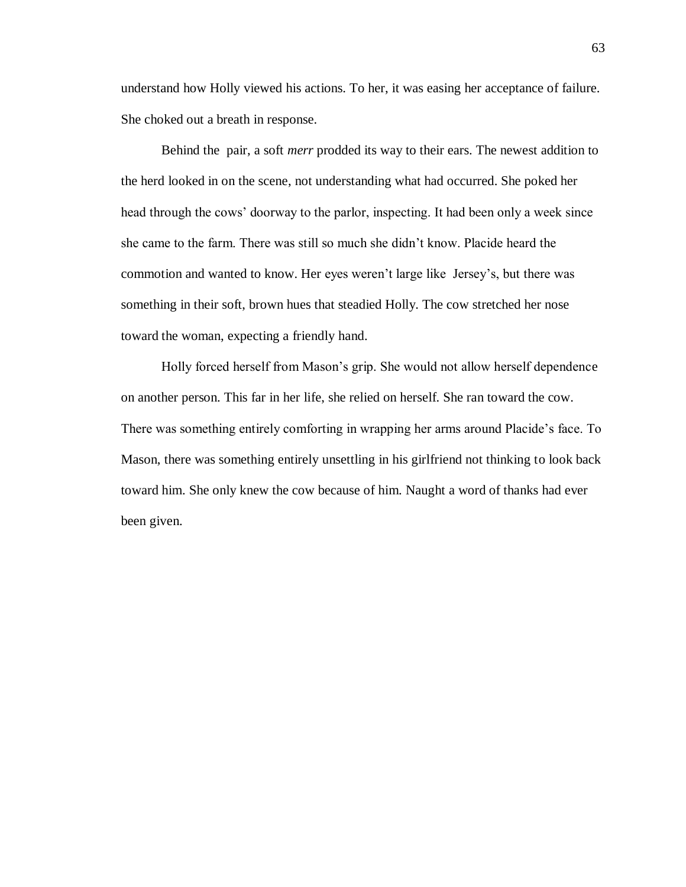understand how Holly viewed his actions. To her, it was easing her acceptance of failure. She choked out a breath in response.

Behind the pair, a soft *merr* prodded its way to their ears. The newest addition to the herd looked in on the scene, not understanding what had occurred. She poked her head through the cows' doorway to the parlor, inspecting. It had been only a week since she came to the farm. There was still so much she didn't know. Placide heard the commotion and wanted to know. Her eyes weren't large like Jersey's, but there was something in their soft, brown hues that steadied Holly. The cow stretched her nose toward the woman, expecting a friendly hand.

Holly forced herself from Mason's grip. She would not allow herself dependence on another person. This far in her life, she relied on herself. She ran toward the cow. There was something entirely comforting in wrapping her arms around Placide's face. To Mason, there was something entirely unsettling in his girlfriend not thinking to look back toward him. She only knew the cow because of him. Naught a word of thanks had ever been given.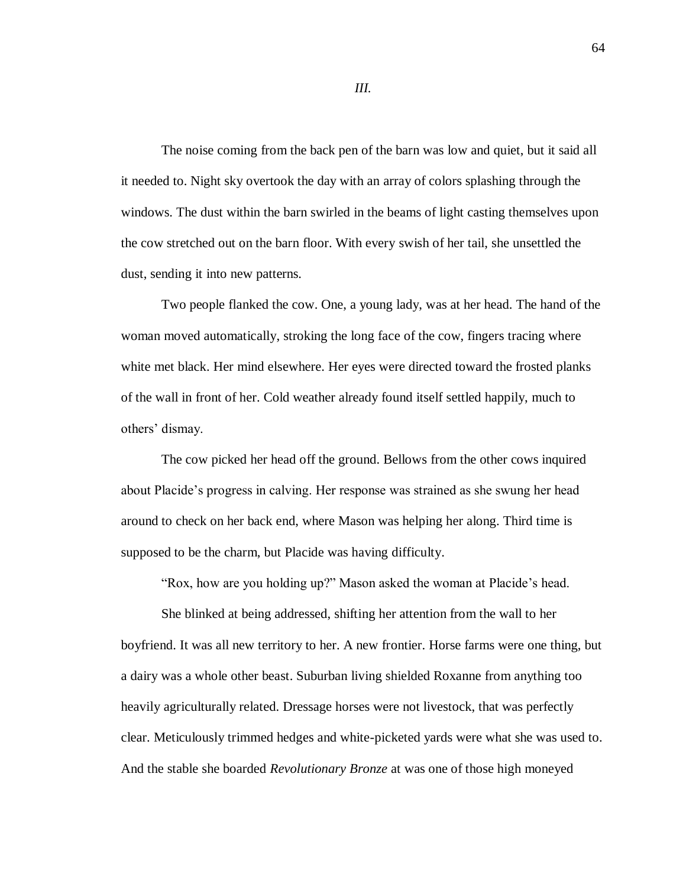The noise coming from the back pen of the barn was low and quiet, but it said all it needed to. Night sky overtook the day with an array of colors splashing through the windows. The dust within the barn swirled in the beams of light casting themselves upon the cow stretched out on the barn floor. With every swish of her tail, she unsettled the dust, sending it into new patterns.

Two people flanked the cow. One, a young lady, was at her head. The hand of the woman moved automatically, stroking the long face of the cow, fingers tracing where white met black. Her mind elsewhere. Her eyes were directed toward the frosted planks of the wall in front of her. Cold weather already found itself settled happily, much to others' dismay.

The cow picked her head off the ground. Bellows from the other cows inquired about Placide's progress in calving. Her response was strained as she swung her head around to check on her back end, where Mason was helping her along. Third time is supposed to be the charm, but Placide was having difficulty.

"Rox, how are you holding up?" Mason asked the woman at Placide's head.

She blinked at being addressed, shifting her attention from the wall to her boyfriend. It was all new territory to her. A new frontier. Horse farms were one thing, but a dairy was a whole other beast. Suburban living shielded Roxanne from anything too heavily agriculturally related. Dressage horses were not livestock, that was perfectly clear. Meticulously trimmed hedges and white-picketed yards were what she was used to. And the stable she boarded *Revolutionary Bronze* at was one of those high moneyed

*III.*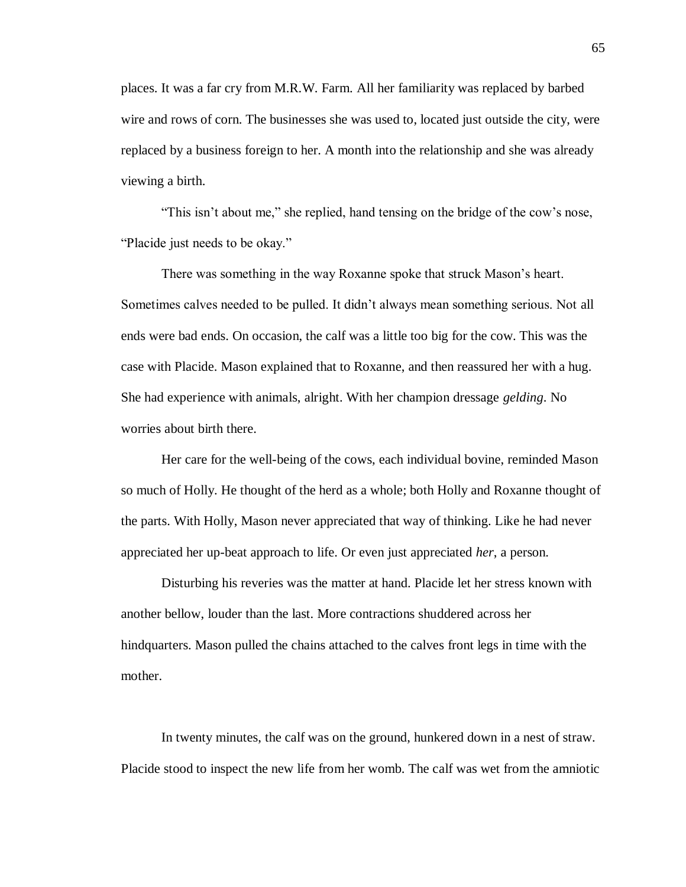places. It was a far cry from M.R.W. Farm. All her familiarity was replaced by barbed wire and rows of corn. The businesses she was used to, located just outside the city, were replaced by a business foreign to her. A month into the relationship and she was already viewing a birth.

"This isn't about me," she replied, hand tensing on the bridge of the cow's nose, "Placide just needs to be okay."

There was something in the way Roxanne spoke that struck Mason's heart. Sometimes calves needed to be pulled. It didn't always mean something serious. Not all ends were bad ends. On occasion, the calf was a little too big for the cow. This was the case with Placide. Mason explained that to Roxanne, and then reassured her with a hug. She had experience with animals, alright. With her champion dressage *gelding*. No worries about birth there.

Her care for the well-being of the cows, each individual bovine, reminded Mason so much of Holly. He thought of the herd as a whole; both Holly and Roxanne thought of the parts. With Holly, Mason never appreciated that way of thinking. Like he had never appreciated her up-beat approach to life. Or even just appreciated *her*, a person.

Disturbing his reveries was the matter at hand. Placide let her stress known with another bellow, louder than the last. More contractions shuddered across her hindquarters. Mason pulled the chains attached to the calves front legs in time with the mother.

In twenty minutes, the calf was on the ground, hunkered down in a nest of straw. Placide stood to inspect the new life from her womb. The calf was wet from the amniotic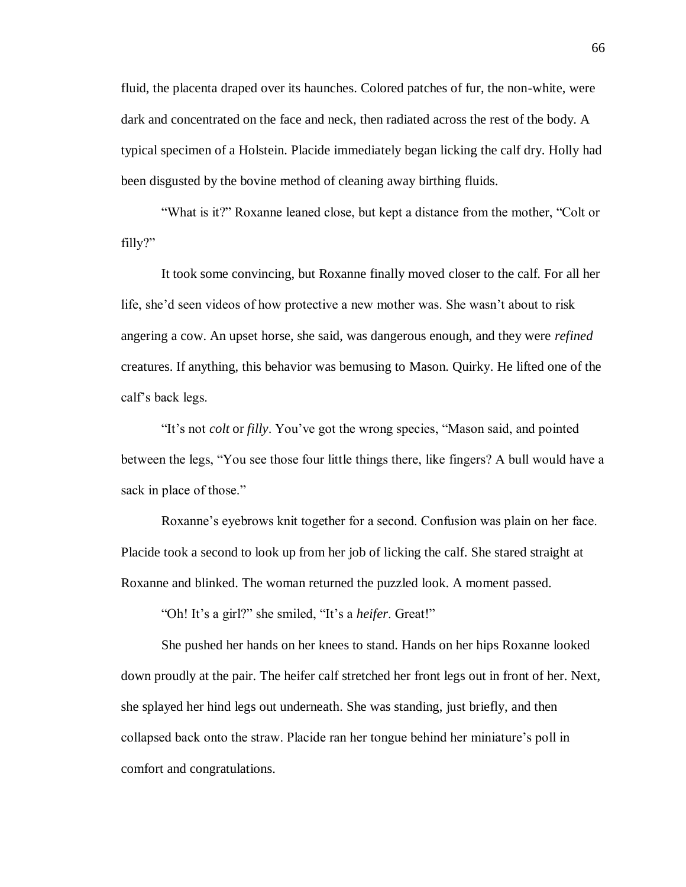fluid, the placenta draped over its haunches. Colored patches of fur, the non-white, were dark and concentrated on the face and neck, then radiated across the rest of the body. A typical specimen of a Holstein. Placide immediately began licking the calf dry. Holly had been disgusted by the bovine method of cleaning away birthing fluids.

"What is it?" Roxanne leaned close, but kept a distance from the mother, "Colt or filly?"

It took some convincing, but Roxanne finally moved closer to the calf. For all her life, she'd seen videos of how protective a new mother was. She wasn't about to risk angering a cow. An upset horse, she said, was dangerous enough, and they were *refined* creatures. If anything, this behavior was bemusing to Mason. Quirky. He lifted one of the calf's back legs.

"It's not *colt* or *filly*. You've got the wrong species, "Mason said, and pointed between the legs, "You see those four little things there, like fingers? A bull would have a sack in place of those."

Roxanne's eyebrows knit together for a second. Confusion was plain on her face. Placide took a second to look up from her job of licking the calf. She stared straight at Roxanne and blinked. The woman returned the puzzled look. A moment passed.

"Oh! It's a girl?" she smiled, "It's a *heifer*. Great!"

She pushed her hands on her knees to stand. Hands on her hips Roxanne looked down proudly at the pair. The heifer calf stretched her front legs out in front of her. Next, she splayed her hind legs out underneath. She was standing, just briefly, and then collapsed back onto the straw. Placide ran her tongue behind her miniature's poll in comfort and congratulations.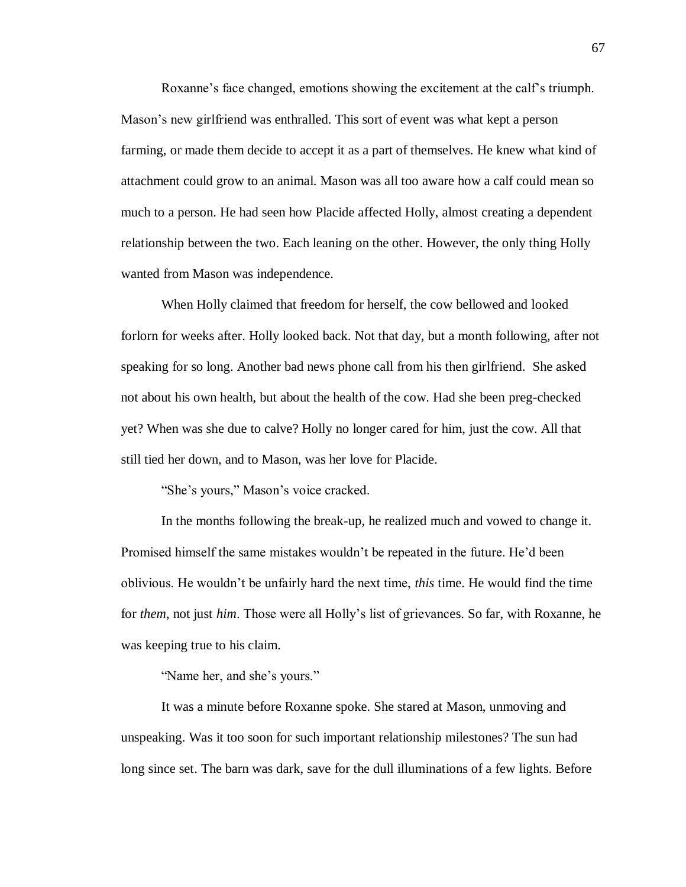Roxanne's face changed, emotions showing the excitement at the calf's triumph. Mason's new girlfriend was enthralled. This sort of event was what kept a person farming, or made them decide to accept it as a part of themselves. He knew what kind of attachment could grow to an animal. Mason was all too aware how a calf could mean so much to a person. He had seen how Placide affected Holly, almost creating a dependent relationship between the two. Each leaning on the other. However, the only thing Holly wanted from Mason was independence.

When Holly claimed that freedom for herself, the cow bellowed and looked forlorn for weeks after. Holly looked back. Not that day, but a month following, after not speaking for so long. Another bad news phone call from his then girlfriend. She asked not about his own health, but about the health of the cow. Had she been preg-checked yet? When was she due to calve? Holly no longer cared for him, just the cow. All that still tied her down, and to Mason, was her love for Placide.

"She's yours," Mason's voice cracked.

In the months following the break-up, he realized much and vowed to change it. Promised himself the same mistakes wouldn't be repeated in the future. He'd been oblivious. He wouldn't be unfairly hard the next time, *this* time. He would find the time for *them*, not just *him*. Those were all Holly's list of grievances. So far, with Roxanne, he was keeping true to his claim.

"Name her, and she's yours."

It was a minute before Roxanne spoke. She stared at Mason, unmoving and unspeaking. Was it too soon for such important relationship milestones? The sun had long since set. The barn was dark, save for the dull illuminations of a few lights. Before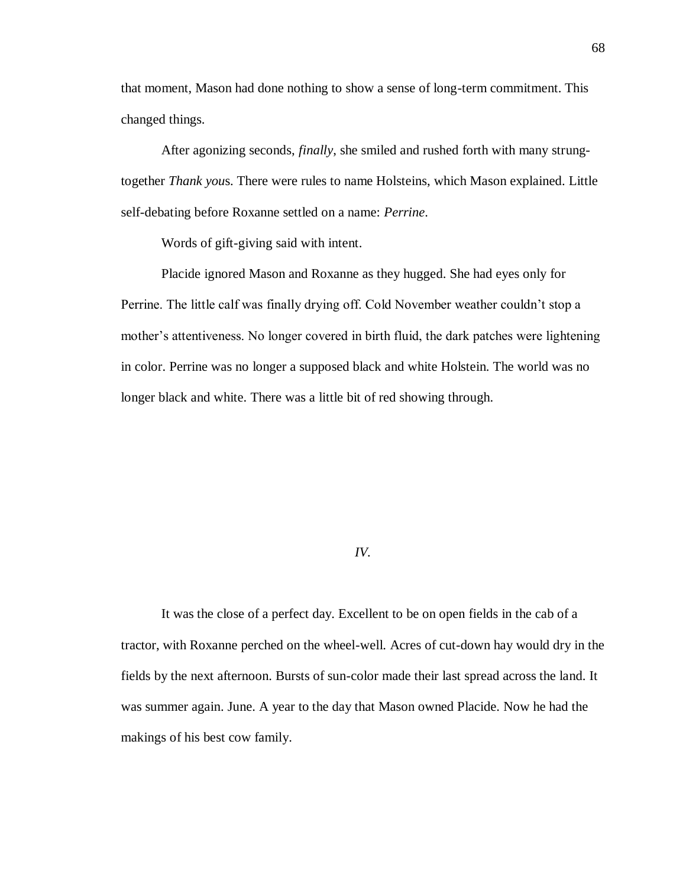that moment, Mason had done nothing to show a sense of long-term commitment. This changed things.

After agonizing seconds, *finally*, she smiled and rushed forth with many strungtogether *Thank you*s. There were rules to name Holsteins, which Mason explained. Little self-debating before Roxanne settled on a name: *Perrine*.

Words of gift-giving said with intent.

Placide ignored Mason and Roxanne as they hugged. She had eyes only for Perrine. The little calf was finally drying off. Cold November weather couldn't stop a mother's attentiveness. No longer covered in birth fluid, the dark patches were lightening in color. Perrine was no longer a supposed black and white Holstein. The world was no longer black and white. There was a little bit of red showing through.

## *IV.*

It was the close of a perfect day. Excellent to be on open fields in the cab of a tractor, with Roxanne perched on the wheel-well. Acres of cut-down hay would dry in the fields by the next afternoon. Bursts of sun-color made their last spread across the land. It was summer again. June. A year to the day that Mason owned Placide. Now he had the makings of his best cow family.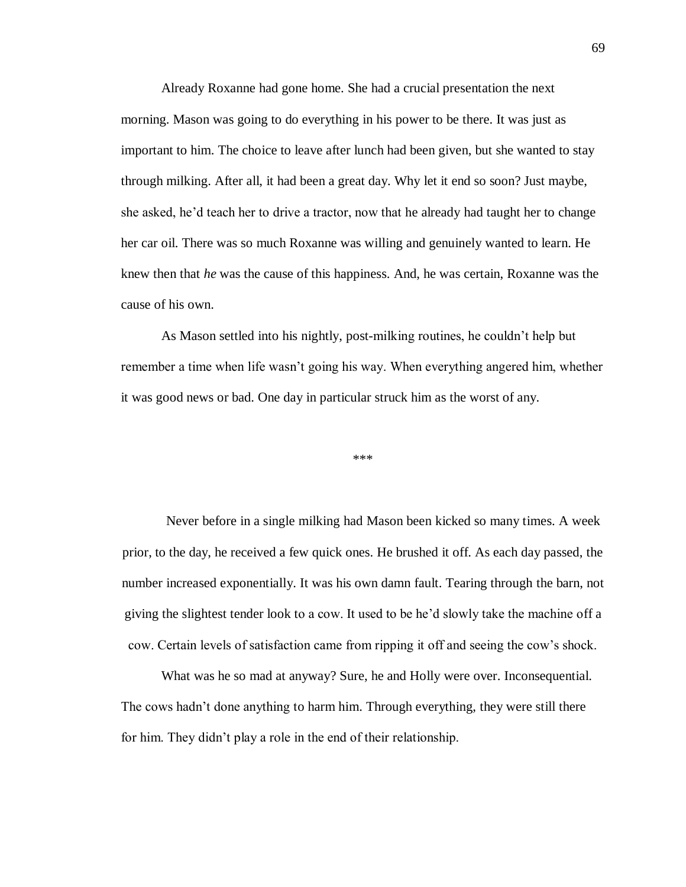Already Roxanne had gone home. She had a crucial presentation the next morning. Mason was going to do everything in his power to be there. It was just as important to him. The choice to leave after lunch had been given, but she wanted to stay through milking. After all, it had been a great day. Why let it end so soon? Just maybe, she asked, he'd teach her to drive a tractor, now that he already had taught her to change her car oil. There was so much Roxanne was willing and genuinely wanted to learn. He knew then that *he* was the cause of this happiness. And, he was certain, Roxanne was the cause of his own.

As Mason settled into his nightly, post-milking routines, he couldn't help but remember a time when life wasn't going his way. When everything angered him, whether it was good news or bad. One day in particular struck him as the worst of any.

\*\*\*

Never before in a single milking had Mason been kicked so many times. A week prior, to the day, he received a few quick ones. He brushed it off. As each day passed, the number increased exponentially. It was his own damn fault. Tearing through the barn, not giving the slightest tender look to a cow. It used to be he'd slowly take the machine off a cow. Certain levels of satisfaction came from ripping it off and seeing the cow's shock.

What was he so mad at anyway? Sure, he and Holly were over. Inconsequential. The cows hadn't done anything to harm him. Through everything, they were still there for him. They didn't play a role in the end of their relationship.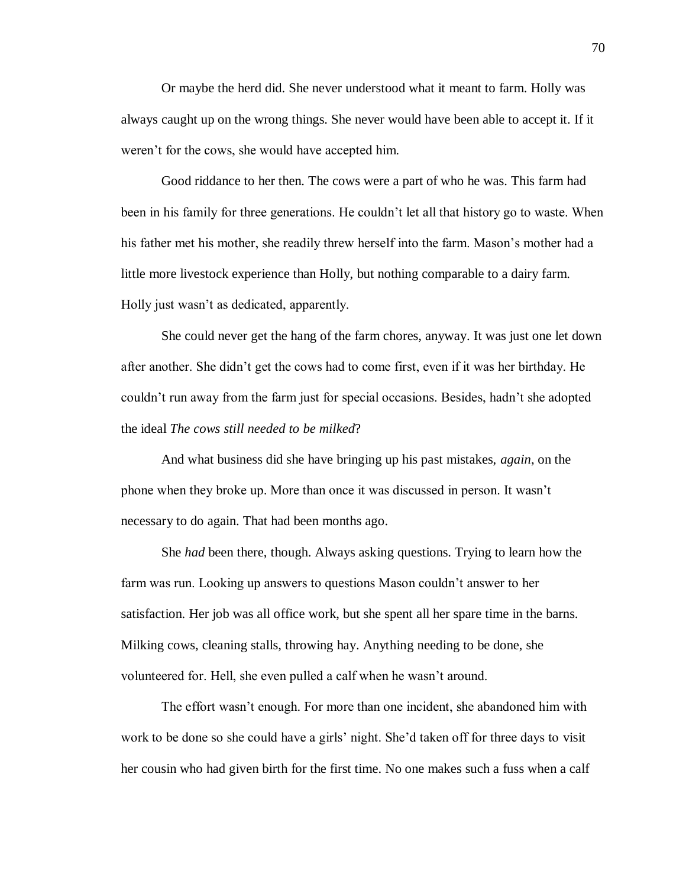Or maybe the herd did. She never understood what it meant to farm. Holly was always caught up on the wrong things. She never would have been able to accept it. If it weren't for the cows, she would have accepted him.

Good riddance to her then. The cows were a part of who he was. This farm had been in his family for three generations. He couldn't let all that history go to waste. When his father met his mother, she readily threw herself into the farm. Mason's mother had a little more livestock experience than Holly, but nothing comparable to a dairy farm. Holly just wasn't as dedicated, apparently.

She could never get the hang of the farm chores, anyway. It was just one let down after another. She didn't get the cows had to come first, even if it was her birthday. He couldn't run away from the farm just for special occasions. Besides, hadn't she adopted the ideal *The cows still needed to be milked*?

And what business did she have bringing up his past mistakes, *again*, on the phone when they broke up. More than once it was discussed in person. It wasn't necessary to do again. That had been months ago.

She *had* been there, though. Always asking questions. Trying to learn how the farm was run. Looking up answers to questions Mason couldn't answer to her satisfaction. Her job was all office work, but she spent all her spare time in the barns. Milking cows, cleaning stalls, throwing hay. Anything needing to be done, she volunteered for. Hell, she even pulled a calf when he wasn't around.

The effort wasn't enough. For more than one incident, she abandoned him with work to be done so she could have a girls' night. She'd taken off for three days to visit her cousin who had given birth for the first time. No one makes such a fuss when a calf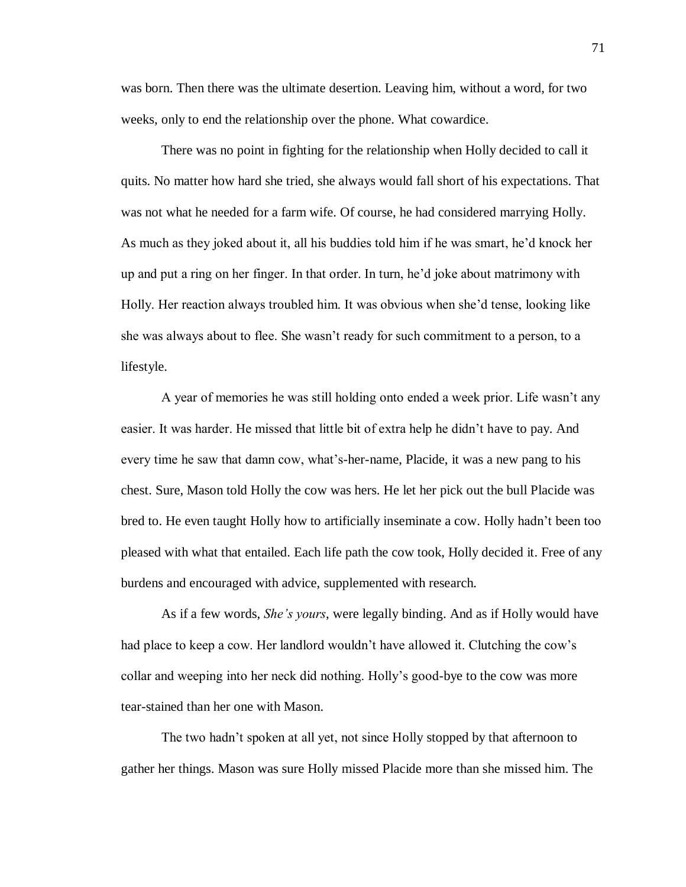was born. Then there was the ultimate desertion. Leaving him, without a word, for two weeks, only to end the relationship over the phone. What cowardice.

There was no point in fighting for the relationship when Holly decided to call it quits. No matter how hard she tried, she always would fall short of his expectations. That was not what he needed for a farm wife. Of course, he had considered marrying Holly. As much as they joked about it, all his buddies told him if he was smart, he'd knock her up and put a ring on her finger. In that order. In turn, he'd joke about matrimony with Holly. Her reaction always troubled him. It was obvious when she'd tense, looking like she was always about to flee. She wasn't ready for such commitment to a person, to a lifestyle.

A year of memories he was still holding onto ended a week prior. Life wasn't any easier. It was harder. He missed that little bit of extra help he didn't have to pay. And every time he saw that damn cow, what's-her-name, Placide, it was a new pang to his chest. Sure, Mason told Holly the cow was hers. He let her pick out the bull Placide was bred to. He even taught Holly how to artificially inseminate a cow. Holly hadn't been too pleased with what that entailed. Each life path the cow took, Holly decided it. Free of any burdens and encouraged with advice, supplemented with research.

As if a few words, *She's yours*, were legally binding. And as if Holly would have had place to keep a cow. Her landlord wouldn't have allowed it. Clutching the cow's collar and weeping into her neck did nothing. Holly's good-bye to the cow was more tear-stained than her one with Mason.

The two hadn't spoken at all yet, not since Holly stopped by that afternoon to gather her things. Mason was sure Holly missed Placide more than she missed him. The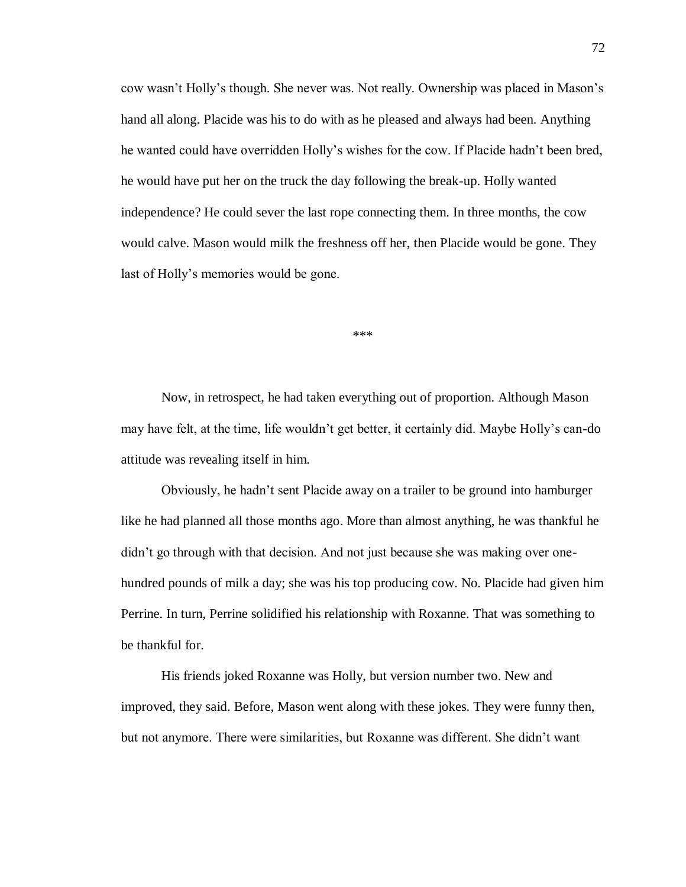cow wasn't Holly's though. She never was. Not really. Ownership was placed in Mason's hand all along. Placide was his to do with as he pleased and always had been. Anything he wanted could have overridden Holly's wishes for the cow. If Placide hadn't been bred, he would have put her on the truck the day following the break-up. Holly wanted independence? He could sever the last rope connecting them. In three months, the cow would calve. Mason would milk the freshness off her, then Placide would be gone. They last of Holly's memories would be gone.

\*\*\*

Now, in retrospect, he had taken everything out of proportion. Although Mason may have felt, at the time, life wouldn't get better, it certainly did. Maybe Holly's can-do attitude was revealing itself in him.

Obviously, he hadn't sent Placide away on a trailer to be ground into hamburger like he had planned all those months ago. More than almost anything, he was thankful he didn't go through with that decision. And not just because she was making over onehundred pounds of milk a day; she was his top producing cow. No. Placide had given him Perrine. In turn, Perrine solidified his relationship with Roxanne. That was something to be thankful for.

His friends joked Roxanne was Holly, but version number two. New and improved, they said. Before, Mason went along with these jokes. They were funny then, but not anymore. There were similarities, but Roxanne was different. She didn't want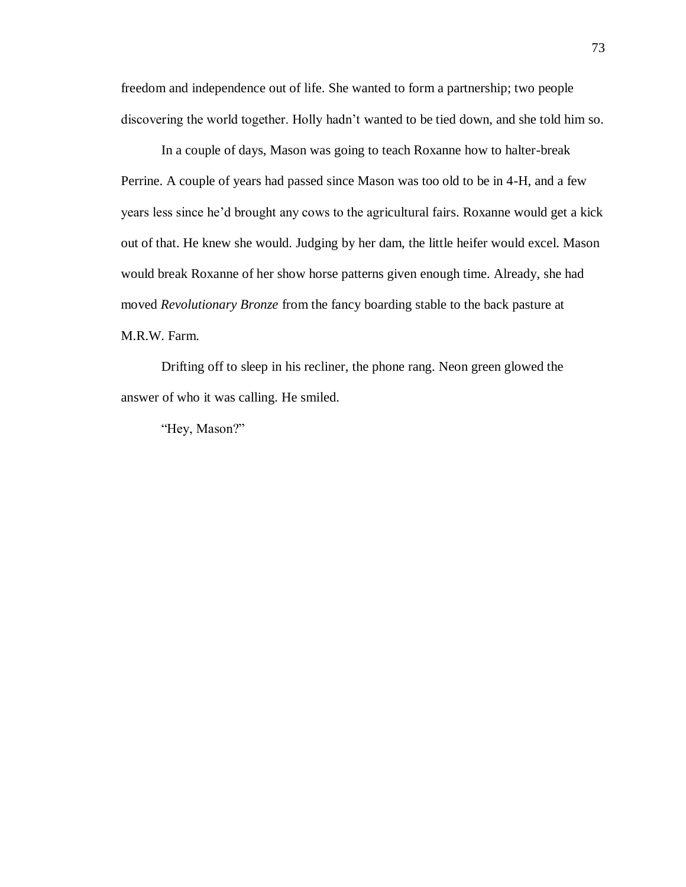freedom and independence out of life. She wanted to form a partnership; two people discovering the world together. Holly hadn't wanted to be tied down, and she told him so.

In a couple of days, Mason was going to teach Roxanne how to halter-break Perrine. A couple of years had passed since Mason was too old to be in 4-H, and a few years less since he'd brought any cows to the agricultural fairs. Roxanne would get a kick out of that. He knew she would. Judging by her dam, the little heifer would excel. Mason would break Roxanne of her show horse patterns given enough time. Already, she had moved *Revolutionary Bronze* from the fancy boarding stable to the back pasture at M.R.W. Farm.

Drifting off to sleep in his recliner, the phone rang. Neon green glowed the answer of who it was calling. He smiled.

"Hey, Mason?"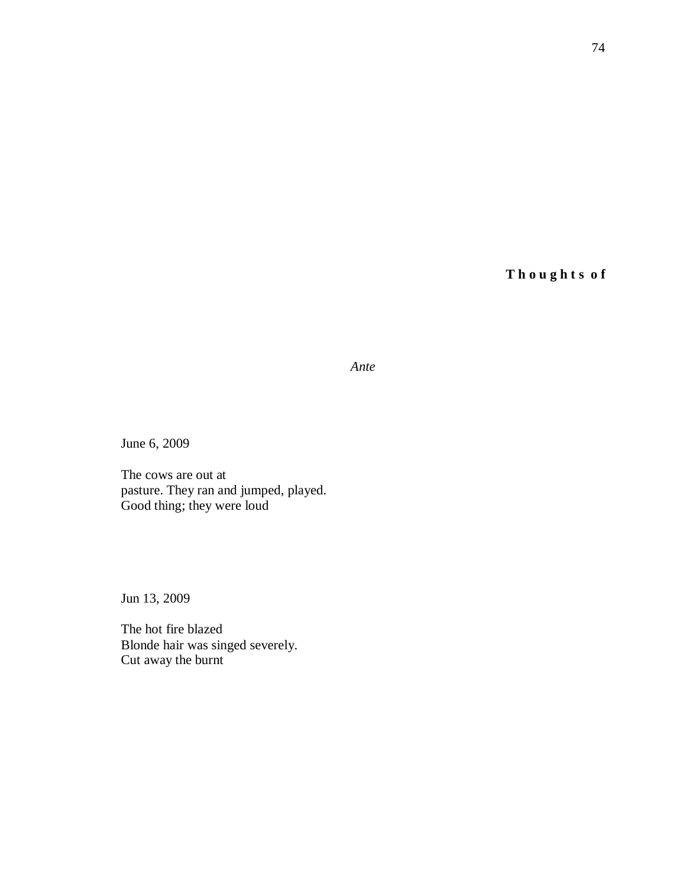**T h o u g h t s o f**

*Ante*

June 6, 2009

The cows are out at pasture. They ran and jumped, played. Good thing; they were loud

Jun 13, 2009

The hot fire blazed Blonde hair was singed severely. Cut away the burnt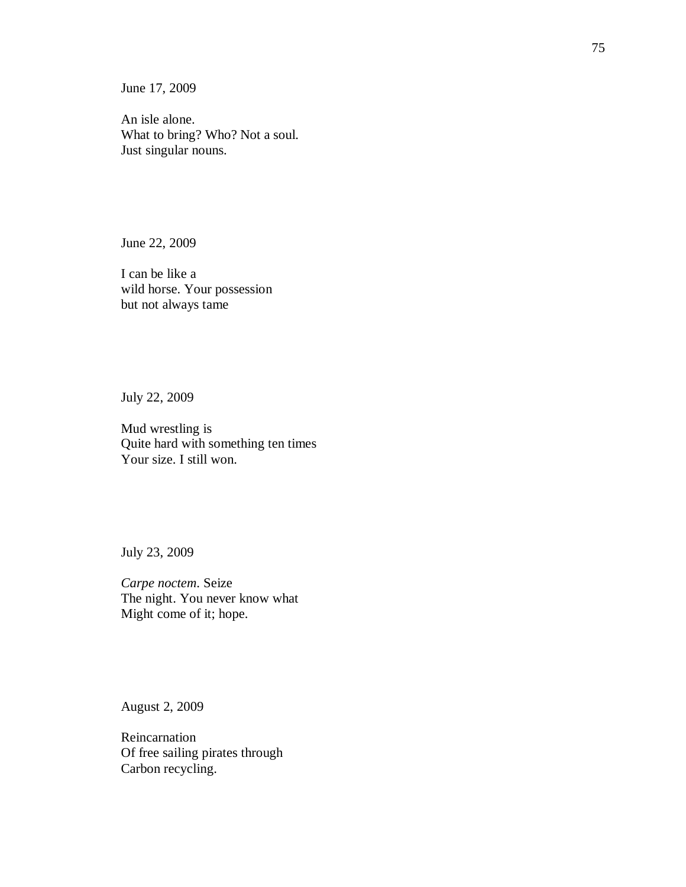June 17, 2009

An isle alone. What to bring? Who? Not a soul. Just singular nouns.

June 22, 2009

I can be like a wild horse. Your possession but not always tame

July 22, 2009

Mud wrestling is Quite hard with something ten times Your size. I still won.

July 23, 2009

*Carpe noctem*. Seize The night. You never know what Might come of it; hope.

August 2, 2009

Reincarnation Of free sailing pirates through Carbon recycling.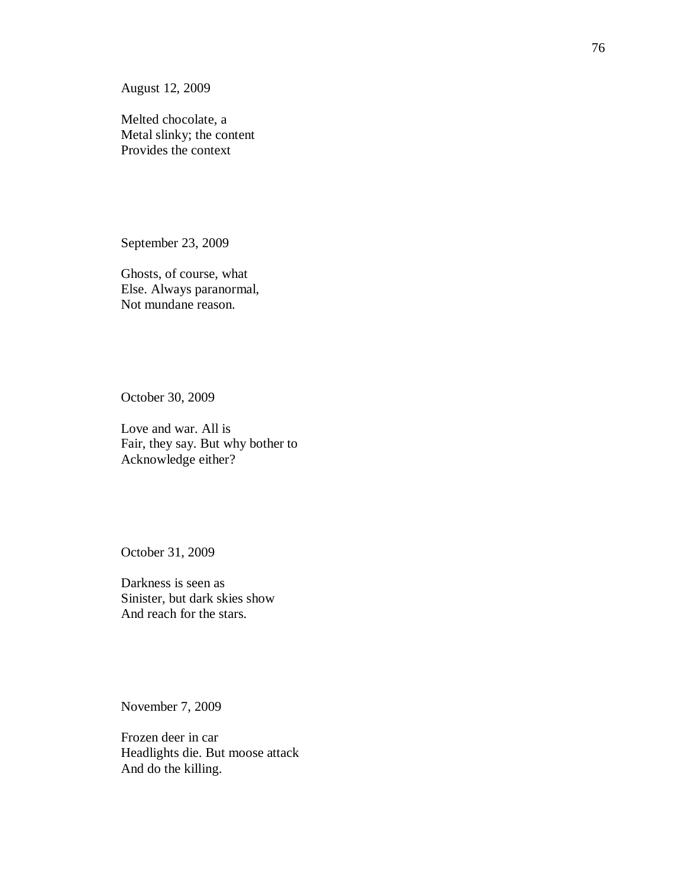August 12, 2009

Melted chocolate, a Metal slinky; the content Provides the context

September 23, 2009

Ghosts, of course, what Else. Always paranormal, Not mundane reason.

October 30, 2009

Love and war. All is Fair, they say. But why bother to Acknowledge either?

October 31, 2009

Darkness is seen as Sinister, but dark skies show And reach for the stars.

November 7, 2009

Frozen deer in car Headlights die. But moose attack And do the killing.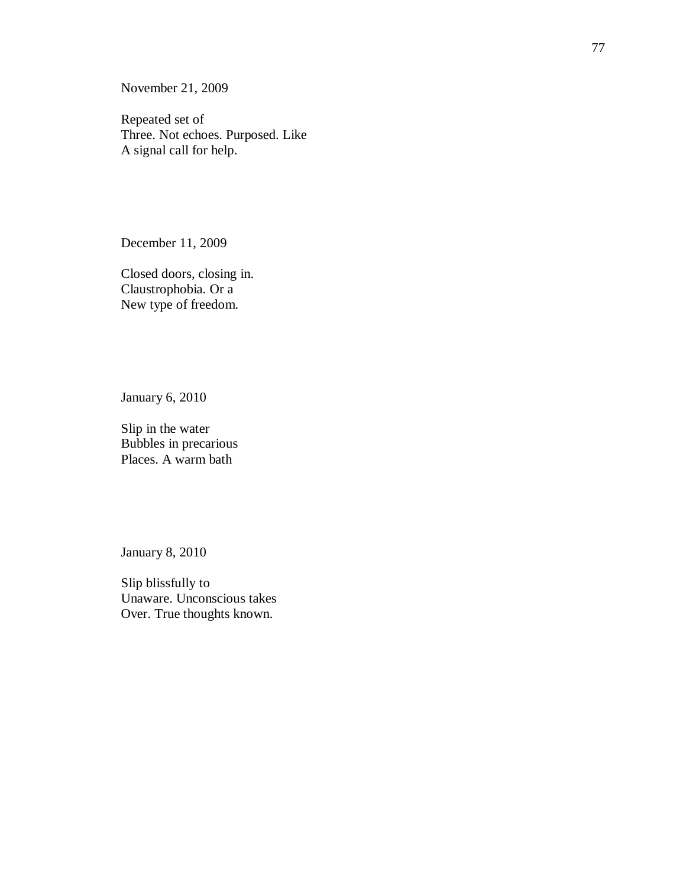November 21, 2009

Repeated set of Three. Not echoes. Purposed. Like A signal call for help.

December 11, 2009

Closed doors, closing in. Claustrophobia. Or a New type of freedom.

January 6, 2010

Slip in the water Bubbles in precarious Places. A warm bath

January 8, 2010

Slip blissfully to Unaware. Unconscious takes Over. True thoughts known.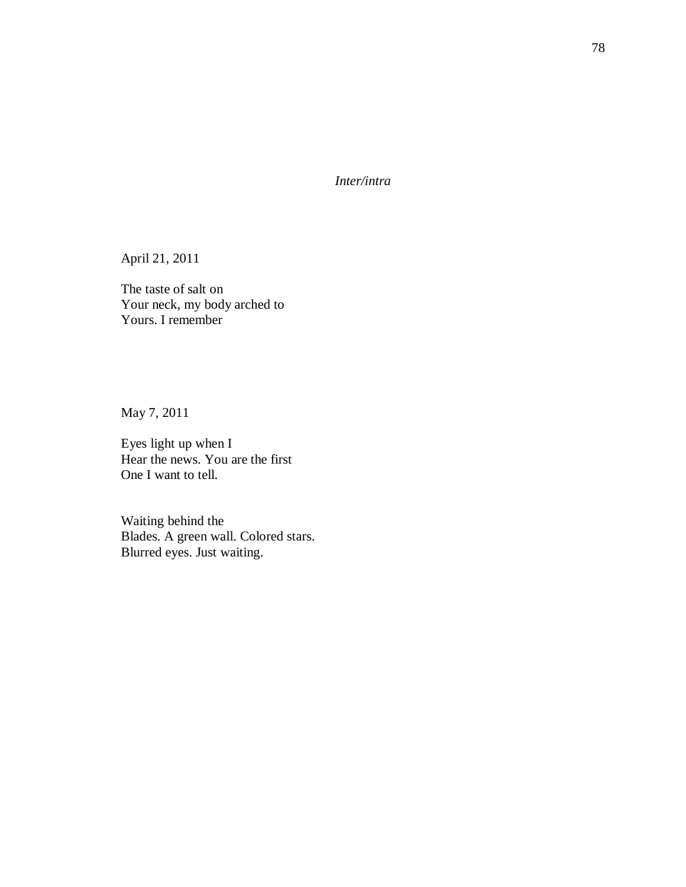*Inter/intra*

April 21, 2011

The taste of salt on Your neck, my body arched to Yours. I remember

May 7, 2011

Eyes light up when I Hear the news. You are the first One I want to tell.

Waiting behind the Blades. A green wall. Colored stars. Blurred eyes. Just waiting.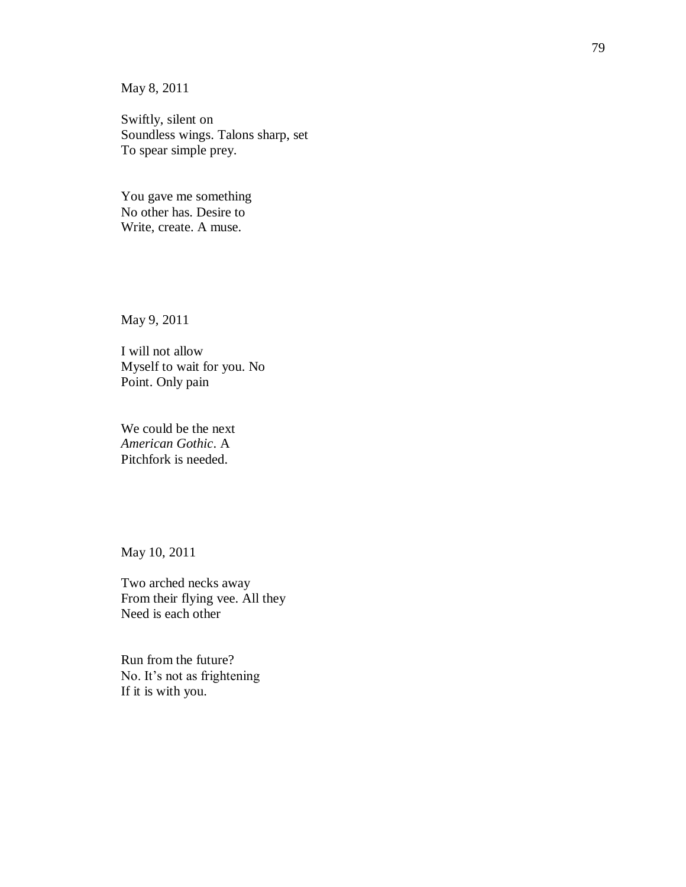May 8, 2011

Swiftly, silent on Soundless wings. Talons sharp, set To spear simple prey.

You gave me something No other has. Desire to Write, create. A muse.

May 9, 2011

I will not allow Myself to wait for you. No Point. Only pain

We could be the next *American Gothic*. A Pitchfork is needed.

May 10, 2011

Two arched necks away From their flying vee. All they Need is each other

Run from the future? No. It's not as frightening If it is with you.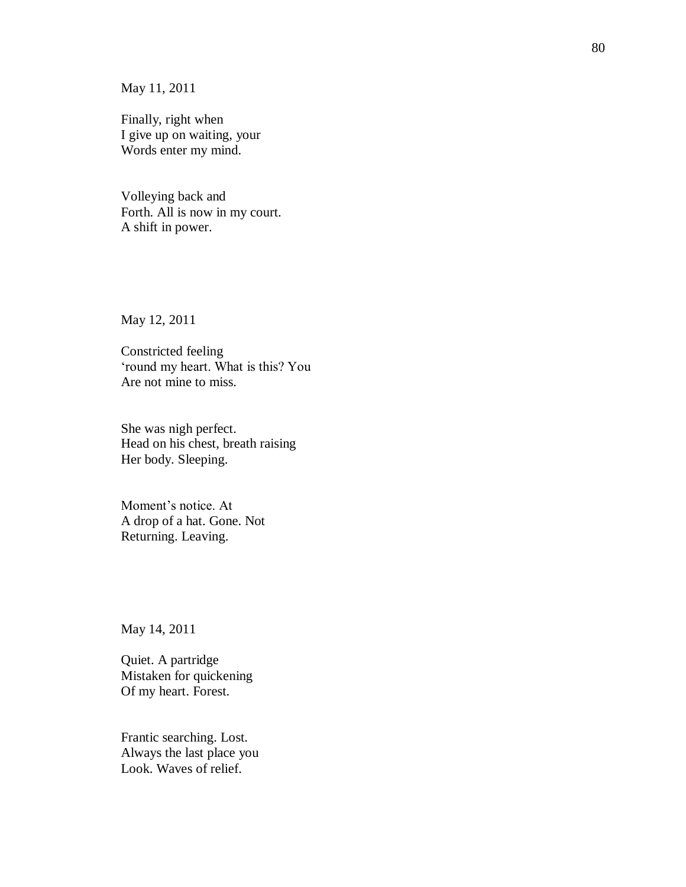May 11, 2011

Finally, right when I give up on waiting, your Words enter my mind.

Volleying back and Forth. All is now in my court. A shift in power.

May 12, 2011

Constricted feeling 'round my heart. What is this? You Are not mine to miss.

She was nigh perfect. Head on his chest, breath raising Her body. Sleeping.

Moment's notice. At A drop of a hat. Gone. Not Returning. Leaving.

May 14, 2011

Quiet. A partridge Mistaken for quickening Of my heart. Forest.

Frantic searching. Lost. Always the last place you Look. Waves of relief.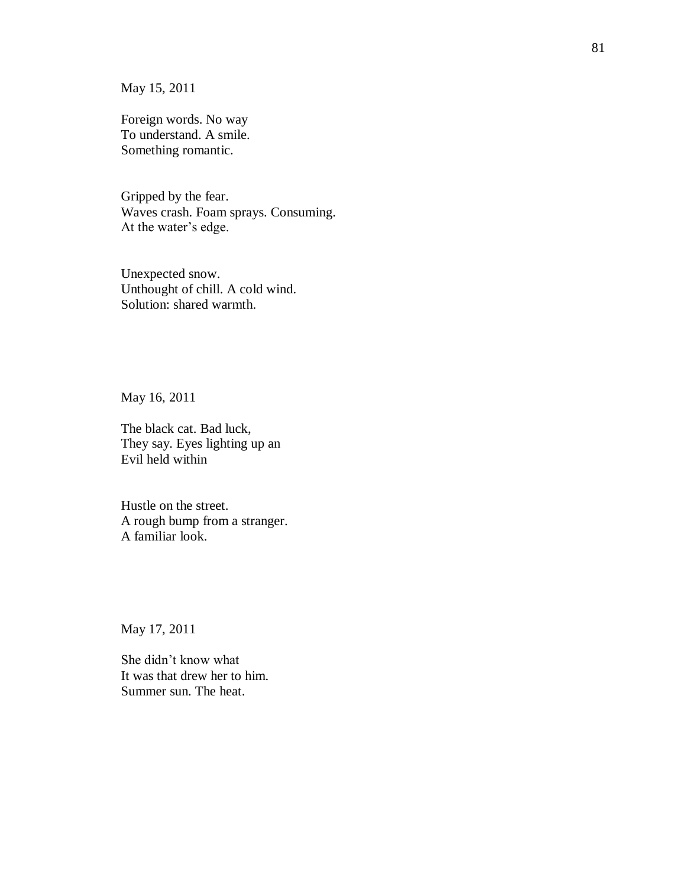May 15, 2011

Foreign words. No way To understand. A smile. Something romantic.

Gripped by the fear. Waves crash. Foam sprays. Consuming. At the water's edge.

Unexpected snow. Unthought of chill. A cold wind. Solution: shared warmth.

May 16, 2011

The black cat. Bad luck, They say. Eyes lighting up an Evil held within

Hustle on the street. A rough bump from a stranger. A familiar look.

May 17, 2011

She didn't know what It was that drew her to him. Summer sun. The heat.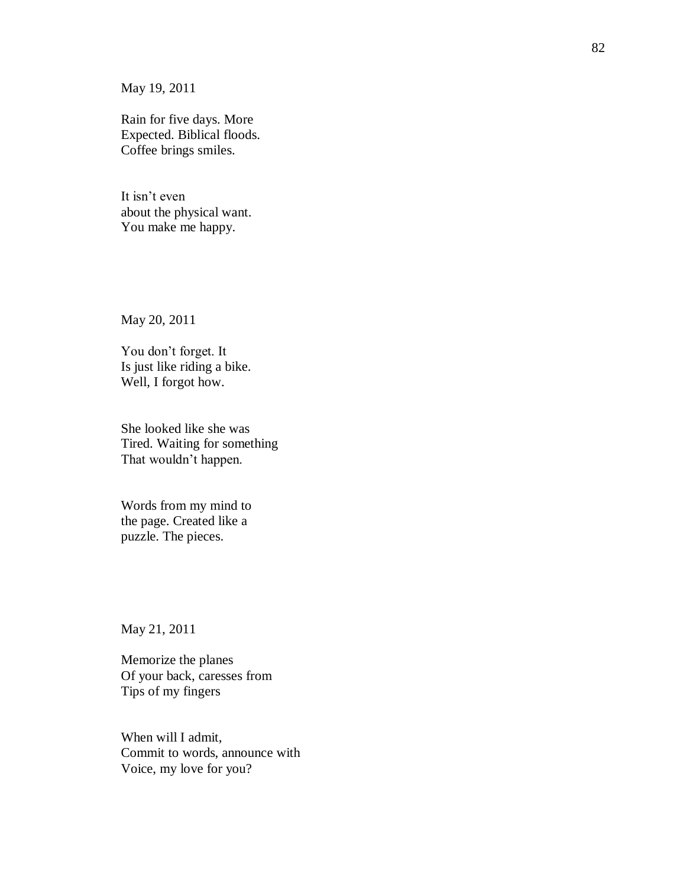May 19, 2011

Rain for five days. More Expected. Biblical floods. Coffee brings smiles.

It isn't even about the physical want. You make me happy.

May 20, 2011

You don't forget. It Is just like riding a bike. Well, I forgot how.

She looked like she was Tired. Waiting for something That wouldn't happen.

Words from my mind to the page. Created like a puzzle. The pieces.

May 21, 2011

Memorize the planes Of your back, caresses from Tips of my fingers

When will I admit, Commit to words, announce with Voice, my love for you?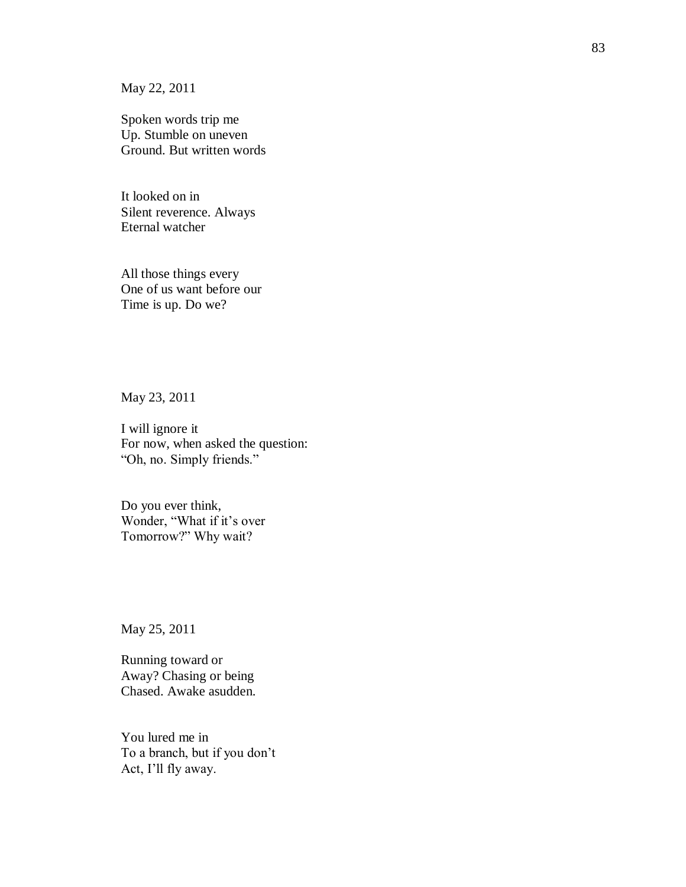May 22, 2011

Spoken words trip me Up. Stumble on uneven Ground. But written words

It looked on in Silent reverence. Always Eternal watcher

All those things every One of us want before our Time is up. Do we?

May 23, 2011

I will ignore it For now, when asked the question: "Oh, no. Simply friends."

Do you ever think, Wonder, "What if it's over Tomorrow?" Why wait?

May 25, 2011

Running toward or Away? Chasing or being Chased. Awake asudden.

You lured me in To a branch, but if you don't Act, I'll fly away.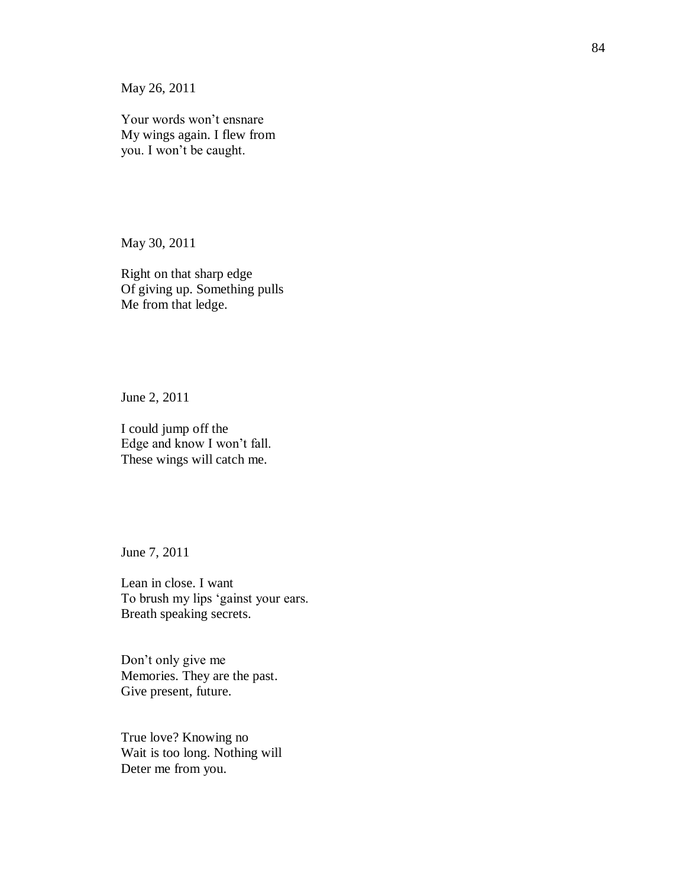May 26, 2011

Your words won't ensnare My wings again. I flew from you. I won't be caught.

May 30, 2011

Right on that sharp edge Of giving up. Something pulls Me from that ledge.

June 2, 2011

I could jump off the Edge and know I won't fall. These wings will catch me.

June 7, 2011

Lean in close. I want To brush my lips 'gainst your ears. Breath speaking secrets.

Don't only give me Memories. They are the past. Give present, future.

True love? Knowing no Wait is too long. Nothing will Deter me from you.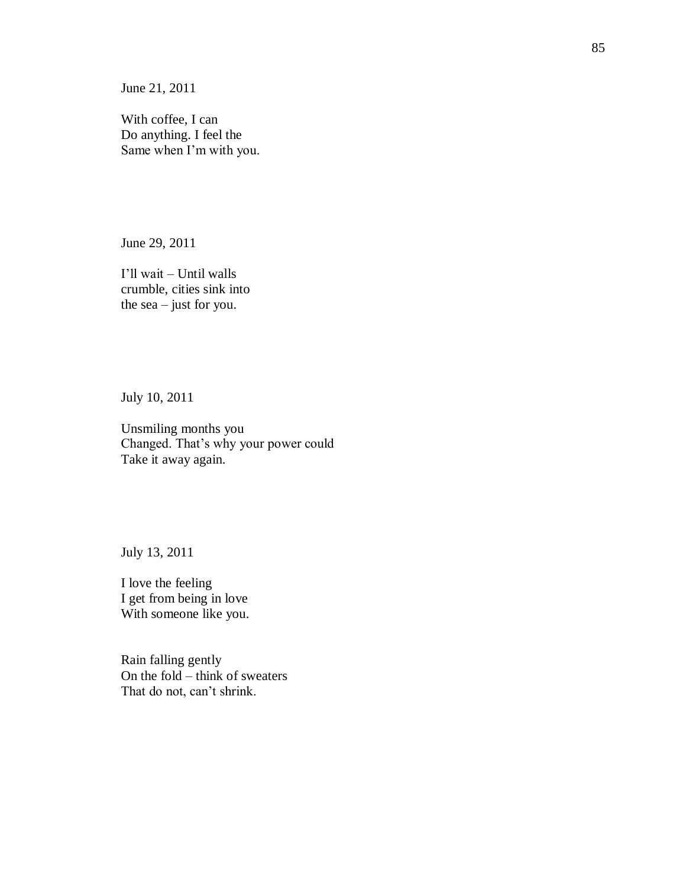June 21, 2011

With coffee, I can Do anything. I feel the Same when I'm with you.

June 29, 2011

I'll wait – Until walls crumble, cities sink into the sea – just for you.

July 10, 2011

Unsmiling months you Changed. That's why your power could Take it away again.

July 13, 2011

I love the feeling I get from being in love With someone like you.

Rain falling gently On the fold – think of sweaters That do not, can't shrink.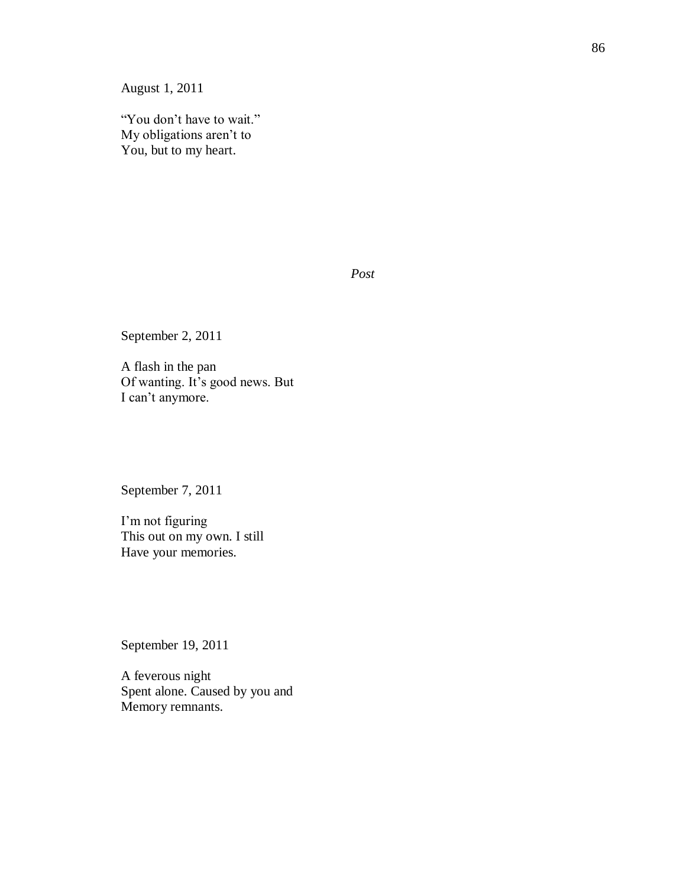August 1, 2011

"You don't have to wait." My obligations aren't to You, but to my heart.

*Post*

September 2, 2011

A flash in the pan Of wanting. It's good news. But I can't anymore.

September 7, 2011

I'm not figuring This out on my own. I still Have your memories.

September 19, 2011

A feverous night Spent alone. Caused by you and Memory remnants.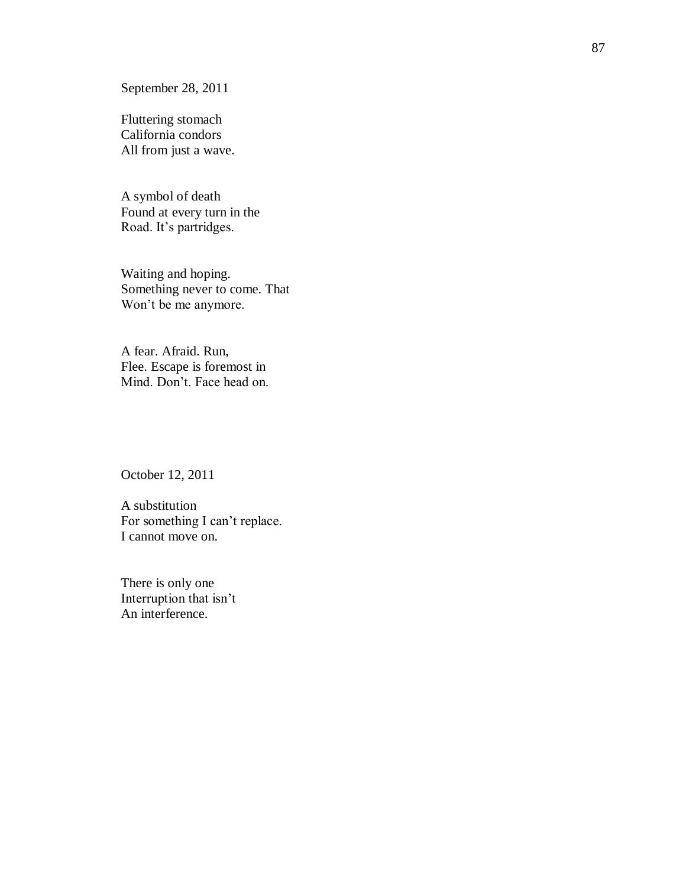September 28, 2011

Fluttering stomach California condors All from just a wave.

A symbol of death Found at every turn in the Road. It's partridges.

Waiting and hoping. Something never to come. That Won't be me anymore.

A fear. Afraid. Run, Flee. Escape is foremost in Mind. Don't. Face head on.

October 12, 2011

A substitution For something I can't replace. I cannot move on.

There is only one Interruption that isn't An interference.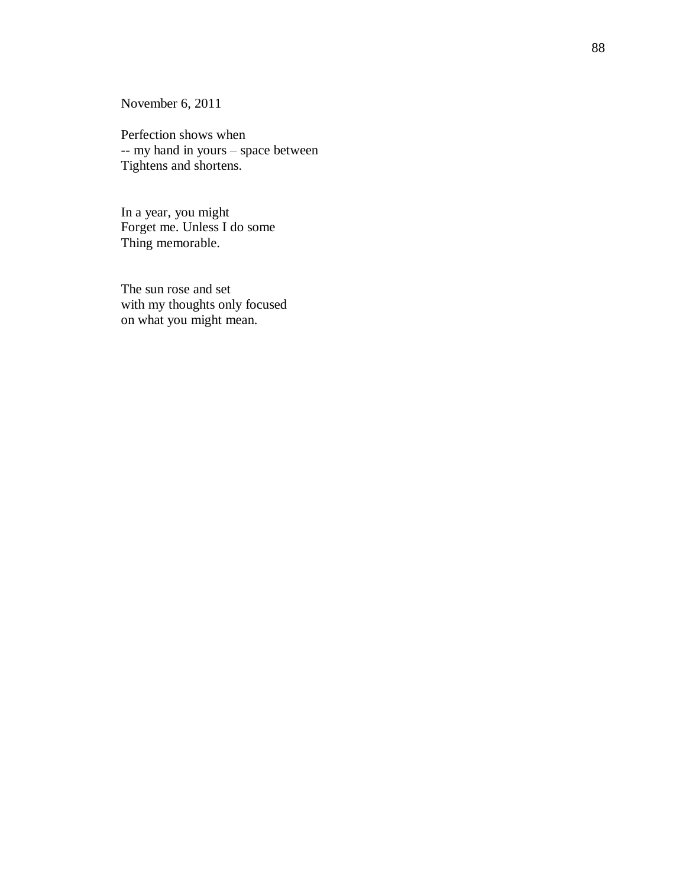November 6, 2011

Perfection shows when -- my hand in yours – space between Tightens and shortens.

In a year, you might Forget me. Unless I do some Thing memorable.

The sun rose and set with my thoughts only focused on what you might mean.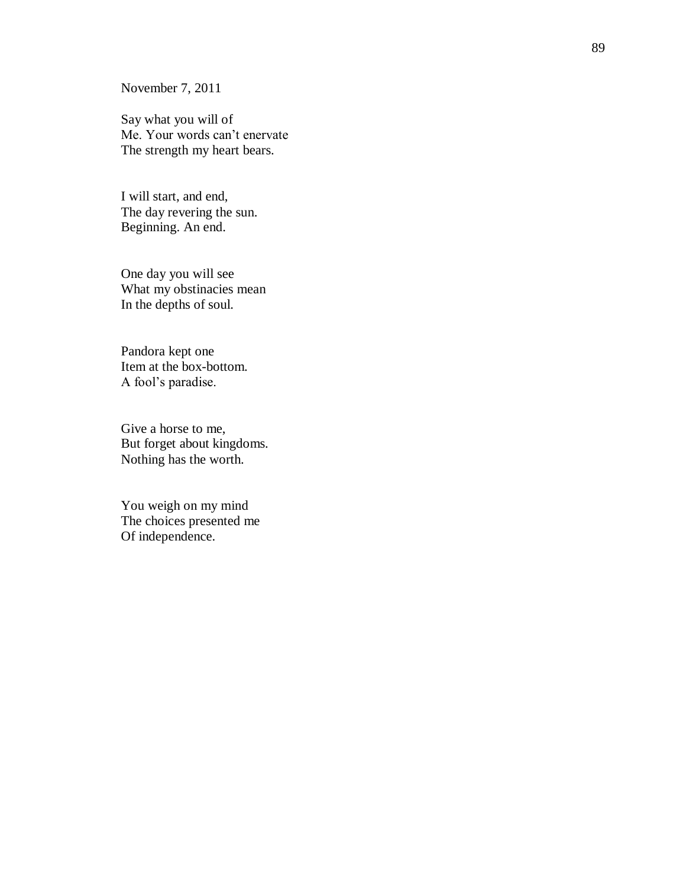November 7, 2011

Say what you will of Me. Your words can't enervate The strength my heart bears.

I will start, and end, The day revering the sun. Beginning. An end.

One day you will see What my obstinacies mean In the depths of soul.

Pandora kept one Item at the box -bottom. A fool's paradise.

Give a horse to me, But forget about kingdoms. Nothing has the worth.

You weigh on my mind The choices presented me Of independence.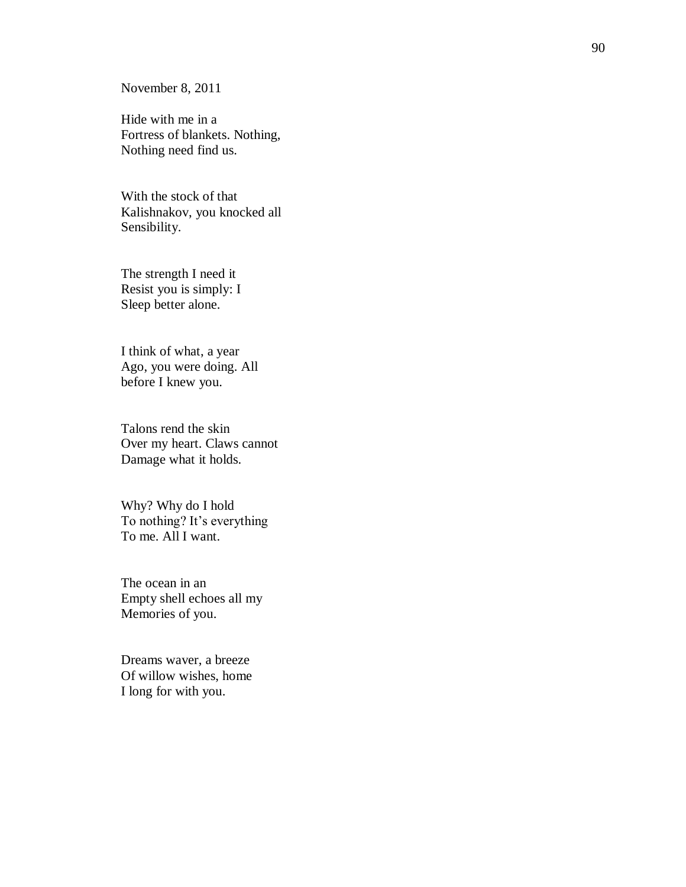November 8, 2011

Hide with me in a Fortress of blankets. Nothing, Nothing need find us.

With the stock of that Kalishnakov, you knocked all Sensibility.

The strength I need it Resist you is simply: I Sleep better alone.

I think of what, a year Ago, you were doing. All before I knew you.

Talons rend the skin Over my heart. Claws cannot Damage what it holds.

Why? Why do I hold To nothing? It's everything To me. All I want.

The ocean in an Empty shell echoes all my Memories of you.

Dreams waver, a breeze Of willow wishes, home I long for with you.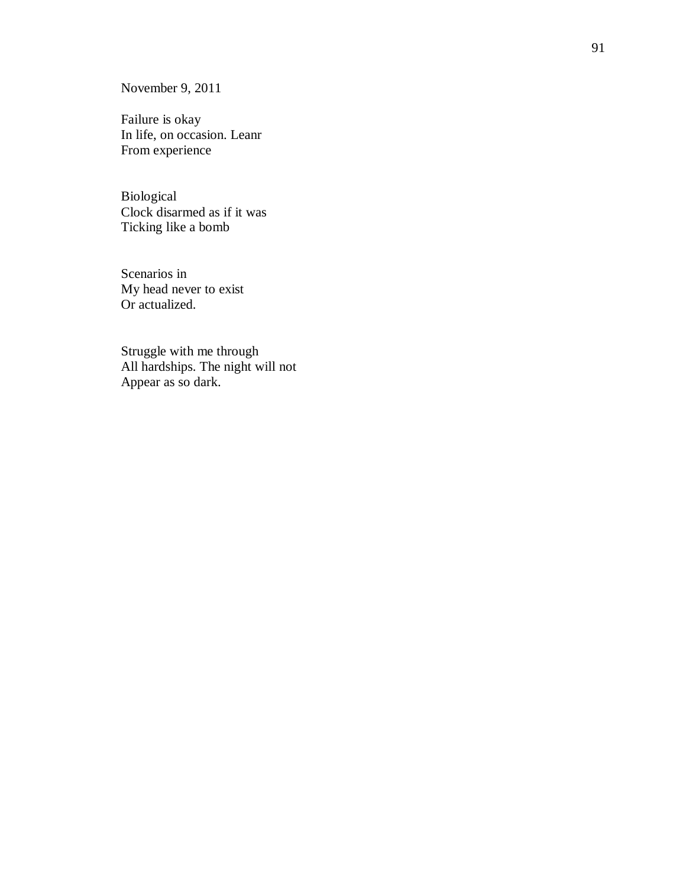November 9, 2011

Failure is okay In life, on occasion. Leanr From experience

Biological Clock disarmed as if it was Ticking like a bomb

Scenarios in My head never to exist Or actualized.

Struggle with me through All hardships. The night will not Appear as so dark.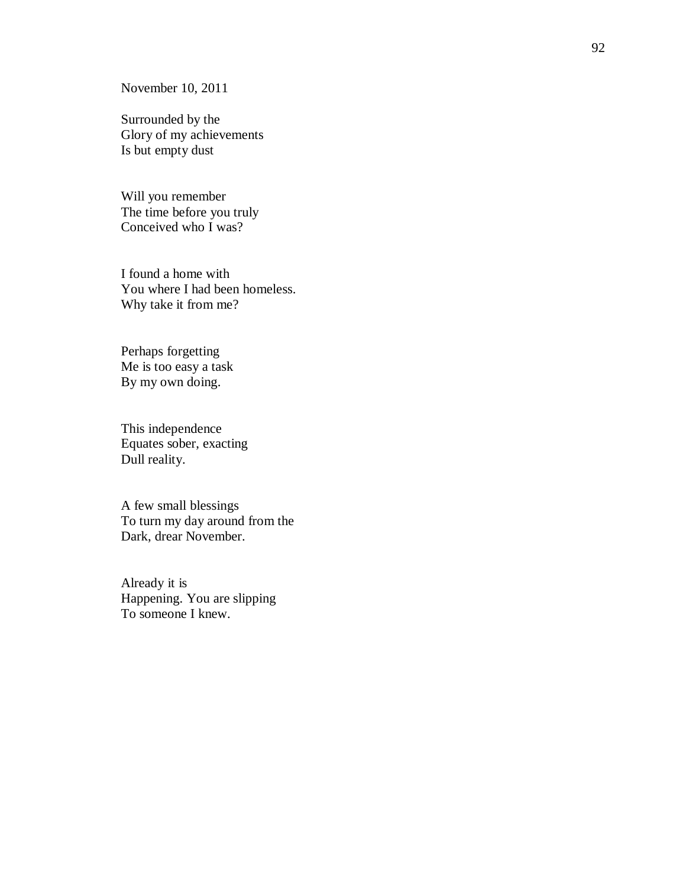November 10, 2011

Surrounded by the Glory of my achievements Is but empty dust

Will you remember The time before you truly Conceived who I was?

I found a home with You where I had been homeless. Why take it from me?

Perhaps forgetting Me is too easy a task By my own doing.

This independence Equates sober, exacting Dull reality.

A few small blessings To turn my day around from the Dark, drear November.

Already it is Happening. You are slipping To someone I knew.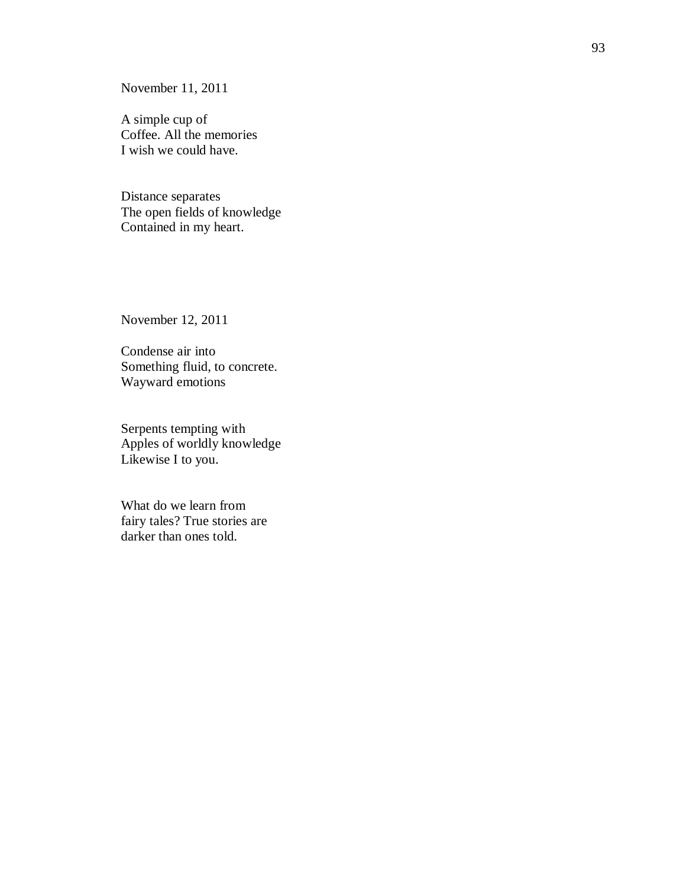November 11, 2011

A simple cup of Coffee. All the memories I wish we could have.

Distance separates The open fields of knowledge Contained in my heart.

November 12, 2011

Condense air into Something fluid, to concrete. Wayward emotions

Serpents tempting with Apples of worldly knowledge Likewise I to you.

What do we learn from fairy tales? True stories are darker than ones told.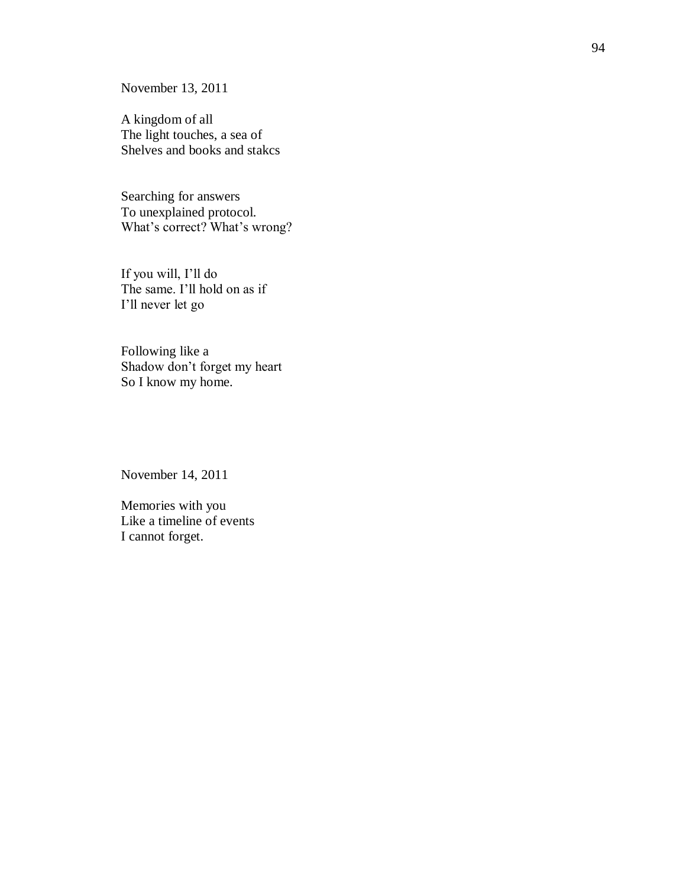November 13, 2011

A kingdom of all The light touches, a sea of Shelves and books and stakcs

Searching for answers To unexplained protocol. What's correct? What's wrong?

If you will, I'll do The same. I'll hold on as if I'll never let go

Following like a Shadow don't forget my heart So I know my home.

November 14, 2011

Memories with you Like a timeline of events I cannot forget.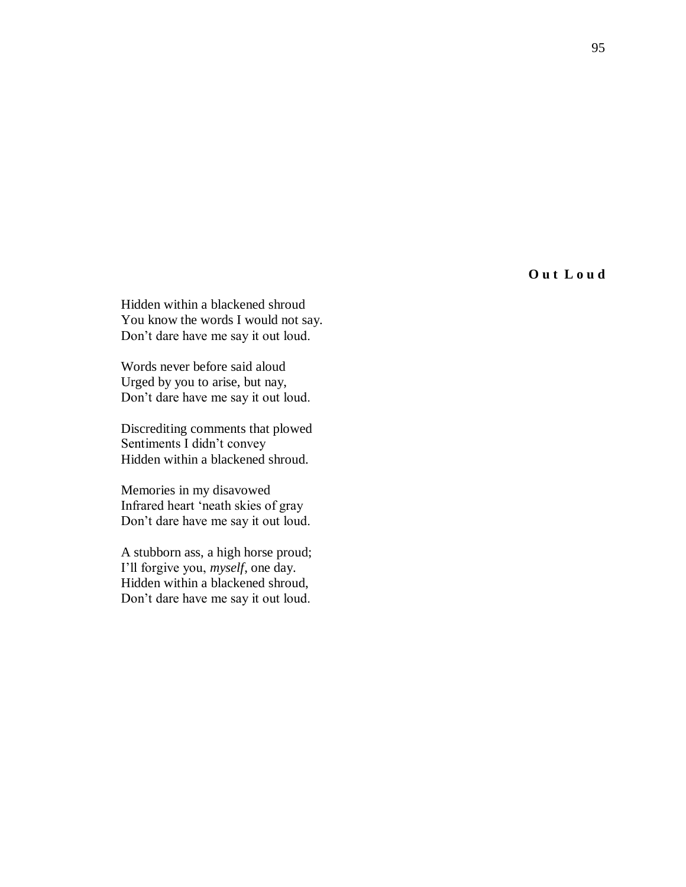**O u t L o u d**

Hidden within a blackened shroud You know the words I would not say. Don't dare have me say it out loud.

Words never before said aloud Urged by you to arise, but nay, Don't dare have me say it out loud.

Discrediting comments that plowed Sentiments I didn't convey Hidden within a blackened shroud.

Memories in my disavowed Infrared heart 'neath skies of gray Don't dare have me say it out loud.

A stubborn ass, a high horse proud; I'll forgive you, *myself*, one day. Hidden within a blackened shroud, Don't dare have me say it out loud.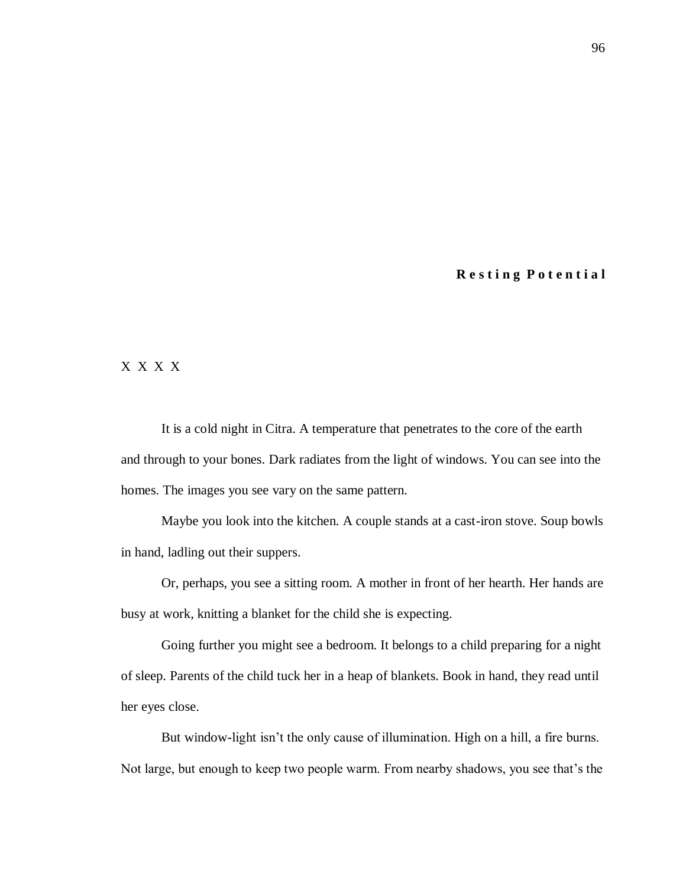## **R e s t i n g P o t e n t i a l**

## X X X X

It is a cold night in Citra. A temperature that penetrates to the core of the earth and through to your bones. Dark radiates from the light of windows. You can see into the homes. The images you see vary on the same pattern.

Maybe you look into the kitchen. A couple stands at a cast-iron stove. Soup bowls in hand, ladling out their suppers.

Or, perhaps, you see a sitting room. A mother in front of her hearth. Her hands are busy at work, knitting a blanket for the child she is expecting.

Going further you might see a bedroom. It belongs to a child preparing for a night of sleep. Parents of the child tuck her in a heap of blankets. Book in hand, they read until her eyes close.

But window-light isn't the only cause of illumination. High on a hill, a fire burns. Not large, but enough to keep two people warm. From nearby shadows, you see that's the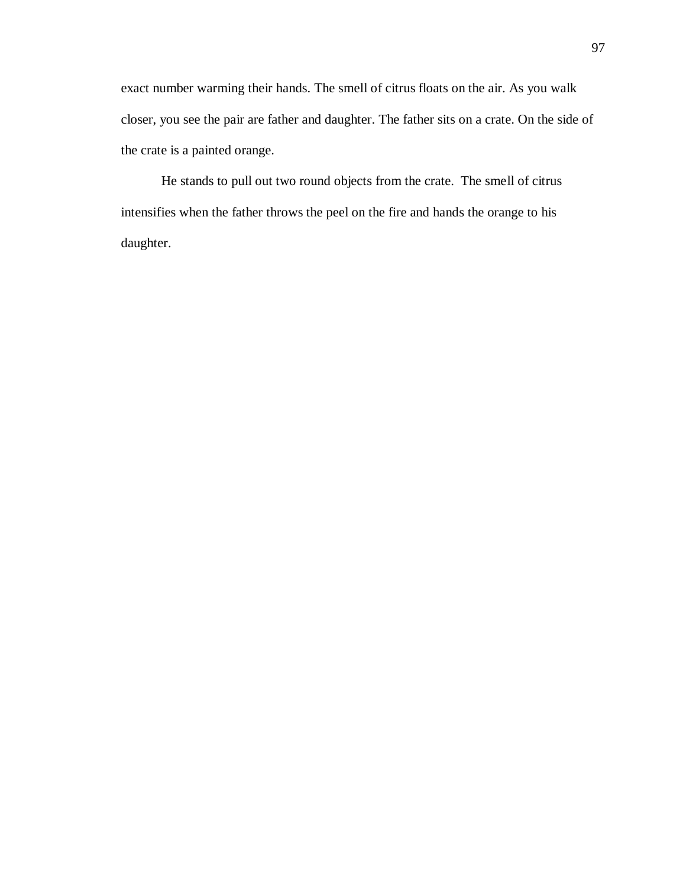exact number warming their hands. The smell of citrus floats on the air. As you walk closer, you see the pair are father and daughter. The father sits on a crate. On the side of the crate is a painted orange.

He stands to pull out two round objects from the crate. The smell of citrus intensifies when the father throws the peel on the fire and hands the orange to his daughter.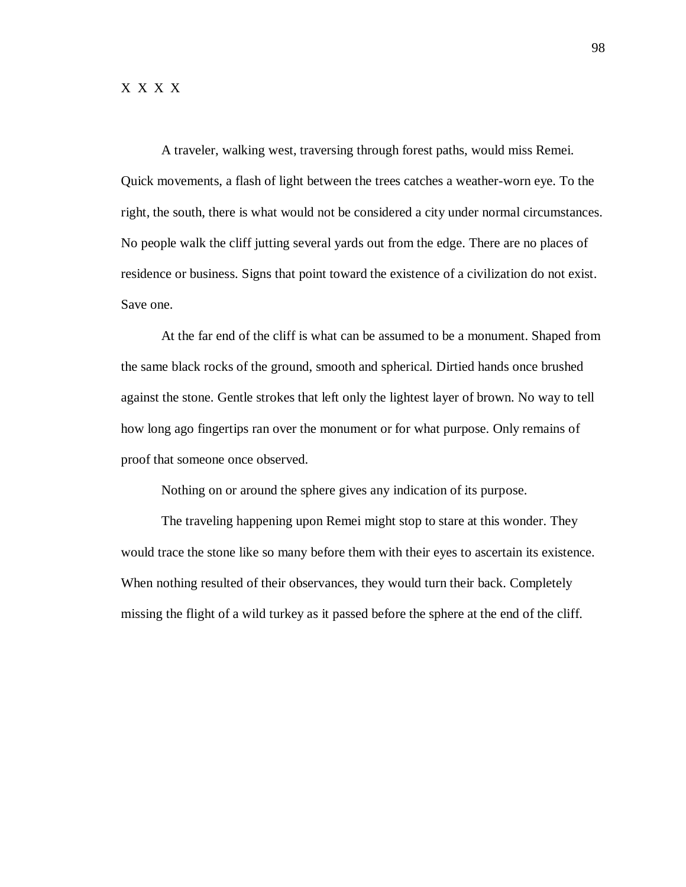A traveler, walking west, traversing through forest paths, would miss Remei. Quick movements, a flash of light between the trees catches a weather-worn eye. To the right, the south, there is what would not be considered a city under normal circumstances. No people walk the cliff jutting several yards out from the edge. There are no places of residence or business. Signs that point toward the existence of a civilization do not exist. Save one.

At the far end of the cliff is what can be assumed to be a monument. Shaped from the same black rocks of the ground, smooth and spherical. Dirtied hands once brushed against the stone. Gentle strokes that left only the lightest layer of brown. No way to tell how long ago fingertips ran over the monument or for what purpose. Only remains of proof that someone once observed.

Nothing on or around the sphere gives any indication of its purpose.

The traveling happening upon Remei might stop to stare at this wonder. They would trace the stone like so many before them with their eyes to ascertain its existence. When nothing resulted of their observances, they would turn their back. Completely missing the flight of a wild turkey as it passed before the sphere at the end of the cliff.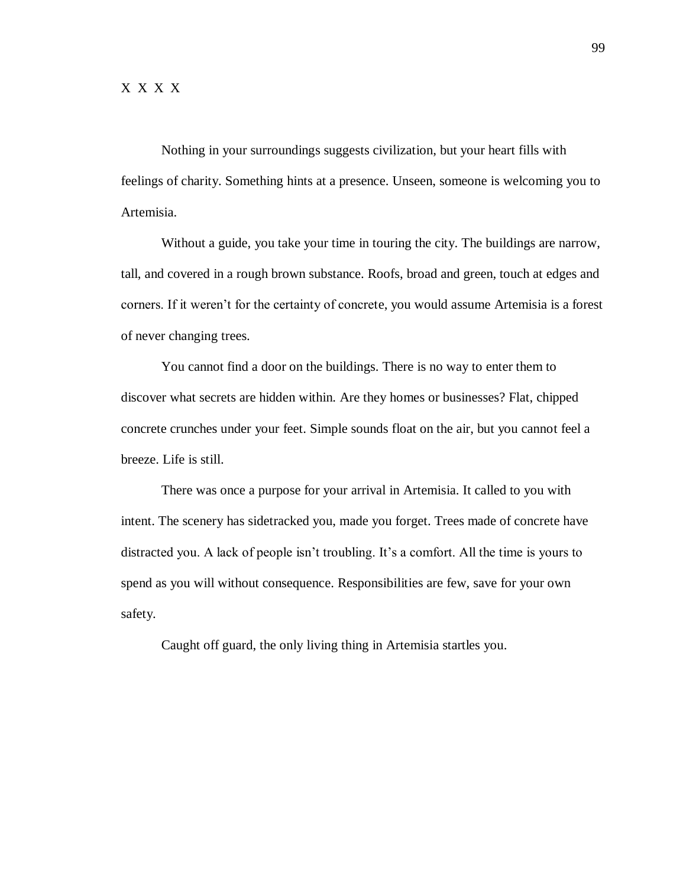Nothing in your surroundings suggests civilization, but your heart fills with feelings of charity. Something hints at a presence. Unseen, someone is welcoming you to Artemisia.

Without a guide, you take your time in touring the city. The buildings are narrow, tall, and covered in a rough brown substance. Roofs, broad and green, touch at edges and corners. If it weren't for the certainty of concrete, you would assume Artemisia is a forest of never changing trees.

You cannot find a door on the buildings. There is no way to enter them to discover what secrets are hidden within. Are they homes or businesses? Flat, chipped concrete crunches under your feet. Simple sounds float on the air, but you cannot feel a breeze. Life is still.

There was once a purpose for your arrival in Artemisia. It called to you with intent. The scenery has sidetracked you, made you forget. Trees made of concrete have distracted you. A lack of people isn't troubling. It's a comfort. All the time is yours to spend as you will without consequence. Responsibilities are few, save for your own safety.

Caught off guard, the only living thing in Artemisia startles you.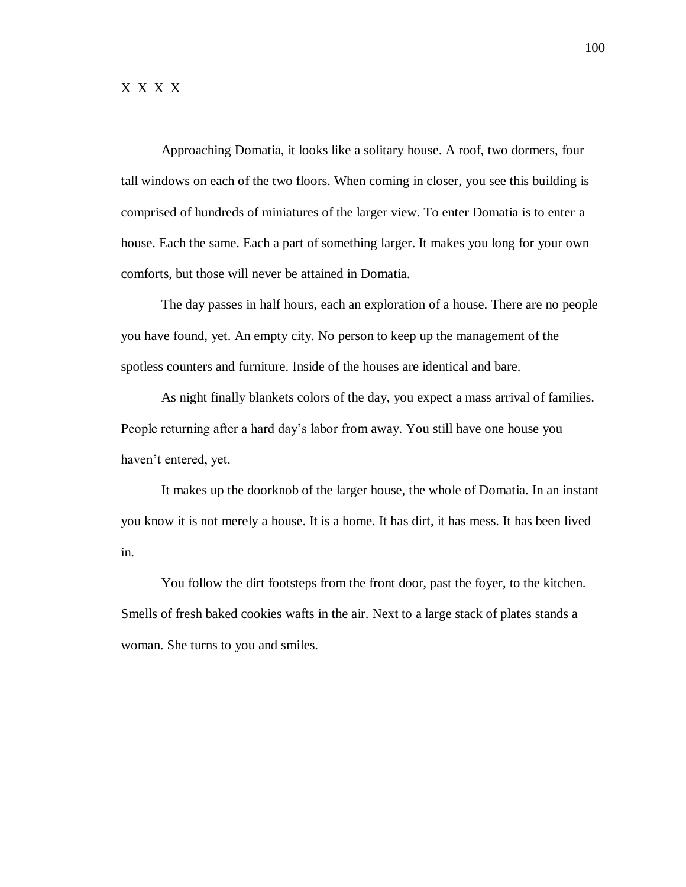Approaching Domatia, it looks like a solitary house. A roof, two dormers, four tall windows on each of the two floors. When coming in closer, you see this building is comprised of hundreds of miniatures of the larger view. To enter Domatia is to enter a house. Each the same. Each a part of something larger. It makes you long for your own comforts, but those will never be attained in Domatia.

The day passes in half hours, each an exploration of a house. There are no people you have found, yet. An empty city. No person to keep up the management of the spotless counters and furniture. Inside of the houses are identical and bare.

As night finally blankets colors of the day, you expect a mass arrival of families. People returning after a hard day's labor from away. You still have one house you haven't entered, yet.

It makes up the doorknob of the larger house, the whole of Domatia. In an instant you know it is not merely a house. It is a home. It has dirt, it has mess. It has been lived in.

You follow the dirt footsteps from the front door, past the foyer, to the kitchen. Smells of fresh baked cookies wafts in the air. Next to a large stack of plates stands a woman. She turns to you and smiles.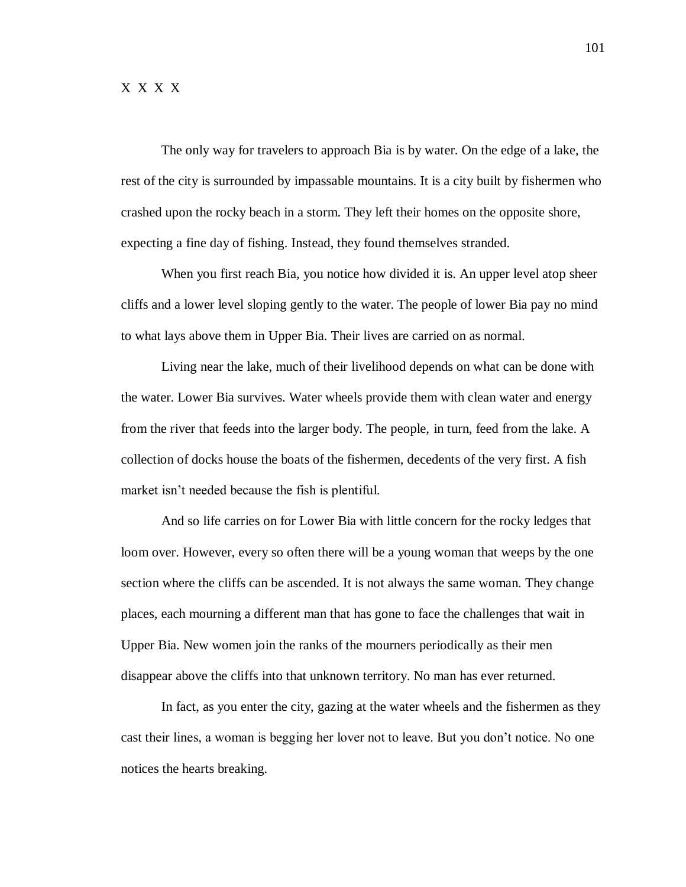The only way for travelers to approach Bia is by water. On the edge of a lake, the rest of the city is surrounded by impassable mountains. It is a city built by fishermen who crashed upon the rocky beach in a storm. They left their homes on the opposite shore, expecting a fine day of fishing. Instead, they found themselves stranded.

When you first reach Bia, you notice how divided it is. An upper level atop sheer cliffs and a lower level sloping gently to the water. The people of lower Bia pay no mind to what lays above them in Upper Bia. Their lives are carried on as normal.

Living near the lake, much of their livelihood depends on what can be done with the water. Lower Bia survives. Water wheels provide them with clean water and energy from the river that feeds into the larger body. The people, in turn, feed from the lake. A collection of docks house the boats of the fishermen, decedents of the very first. A fish market isn't needed because the fish is plentiful.

And so life carries on for Lower Bia with little concern for the rocky ledges that loom over. However, every so often there will be a young woman that weeps by the one section where the cliffs can be ascended. It is not always the same woman. They change places, each mourning a different man that has gone to face the challenges that wait in Upper Bia. New women join the ranks of the mourners periodically as their men disappear above the cliffs into that unknown territory. No man has ever returned.

In fact, as you enter the city, gazing at the water wheels and the fishermen as they cast their lines, a woman is begging her lover not to leave. But you don't notice. No one notices the hearts breaking.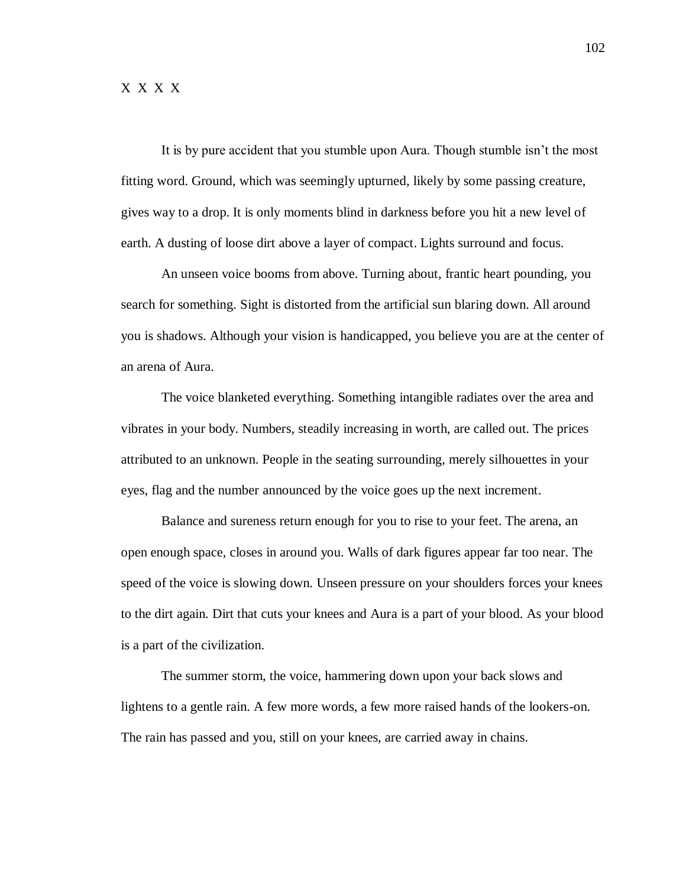It is by pure accident that you stumble upon Aura. Though stumble isn't the most fitting word. Ground, which was seemingly upturned, likely by some passing creature, gives way to a drop. It is only moments blind in darkness before you hit a new level of earth. A dusting of loose dirt above a layer of compact. Lights surround and focus.

An unseen voice booms from above. Turning about, frantic heart pounding, you search for something. Sight is distorted from the artificial sun blaring down. All around you is shadows. Although your vision is handicapped, you believe you are at the center of an arena of Aura.

The voice blanketed everything. Something intangible radiates over the area and vibrates in your body. Numbers, steadily increasing in worth, are called out. The prices attributed to an unknown. People in the seating surrounding, merely silhouettes in your eyes, flag and the number announced by the voice goes up the next increment.

Balance and sureness return enough for you to rise to your feet. The arena, an open enough space, closes in around you. Walls of dark figures appear far too near. The speed of the voice is slowing down. Unseen pressure on your shoulders forces your knees to the dirt again. Dirt that cuts your knees and Aura is a part of your blood. As your blood is a part of the civilization.

The summer storm, the voice, hammering down upon your back slows and lightens to a gentle rain. A few more words, a few more raised hands of the lookers-on. The rain has passed and you, still on your knees, are carried away in chains.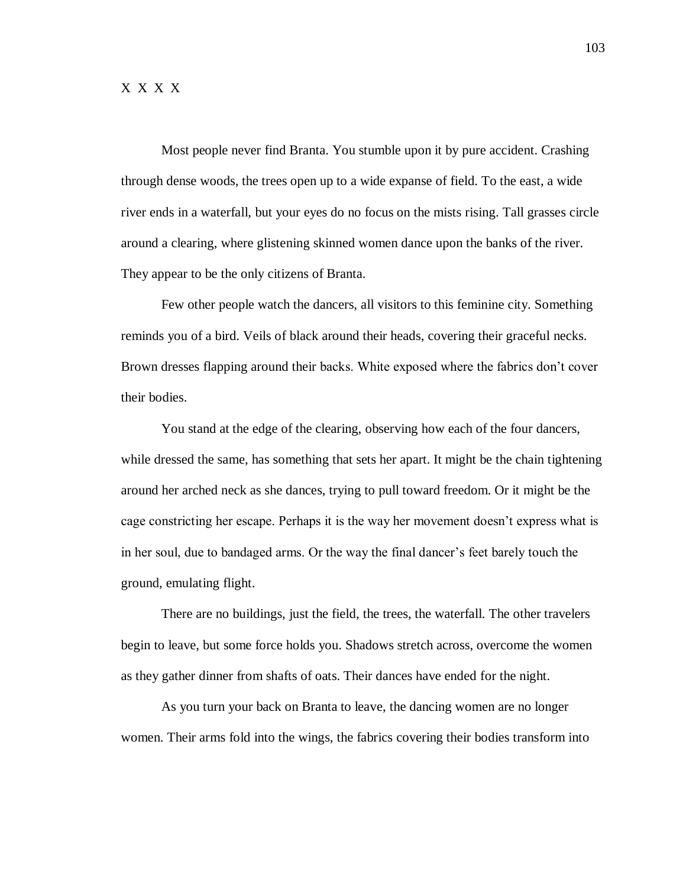Most people never find Branta. You stumble upon it by pure accident. Crashing through dense woods, the trees open up to a wide expanse of field. To the east, a wide river ends in a waterfall, but your eyes do no focus on the mists rising. Tall grasses circle around a clearing, where glistening skinned women dance upon the banks of the river. They appear to be the only citizens of Branta.

Few other people watch the dancers, all visitors to this feminine city. Something reminds you of a bird. Veils of black around their heads, covering their graceful necks. Brown dresses flapping around their backs. White exposed where the fabrics don't cover their bodies.

You stand at the edge of the clearing, observing how each of the four dancers, while dressed the same, has something that sets her apart. It might be the chain tightening around her arched neck as she dances, trying to pull toward freedom. Or it might be the cage constricting her escape. Perhaps it is the way her movement doesn't express what is in her soul, due to bandaged arms. Or the way the final dancer's feet barely touch the ground, emulating flight.

There are no buildings, just the field, the trees, the waterfall. The other travelers begin to leave, but some force holds you. Shadows stretch across, overcome the women as they gather dinner from shafts of oats. Their dances have ended for the night.

As you turn your back on Branta to leave, the dancing women are no longer women. Their arms fold into the wings, the fabrics covering their bodies transform into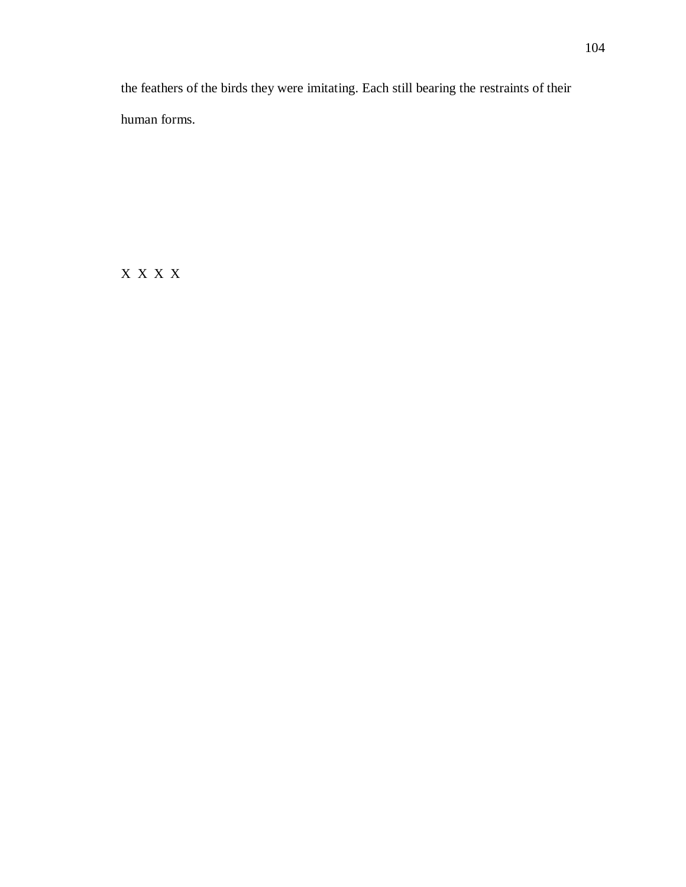the feathers of the birds they were imitating. Each still bearing the restraints of their human forms.

X X X X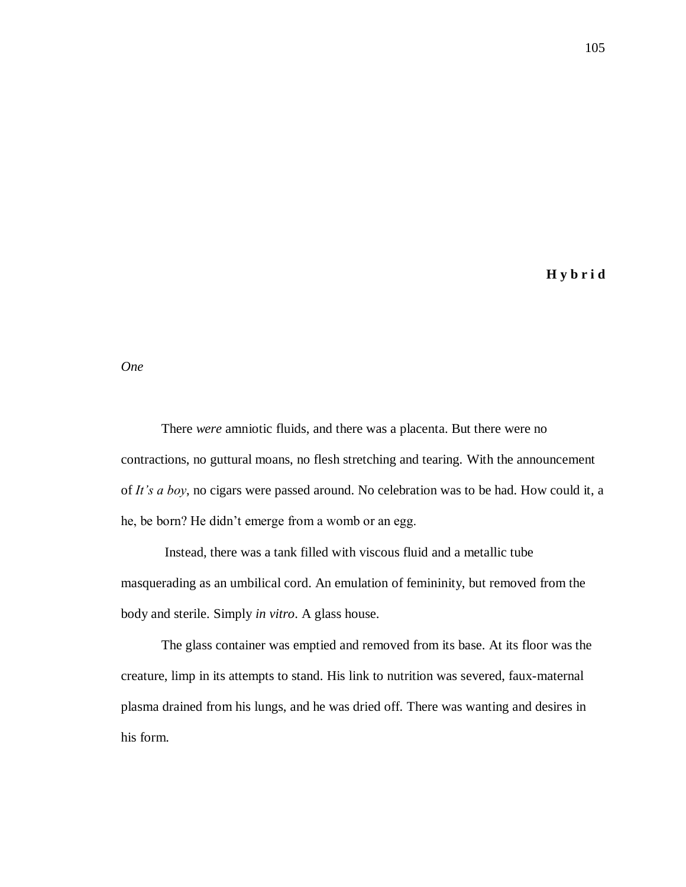**H y b r i d**

*One*

There *were* amniotic fluids, and there was a placenta. But there were no contractions, no guttural moans, no flesh stretching and tearing. With the announcement of *It's a boy*, no cigars were passed around. No celebration was to be had. How could it, a he, be born? He didn't emerge from a womb or an egg.

Instead, there was a tank filled with viscous fluid and a metallic tube masquerading as an umbilical cord. An emulation of femininity, but removed from the body and sterile. Simply *in vitro*. A glass house.

The glass container was emptied and removed from its base. At its floor was the creature, limp in its attempts to stand. His link to nutrition was severed, faux-maternal plasma drained from his lungs, and he was dried off. There was wanting and desires in his form.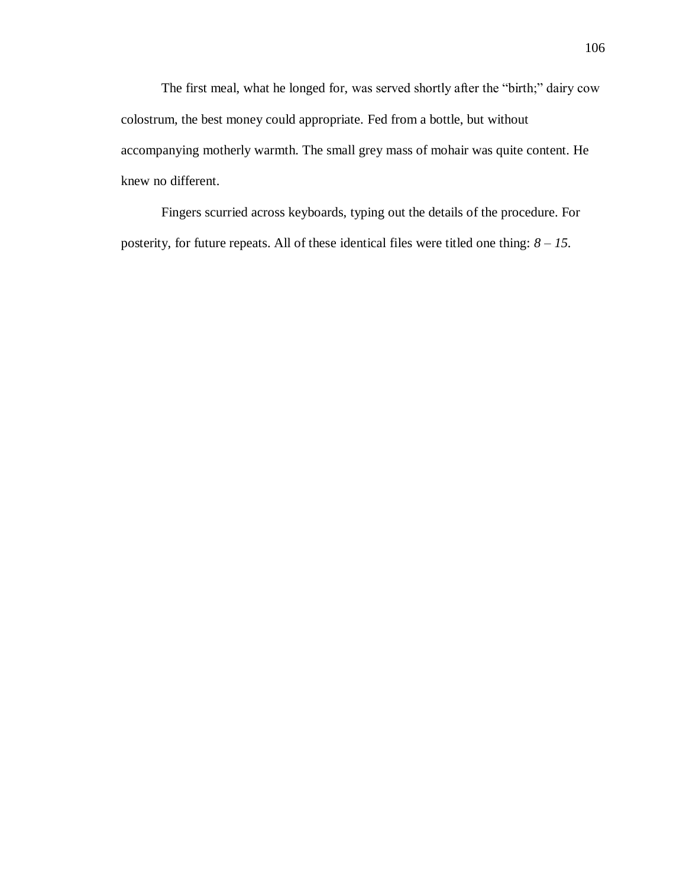The first meal, what he longed for, was served shortly after the "birth;" dairy cow colostrum, the best money could appropriate. Fed from a bottle, but without accompanying motherly warmth. The small grey mass of mohair was quite content. He knew no different.

Fingers scurried across keyboards, typing out the details of the procedure. For posterity, for future repeats. All of these identical files were titled one thing: *8 – 15.*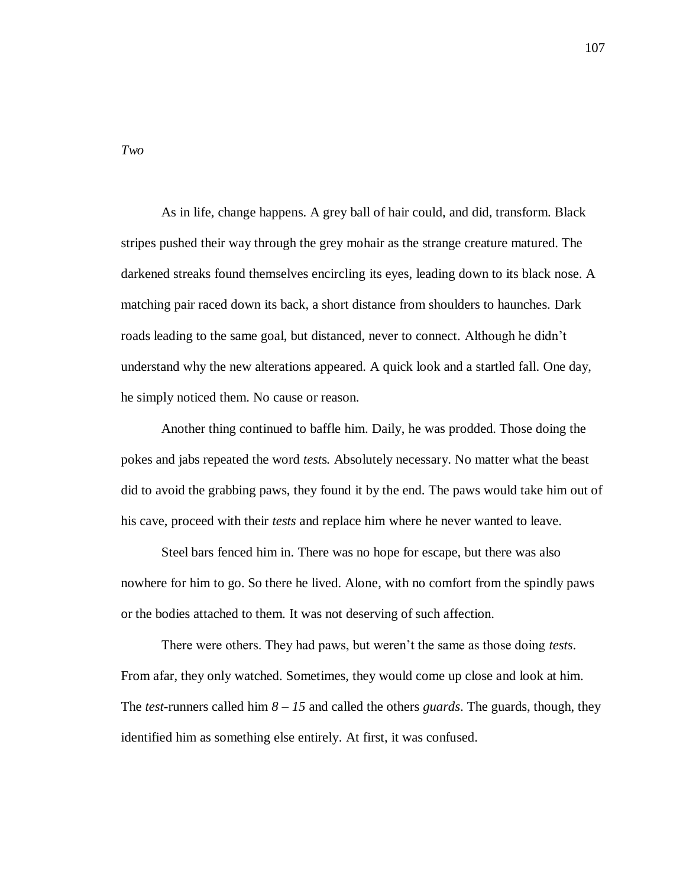*Two*

As in life, change happens. A grey ball of hair could, and did, transform. Black stripes pushed their way through the grey mohair as the strange creature matured. The darkened streaks found themselves encircling its eyes, leading down to its black nose. A matching pair raced down its back, a short distance from shoulders to haunches. Dark roads leading to the same goal, but distanced, never to connect. Although he didn't understand why the new alterations appeared. A quick look and a startled fall. One day, he simply noticed them. No cause or reason.

Another thing continued to baffle him. Daily, he was prodded. Those doing the pokes and jabs repeated the word *test*s*.* Absolutely necessary. No matter what the beast did to avoid the grabbing paws, they found it by the end. The paws would take him out of his cave, proceed with their *tests* and replace him where he never wanted to leave.

Steel bars fenced him in. There was no hope for escape, but there was also nowhere for him to go. So there he lived. Alone, with no comfort from the spindly paws or the bodies attached to them. It was not deserving of such affection.

There were others. They had paws, but weren't the same as those doing *tests*. From afar, they only watched. Sometimes, they would come up close and look at him. The *test*-runners called him *8 – 15* and called the others *guards*. The guards, though, they identified him as something else entirely. At first, it was confused.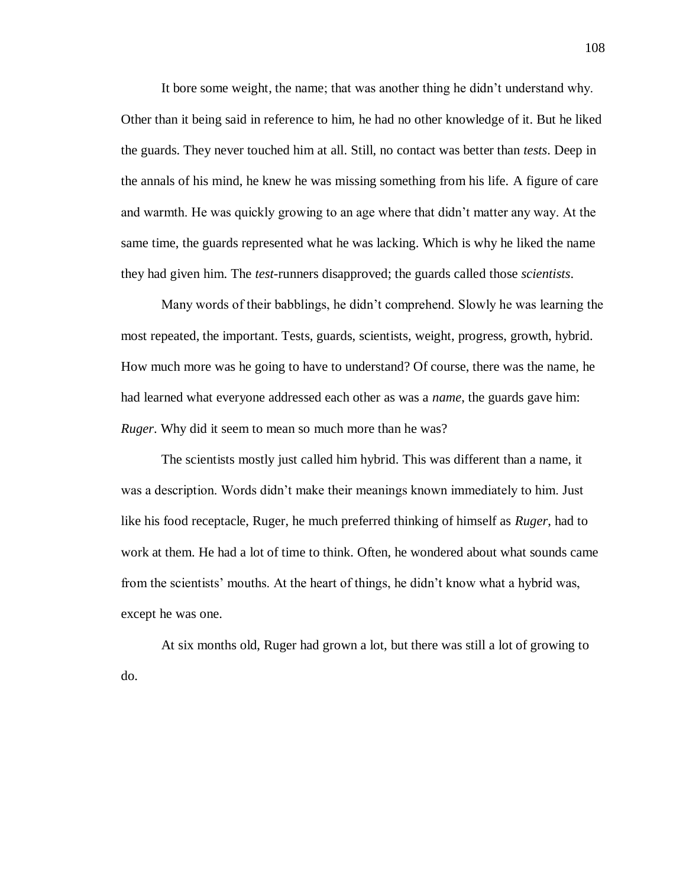It bore some weight, the name; that was another thing he didn't understand why. Other than it being said in reference to him, he had no other knowledge of it. But he liked the guards. They never touched him at all. Still, no contact was better than *tests*. Deep in the annals of his mind, he knew he was missing something from his life. A figure of care and warmth. He was quickly growing to an age where that didn't matter any way. At the same time, the guards represented what he was lacking. Which is why he liked the name they had given him. The *test*-runners disapproved; the guards called those *scientists*.

Many words of their babblings, he didn't comprehend. Slowly he was learning the most repeated, the important. Tests, guards, scientists, weight, progress, growth, hybrid. How much more was he going to have to understand? Of course, there was the name, he had learned what everyone addressed each other as was a *name*, the guards gave him: *Ruger*. Why did it seem to mean so much more than he was?

The scientists mostly just called him hybrid. This was different than a name, it was a description. Words didn't make their meanings known immediately to him. Just like his food receptacle, Ruger, he much preferred thinking of himself as *Ruger*, had to work at them. He had a lot of time to think. Often, he wondered about what sounds came from the scientists' mouths. At the heart of things, he didn't know what a hybrid was, except he was one.

At six months old, Ruger had grown a lot, but there was still a lot of growing to do.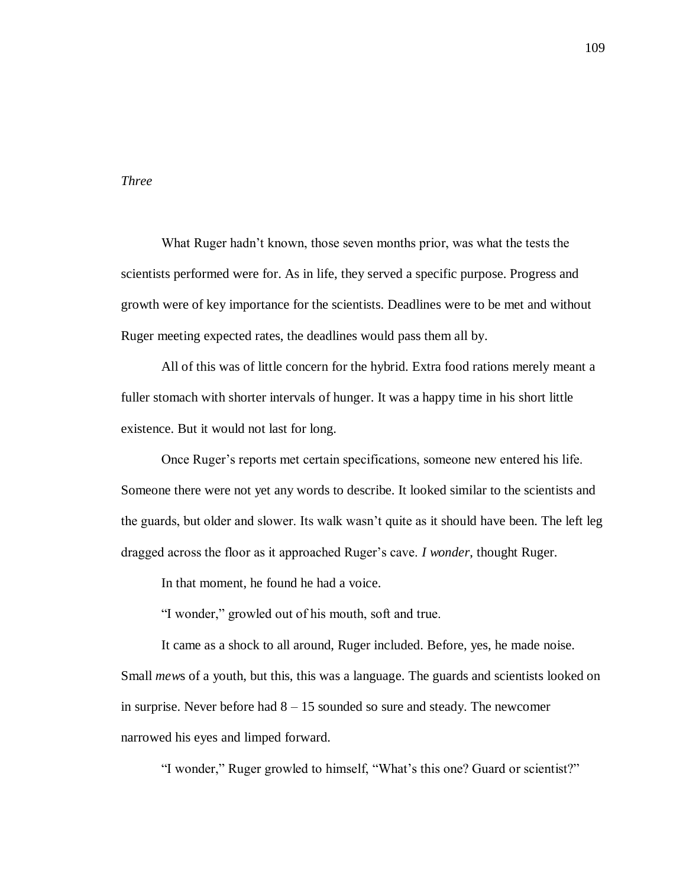## *Three*

What Ruger hadn't known, those seven months prior, was what the tests the scientists performed were for. As in life, they served a specific purpose. Progress and growth were of key importance for the scientists. Deadlines were to be met and without Ruger meeting expected rates, the deadlines would pass them all by.

All of this was of little concern for the hybrid. Extra food rations merely meant a fuller stomach with shorter intervals of hunger. It was a happy time in his short little existence. But it would not last for long.

Once Ruger's reports met certain specifications, someone new entered his life. Someone there were not yet any words to describe. It looked similar to the scientists and the guards, but older and slower. Its walk wasn't quite as it should have been. The left leg dragged across the floor as it approached Ruger's cave. *I wonder*, thought Ruger.

In that moment, he found he had a voice.

"I wonder," growled out of his mouth, soft and true.

It came as a shock to all around, Ruger included. Before, yes, he made noise.

Small *mew*s of a youth, but this, this was a language. The guards and scientists looked on in surprise. Never before had  $8 - 15$  sounded so sure and steady. The newcomer narrowed his eyes and limped forward.

"I wonder," Ruger growled to himself, "What's this one? Guard or scientist?"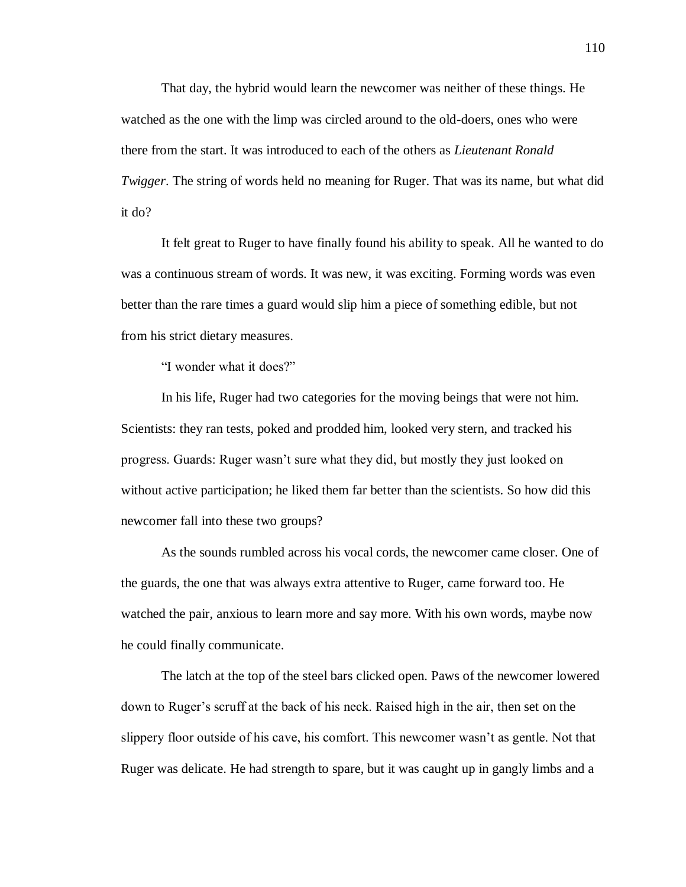That day, the hybrid would learn the newcomer was neither of these things. He watched as the one with the limp was circled around to the old-doers, ones who were there from the start. It was introduced to each of the others as *Lieutenant Ronald Twigger*. The string of words held no meaning for Ruger. That was its name, but what did it do?

It felt great to Ruger to have finally found his ability to speak. All he wanted to do was a continuous stream of words. It was new, it was exciting. Forming words was even better than the rare times a guard would slip him a piece of something edible, but not from his strict dietary measures.

"I wonder what it does?"

In his life, Ruger had two categories for the moving beings that were not him. Scientists: they ran tests, poked and prodded him, looked very stern, and tracked his progress. Guards: Ruger wasn't sure what they did, but mostly they just looked on without active participation; he liked them far better than the scientists. So how did this newcomer fall into these two groups?

As the sounds rumbled across his vocal cords, the newcomer came closer. One of the guards, the one that was always extra attentive to Ruger, came forward too. He watched the pair, anxious to learn more and say more. With his own words, maybe now he could finally communicate.

The latch at the top of the steel bars clicked open. Paws of the newcomer lowered down to Ruger's scruff at the back of his neck. Raised high in the air, then set on the slippery floor outside of his cave, his comfort. This newcomer wasn't as gentle. Not that Ruger was delicate. He had strength to spare, but it was caught up in gangly limbs and a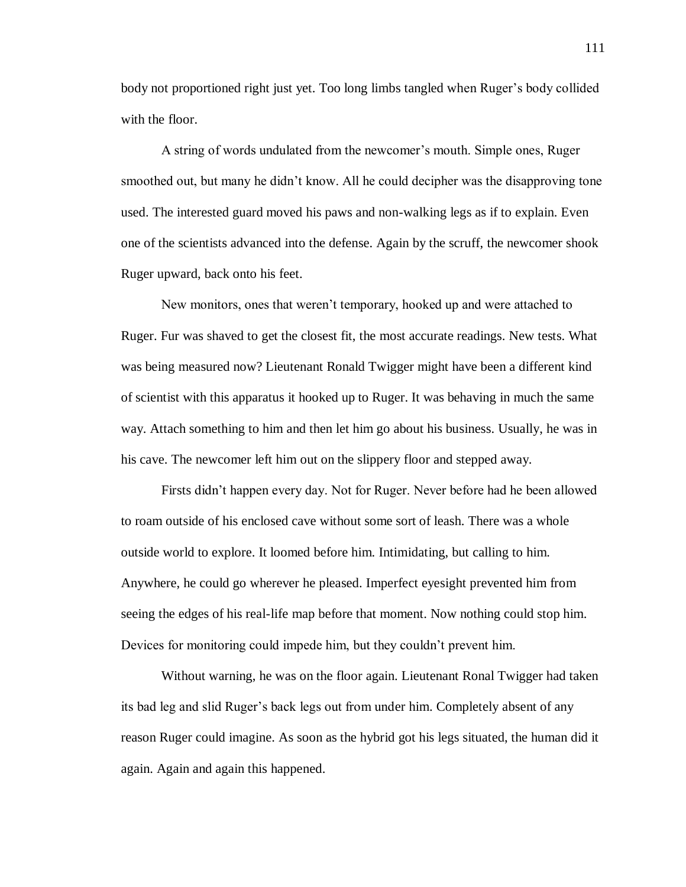body not proportioned right just yet. Too long limbs tangled when Ruger's body collided with the floor.

A string of words undulated from the newcomer's mouth. Simple ones, Ruger smoothed out, but many he didn't know. All he could decipher was the disapproving tone used. The interested guard moved his paws and non-walking legs as if to explain. Even one of the scientists advanced into the defense. Again by the scruff, the newcomer shook Ruger upward, back onto his feet.

New monitors, ones that weren't temporary, hooked up and were attached to Ruger. Fur was shaved to get the closest fit, the most accurate readings. New tests. What was being measured now? Lieutenant Ronald Twigger might have been a different kind of scientist with this apparatus it hooked up to Ruger. It was behaving in much the same way. Attach something to him and then let him go about his business. Usually, he was in his cave. The newcomer left him out on the slippery floor and stepped away.

Firsts didn't happen every day. Not for Ruger. Never before had he been allowed to roam outside of his enclosed cave without some sort of leash. There was a whole outside world to explore. It loomed before him. Intimidating, but calling to him. Anywhere, he could go wherever he pleased. Imperfect eyesight prevented him from seeing the edges of his real-life map before that moment. Now nothing could stop him. Devices for monitoring could impede him, but they couldn't prevent him.

Without warning, he was on the floor again. Lieutenant Ronal Twigger had taken its bad leg and slid Ruger's back legs out from under him. Completely absent of any reason Ruger could imagine. As soon as the hybrid got his legs situated, the human did it again. Again and again this happened.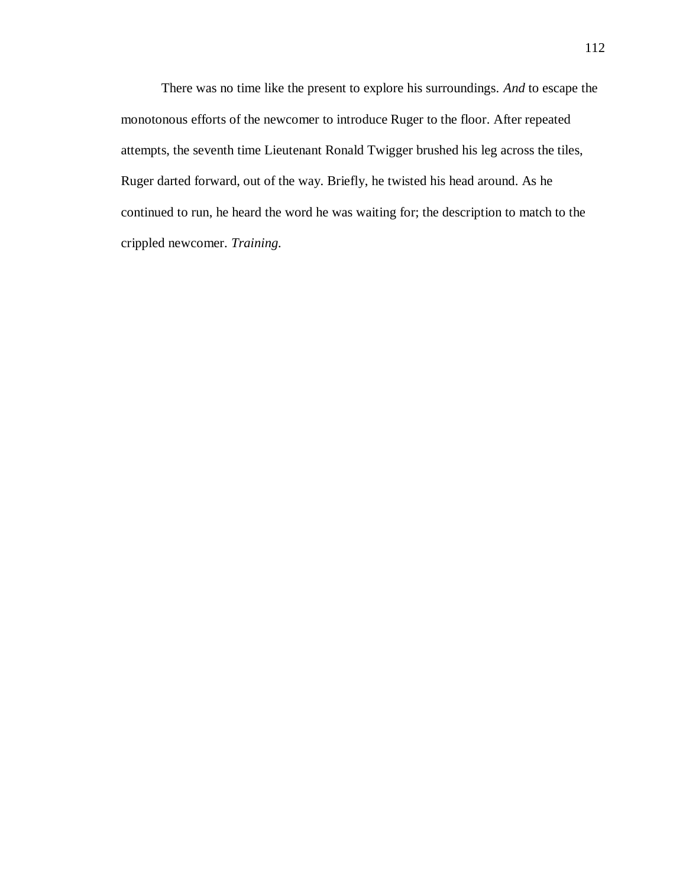There was no time like the present to explore his surroundings. *And* to escape the monotonous efforts of the newcomer to introduce Ruger to the floor. After repeated attempts, the seventh time Lieutenant Ronald Twigger brushed his leg across the tiles, Ruger darted forward, out of the way. Briefly, he twisted his head around. As he continued to run, he heard the word he was waiting for; the description to match to the crippled newcomer. *Training.*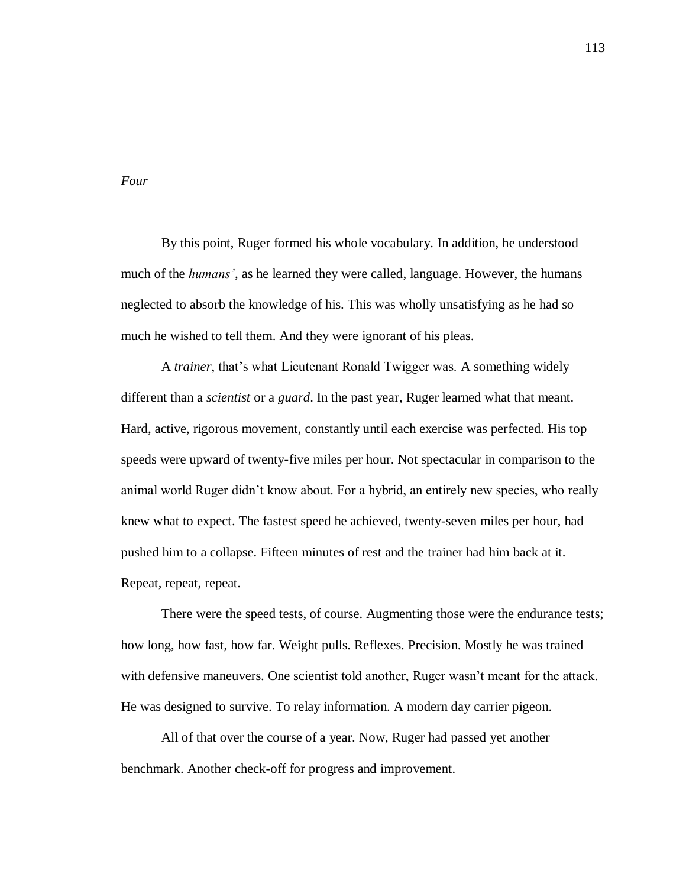*Four*

By this point, Ruger formed his whole vocabulary. In addition, he understood much of the *humans'*, as he learned they were called, language. However, the humans neglected to absorb the knowledge of his. This was wholly unsatisfying as he had so much he wished to tell them. And they were ignorant of his pleas.

A *trainer*, that's what Lieutenant Ronald Twigger was. A something widely different than a *scientist* or a *guard*. In the past year, Ruger learned what that meant. Hard, active, rigorous movement, constantly until each exercise was perfected. His top speeds were upward of twenty-five miles per hour. Not spectacular in comparison to the animal world Ruger didn't know about. For a hybrid, an entirely new species, who really knew what to expect. The fastest speed he achieved, twenty-seven miles per hour, had pushed him to a collapse. Fifteen minutes of rest and the trainer had him back at it. Repeat, repeat, repeat.

There were the speed tests, of course. Augmenting those were the endurance tests; how long, how fast, how far. Weight pulls. Reflexes. Precision. Mostly he was trained with defensive maneuvers. One scientist told another, Ruger wasn't meant for the attack. He was designed to survive. To relay information. A modern day carrier pigeon.

All of that over the course of a year. Now, Ruger had passed yet another benchmark. Another check-off for progress and improvement.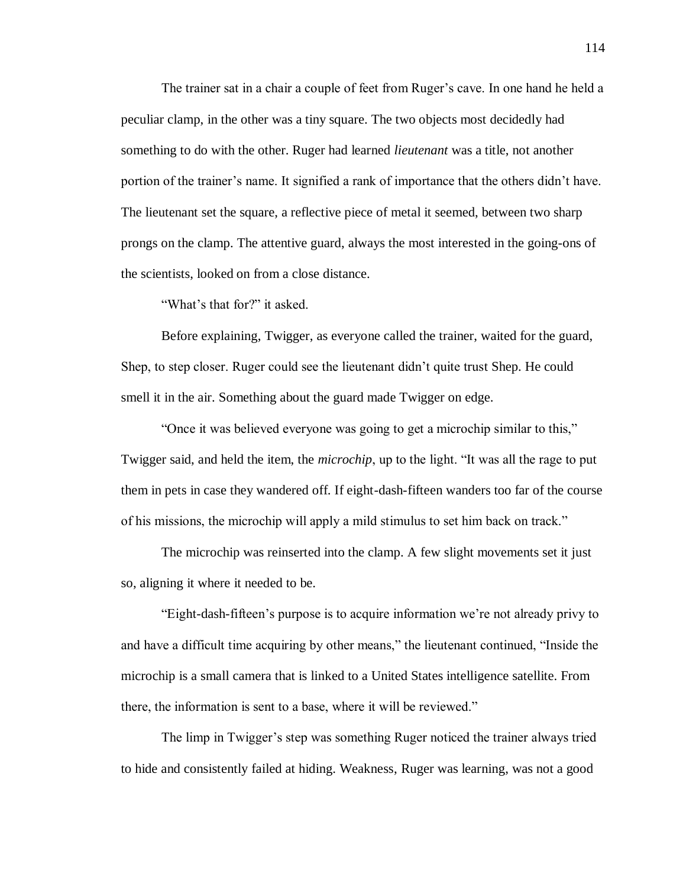The trainer sat in a chair a couple of feet from Ruger's cave. In one hand he held a peculiar clamp, in the other was a tiny square. The two objects most decidedly had something to do with the other. Ruger had learned *lieutenant* was a title, not another portion of the trainer's name. It signified a rank of importance that the others didn't have. The lieutenant set the square, a reflective piece of metal it seemed, between two sharp prongs on the clamp. The attentive guard, always the most interested in the going-ons of the scientists, looked on from a close distance.

"What's that for?" it asked.

Before explaining, Twigger, as everyone called the trainer, waited for the guard, Shep, to step closer. Ruger could see the lieutenant didn't quite trust Shep. He could smell it in the air. Something about the guard made Twigger on edge.

"Once it was believed everyone was going to get a microchip similar to this," Twigger said, and held the item, the *microchip*, up to the light. "It was all the rage to put them in pets in case they wandered off. If eight-dash-fifteen wanders too far of the course of his missions, the microchip will apply a mild stimulus to set him back on track."

The microchip was reinserted into the clamp. A few slight movements set it just so, aligning it where it needed to be.

"Eight-dash-fifteen's purpose is to acquire information we're not already privy to and have a difficult time acquiring by other means," the lieutenant continued, "Inside the microchip is a small camera that is linked to a United States intelligence satellite. From there, the information is sent to a base, where it will be reviewed."

The limp in Twigger's step was something Ruger noticed the trainer always tried to hide and consistently failed at hiding. Weakness, Ruger was learning, was not a good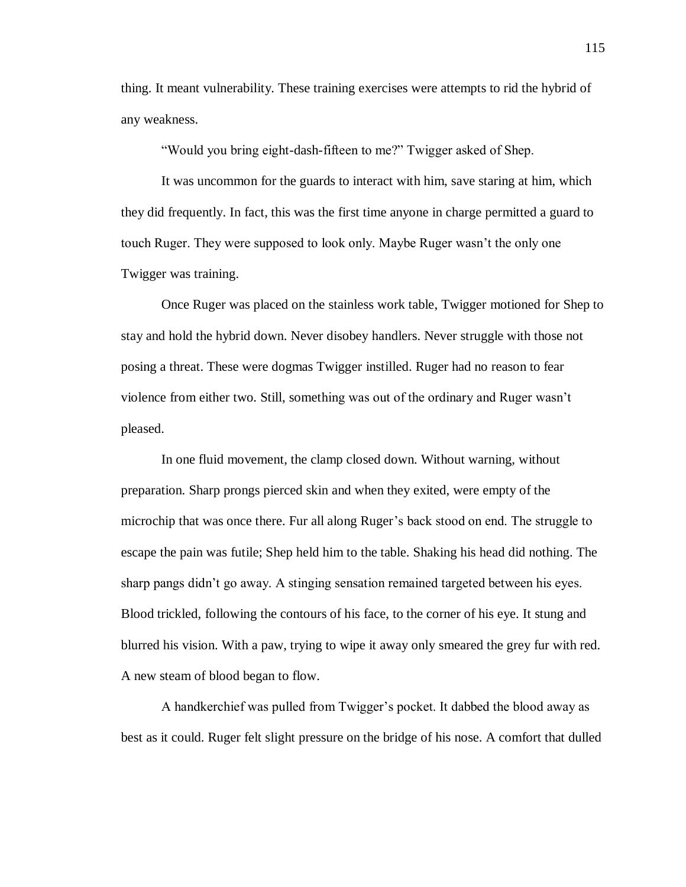thing. It meant vulnerability. These training exercises were attempts to rid the hybrid of any weakness.

"Would you bring eight-dash-fifteen to me?" Twigger asked of Shep.

It was uncommon for the guards to interact with him, save staring at him, which they did frequently. In fact, this was the first time anyone in charge permitted a guard to touch Ruger. They were supposed to look only. Maybe Ruger wasn't the only one Twigger was training.

Once Ruger was placed on the stainless work table, Twigger motioned for Shep to stay and hold the hybrid down. Never disobey handlers. Never struggle with those not posing a threat. These were dogmas Twigger instilled. Ruger had no reason to fear violence from either two. Still, something was out of the ordinary and Ruger wasn't pleased.

In one fluid movement, the clamp closed down. Without warning, without preparation. Sharp prongs pierced skin and when they exited, were empty of the microchip that was once there. Fur all along Ruger's back stood on end. The struggle to escape the pain was futile; Shep held him to the table. Shaking his head did nothing. The sharp pangs didn't go away. A stinging sensation remained targeted between his eyes. Blood trickled, following the contours of his face, to the corner of his eye. It stung and blurred his vision. With a paw, trying to wipe it away only smeared the grey fur with red. A new steam of blood began to flow.

A handkerchief was pulled from Twigger's pocket. It dabbed the blood away as best as it could. Ruger felt slight pressure on the bridge of his nose. A comfort that dulled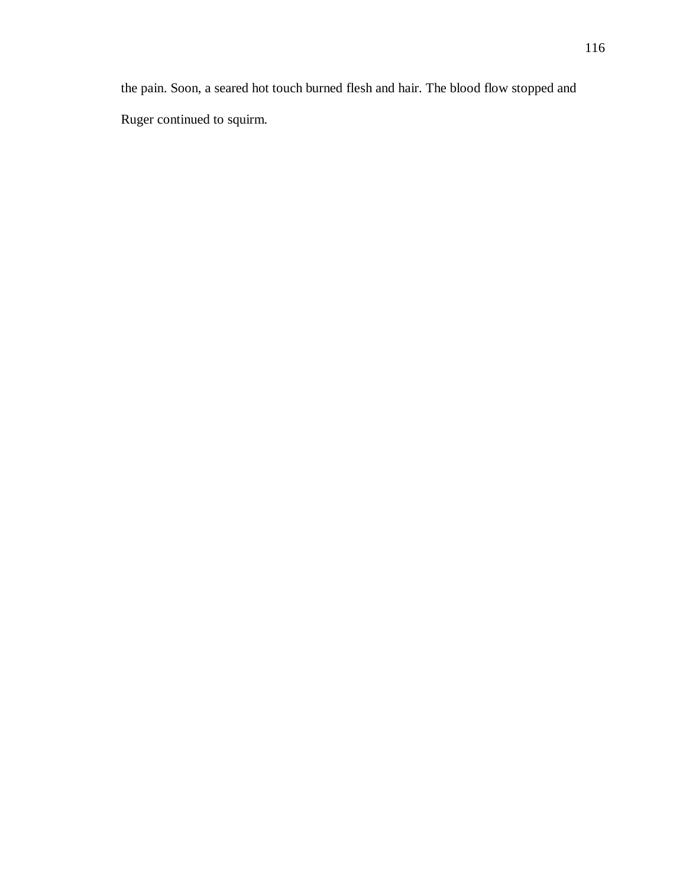the pain. Soon, a seared hot touch burned flesh and hair. The blood flow stopped and Ruger continued to squirm.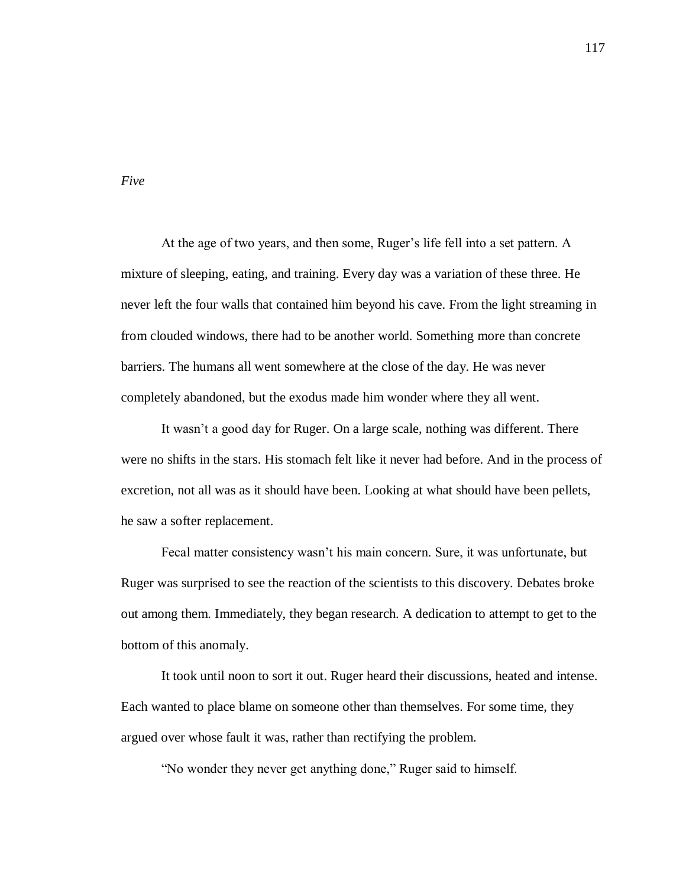*Five*

At the age of two years, and then some, Ruger's life fell into a set pattern. A mixture of sleeping, eating, and training. Every day was a variation of these three. He never left the four walls that contained him beyond his cave. From the light streaming in from clouded windows, there had to be another world. Something more than concrete barriers. The humans all went somewhere at the close of the day. He was never completely abandoned, but the exodus made him wonder where they all went.

It wasn't a good day for Ruger. On a large scale, nothing was different. There were no shifts in the stars. His stomach felt like it never had before. And in the process of excretion, not all was as it should have been. Looking at what should have been pellets, he saw a softer replacement.

Fecal matter consistency wasn't his main concern. Sure, it was unfortunate, but Ruger was surprised to see the reaction of the scientists to this discovery. Debates broke out among them. Immediately, they began research. A dedication to attempt to get to the bottom of this anomaly.

It took until noon to sort it out. Ruger heard their discussions, heated and intense. Each wanted to place blame on someone other than themselves. For some time, they argued over whose fault it was, rather than rectifying the problem.

"No wonder they never get anything done," Ruger said to himself.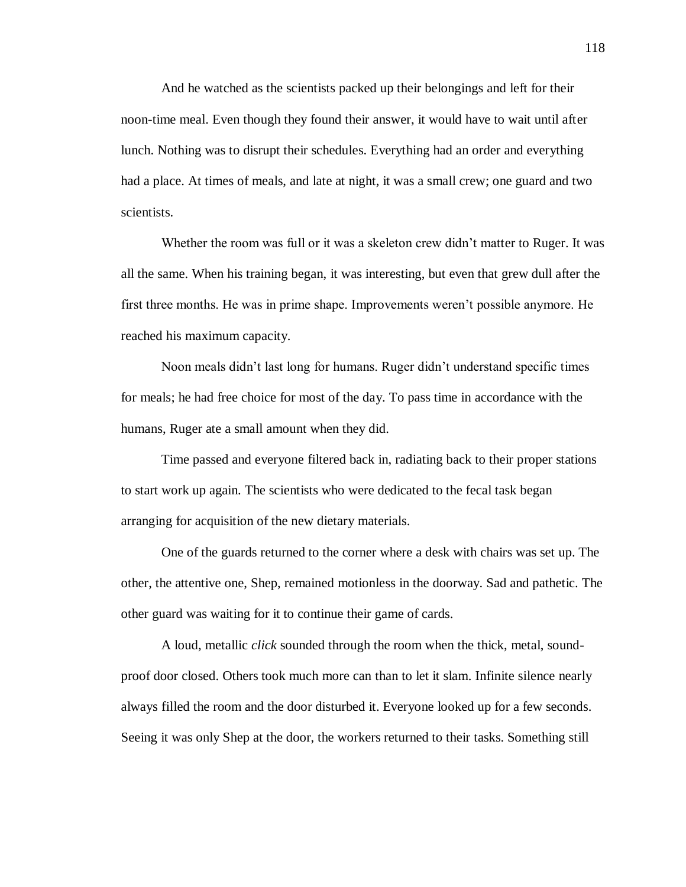And he watched as the scientists packed up their belongings and left for their noon-time meal. Even though they found their answer, it would have to wait until after lunch. Nothing was to disrupt their schedules. Everything had an order and everything had a place. At times of meals, and late at night, it was a small crew; one guard and two scientists.

Whether the room was full or it was a skeleton crew didn't matter to Ruger. It was all the same. When his training began, it was interesting, but even that grew dull after the first three months. He was in prime shape. Improvements weren't possible anymore. He reached his maximum capacity.

Noon meals didn't last long for humans. Ruger didn't understand specific times for meals; he had free choice for most of the day. To pass time in accordance with the humans, Ruger ate a small amount when they did.

Time passed and everyone filtered back in, radiating back to their proper stations to start work up again. The scientists who were dedicated to the fecal task began arranging for acquisition of the new dietary materials.

One of the guards returned to the corner where a desk with chairs was set up. The other, the attentive one, Shep, remained motionless in the doorway. Sad and pathetic. The other guard was waiting for it to continue their game of cards.

A loud, metallic *click* sounded through the room when the thick, metal, soundproof door closed. Others took much more can than to let it slam. Infinite silence nearly always filled the room and the door disturbed it. Everyone looked up for a few seconds. Seeing it was only Shep at the door, the workers returned to their tasks. Something still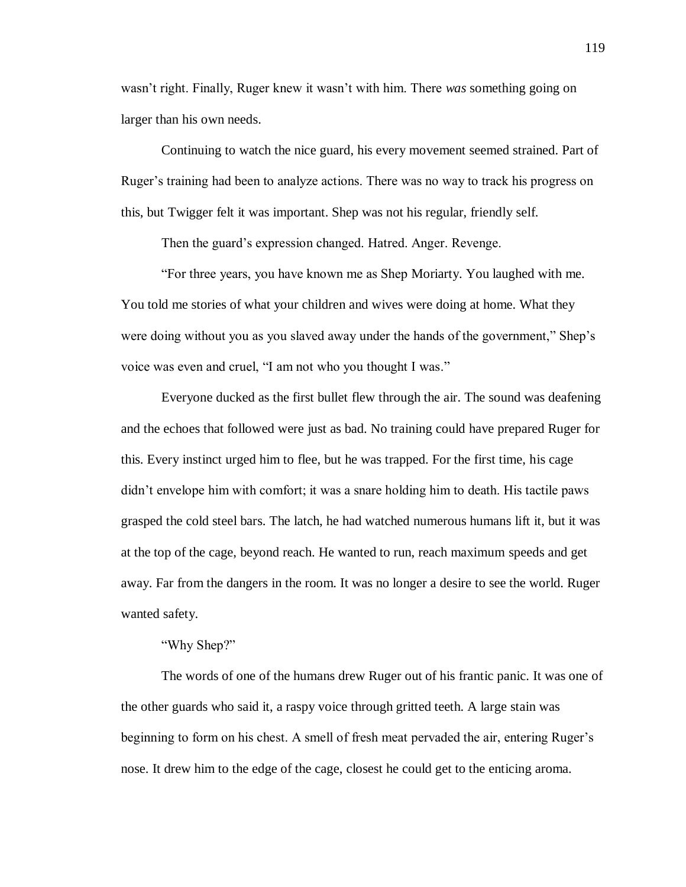wasn't right. Finally, Ruger knew it wasn't with him. There *was* something going on larger than his own needs.

Continuing to watch the nice guard, his every movement seemed strained. Part of Ruger's training had been to analyze actions. There was no way to track his progress on this, but Twigger felt it was important. Shep was not his regular, friendly self.

Then the guard's expression changed. Hatred. Anger. Revenge.

"For three years, you have known me as Shep Moriarty. You laughed with me. You told me stories of what your children and wives were doing at home. What they were doing without you as you slaved away under the hands of the government," Shep's voice was even and cruel, "I am not who you thought I was."

Everyone ducked as the first bullet flew through the air. The sound was deafening and the echoes that followed were just as bad. No training could have prepared Ruger for this. Every instinct urged him to flee, but he was trapped. For the first time, his cage didn't envelope him with comfort; it was a snare holding him to death. His tactile paws grasped the cold steel bars. The latch, he had watched numerous humans lift it, but it was at the top of the cage, beyond reach. He wanted to run, reach maximum speeds and get away. Far from the dangers in the room. It was no longer a desire to see the world. Ruger wanted safety.

"Why Shep?"

The words of one of the humans drew Ruger out of his frantic panic. It was one of the other guards who said it, a raspy voice through gritted teeth. A large stain was beginning to form on his chest. A smell of fresh meat pervaded the air, entering Ruger's nose. It drew him to the edge of the cage, closest he could get to the enticing aroma.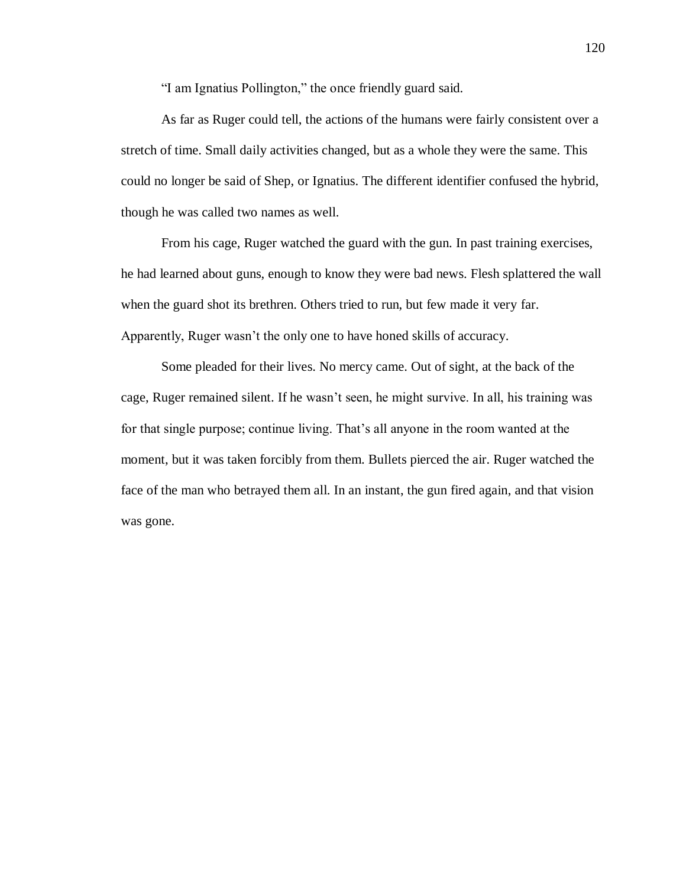"I am Ignatius Pollington," the once friendly guard said.

As far as Ruger could tell, the actions of the humans were fairly consistent over a stretch of time. Small daily activities changed, but as a whole they were the same. This could no longer be said of Shep, or Ignatius. The different identifier confused the hybrid, though he was called two names as well.

From his cage, Ruger watched the guard with the gun. In past training exercises, he had learned about guns, enough to know they were bad news. Flesh splattered the wall when the guard shot its brethren. Others tried to run, but few made it very far. Apparently, Ruger wasn't the only one to have honed skills of accuracy.

Some pleaded for their lives. No mercy came. Out of sight, at the back of the cage, Ruger remained silent. If he wasn't seen, he might survive. In all, his training was for that single purpose; continue living. That's all anyone in the room wanted at the moment, but it was taken forcibly from them. Bullets pierced the air. Ruger watched the face of the man who betrayed them all. In an instant, the gun fired again, and that vision was gone.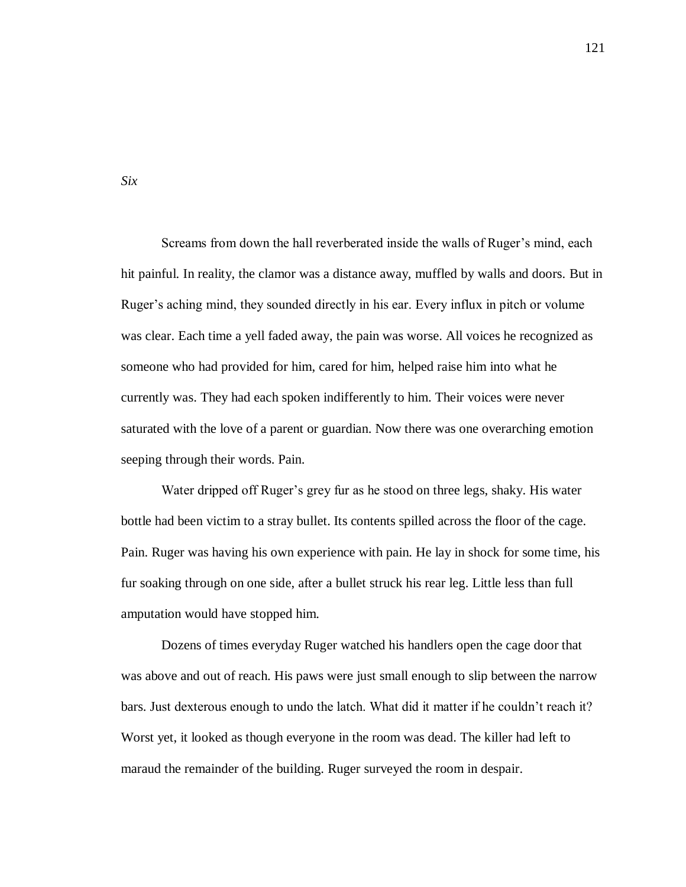Screams from down the hall reverberated inside the walls of Ruger's mind, each hit painful. In reality, the clamor was a distance away, muffled by walls and doors. But in Ruger's aching mind, they sounded directly in his ear. Every influx in pitch or volume was clear. Each time a yell faded away, the pain was worse. All voices he recognized as someone who had provided for him, cared for him, helped raise him into what he currently was. They had each spoken indifferently to him. Their voices were never saturated with the love of a parent or guardian. Now there was one overarching emotion seeping through their words. Pain.

Water dripped off Ruger's grey fur as he stood on three legs, shaky. His water bottle had been victim to a stray bullet. Its contents spilled across the floor of the cage. Pain. Ruger was having his own experience with pain. He lay in shock for some time, his fur soaking through on one side, after a bullet struck his rear leg. Little less than full amputation would have stopped him.

Dozens of times everyday Ruger watched his handlers open the cage door that was above and out of reach. His paws were just small enough to slip between the narrow bars. Just dexterous enough to undo the latch. What did it matter if he couldn't reach it? Worst yet, it looked as though everyone in the room was dead. The killer had left to maraud the remainder of the building. Ruger surveyed the room in despair.

*Six*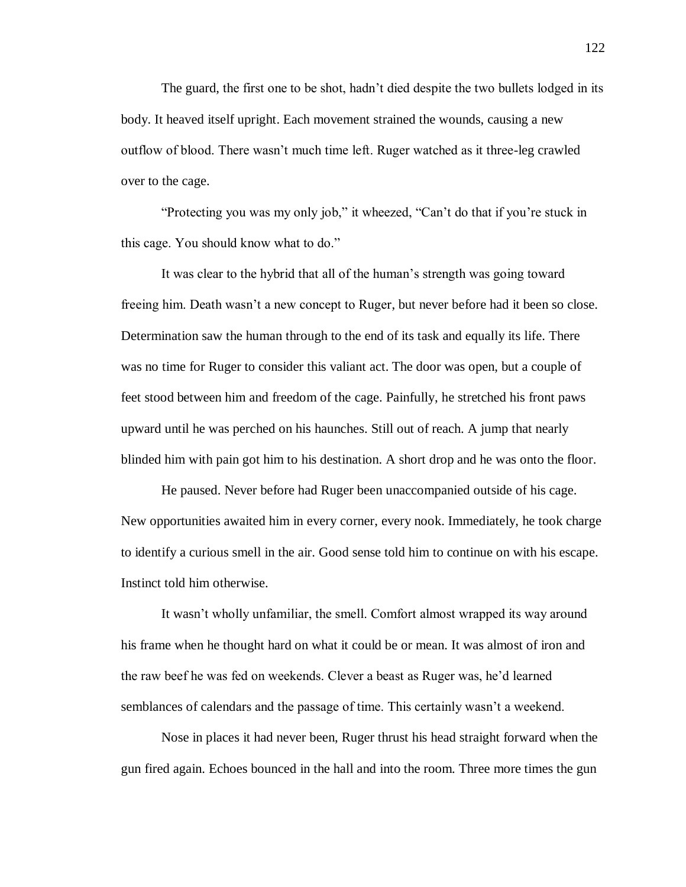The guard, the first one to be shot, hadn't died despite the two bullets lodged in its body. It heaved itself upright. Each movement strained the wounds, causing a new outflow of blood. There wasn't much time left. Ruger watched as it three-leg crawled over to the cage.

"Protecting you was my only job," it wheezed, "Can't do that if you're stuck in this cage. You should know what to do."

It was clear to the hybrid that all of the human's strength was going toward freeing him. Death wasn't a new concept to Ruger, but never before had it been so close. Determination saw the human through to the end of its task and equally its life. There was no time for Ruger to consider this valiant act. The door was open, but a couple of feet stood between him and freedom of the cage. Painfully, he stretched his front paws upward until he was perched on his haunches. Still out of reach. A jump that nearly blinded him with pain got him to his destination. A short drop and he was onto the floor.

He paused. Never before had Ruger been unaccompanied outside of his cage. New opportunities awaited him in every corner, every nook. Immediately, he took charge to identify a curious smell in the air. Good sense told him to continue on with his escape. Instinct told him otherwise.

It wasn't wholly unfamiliar, the smell. Comfort almost wrapped its way around his frame when he thought hard on what it could be or mean. It was almost of iron and the raw beef he was fed on weekends. Clever a beast as Ruger was, he'd learned semblances of calendars and the passage of time. This certainly wasn't a weekend.

Nose in places it had never been, Ruger thrust his head straight forward when the gun fired again. Echoes bounced in the hall and into the room. Three more times the gun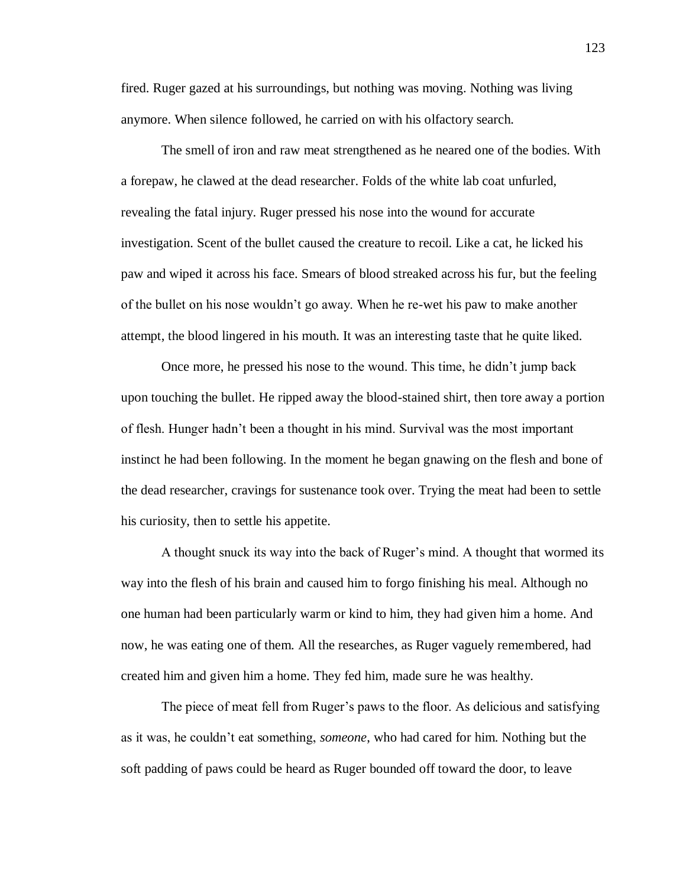fired. Ruger gazed at his surroundings, but nothing was moving. Nothing was living anymore. When silence followed, he carried on with his olfactory search.

The smell of iron and raw meat strengthened as he neared one of the bodies. With a forepaw, he clawed at the dead researcher. Folds of the white lab coat unfurled, revealing the fatal injury. Ruger pressed his nose into the wound for accurate investigation. Scent of the bullet caused the creature to recoil. Like a cat, he licked his paw and wiped it across his face. Smears of blood streaked across his fur, but the feeling of the bullet on his nose wouldn't go away. When he re-wet his paw to make another attempt, the blood lingered in his mouth. It was an interesting taste that he quite liked.

Once more, he pressed his nose to the wound. This time, he didn't jump back upon touching the bullet. He ripped away the blood-stained shirt, then tore away a portion of flesh. Hunger hadn't been a thought in his mind. Survival was the most important instinct he had been following. In the moment he began gnawing on the flesh and bone of the dead researcher, cravings for sustenance took over. Trying the meat had been to settle his curiosity, then to settle his appetite.

A thought snuck its way into the back of Ruger's mind. A thought that wormed its way into the flesh of his brain and caused him to forgo finishing his meal. Although no one human had been particularly warm or kind to him, they had given him a home. And now, he was eating one of them. All the researches, as Ruger vaguely remembered, had created him and given him a home. They fed him, made sure he was healthy.

The piece of meat fell from Ruger's paws to the floor. As delicious and satisfying as it was, he couldn't eat something, *someone*, who had cared for him. Nothing but the soft padding of paws could be heard as Ruger bounded off toward the door, to leave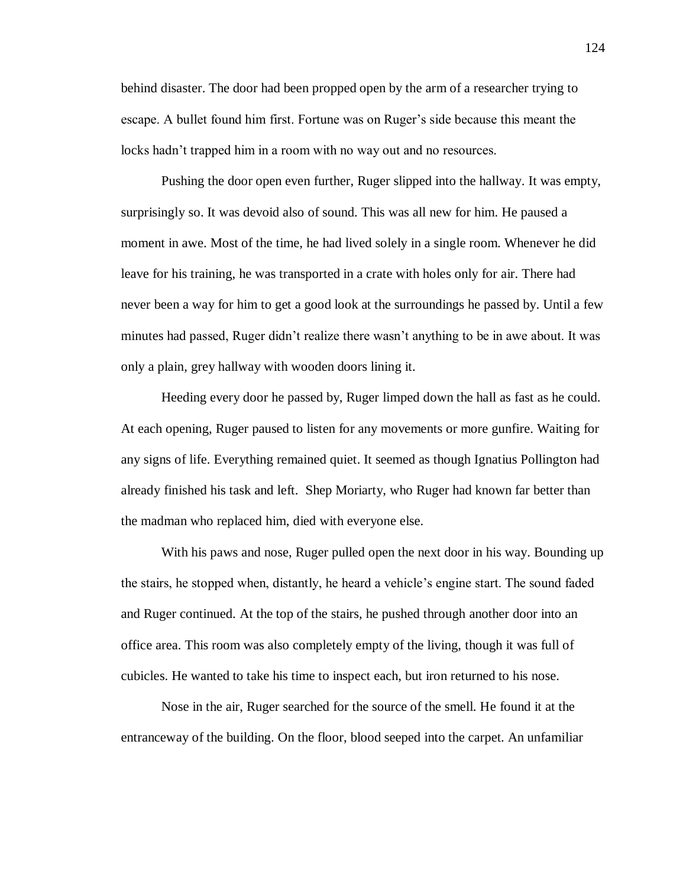behind disaster. The door had been propped open by the arm of a researcher trying to escape. A bullet found him first. Fortune was on Ruger's side because this meant the locks hadn't trapped him in a room with no way out and no resources.

Pushing the door open even further, Ruger slipped into the hallway. It was empty, surprisingly so. It was devoid also of sound. This was all new for him. He paused a moment in awe. Most of the time, he had lived solely in a single room. Whenever he did leave for his training, he was transported in a crate with holes only for air. There had never been a way for him to get a good look at the surroundings he passed by. Until a few minutes had passed, Ruger didn't realize there wasn't anything to be in awe about. It was only a plain, grey hallway with wooden doors lining it.

Heeding every door he passed by, Ruger limped down the hall as fast as he could. At each opening, Ruger paused to listen for any movements or more gunfire. Waiting for any signs of life. Everything remained quiet. It seemed as though Ignatius Pollington had already finished his task and left. Shep Moriarty, who Ruger had known far better than the madman who replaced him, died with everyone else.

With his paws and nose, Ruger pulled open the next door in his way. Bounding up the stairs, he stopped when, distantly, he heard a vehicle's engine start. The sound faded and Ruger continued. At the top of the stairs, he pushed through another door into an office area. This room was also completely empty of the living, though it was full of cubicles. He wanted to take his time to inspect each, but iron returned to his nose.

Nose in the air, Ruger searched for the source of the smell. He found it at the entranceway of the building. On the floor, blood seeped into the carpet. An unfamiliar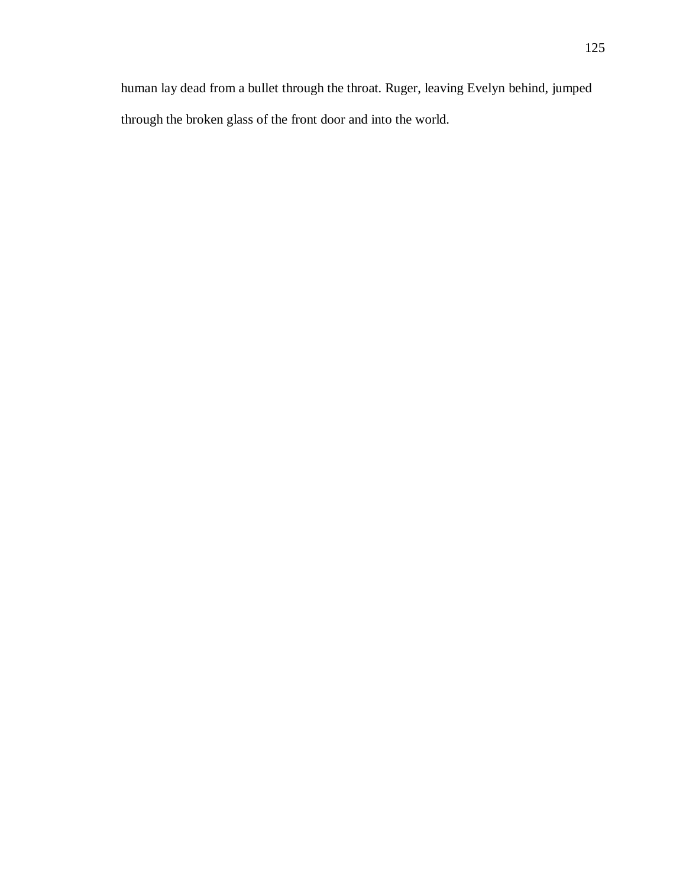human lay dead from a bullet through the throat. Ruger, leaving Evelyn behind, jumped through the broken glass of the front door and into the world.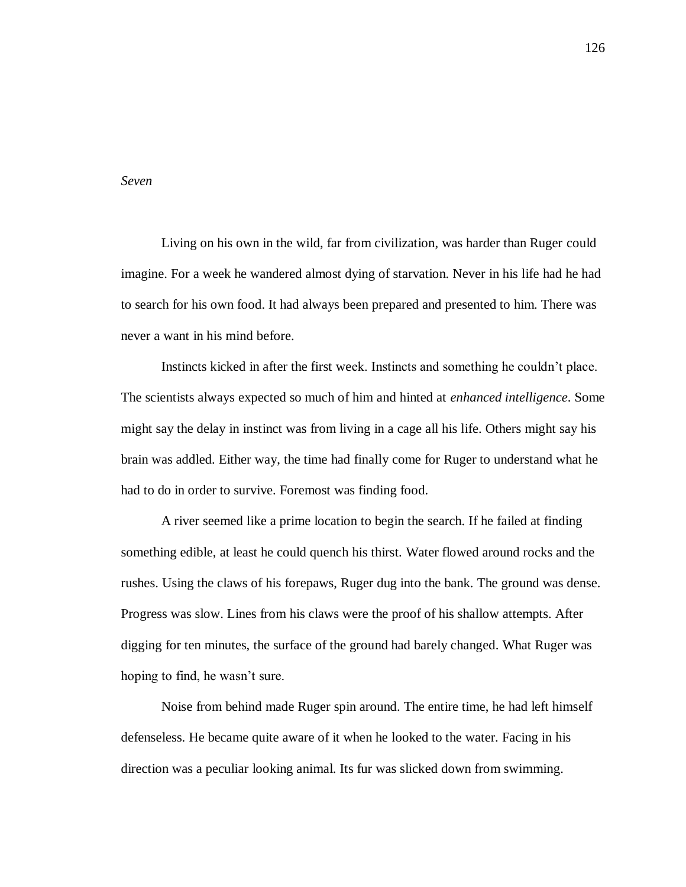## *Seven*

Living on his own in the wild, far from civilization, was harder than Ruger could imagine. For a week he wandered almost dying of starvation. Never in his life had he had to search for his own food. It had always been prepared and presented to him. There was never a want in his mind before.

Instincts kicked in after the first week. Instincts and something he couldn't place. The scientists always expected so much of him and hinted at *enhanced intelligence*. Some might say the delay in instinct was from living in a cage all his life. Others might say his brain was addled. Either way, the time had finally come for Ruger to understand what he had to do in order to survive. Foremost was finding food.

A river seemed like a prime location to begin the search. If he failed at finding something edible, at least he could quench his thirst. Water flowed around rocks and the rushes. Using the claws of his forepaws, Ruger dug into the bank. The ground was dense. Progress was slow. Lines from his claws were the proof of his shallow attempts. After digging for ten minutes, the surface of the ground had barely changed. What Ruger was hoping to find, he wasn't sure.

Noise from behind made Ruger spin around. The entire time, he had left himself defenseless. He became quite aware of it when he looked to the water. Facing in his direction was a peculiar looking animal. Its fur was slicked down from swimming.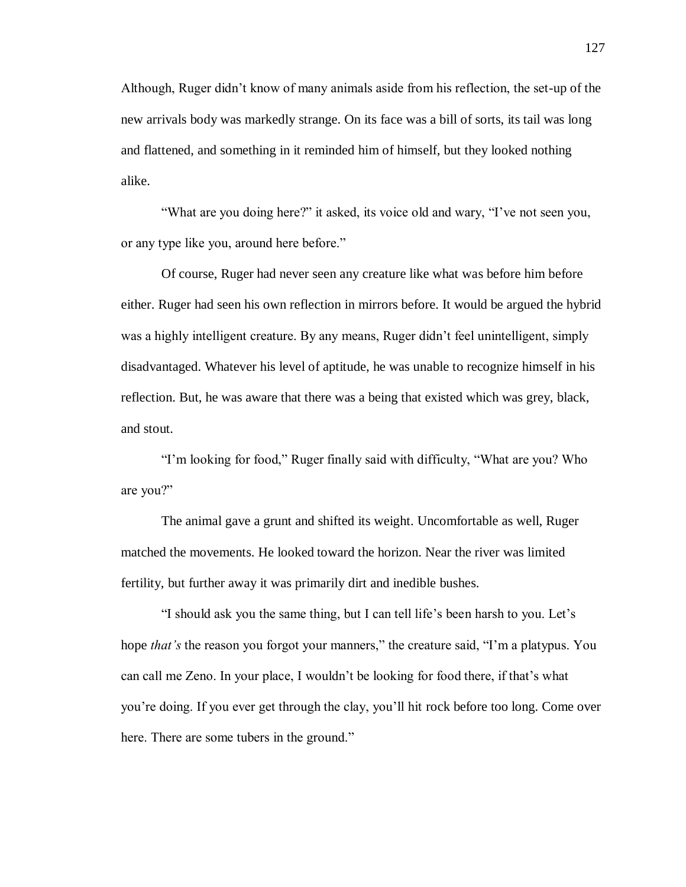Although, Ruger didn't know of many animals aside from his reflection, the set-up of the new arrivals body was markedly strange. On its face was a bill of sorts, its tail was long and flattened, and something in it reminded him of himself, but they looked nothing alike.

"What are you doing here?" it asked, its voice old and wary, "I've not seen you, or any type like you, around here before."

Of course, Ruger had never seen any creature like what was before him before either. Ruger had seen his own reflection in mirrors before. It would be argued the hybrid was a highly intelligent creature. By any means, Ruger didn't feel unintelligent, simply disadvantaged. Whatever his level of aptitude, he was unable to recognize himself in his reflection. But, he was aware that there was a being that existed which was grey, black, and stout.

"I'm looking for food," Ruger finally said with difficulty, "What are you? Who are you?"

The animal gave a grunt and shifted its weight. Uncomfortable as well, Ruger matched the movements. He looked toward the horizon. Near the river was limited fertility, but further away it was primarily dirt and inedible bushes.

"I should ask you the same thing, but I can tell life's been harsh to you. Let's hope *that's* the reason you forgot your manners," the creature said, "I'm a platypus. You can call me Zeno. In your place, I wouldn't be looking for food there, if that's what you're doing. If you ever get through the clay, you'll hit rock before too long. Come over here. There are some tubers in the ground."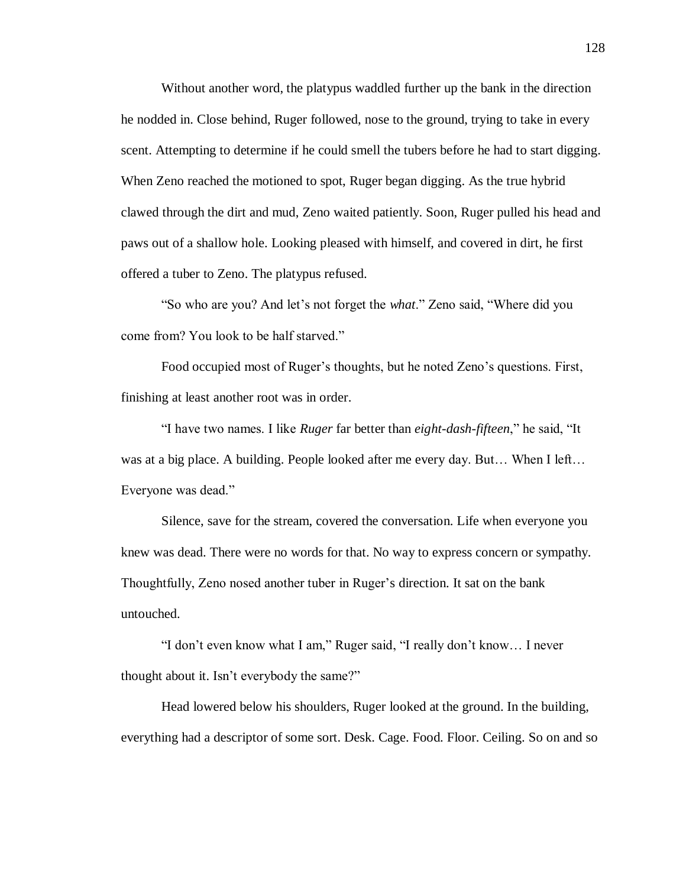Without another word, the platypus waddled further up the bank in the direction he nodded in. Close behind, Ruger followed, nose to the ground, trying to take in every scent. Attempting to determine if he could smell the tubers before he had to start digging. When Zeno reached the motioned to spot, Ruger began digging. As the true hybrid clawed through the dirt and mud, Zeno waited patiently. Soon, Ruger pulled his head and paws out of a shallow hole. Looking pleased with himself, and covered in dirt, he first offered a tuber to Zeno. The platypus refused.

"So who are you? And let's not forget the *what*." Zeno said, "Where did you come from? You look to be half starved."

Food occupied most of Ruger's thoughts, but he noted Zeno's questions. First, finishing at least another root was in order.

"I have two names. I like *Ruger* far better than *eight-dash-fifteen*," he said, "It was at a big place. A building. People looked after me every day. But... When I left... Everyone was dead."

Silence, save for the stream, covered the conversation. Life when everyone you knew was dead. There were no words for that. No way to express concern or sympathy. Thoughtfully, Zeno nosed another tuber in Ruger's direction. It sat on the bank untouched.

"I don't even know what I am," Ruger said, "I really don't know… I never thought about it. Isn't everybody the same?"

Head lowered below his shoulders, Ruger looked at the ground. In the building, everything had a descriptor of some sort. Desk. Cage. Food. Floor. Ceiling. So on and so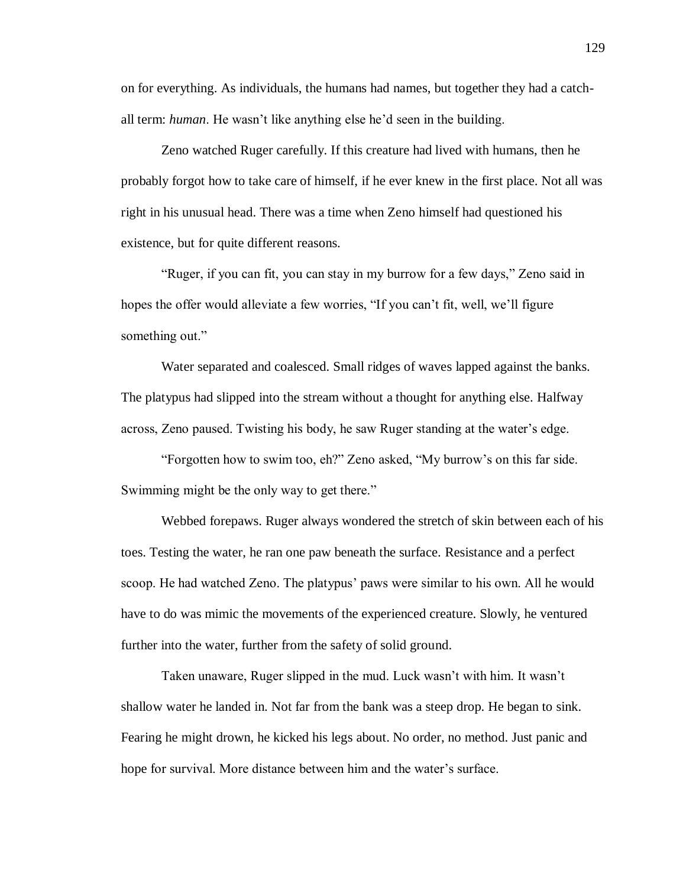on for everything. As individuals, the humans had names, but together they had a catchall term: *human*. He wasn't like anything else he'd seen in the building.

Zeno watched Ruger carefully. If this creature had lived with humans, then he probably forgot how to take care of himself, if he ever knew in the first place. Not all was right in his unusual head. There was a time when Zeno himself had questioned his existence, but for quite different reasons.

"Ruger, if you can fit, you can stay in my burrow for a few days," Zeno said in hopes the offer would alleviate a few worries, "If you can't fit, well, we'll figure something out."

Water separated and coalesced. Small ridges of waves lapped against the banks. The platypus had slipped into the stream without a thought for anything else. Halfway across, Zeno paused. Twisting his body, he saw Ruger standing at the water's edge.

"Forgotten how to swim too, eh?" Zeno asked, "My burrow's on this far side. Swimming might be the only way to get there."

Webbed forepaws. Ruger always wondered the stretch of skin between each of his toes. Testing the water, he ran one paw beneath the surface. Resistance and a perfect scoop. He had watched Zeno. The platypus' paws were similar to his own. All he would have to do was mimic the movements of the experienced creature. Slowly, he ventured further into the water, further from the safety of solid ground.

Taken unaware, Ruger slipped in the mud. Luck wasn't with him. It wasn't shallow water he landed in. Not far from the bank was a steep drop. He began to sink. Fearing he might drown, he kicked his legs about. No order, no method. Just panic and hope for survival. More distance between him and the water's surface.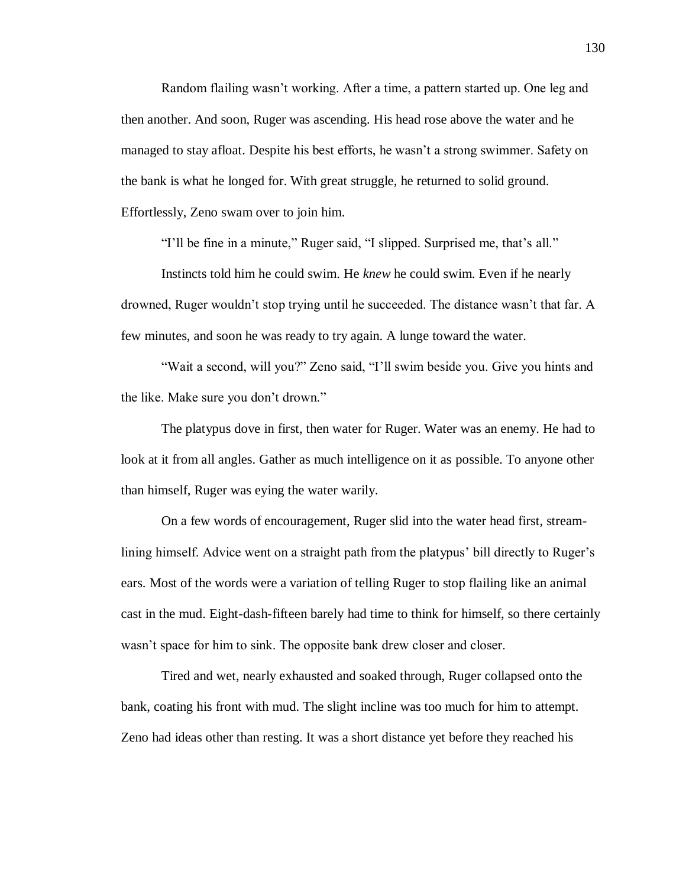Random flailing wasn't working. After a time, a pattern started up. One leg and then another. And soon, Ruger was ascending. His head rose above the water and he managed to stay afloat. Despite his best efforts, he wasn't a strong swimmer. Safety on the bank is what he longed for. With great struggle, he returned to solid ground. Effortlessly, Zeno swam over to join him.

"I'll be fine in a minute," Ruger said, "I slipped. Surprised me, that's all."

Instincts told him he could swim. He *knew* he could swim. Even if he nearly drowned, Ruger wouldn't stop trying until he succeeded. The distance wasn't that far. A few minutes, and soon he was ready to try again. A lunge toward the water.

"Wait a second, will you?" Zeno said, "I'll swim beside you. Give you hints and the like. Make sure you don't drown."

The platypus dove in first, then water for Ruger. Water was an enemy. He had to look at it from all angles. Gather as much intelligence on it as possible. To anyone other than himself, Ruger was eying the water warily.

On a few words of encouragement, Ruger slid into the water head first, streamlining himself. Advice went on a straight path from the platypus' bill directly to Ruger's ears. Most of the words were a variation of telling Ruger to stop flailing like an animal cast in the mud. Eight-dash-fifteen barely had time to think for himself, so there certainly wasn't space for him to sink. The opposite bank drew closer and closer.

Tired and wet, nearly exhausted and soaked through, Ruger collapsed onto the bank, coating his front with mud. The slight incline was too much for him to attempt. Zeno had ideas other than resting. It was a short distance yet before they reached his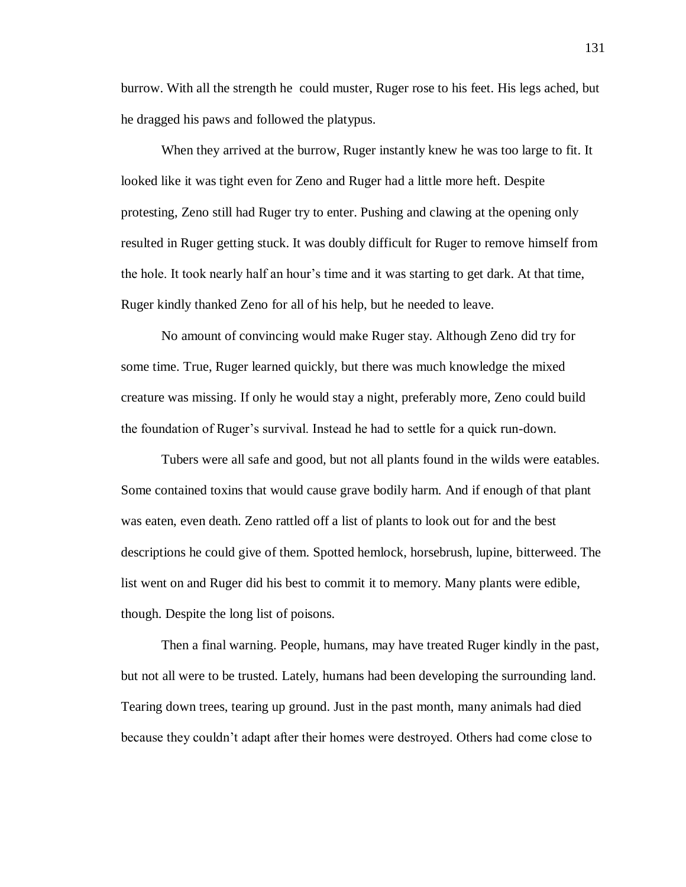burrow. With all the strength he could muster, Ruger rose to his feet. His legs ached, but he dragged his paws and followed the platypus.

When they arrived at the burrow, Ruger instantly knew he was too large to fit. It looked like it was tight even for Zeno and Ruger had a little more heft. Despite protesting, Zeno still had Ruger try to enter. Pushing and clawing at the opening only resulted in Ruger getting stuck. It was doubly difficult for Ruger to remove himself from the hole. It took nearly half an hour's time and it was starting to get dark. At that time, Ruger kindly thanked Zeno for all of his help, but he needed to leave.

No amount of convincing would make Ruger stay. Although Zeno did try for some time. True, Ruger learned quickly, but there was much knowledge the mixed creature was missing. If only he would stay a night, preferably more, Zeno could build the foundation of Ruger's survival. Instead he had to settle for a quick run-down.

Tubers were all safe and good, but not all plants found in the wilds were eatables. Some contained toxins that would cause grave bodily harm. And if enough of that plant was eaten, even death. Zeno rattled off a list of plants to look out for and the best descriptions he could give of them. Spotted hemlock, horsebrush, lupine, bitterweed. The list went on and Ruger did his best to commit it to memory. Many plants were edible, though. Despite the long list of poisons.

Then a final warning. People, humans, may have treated Ruger kindly in the past, but not all were to be trusted. Lately, humans had been developing the surrounding land. Tearing down trees, tearing up ground. Just in the past month, many animals had died because they couldn't adapt after their homes were destroyed. Others had come close to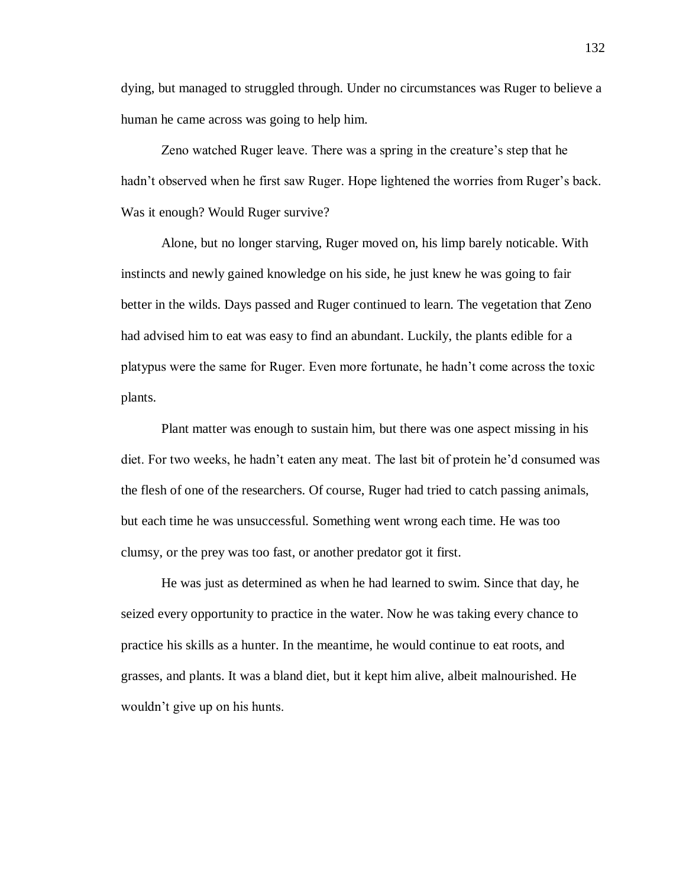dying, but managed to struggled through. Under no circumstances was Ruger to believe a human he came across was going to help him.

Zeno watched Ruger leave. There was a spring in the creature's step that he hadn't observed when he first saw Ruger. Hope lightened the worries from Ruger's back. Was it enough? Would Ruger survive?

Alone, but no longer starving, Ruger moved on, his limp barely noticable. With instincts and newly gained knowledge on his side, he just knew he was going to fair better in the wilds. Days passed and Ruger continued to learn. The vegetation that Zeno had advised him to eat was easy to find an abundant. Luckily, the plants edible for a platypus were the same for Ruger. Even more fortunate, he hadn't come across the toxic plants.

Plant matter was enough to sustain him, but there was one aspect missing in his diet. For two weeks, he hadn't eaten any meat. The last bit of protein he'd consumed was the flesh of one of the researchers. Of course, Ruger had tried to catch passing animals, but each time he was unsuccessful. Something went wrong each time. He was too clumsy, or the prey was too fast, or another predator got it first.

He was just as determined as when he had learned to swim. Since that day, he seized every opportunity to practice in the water. Now he was taking every chance to practice his skills as a hunter. In the meantime, he would continue to eat roots, and grasses, and plants. It was a bland diet, but it kept him alive, albeit malnourished. He wouldn't give up on his hunts.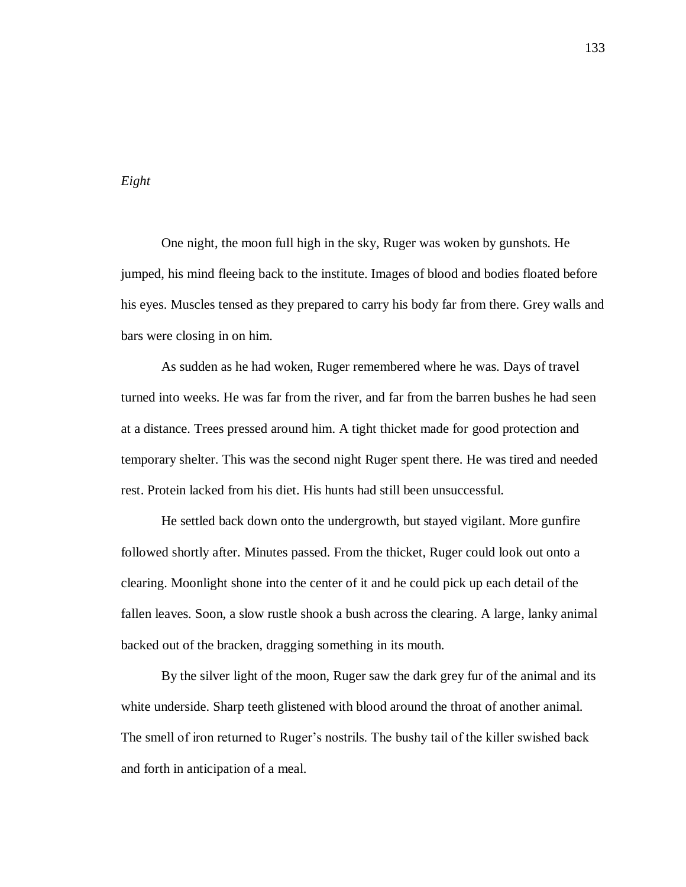## *Eight*

One night, the moon full high in the sky, Ruger was woken by gunshots. He jumped, his mind fleeing back to the institute. Images of blood and bodies floated before his eyes. Muscles tensed as they prepared to carry his body far from there. Grey walls and bars were closing in on him.

As sudden as he had woken, Ruger remembered where he was. Days of travel turned into weeks. He was far from the river, and far from the barren bushes he had seen at a distance. Trees pressed around him. A tight thicket made for good protection and temporary shelter. This was the second night Ruger spent there. He was tired and needed rest. Protein lacked from his diet. His hunts had still been unsuccessful.

He settled back down onto the undergrowth, but stayed vigilant. More gunfire followed shortly after. Minutes passed. From the thicket, Ruger could look out onto a clearing. Moonlight shone into the center of it and he could pick up each detail of the fallen leaves. Soon, a slow rustle shook a bush across the clearing. A large, lanky animal backed out of the bracken, dragging something in its mouth.

By the silver light of the moon, Ruger saw the dark grey fur of the animal and its white underside. Sharp teeth glistened with blood around the throat of another animal. The smell of iron returned to Ruger's nostrils. The bushy tail of the killer swished back and forth in anticipation of a meal.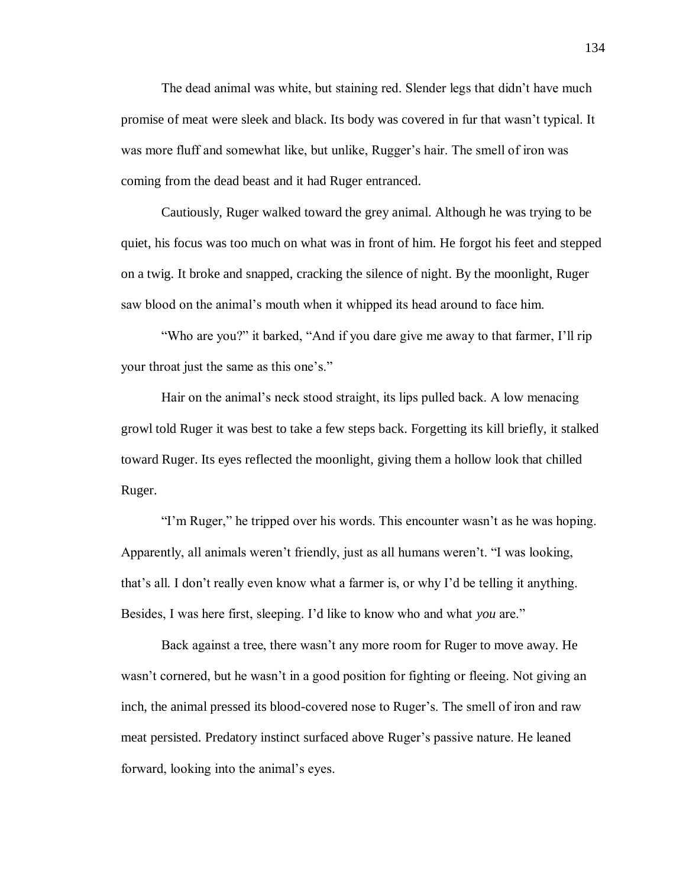The dead animal was white, but staining red. Slender legs that didn't have much promise of meat were sleek and black. Its body was covered in fur that wasn't typical. It was more fluff and somewhat like, but unlike, Rugger's hair. The smell of iron was coming from the dead beast and it had Ruger entranced.

Cautiously, Ruger walked toward the grey animal. Although he was trying to be quiet, his focus was too much on what was in front of him. He forgot his feet and stepped on a twig. It broke and snapped, cracking the silence of night. By the moonlight, Ruger saw blood on the animal's mouth when it whipped its head around to face him.

"Who are you?" it barked, "And if you dare give me away to that farmer, I'll rip your throat just the same as this one's."

Hair on the animal's neck stood straight, its lips pulled back. A low menacing growl told Ruger it was best to take a few steps back. Forgetting its kill briefly, it stalked toward Ruger. Its eyes reflected the moonlight, giving them a hollow look that chilled Ruger.

"I'm Ruger," he tripped over his words. This encounter wasn't as he was hoping. Apparently, all animals weren't friendly, just as all humans weren't. "I was looking, that's all. I don't really even know what a farmer is, or why I'd be telling it anything. Besides, I was here first, sleeping. I'd like to know who and what *you* are."

Back against a tree, there wasn't any more room for Ruger to move away. He wasn't cornered, but he wasn't in a good position for fighting or fleeing. Not giving an inch, the animal pressed its blood-covered nose to Ruger's. The smell of iron and raw meat persisted. Predatory instinct surfaced above Ruger's passive nature. He leaned forward, looking into the animal's eyes.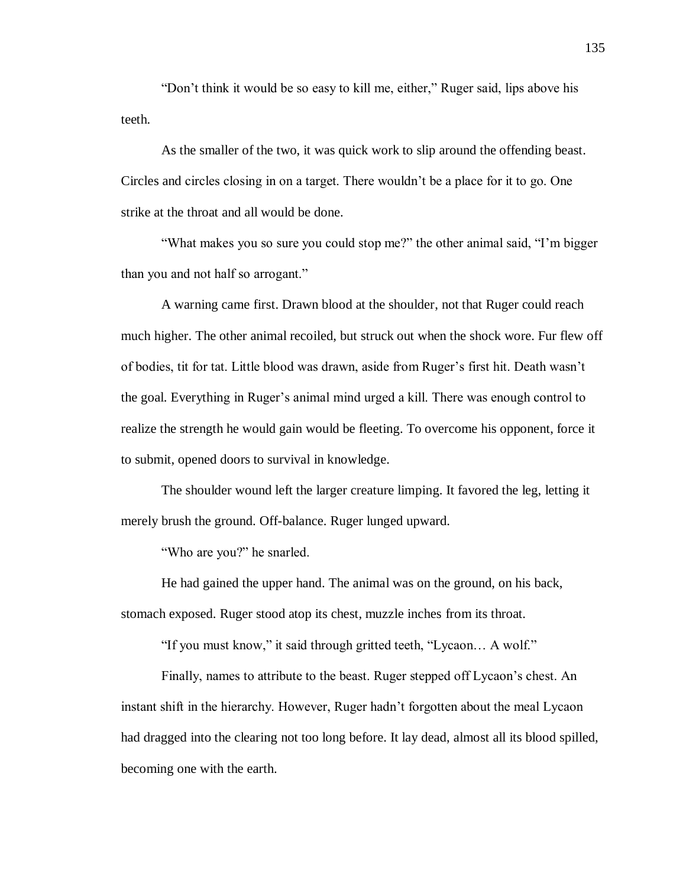"Don't think it would be so easy to kill me, either," Ruger said, lips above his teeth.

As the smaller of the two, it was quick work to slip around the offending beast. Circles and circles closing in on a target. There wouldn't be a place for it to go. One strike at the throat and all would be done.

"What makes you so sure you could stop me?" the other animal said, "I'm bigger than you and not half so arrogant."

A warning came first. Drawn blood at the shoulder, not that Ruger could reach much higher. The other animal recoiled, but struck out when the shock wore. Fur flew off of bodies, tit for tat. Little blood was drawn, aside from Ruger's first hit. Death wasn't the goal. Everything in Ruger's animal mind urged a kill. There was enough control to realize the strength he would gain would be fleeting. To overcome his opponent, force it to submit, opened doors to survival in knowledge.

The shoulder wound left the larger creature limping. It favored the leg, letting it merely brush the ground. Off-balance. Ruger lunged upward.

"Who are you?" he snarled.

He had gained the upper hand. The animal was on the ground, on his back, stomach exposed. Ruger stood atop its chest, muzzle inches from its throat.

"If you must know," it said through gritted teeth, "Lycaon… A wolf."

Finally, names to attribute to the beast. Ruger stepped off Lycaon's chest. An instant shift in the hierarchy. However, Ruger hadn't forgotten about the meal Lycaon had dragged into the clearing not too long before. It lay dead, almost all its blood spilled, becoming one with the earth.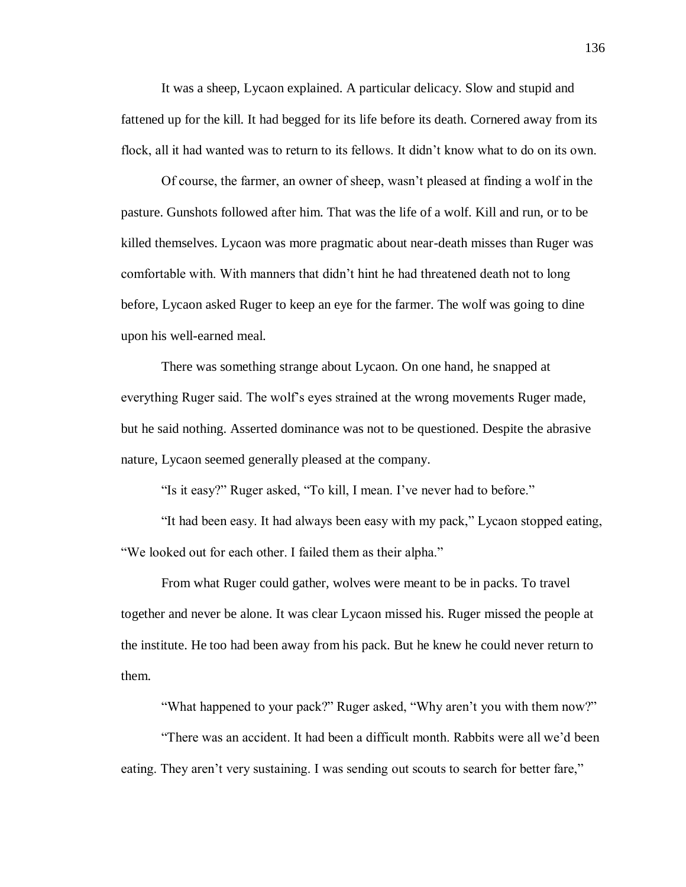It was a sheep, Lycaon explained. A particular delicacy. Slow and stupid and fattened up for the kill. It had begged for its life before its death. Cornered away from its flock, all it had wanted was to return to its fellows. It didn't know what to do on its own.

Of course, the farmer, an owner of sheep, wasn't pleased at finding a wolf in the pasture. Gunshots followed after him. That was the life of a wolf. Kill and run, or to be killed themselves. Lycaon was more pragmatic about near-death misses than Ruger was comfortable with. With manners that didn't hint he had threatened death not to long before, Lycaon asked Ruger to keep an eye for the farmer. The wolf was going to dine upon his well-earned meal.

There was something strange about Lycaon. On one hand, he snapped at everything Ruger said. The wolf's eyes strained at the wrong movements Ruger made, but he said nothing. Asserted dominance was not to be questioned. Despite the abrasive nature, Lycaon seemed generally pleased at the company.

"Is it easy?" Ruger asked, "To kill, I mean. I've never had to before."

"It had been easy. It had always been easy with my pack," Lycaon stopped eating, "We looked out for each other. I failed them as their alpha."

From what Ruger could gather, wolves were meant to be in packs. To travel together and never be alone. It was clear Lycaon missed his. Ruger missed the people at the institute. He too had been away from his pack. But he knew he could never return to them.

"What happened to your pack?" Ruger asked, "Why aren't you with them now?"

"There was an accident. It had been a difficult month. Rabbits were all we'd been eating. They aren't very sustaining. I was sending out scouts to search for better fare,"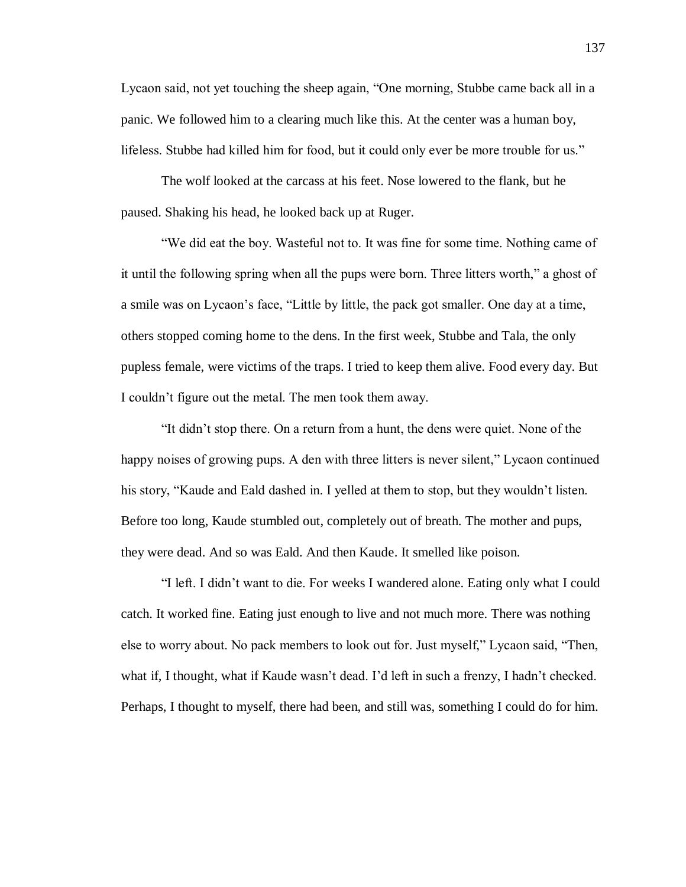Lycaon said, not yet touching the sheep again, "One morning, Stubbe came back all in a panic. We followed him to a clearing much like this. At the center was a human boy, lifeless. Stubbe had killed him for food, but it could only ever be more trouble for us."

The wolf looked at the carcass at his feet. Nose lowered to the flank, but he paused. Shaking his head, he looked back up at Ruger.

"We did eat the boy. Wasteful not to. It was fine for some time. Nothing came of it until the following spring when all the pups were born. Three litters worth," a ghost of a smile was on Lycaon's face, "Little by little, the pack got smaller. One day at a time, others stopped coming home to the dens. In the first week, Stubbe and Tala, the only pupless female, were victims of the traps. I tried to keep them alive. Food every day. But I couldn't figure out the metal. The men took them away.

"It didn't stop there. On a return from a hunt, the dens were quiet. None of the happy noises of growing pups. A den with three litters is never silent," Lycaon continued his story, "Kaude and Eald dashed in. I yelled at them to stop, but they wouldn't listen. Before too long, Kaude stumbled out, completely out of breath. The mother and pups, they were dead. And so was Eald. And then Kaude. It smelled like poison.

"I left. I didn't want to die. For weeks I wandered alone. Eating only what I could catch. It worked fine. Eating just enough to live and not much more. There was nothing else to worry about. No pack members to look out for. Just myself," Lycaon said, "Then, what if, I thought, what if Kaude wasn't dead. I'd left in such a frenzy, I hadn't checked. Perhaps, I thought to myself, there had been, and still was, something I could do for him.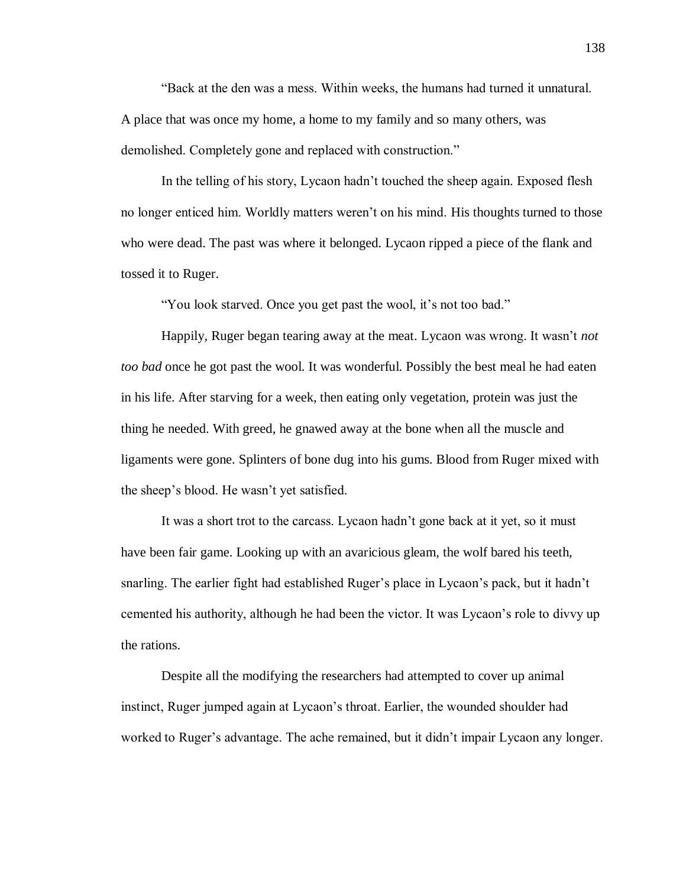"Back at the den was a mess. Within weeks, the humans had turned it unnatural. A place that was once my home, a home to my family and so many others, was demolished. Completely gone and replaced with construction."

In the telling of his story, Lycaon hadn't touched the sheep again. Exposed flesh no longer enticed him. Worldly matters weren't on his mind. His thoughts turned to those who were dead. The past was where it belonged. Lycaon ripped a piece of the flank and tossed it to Ruger.

"You look starved. Once you get past the wool, it's not too bad."

Happily, Ruger began tearing away at the meat. Lycaon was wrong. It wasn't *not too bad* once he got past the wool. It was wonderful. Possibly the best meal he had eaten in his life. After starving for a week, then eating only vegetation, protein was just the thing he needed. With greed, he gnawed away at the bone when all the muscle and ligaments were gone. Splinters of bone dug into his gums. Blood from Ruger mixed with the sheep's blood. He wasn't yet satisfied.

It was a short trot to the carcass. Lycaon hadn't gone back at it yet, so it must have been fair game. Looking up with an avaricious gleam, the wolf bared his teeth, snarling. The earlier fight had established Ruger's place in Lycaon's pack, but it hadn't cemented his authority, although he had been the victor. It was Lycaon's role to divvy up the rations.

Despite all the modifying the researchers had attempted to cover up animal instinct, Ruger jumped again at Lycaon's throat. Earlier, the wounded shoulder had worked to Ruger's advantage. The ache remained, but it didn't impair Lycaon any longer.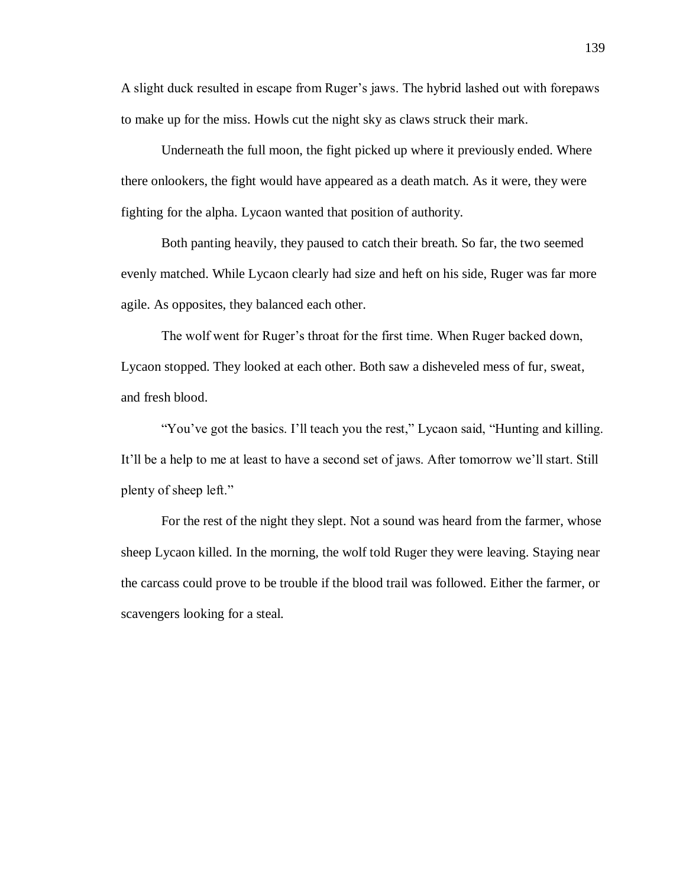A slight duck resulted in escape from Ruger's jaws. The hybrid lashed out with forepaws to make up for the miss. Howls cut the night sky as claws struck their mark.

Underneath the full moon, the fight picked up where it previously ended. Where there onlookers, the fight would have appeared as a death match. As it were, they were fighting for the alpha. Lycaon wanted that position of authority.

Both panting heavily, they paused to catch their breath. So far, the two seemed evenly matched. While Lycaon clearly had size and heft on his side, Ruger was far more agile. As opposites, they balanced each other.

The wolf went for Ruger's throat for the first time. When Ruger backed down, Lycaon stopped. They looked at each other. Both saw a disheveled mess of fur, sweat, and fresh blood.

"You've got the basics. I'll teach you the rest," Lycaon said, "Hunting and killing. It'll be a help to me at least to have a second set of jaws. After tomorrow we'll start. Still plenty of sheep left."

For the rest of the night they slept. Not a sound was heard from the farmer, whose sheep Lycaon killed. In the morning, the wolf told Ruger they were leaving. Staying near the carcass could prove to be trouble if the blood trail was followed. Either the farmer, or scavengers looking for a steal.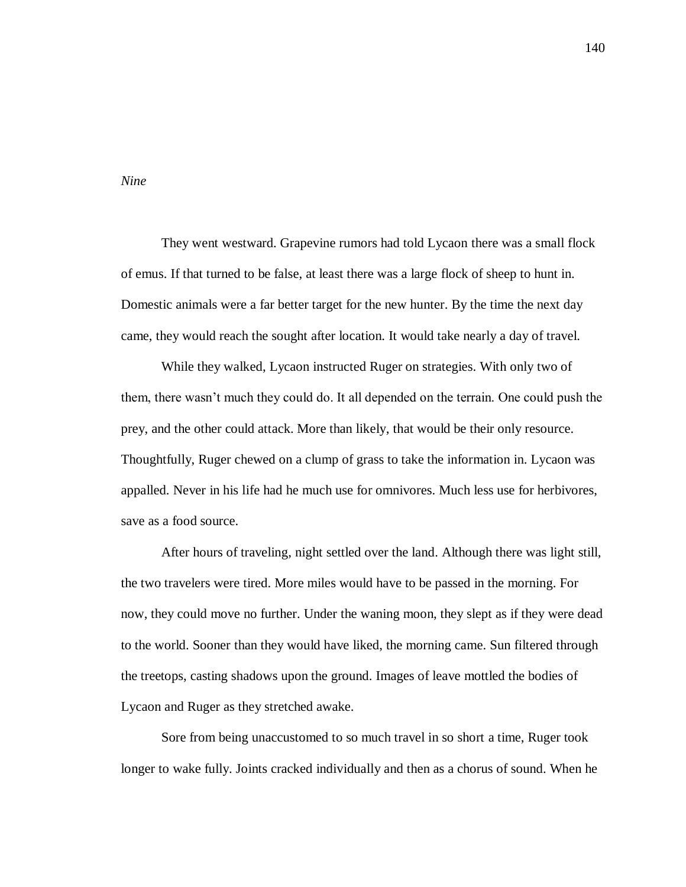*Nine*

They went westward. Grapevine rumors had told Lycaon there was a small flock of emus. If that turned to be false, at least there was a large flock of sheep to hunt in. Domestic animals were a far better target for the new hunter. By the time the next day came, they would reach the sought after location. It would take nearly a day of travel.

While they walked, Lycaon instructed Ruger on strategies. With only two of them, there wasn't much they could do. It all depended on the terrain. One could push the prey, and the other could attack. More than likely, that would be their only resource. Thoughtfully, Ruger chewed on a clump of grass to take the information in. Lycaon was appalled. Never in his life had he much use for omnivores. Much less use for herbivores, save as a food source.

After hours of traveling, night settled over the land. Although there was light still, the two travelers were tired. More miles would have to be passed in the morning. For now, they could move no further. Under the waning moon, they slept as if they were dead to the world. Sooner than they would have liked, the morning came. Sun filtered through the treetops, casting shadows upon the ground. Images of leave mottled the bodies of Lycaon and Ruger as they stretched awake.

Sore from being unaccustomed to so much travel in so short a time, Ruger took longer to wake fully. Joints cracked individually and then as a chorus of sound. When he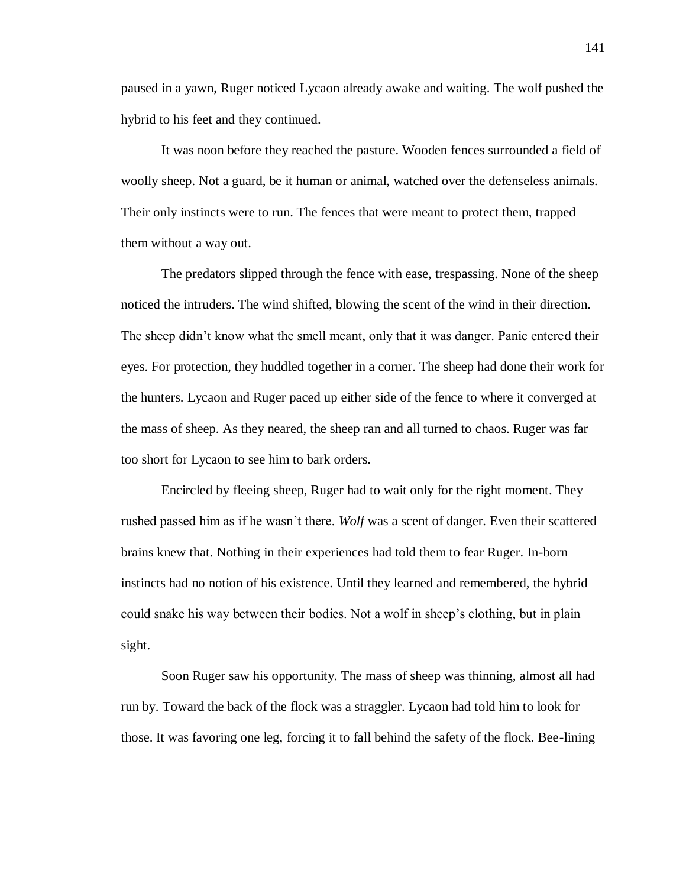paused in a yawn, Ruger noticed Lycaon already awake and waiting. The wolf pushed the hybrid to his feet and they continued.

It was noon before they reached the pasture. Wooden fences surrounded a field of woolly sheep. Not a guard, be it human or animal, watched over the defenseless animals. Their only instincts were to run. The fences that were meant to protect them, trapped them without a way out.

The predators slipped through the fence with ease, trespassing. None of the sheep noticed the intruders. The wind shifted, blowing the scent of the wind in their direction. The sheep didn't know what the smell meant, only that it was danger. Panic entered their eyes. For protection, they huddled together in a corner. The sheep had done their work for the hunters. Lycaon and Ruger paced up either side of the fence to where it converged at the mass of sheep. As they neared, the sheep ran and all turned to chaos. Ruger was far too short for Lycaon to see him to bark orders.

Encircled by fleeing sheep, Ruger had to wait only for the right moment. They rushed passed him as if he wasn't there. *Wolf* was a scent of danger. Even their scattered brains knew that. Nothing in their experiences had told them to fear Ruger. In-born instincts had no notion of his existence. Until they learned and remembered, the hybrid could snake his way between their bodies. Not a wolf in sheep's clothing, but in plain sight.

Soon Ruger saw his opportunity. The mass of sheep was thinning, almost all had run by. Toward the back of the flock was a straggler. Lycaon had told him to look for those. It was favoring one leg, forcing it to fall behind the safety of the flock. Bee-lining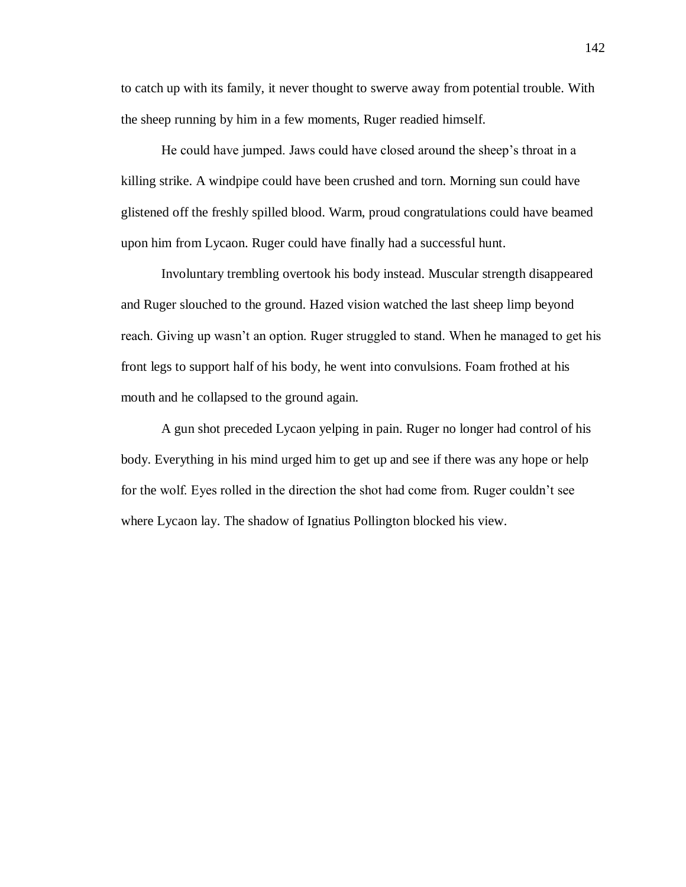to catch up with its family, it never thought to swerve away from potential trouble. With the sheep running by him in a few moments, Ruger readied himself.

He could have jumped. Jaws could have closed around the sheep's throat in a killing strike. A windpipe could have been crushed and torn. Morning sun could have glistened off the freshly spilled blood. Warm, proud congratulations could have beamed upon him from Lycaon. Ruger could have finally had a successful hunt.

Involuntary trembling overtook his body instead. Muscular strength disappeared and Ruger slouched to the ground. Hazed vision watched the last sheep limp beyond reach. Giving up wasn't an option. Ruger struggled to stand. When he managed to get his front legs to support half of his body, he went into convulsions. Foam frothed at his mouth and he collapsed to the ground again.

A gun shot preceded Lycaon yelping in pain. Ruger no longer had control of his body. Everything in his mind urged him to get up and see if there was any hope or help for the wolf. Eyes rolled in the direction the shot had come from. Ruger couldn't see where Lycaon lay. The shadow of Ignatius Pollington blocked his view.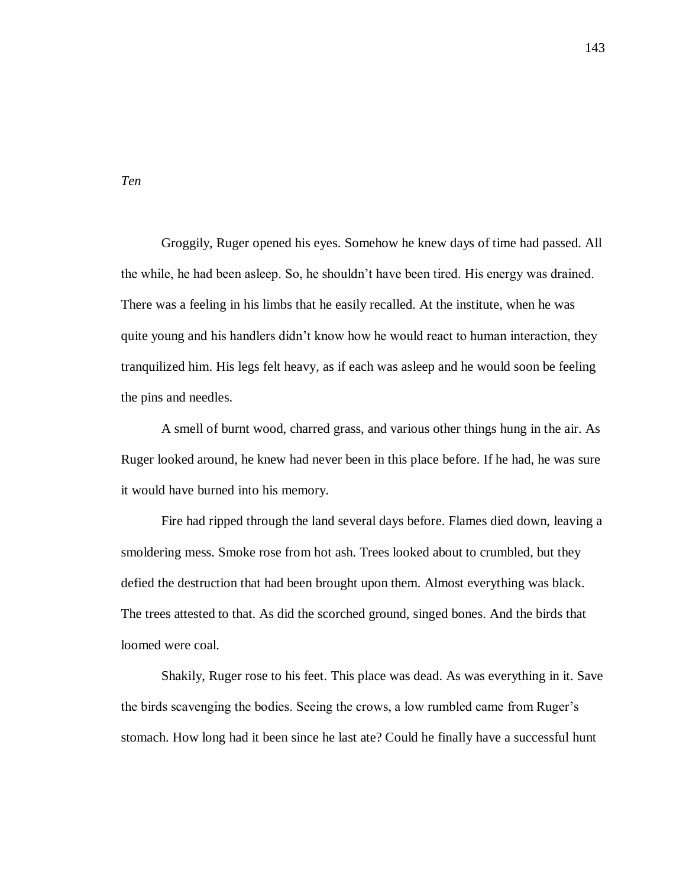Groggily, Ruger opened his eyes. Somehow he knew days of time had passed. All the while, he had been asleep. So, he shouldn't have been tired. His energy was drained. There was a feeling in his limbs that he easily recalled. At the institute, when he was quite young and his handlers didn't know how he would react to human interaction, they tranquilized him. His legs felt heavy, as if each was asleep and he would soon be feeling the pins and needles.

A smell of burnt wood, charred grass, and various other things hung in the air. As Ruger looked around, he knew had never been in this place before. If he had, he was sure it would have burned into his memory.

Fire had ripped through the land several days before. Flames died down, leaving a smoldering mess. Smoke rose from hot ash. Trees looked about to crumbled, but they defied the destruction that had been brought upon them. Almost everything was black. The trees attested to that. As did the scorched ground, singed bones. And the birds that loomed were coal.

Shakily, Ruger rose to his feet. This place was dead. As was everything in it. Save the birds scavenging the bodies. Seeing the crows, a low rumbled came from Ruger's stomach. How long had it been since he last ate? Could he finally have a successful hunt

*Ten*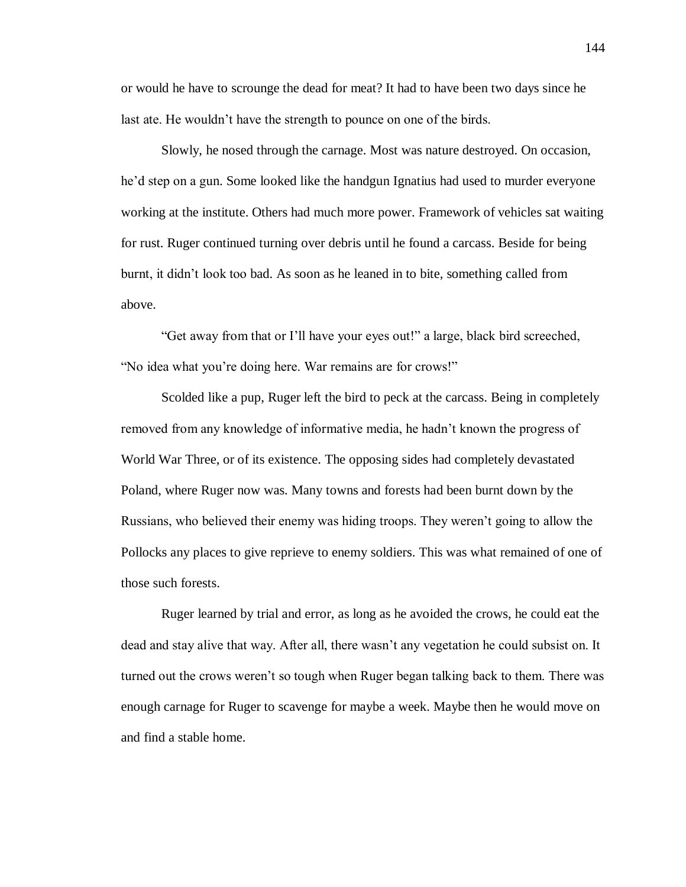or would he have to scrounge the dead for meat? It had to have been two days since he last ate. He wouldn't have the strength to pounce on one of the birds.

Slowly, he nosed through the carnage. Most was nature destroyed. On occasion, he'd step on a gun. Some looked like the handgun Ignatius had used to murder everyone working at the institute. Others had much more power. Framework of vehicles sat waiting for rust. Ruger continued turning over debris until he found a carcass. Beside for being burnt, it didn't look too bad. As soon as he leaned in to bite, something called from above.

"Get away from that or I'll have your eyes out!" a large, black bird screeched, "No idea what you're doing here. War remains are for crows!"

Scolded like a pup, Ruger left the bird to peck at the carcass. Being in completely removed from any knowledge of informative media, he hadn't known the progress of World War Three, or of its existence. The opposing sides had completely devastated Poland, where Ruger now was. Many towns and forests had been burnt down by the Russians, who believed their enemy was hiding troops. They weren't going to allow the Pollocks any places to give reprieve to enemy soldiers. This was what remained of one of those such forests.

Ruger learned by trial and error, as long as he avoided the crows, he could eat the dead and stay alive that way. After all, there wasn't any vegetation he could subsist on. It turned out the crows weren't so tough when Ruger began talking back to them. There was enough carnage for Ruger to scavenge for maybe a week. Maybe then he would move on and find a stable home.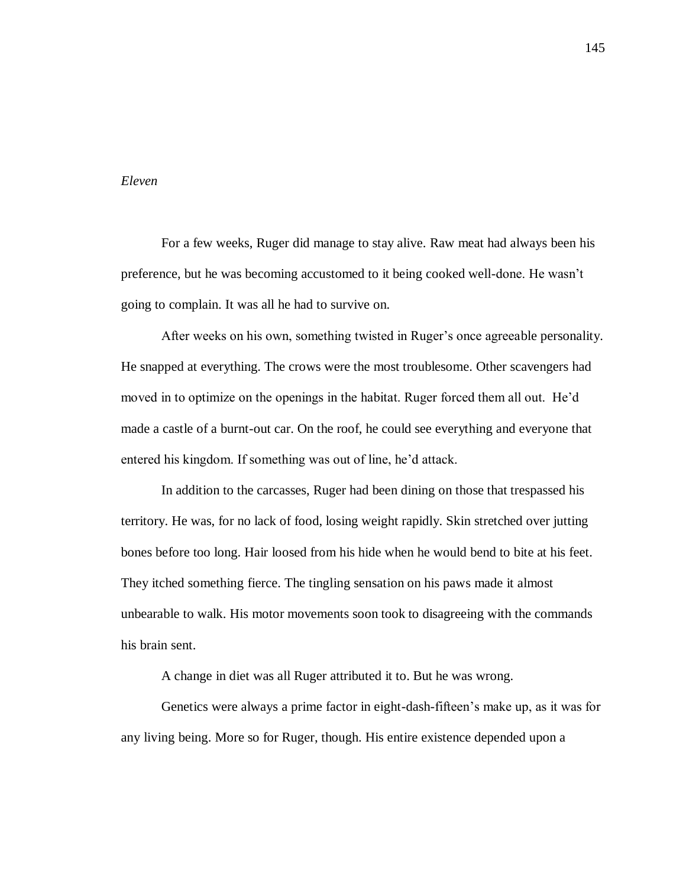## *Eleven*

For a few weeks, Ruger did manage to stay alive. Raw meat had always been his preference, but he was becoming accustomed to it being cooked well-done. He wasn't going to complain. It was all he had to survive on.

After weeks on his own, something twisted in Ruger's once agreeable personality. He snapped at everything. The crows were the most troublesome. Other scavengers had moved in to optimize on the openings in the habitat. Ruger forced them all out. He'd made a castle of a burnt-out car. On the roof, he could see everything and everyone that entered his kingdom. If something was out of line, he'd attack.

In addition to the carcasses, Ruger had been dining on those that trespassed his territory. He was, for no lack of food, losing weight rapidly. Skin stretched over jutting bones before too long. Hair loosed from his hide when he would bend to bite at his feet. They itched something fierce. The tingling sensation on his paws made it almost unbearable to walk. His motor movements soon took to disagreeing with the commands his brain sent.

A change in diet was all Ruger attributed it to. But he was wrong.

Genetics were always a prime factor in eight-dash-fifteen's make up, as it was for any living being. More so for Ruger, though. His entire existence depended upon a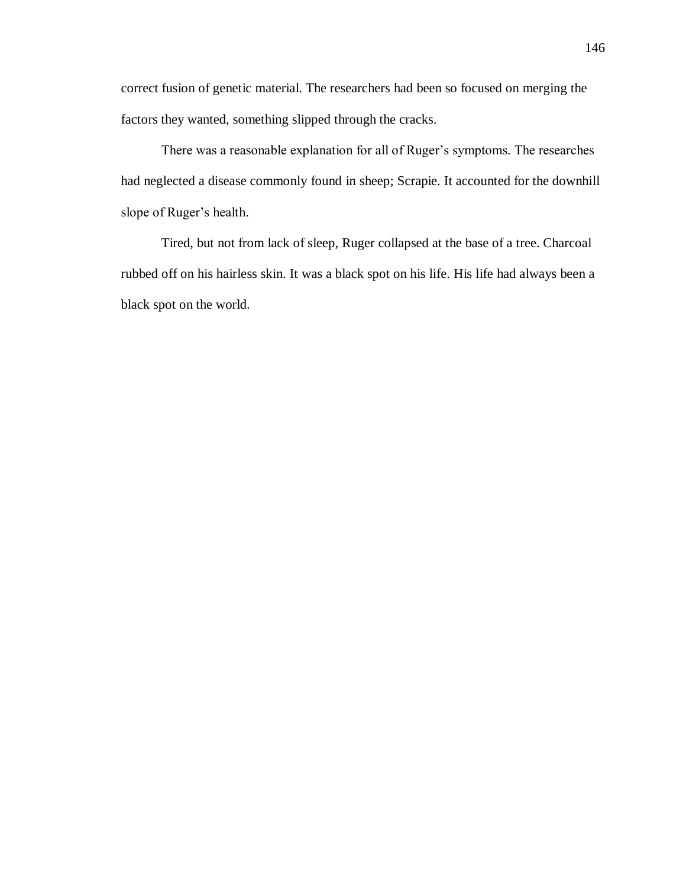correct fusion of genetic material. The researchers had been so focused on merging the factors they wanted, something slipped through the cracks.

There was a reasonable explanation for all of Ruger's symptoms. The researches had neglected a disease commonly found in sheep; Scrapie. It accounted for the downhill slope of Ruger's health.

Tired, but not from lack of sleep, Ruger collapsed at the base of a tree. Charcoal rubbed off on his hairless skin. It was a black spot on his life. His life had always been a black spot on the world.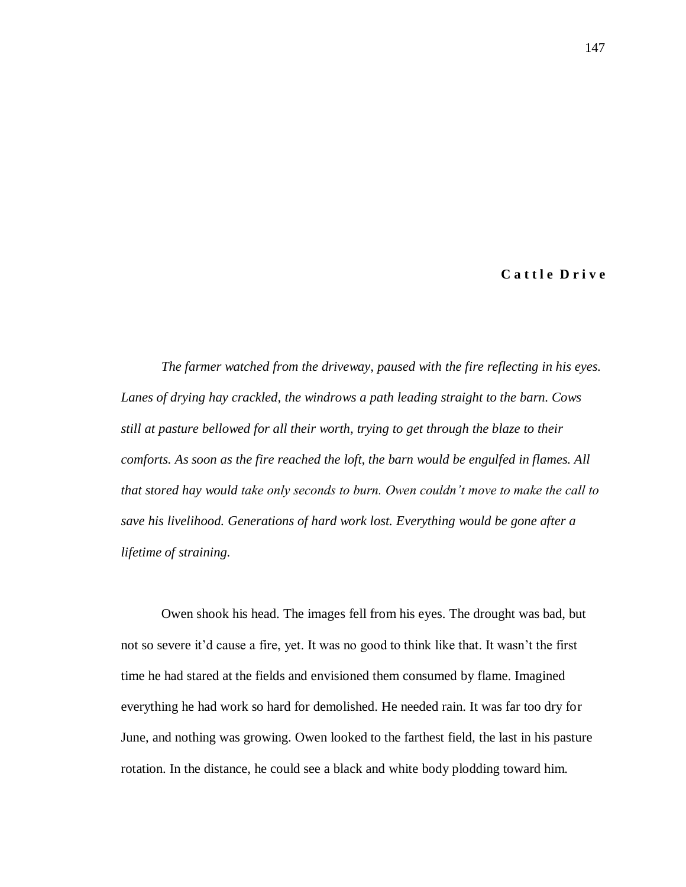**C a t t l e D r i v e**

*The farmer watched from the driveway, paused with the fire reflecting in his eyes. Lanes of drying hay crackled, the windrows a path leading straight to the barn. Cows still at pasture bellowed for all their worth, trying to get through the blaze to their comforts. As soon as the fire reached the loft, the barn would be engulfed in flames. All that stored hay would take only seconds to burn. Owen couldn't move to make the call to save his livelihood. Generations of hard work lost. Everything would be gone after a lifetime of straining.* 

Owen shook his head. The images fell from his eyes. The drought was bad, but not so severe it'd cause a fire, yet. It was no good to think like that. It wasn't the first time he had stared at the fields and envisioned them consumed by flame. Imagined everything he had work so hard for demolished. He needed rain. It was far too dry for June, and nothing was growing. Owen looked to the farthest field, the last in his pasture rotation. In the distance, he could see a black and white body plodding toward him.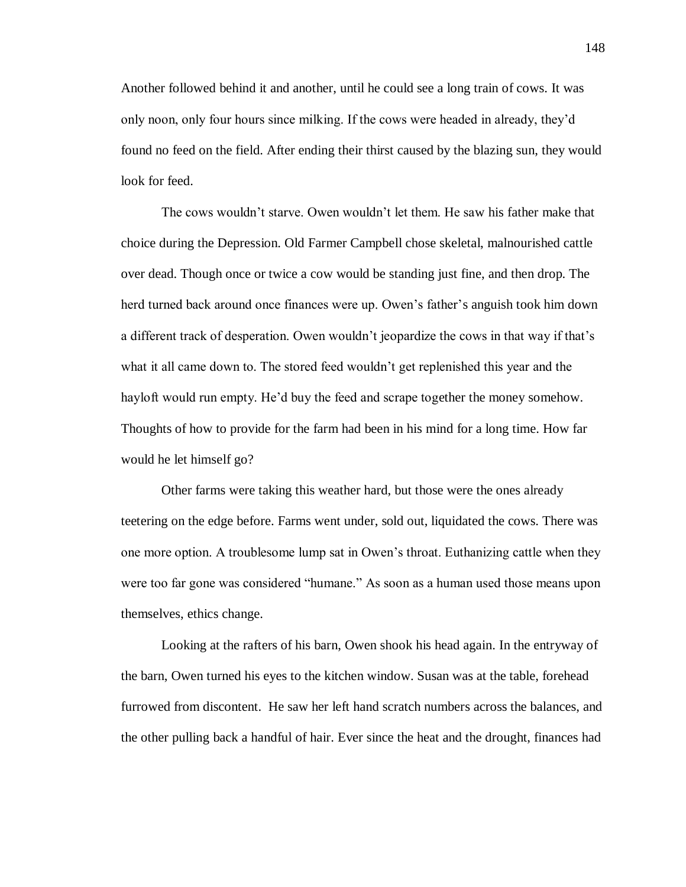Another followed behind it and another, until he could see a long train of cows. It was only noon, only four hours since milking. If the cows were headed in already, they'd found no feed on the field. After ending their thirst caused by the blazing sun, they would look for feed.

The cows wouldn't starve. Owen wouldn't let them. He saw his father make that choice during the Depression. Old Farmer Campbell chose skeletal, malnourished cattle over dead. Though once or twice a cow would be standing just fine, and then drop. The herd turned back around once finances were up. Owen's father's anguish took him down a different track of desperation. Owen wouldn't jeopardize the cows in that way if that's what it all came down to. The stored feed wouldn't get replenished this year and the hayloft would run empty. He'd buy the feed and scrape together the money somehow. Thoughts of how to provide for the farm had been in his mind for a long time. How far would he let himself go?

Other farms were taking this weather hard, but those were the ones already teetering on the edge before. Farms went under, sold out, liquidated the cows. There was one more option. A troublesome lump sat in Owen's throat. Euthanizing cattle when they were too far gone was considered "humane." As soon as a human used those means upon themselves, ethics change.

Looking at the rafters of his barn, Owen shook his head again. In the entryway of the barn, Owen turned his eyes to the kitchen window. Susan was at the table, forehead furrowed from discontent. He saw her left hand scratch numbers across the balances, and the other pulling back a handful of hair. Ever since the heat and the drought, finances had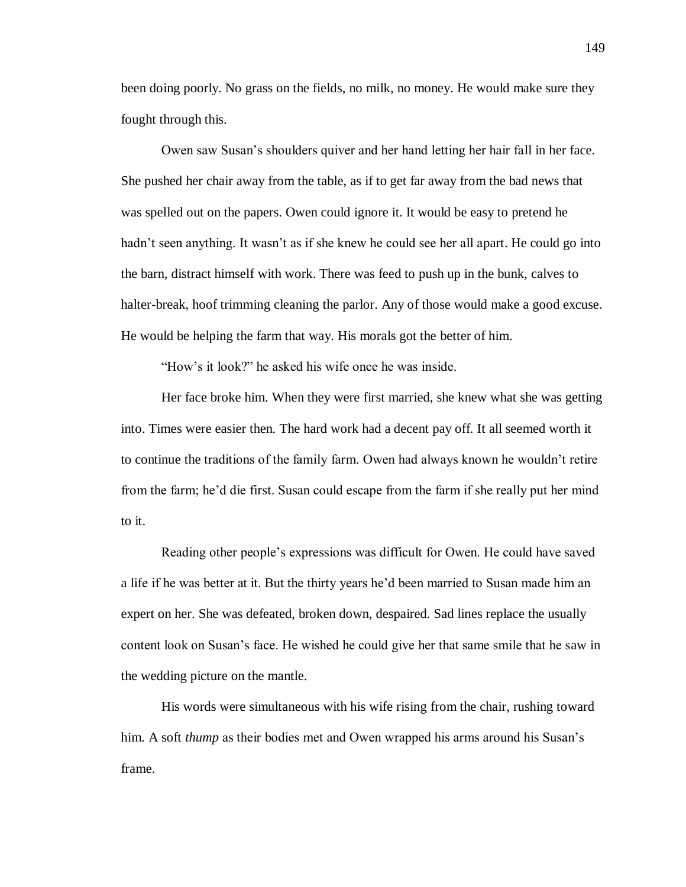been doing poorly. No grass on the fields, no milk, no money. He would make sure they fought through this.

Owen saw Susan's shoulders quiver and her hand letting her hair fall in her face. She pushed her chair away from the table, as if to get far away from the bad news that was spelled out on the papers. Owen could ignore it. It would be easy to pretend he hadn't seen anything. It wasn't as if she knew he could see her all apart. He could go into the barn, distract himself with work. There was feed to push up in the bunk, calves to halter-break, hoof trimming cleaning the parlor. Any of those would make a good excuse. He would be helping the farm that way. His morals got the better of him.

"How's it look?" he asked his wife once he was inside.

Her face broke him. When they were first married, she knew what she was getting into. Times were easier then. The hard work had a decent pay off. It all seemed worth it to continue the traditions of the family farm. Owen had always known he wouldn't retire from the farm; he'd die first. Susan could escape from the farm if she really put her mind to it.

Reading other people's expressions was difficult for Owen. He could have saved a life if he was better at it. But the thirty years he'd been married to Susan made him an expert on her. She was defeated, broken down, despaired. Sad lines replace the usually content look on Susan's face. He wished he could give her that same smile that he saw in the wedding picture on the mantle.

His words were simultaneous with his wife rising from the chair, rushing toward him. A soft *thump* as their bodies met and Owen wrapped his arms around his Susan's frame.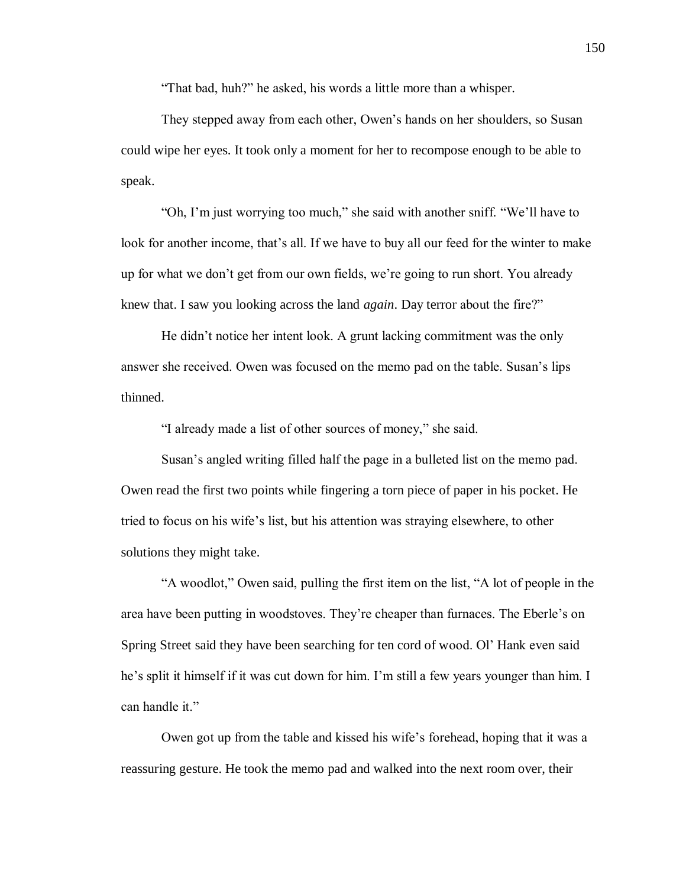"That bad, huh?" he asked, his words a little more than a whisper.

They stepped away from each other, Owen's hands on her shoulders, so Susan could wipe her eyes. It took only a moment for her to recompose enough to be able to speak.

"Oh, I'm just worrying too much," she said with another sniff. "We'll have to look for another income, that's all. If we have to buy all our feed for the winter to make up for what we don't get from our own fields, we're going to run short. You already knew that. I saw you looking across the land *again*. Day terror about the fire?"

He didn't notice her intent look. A grunt lacking commitment was the only answer she received. Owen was focused on the memo pad on the table. Susan's lips thinned.

"I already made a list of other sources of money," she said.

Susan's angled writing filled half the page in a bulleted list on the memo pad. Owen read the first two points while fingering a torn piece of paper in his pocket. He tried to focus on his wife's list, but his attention was straying elsewhere, to other solutions they might take.

"A woodlot," Owen said, pulling the first item on the list, "A lot of people in the area have been putting in woodstoves. They're cheaper than furnaces. The Eberle's on Spring Street said they have been searching for ten cord of wood. Ol' Hank even said he's split it himself if it was cut down for him. I'm still a few years younger than him. I can handle it."

Owen got up from the table and kissed his wife's forehead, hoping that it was a reassuring gesture. He took the memo pad and walked into the next room over, their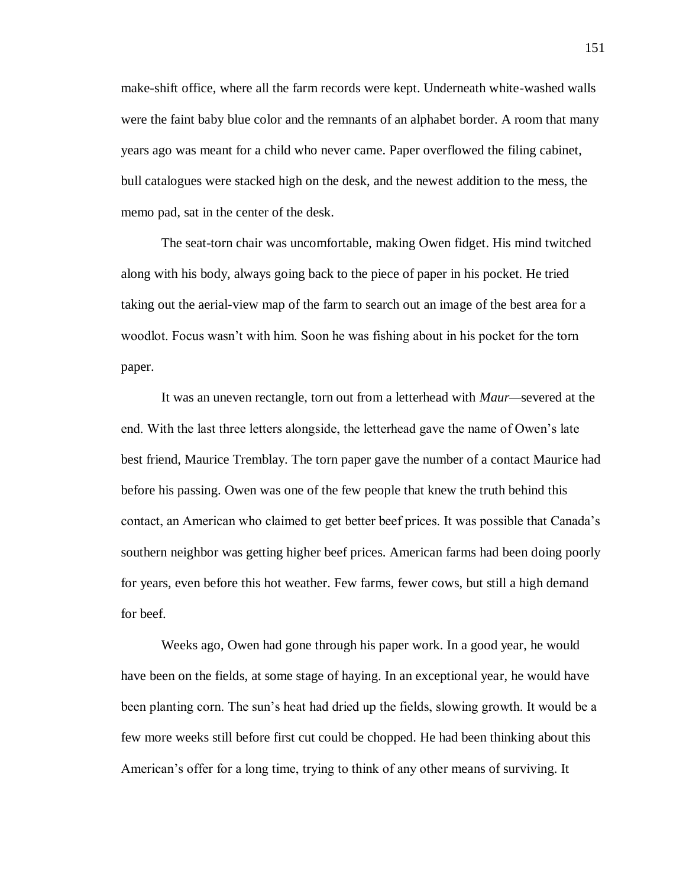make-shift office, where all the farm records were kept. Underneath white-washed walls were the faint baby blue color and the remnants of an alphabet border. A room that many years ago was meant for a child who never came. Paper overflowed the filing cabinet, bull catalogues were stacked high on the desk, and the newest addition to the mess, the memo pad, sat in the center of the desk.

The seat-torn chair was uncomfortable, making Owen fidget. His mind twitched along with his body, always going back to the piece of paper in his pocket. He tried taking out the aerial-view map of the farm to search out an image of the best area for a woodlot. Focus wasn't with him. Soon he was fishing about in his pocket for the torn paper.

It was an uneven rectangle, torn out from a letterhead with *Maur—*severed at the end. With the last three letters alongside, the letterhead gave the name of Owen's late best friend, Maurice Tremblay. The torn paper gave the number of a contact Maurice had before his passing. Owen was one of the few people that knew the truth behind this contact, an American who claimed to get better beef prices. It was possible that Canada's southern neighbor was getting higher beef prices. American farms had been doing poorly for years, even before this hot weather. Few farms, fewer cows, but still a high demand for beef.

Weeks ago, Owen had gone through his paper work. In a good year, he would have been on the fields, at some stage of haying. In an exceptional year, he would have been planting corn. The sun's heat had dried up the fields, slowing growth. It would be a few more weeks still before first cut could be chopped. He had been thinking about this American's offer for a long time, trying to think of any other means of surviving. It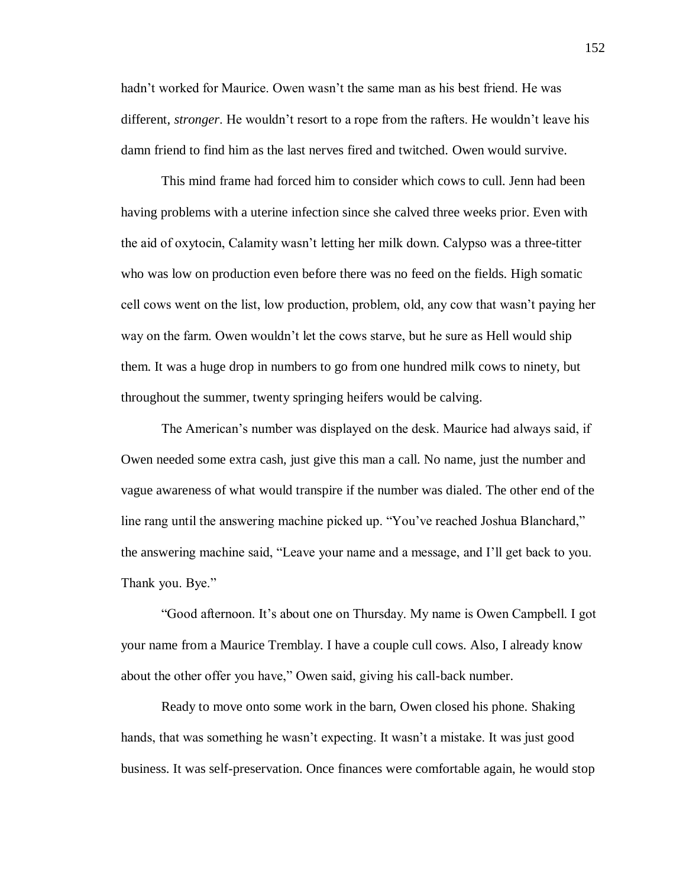hadn't worked for Maurice. Owen wasn't the same man as his best friend. He was different, *stronger*. He wouldn't resort to a rope from the rafters. He wouldn't leave his damn friend to find him as the last nerves fired and twitched. Owen would survive.

This mind frame had forced him to consider which cows to cull. Jenn had been having problems with a uterine infection since she calved three weeks prior. Even with the aid of oxytocin, Calamity wasn't letting her milk down. Calypso was a three-titter who was low on production even before there was no feed on the fields. High somatic cell cows went on the list, low production, problem, old, any cow that wasn't paying her way on the farm. Owen wouldn't let the cows starve, but he sure as Hell would ship them. It was a huge drop in numbers to go from one hundred milk cows to ninety, but throughout the summer, twenty springing heifers would be calving.

The American's number was displayed on the desk. Maurice had always said, if Owen needed some extra cash, just give this man a call. No name, just the number and vague awareness of what would transpire if the number was dialed. The other end of the line rang until the answering machine picked up. "You've reached Joshua Blanchard," the answering machine said, "Leave your name and a message, and I'll get back to you. Thank you. Bye."

"Good afternoon. It's about one on Thursday. My name is Owen Campbell. I got your name from a Maurice Tremblay. I have a couple cull cows. Also, I already know about the other offer you have," Owen said, giving his call-back number.

Ready to move onto some work in the barn, Owen closed his phone. Shaking hands, that was something he wasn't expecting. It wasn't a mistake. It was just good business. It was self-preservation. Once finances were comfortable again, he would stop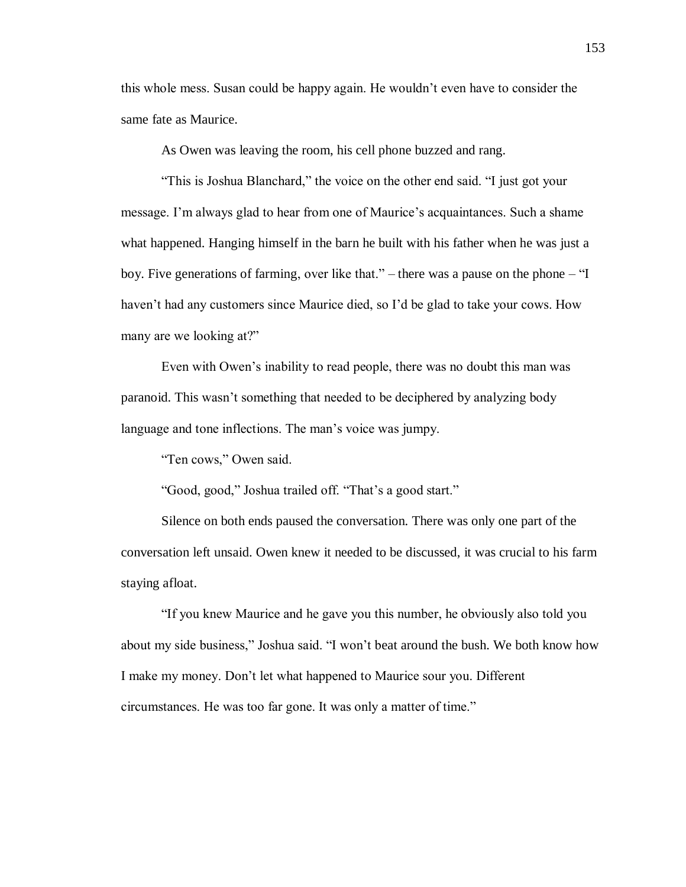this whole mess. Susan could be happy again. He wouldn't even have to consider the same fate as Maurice.

As Owen was leaving the room, his cell phone buzzed and rang.

"This is Joshua Blanchard," the voice on the other end said. "I just got your message. I'm always glad to hear from one of Maurice's acquaintances. Such a shame what happened. Hanging himself in the barn he built with his father when he was just a boy. Five generations of farming, over like that." – there was a pause on the phone – "I haven't had any customers since Maurice died, so I'd be glad to take your cows. How many are we looking at?"

Even with Owen's inability to read people, there was no doubt this man was paranoid. This wasn't something that needed to be deciphered by analyzing body language and tone inflections. The man's voice was jumpy.

"Ten cows," Owen said.

"Good, good," Joshua trailed off. "That's a good start."

Silence on both ends paused the conversation. There was only one part of the conversation left unsaid. Owen knew it needed to be discussed, it was crucial to his farm staying afloat.

"If you knew Maurice and he gave you this number, he obviously also told you about my side business," Joshua said. "I won't beat around the bush. We both know how I make my money. Don't let what happened to Maurice sour you. Different circumstances. He was too far gone. It was only a matter of time."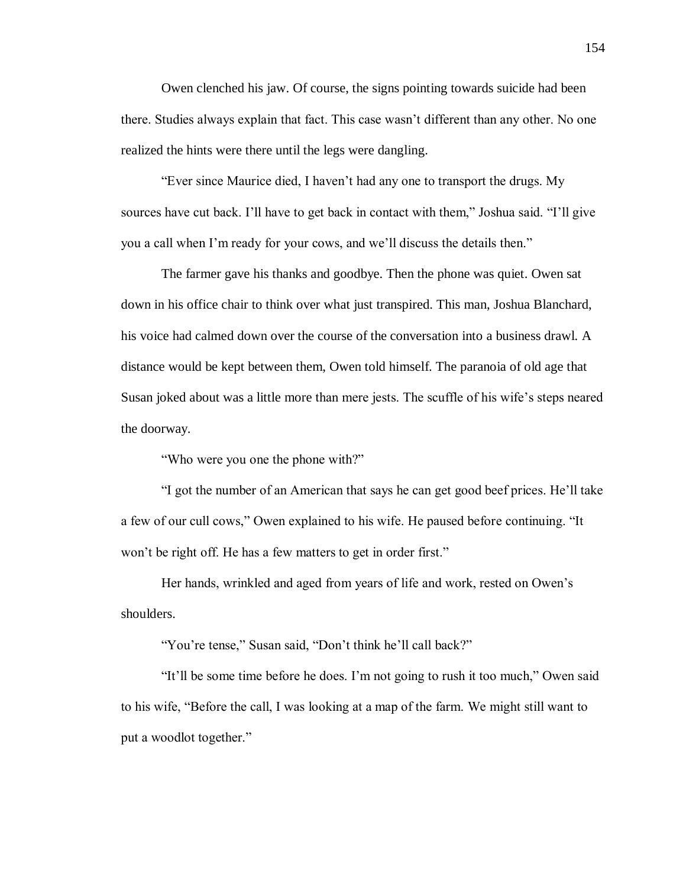Owen clenched his jaw. Of course, the signs pointing towards suicide had been there. Studies always explain that fact. This case wasn't different than any other. No one realized the hints were there until the legs were dangling.

"Ever since Maurice died, I haven't had any one to transport the drugs. My sources have cut back. I'll have to get back in contact with them," Joshua said. "I'll give you a call when I'm ready for your cows, and we'll discuss the details then."

The farmer gave his thanks and goodbye. Then the phone was quiet. Owen sat down in his office chair to think over what just transpired. This man, Joshua Blanchard, his voice had calmed down over the course of the conversation into a business drawl. A distance would be kept between them, Owen told himself. The paranoia of old age that Susan joked about was a little more than mere jests. The scuffle of his wife's steps neared the doorway.

"Who were you one the phone with?"

"I got the number of an American that says he can get good beef prices. He'll take a few of our cull cows," Owen explained to his wife. He paused before continuing. "It won't be right off. He has a few matters to get in order first."

Her hands, wrinkled and aged from years of life and work, rested on Owen's shoulders.

"You're tense," Susan said, "Don't think he'll call back?"

"It'll be some time before he does. I'm not going to rush it too much," Owen said to his wife, "Before the call, I was looking at a map of the farm. We might still want to put a woodlot together."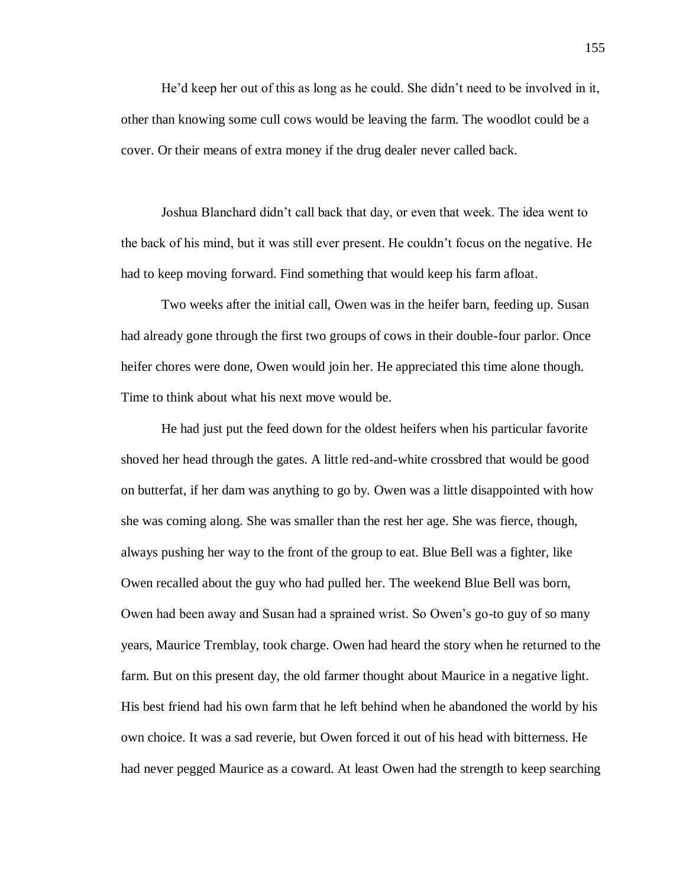He'd keep her out of this as long as he could. She didn't need to be involved in it, other than knowing some cull cows would be leaving the farm. The woodlot could be a cover. Or their means of extra money if the drug dealer never called back.

Joshua Blanchard didn't call back that day, or even that week. The idea went to the back of his mind, but it was still ever present. He couldn't focus on the negative. He had to keep moving forward. Find something that would keep his farm afloat.

Two weeks after the initial call, Owen was in the heifer barn, feeding up. Susan had already gone through the first two groups of cows in their double-four parlor. Once heifer chores were done, Owen would join her. He appreciated this time alone though. Time to think about what his next move would be.

He had just put the feed down for the oldest heifers when his particular favorite shoved her head through the gates. A little red-and-white crossbred that would be good on butterfat, if her dam was anything to go by. Owen was a little disappointed with how she was coming along. She was smaller than the rest her age. She was fierce, though, always pushing her way to the front of the group to eat. Blue Bell was a fighter, like Owen recalled about the guy who had pulled her. The weekend Blue Bell was born, Owen had been away and Susan had a sprained wrist. So Owen's go-to guy of so many years, Maurice Tremblay, took charge. Owen had heard the story when he returned to the farm. But on this present day, the old farmer thought about Maurice in a negative light. His best friend had his own farm that he left behind when he abandoned the world by his own choice. It was a sad reverie, but Owen forced it out of his head with bitterness. He had never pegged Maurice as a coward. At least Owen had the strength to keep searching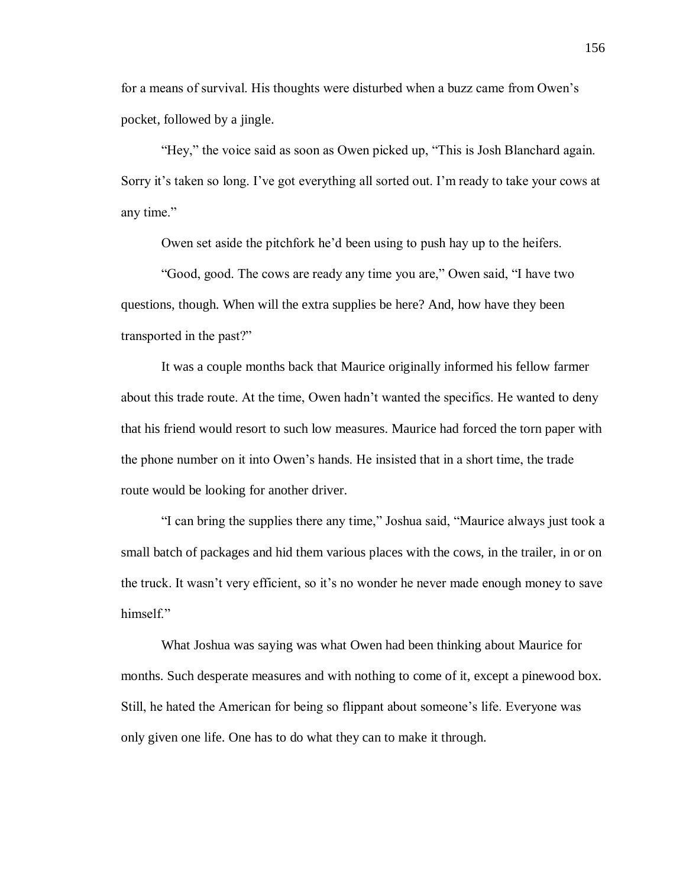for a means of survival. His thoughts were disturbed when a buzz came from Owen's pocket, followed by a jingle.

"Hey," the voice said as soon as Owen picked up, "This is Josh Blanchard again. Sorry it's taken so long. I've got everything all sorted out. I'm ready to take your cows at any time."

Owen set aside the pitchfork he'd been using to push hay up to the heifers.

"Good, good. The cows are ready any time you are," Owen said, "I have two questions, though. When will the extra supplies be here? And, how have they been transported in the past?"

It was a couple months back that Maurice originally informed his fellow farmer about this trade route. At the time, Owen hadn't wanted the specifics. He wanted to deny that his friend would resort to such low measures. Maurice had forced the torn paper with the phone number on it into Owen's hands. He insisted that in a short time, the trade route would be looking for another driver.

"I can bring the supplies there any time," Joshua said, "Maurice always just took a small batch of packages and hid them various places with the cows, in the trailer, in or on the truck. It wasn't very efficient, so it's no wonder he never made enough money to save himself."

What Joshua was saying was what Owen had been thinking about Maurice for months. Such desperate measures and with nothing to come of it, except a pinewood box. Still, he hated the American for being so flippant about someone's life. Everyone was only given one life. One has to do what they can to make it through.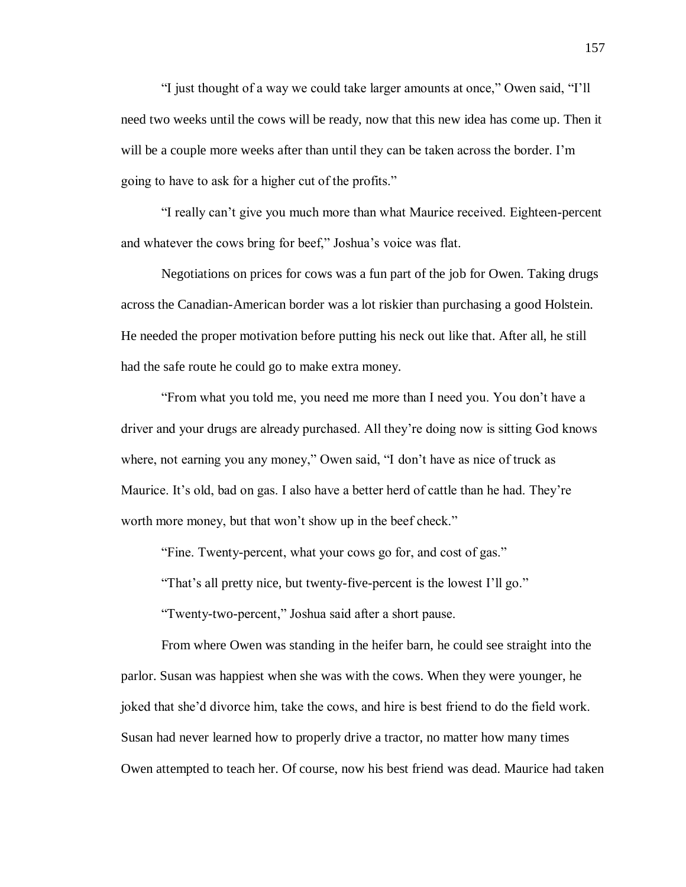"I just thought of a way we could take larger amounts at once," Owen said, "I'll need two weeks until the cows will be ready, now that this new idea has come up. Then it will be a couple more weeks after than until they can be taken across the border. I'm going to have to ask for a higher cut of the profits."

"I really can't give you much more than what Maurice received. Eighteen-percent and whatever the cows bring for beef," Joshua's voice was flat.

Negotiations on prices for cows was a fun part of the job for Owen. Taking drugs across the Canadian-American border was a lot riskier than purchasing a good Holstein. He needed the proper motivation before putting his neck out like that. After all, he still had the safe route he could go to make extra money.

"From what you told me, you need me more than I need you. You don't have a driver and your drugs are already purchased. All they're doing now is sitting God knows where, not earning you any money," Owen said, "I don't have as nice of truck as Maurice. It's old, bad on gas. I also have a better herd of cattle than he had. They're worth more money, but that won't show up in the beef check."

"Fine. Twenty-percent, what your cows go for, and cost of gas."

"That's all pretty nice, but twenty-five-percent is the lowest I'll go."

"Twenty-two-percent," Joshua said after a short pause.

From where Owen was standing in the heifer barn, he could see straight into the parlor. Susan was happiest when she was with the cows. When they were younger, he joked that she'd divorce him, take the cows, and hire is best friend to do the field work. Susan had never learned how to properly drive a tractor, no matter how many times Owen attempted to teach her. Of course, now his best friend was dead. Maurice had taken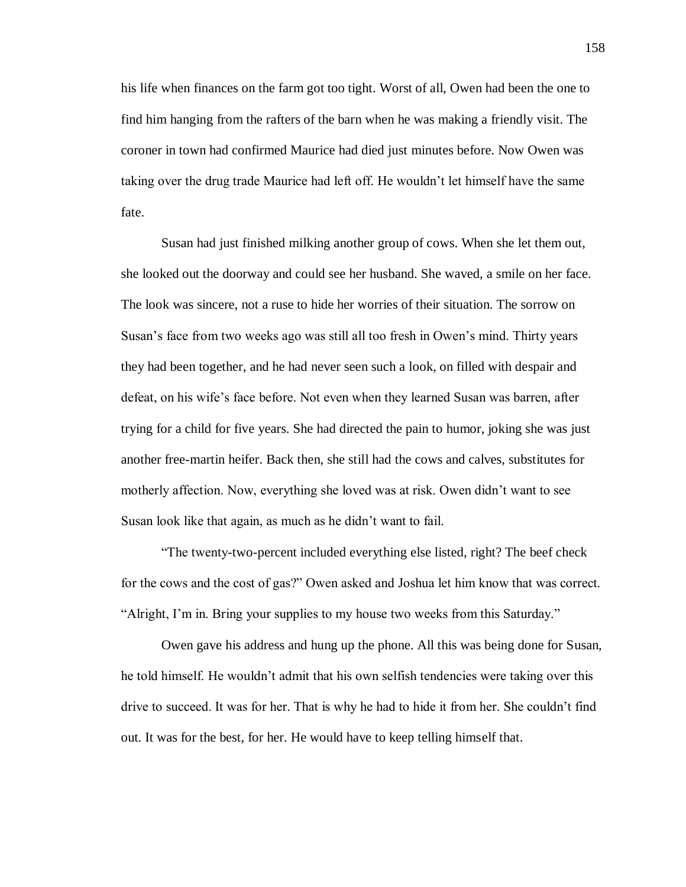his life when finances on the farm got too tight. Worst of all, Owen had been the one to find him hanging from the rafters of the barn when he was making a friendly visit. The coroner in town had confirmed Maurice had died just minutes before. Now Owen was taking over the drug trade Maurice had left off. He wouldn't let himself have the same fate.

Susan had just finished milking another group of cows. When she let them out, she looked out the doorway and could see her husband. She waved, a smile on her face. The look was sincere, not a ruse to hide her worries of their situation. The sorrow on Susan's face from two weeks ago was still all too fresh in Owen's mind. Thirty years they had been together, and he had never seen such a look, on filled with despair and defeat, on his wife's face before. Not even when they learned Susan was barren, after trying for a child for five years. She had directed the pain to humor, joking she was just another free-martin heifer. Back then, she still had the cows and calves, substitutes for motherly affection. Now, everything she loved was at risk. Owen didn't want to see Susan look like that again, as much as he didn't want to fail.

"The twenty-two-percent included everything else listed, right? The beef check for the cows and the cost of gas?" Owen asked and Joshua let him know that was correct. "Alright, I'm in. Bring your supplies to my house two weeks from this Saturday."

Owen gave his address and hung up the phone. All this was being done for Susan, he told himself. He wouldn't admit that his own selfish tendencies were taking over this drive to succeed. It was for her. That is why he had to hide it from her. She couldn't find out. It was for the best, for her. He would have to keep telling himself that.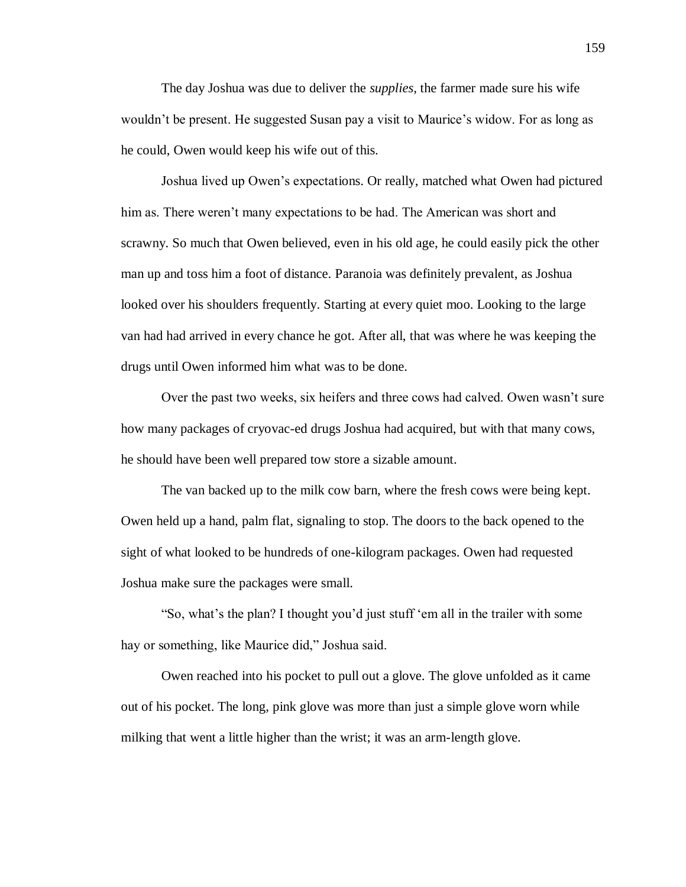The day Joshua was due to deliver the *supplies*, the farmer made sure his wife wouldn't be present. He suggested Susan pay a visit to Maurice's widow. For as long as he could, Owen would keep his wife out of this.

Joshua lived up Owen's expectations. Or really, matched what Owen had pictured him as. There weren't many expectations to be had. The American was short and scrawny. So much that Owen believed, even in his old age, he could easily pick the other man up and toss him a foot of distance. Paranoia was definitely prevalent, as Joshua looked over his shoulders frequently. Starting at every quiet moo. Looking to the large van had had arrived in every chance he got. After all, that was where he was keeping the drugs until Owen informed him what was to be done.

Over the past two weeks, six heifers and three cows had calved. Owen wasn't sure how many packages of cryovac-ed drugs Joshua had acquired, but with that many cows, he should have been well prepared tow store a sizable amount.

The van backed up to the milk cow barn, where the fresh cows were being kept. Owen held up a hand, palm flat, signaling to stop. The doors to the back opened to the sight of what looked to be hundreds of one-kilogram packages. Owen had requested Joshua make sure the packages were small.

"So, what's the plan? I thought you'd just stuff 'em all in the trailer with some hay or something, like Maurice did," Joshua said.

Owen reached into his pocket to pull out a glove. The glove unfolded as it came out of his pocket. The long, pink glove was more than just a simple glove worn while milking that went a little higher than the wrist; it was an arm-length glove.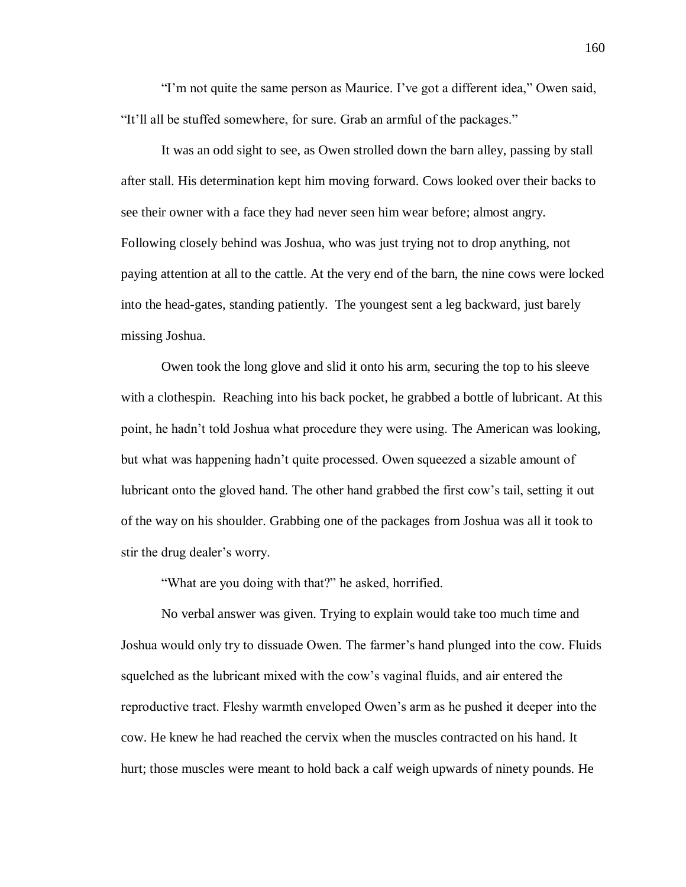"I'm not quite the same person as Maurice. I've got a different idea," Owen said, "It'll all be stuffed somewhere, for sure. Grab an armful of the packages."

It was an odd sight to see, as Owen strolled down the barn alley, passing by stall after stall. His determination kept him moving forward. Cows looked over their backs to see their owner with a face they had never seen him wear before; almost angry. Following closely behind was Joshua, who was just trying not to drop anything, not paying attention at all to the cattle. At the very end of the barn, the nine cows were locked into the head-gates, standing patiently. The youngest sent a leg backward, just barely missing Joshua.

Owen took the long glove and slid it onto his arm, securing the top to his sleeve with a clothespin. Reaching into his back pocket, he grabbed a bottle of lubricant. At this point, he hadn't told Joshua what procedure they were using. The American was looking, but what was happening hadn't quite processed. Owen squeezed a sizable amount of lubricant onto the gloved hand. The other hand grabbed the first cow's tail, setting it out of the way on his shoulder. Grabbing one of the packages from Joshua was all it took to stir the drug dealer's worry.

"What are you doing with that?" he asked, horrified.

No verbal answer was given. Trying to explain would take too much time and Joshua would only try to dissuade Owen. The farmer's hand plunged into the cow. Fluids squelched as the lubricant mixed with the cow's vaginal fluids, and air entered the reproductive tract. Fleshy warmth enveloped Owen's arm as he pushed it deeper into the cow. He knew he had reached the cervix when the muscles contracted on his hand. It hurt; those muscles were meant to hold back a calf weigh upwards of ninety pounds. He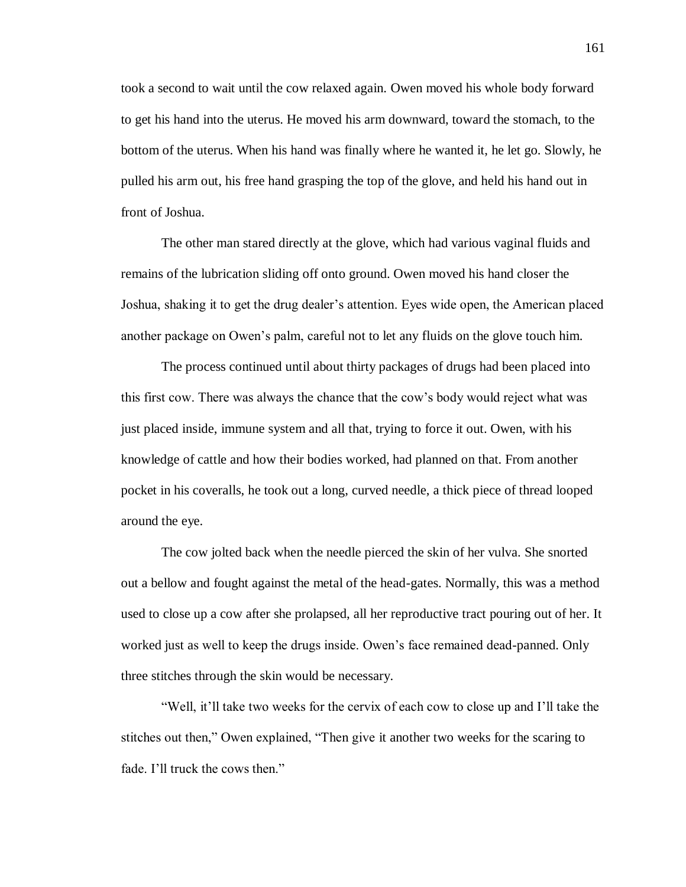took a second to wait until the cow relaxed again. Owen moved his whole body forward to get his hand into the uterus. He moved his arm downward, toward the stomach, to the bottom of the uterus. When his hand was finally where he wanted it, he let go. Slowly, he pulled his arm out, his free hand grasping the top of the glove, and held his hand out in front of Joshua.

The other man stared directly at the glove, which had various vaginal fluids and remains of the lubrication sliding off onto ground. Owen moved his hand closer the Joshua, shaking it to get the drug dealer's attention. Eyes wide open, the American placed another package on Owen's palm, careful not to let any fluids on the glove touch him.

The process continued until about thirty packages of drugs had been placed into this first cow. There was always the chance that the cow's body would reject what was just placed inside, immune system and all that, trying to force it out. Owen, with his knowledge of cattle and how their bodies worked, had planned on that. From another pocket in his coveralls, he took out a long, curved needle, a thick piece of thread looped around the eye.

The cow jolted back when the needle pierced the skin of her vulva. She snorted out a bellow and fought against the metal of the head-gates. Normally, this was a method used to close up a cow after she prolapsed, all her reproductive tract pouring out of her. It worked just as well to keep the drugs inside. Owen's face remained dead-panned. Only three stitches through the skin would be necessary.

"Well, it'll take two weeks for the cervix of each cow to close up and I'll take the stitches out then," Owen explained, "Then give it another two weeks for the scaring to fade. I'll truck the cows then."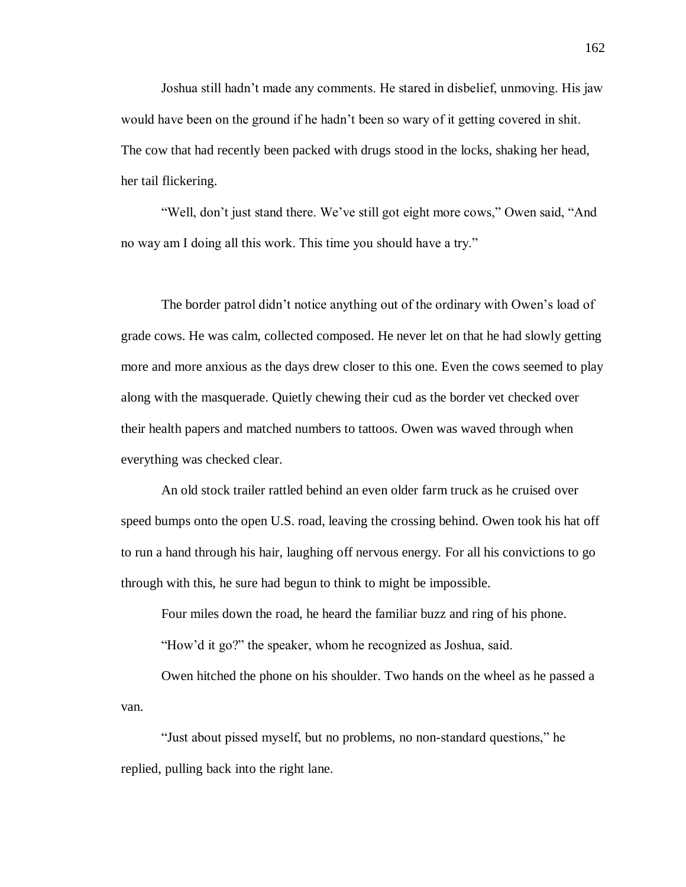Joshua still hadn't made any comments. He stared in disbelief, unmoving. His jaw would have been on the ground if he hadn't been so wary of it getting covered in shit. The cow that had recently been packed with drugs stood in the locks, shaking her head, her tail flickering.

"Well, don't just stand there. We've still got eight more cows," Owen said, "And no way am I doing all this work. This time you should have a try."

The border patrol didn't notice anything out of the ordinary with Owen's load of grade cows. He was calm, collected composed. He never let on that he had slowly getting more and more anxious as the days drew closer to this one. Even the cows seemed to play along with the masquerade. Quietly chewing their cud as the border vet checked over their health papers and matched numbers to tattoos. Owen was waved through when everything was checked clear.

An old stock trailer rattled behind an even older farm truck as he cruised over speed bumps onto the open U.S. road, leaving the crossing behind. Owen took his hat off to run a hand through his hair, laughing off nervous energy. For all his convictions to go through with this, he sure had begun to think to might be impossible.

Four miles down the road, he heard the familiar buzz and ring of his phone.

"How'd it go?" the speaker, whom he recognized as Joshua, said.

Owen hitched the phone on his shoulder. Two hands on the wheel as he passed a van.

"Just about pissed myself, but no problems, no non-standard questions," he replied, pulling back into the right lane.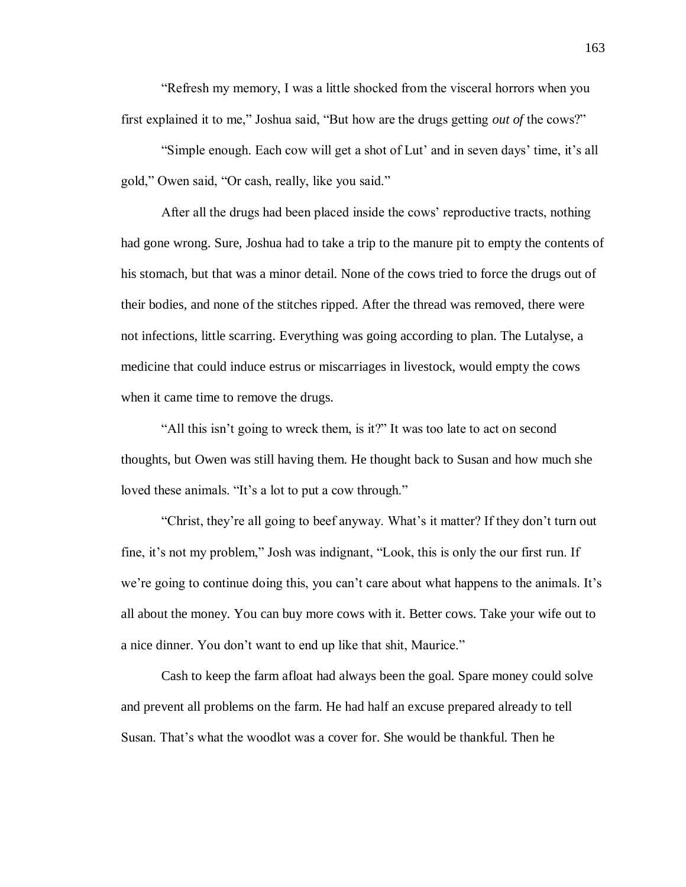"Refresh my memory, I was a little shocked from the visceral horrors when you first explained it to me," Joshua said, "But how are the drugs getting *out of* the cows?"

"Simple enough. Each cow will get a shot of Lut' and in seven days' time, it's all gold," Owen said, "Or cash, really, like you said."

After all the drugs had been placed inside the cows' reproductive tracts, nothing had gone wrong. Sure, Joshua had to take a trip to the manure pit to empty the contents of his stomach, but that was a minor detail. None of the cows tried to force the drugs out of their bodies, and none of the stitches ripped. After the thread was removed, there were not infections, little scarring. Everything was going according to plan. The Lutalyse, a medicine that could induce estrus or miscarriages in livestock, would empty the cows when it came time to remove the drugs.

"All this isn't going to wreck them, is it?" It was too late to act on second thoughts, but Owen was still having them. He thought back to Susan and how much she loved these animals. "It's a lot to put a cow through."

"Christ, they're all going to beef anyway. What's it matter? If they don't turn out fine, it's not my problem," Josh was indignant, "Look, this is only the our first run. If we're going to continue doing this, you can't care about what happens to the animals. It's all about the money. You can buy more cows with it. Better cows. Take your wife out to a nice dinner. You don't want to end up like that shit, Maurice."

Cash to keep the farm afloat had always been the goal. Spare money could solve and prevent all problems on the farm. He had half an excuse prepared already to tell Susan. That's what the woodlot was a cover for. She would be thankful. Then he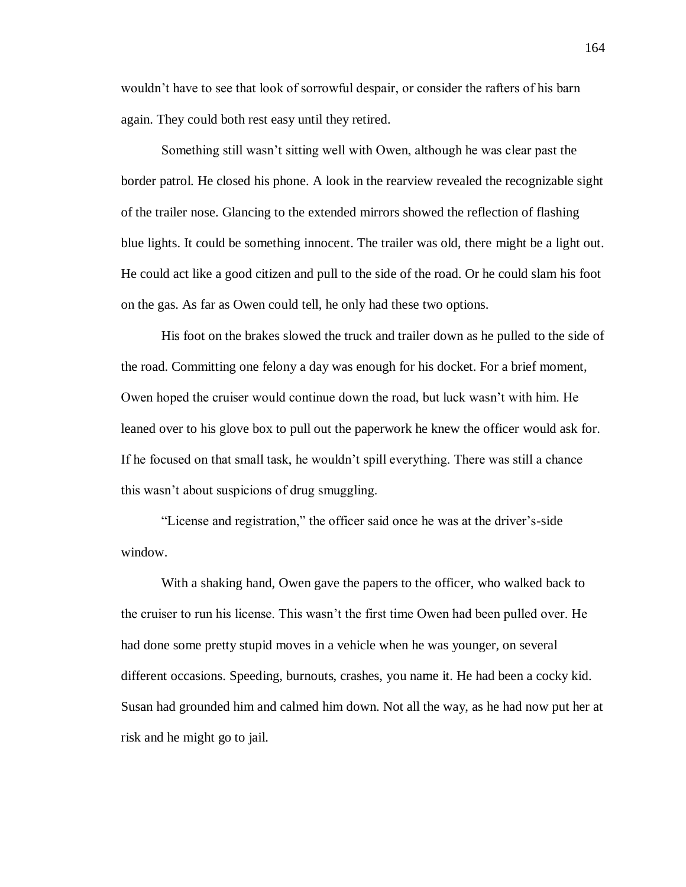wouldn't have to see that look of sorrowful despair, or consider the rafters of his barn again. They could both rest easy until they retired.

Something still wasn't sitting well with Owen, although he was clear past the border patrol. He closed his phone. A look in the rearview revealed the recognizable sight of the trailer nose. Glancing to the extended mirrors showed the reflection of flashing blue lights. It could be something innocent. The trailer was old, there might be a light out. He could act like a good citizen and pull to the side of the road. Or he could slam his foot on the gas. As far as Owen could tell, he only had these two options.

His foot on the brakes slowed the truck and trailer down as he pulled to the side of the road. Committing one felony a day was enough for his docket. For a brief moment, Owen hoped the cruiser would continue down the road, but luck wasn't with him. He leaned over to his glove box to pull out the paperwork he knew the officer would ask for. If he focused on that small task, he wouldn't spill everything. There was still a chance this wasn't about suspicions of drug smuggling.

"License and registration," the officer said once he was at the driver's-side window.

With a shaking hand, Owen gave the papers to the officer, who walked back to the cruiser to run his license. This wasn't the first time Owen had been pulled over. He had done some pretty stupid moves in a vehicle when he was younger, on several different occasions. Speeding, burnouts, crashes, you name it. He had been a cocky kid. Susan had grounded him and calmed him down. Not all the way, as he had now put her at risk and he might go to jail.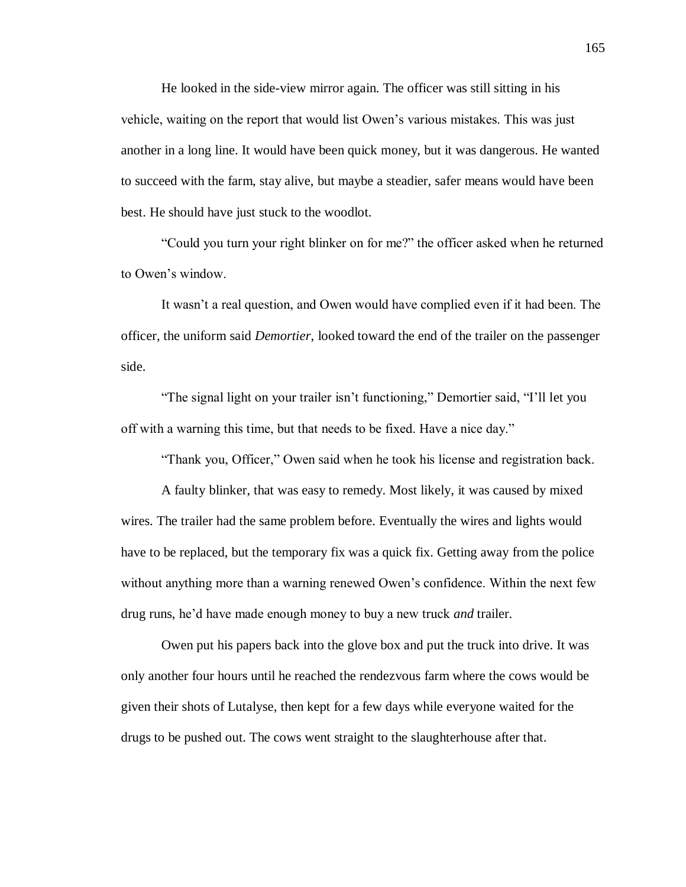He looked in the side-view mirror again. The officer was still sitting in his vehicle, waiting on the report that would list Owen's various mistakes. This was just another in a long line. It would have been quick money, but it was dangerous. He wanted to succeed with the farm, stay alive, but maybe a steadier, safer means would have been best. He should have just stuck to the woodlot.

"Could you turn your right blinker on for me?" the officer asked when he returned to Owen's window.

It wasn't a real question, and Owen would have complied even if it had been. The officer, the uniform said *Demortier*, looked toward the end of the trailer on the passenger side.

"The signal light on your trailer isn't functioning," Demortier said, "I'll let you off with a warning this time, but that needs to be fixed. Have a nice day."

"Thank you, Officer," Owen said when he took his license and registration back.

A faulty blinker, that was easy to remedy. Most likely, it was caused by mixed wires. The trailer had the same problem before. Eventually the wires and lights would have to be replaced, but the temporary fix was a quick fix. Getting away from the police without anything more than a warning renewed Owen's confidence. Within the next few drug runs, he'd have made enough money to buy a new truck *and* trailer.

Owen put his papers back into the glove box and put the truck into drive. It was only another four hours until he reached the rendezvous farm where the cows would be given their shots of Lutalyse, then kept for a few days while everyone waited for the drugs to be pushed out. The cows went straight to the slaughterhouse after that.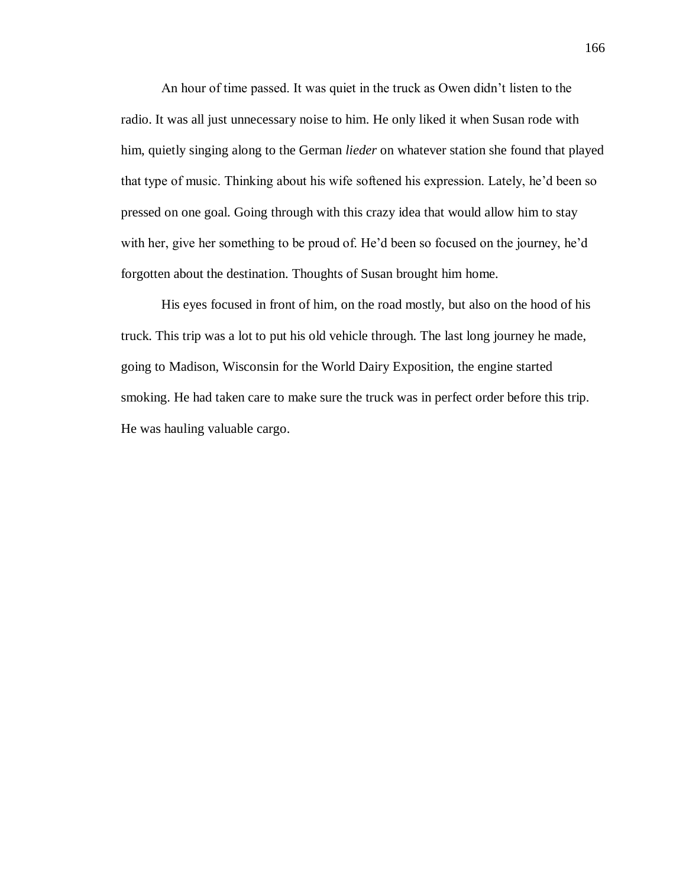An hour of time passed. It was quiet in the truck as Owen didn't listen to the radio. It was all just unnecessary noise to him. He only liked it when Susan rode with him, quietly singing along to the German *lieder* on whatever station she found that played that type of music. Thinking about his wife softened his expression. Lately, he'd been so pressed on one goal. Going through with this crazy idea that would allow him to stay with her, give her something to be proud of. He'd been so focused on the journey, he'd forgotten about the destination. Thoughts of Susan brought him home.

His eyes focused in front of him, on the road mostly, but also on the hood of his truck. This trip was a lot to put his old vehicle through. The last long journey he made, going to Madison, Wisconsin for the World Dairy Exposition, the engine started smoking. He had taken care to make sure the truck was in perfect order before this trip. He was hauling valuable cargo.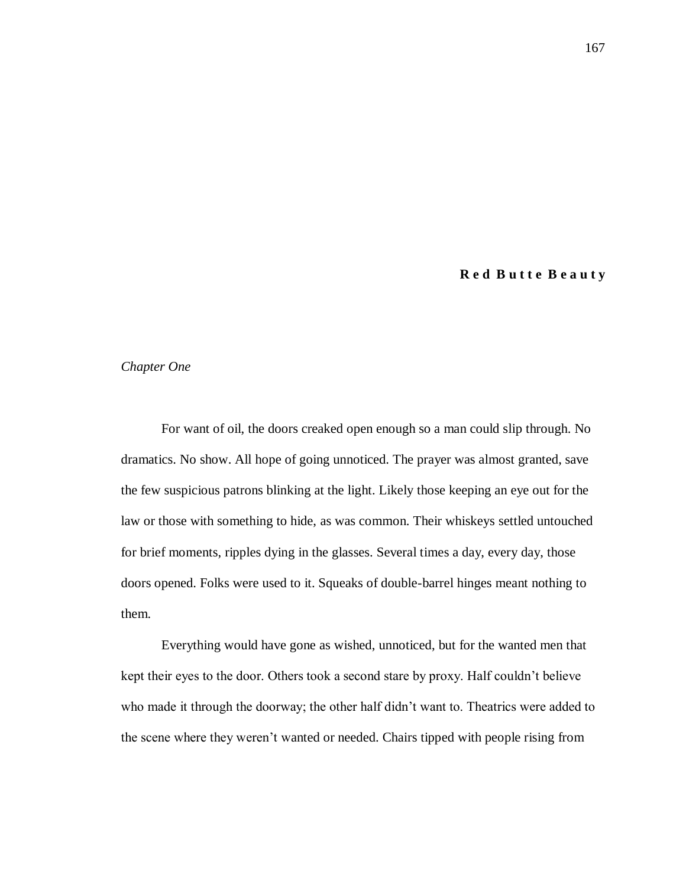## **R e d B u t t e B e a u t y**

## *Chapter One*

For want of oil, the doors creaked open enough so a man could slip through. No dramatics. No show. All hope of going unnoticed. The prayer was almost granted, save the few suspicious patrons blinking at the light. Likely those keeping an eye out for the law or those with something to hide, as was common. Their whiskeys settled untouched for brief moments, ripples dying in the glasses. Several times a day, every day, those doors opened. Folks were used to it. Squeaks of double-barrel hinges meant nothing to them.

Everything would have gone as wished, unnoticed, but for the wanted men that kept their eyes to the door. Others took a second stare by proxy. Half couldn't believe who made it through the doorway; the other half didn't want to. Theatrics were added to the scene where they weren't wanted or needed. Chairs tipped with people rising from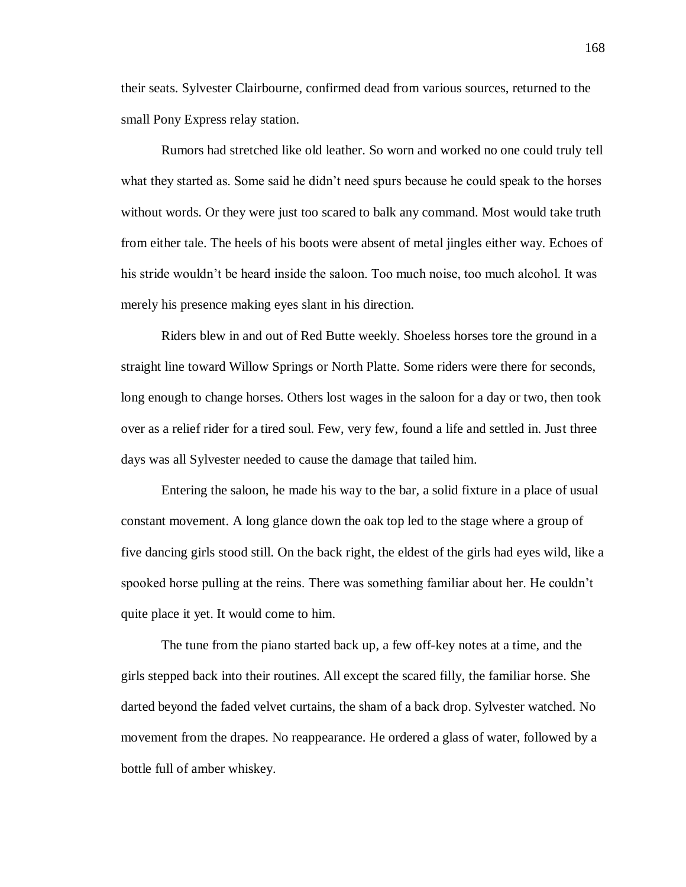their seats. Sylvester Clairbourne, confirmed dead from various sources, returned to the small Pony Express relay station.

Rumors had stretched like old leather. So worn and worked no one could truly tell what they started as. Some said he didn't need spurs because he could speak to the horses without words. Or they were just too scared to balk any command. Most would take truth from either tale. The heels of his boots were absent of metal jingles either way. Echoes of his stride wouldn't be heard inside the saloon. Too much noise, too much alcohol. It was merely his presence making eyes slant in his direction.

Riders blew in and out of Red Butte weekly. Shoeless horses tore the ground in a straight line toward Willow Springs or North Platte. Some riders were there for seconds, long enough to change horses. Others lost wages in the saloon for a day or two, then took over as a relief rider for a tired soul. Few, very few, found a life and settled in. Just three days was all Sylvester needed to cause the damage that tailed him.

Entering the saloon, he made his way to the bar, a solid fixture in a place of usual constant movement. A long glance down the oak top led to the stage where a group of five dancing girls stood still. On the back right, the eldest of the girls had eyes wild, like a spooked horse pulling at the reins. There was something familiar about her. He couldn't quite place it yet. It would come to him.

The tune from the piano started back up, a few off-key notes at a time, and the girls stepped back into their routines. All except the scared filly, the familiar horse. She darted beyond the faded velvet curtains, the sham of a back drop. Sylvester watched. No movement from the drapes. No reappearance. He ordered a glass of water, followed by a bottle full of amber whiskey.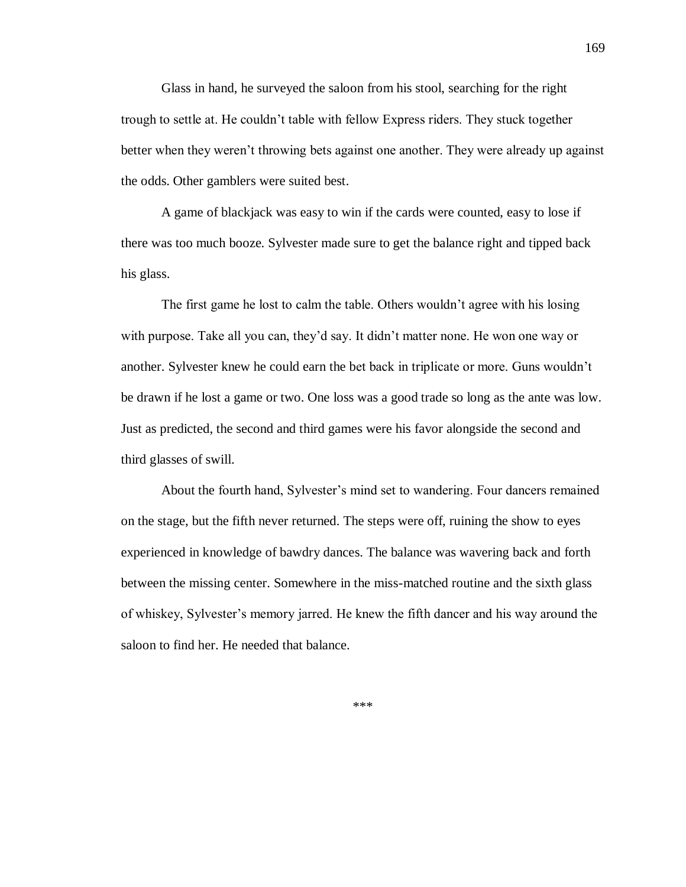Glass in hand, he surveyed the saloon from his stool, searching for the right trough to settle at. He couldn't table with fellow Express riders. They stuck together better when they weren't throwing bets against one another. They were already up against the odds. Other gamblers were suited best.

A game of blackjack was easy to win if the cards were counted, easy to lose if there was too much booze. Sylvester made sure to get the balance right and tipped back his glass.

The first game he lost to calm the table. Others wouldn't agree with his losing with purpose. Take all you can, they'd say. It didn't matter none. He won one way or another. Sylvester knew he could earn the bet back in triplicate or more. Guns wouldn't be drawn if he lost a game or two. One loss was a good trade so long as the ante was low. Just as predicted, the second and third games were his favor alongside the second and third glasses of swill.

About the fourth hand, Sylvester's mind set to wandering. Four dancers remained on the stage, but the fifth never returned. The steps were off, ruining the show to eyes experienced in knowledge of bawdry dances. The balance was wavering back and forth between the missing center. Somewhere in the miss-matched routine and the sixth glass of whiskey, Sylvester's memory jarred. He knew the fifth dancer and his way around the saloon to find her. He needed that balance.

\*\*\*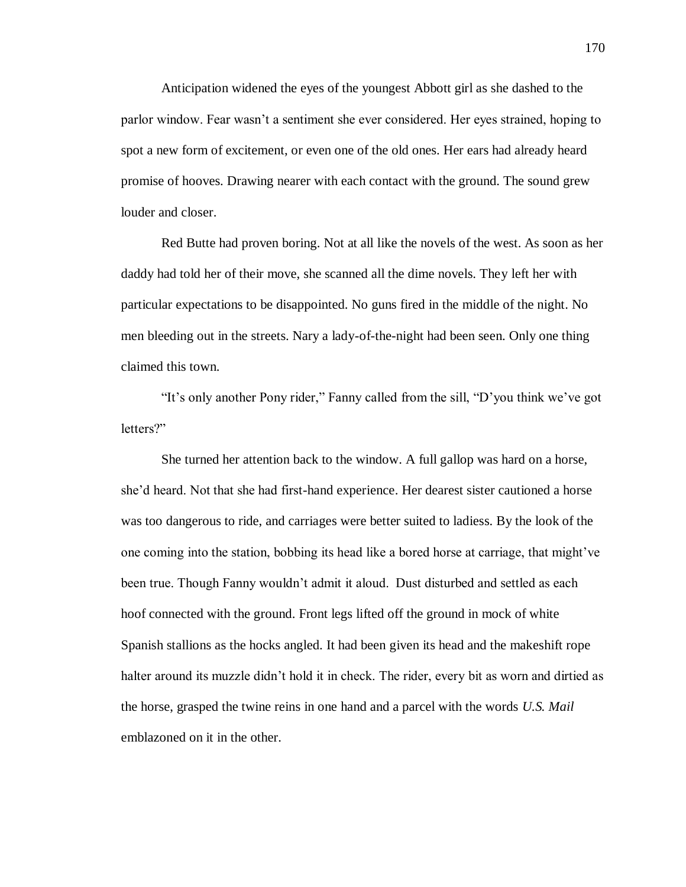Anticipation widened the eyes of the youngest Abbott girl as she dashed to the parlor window. Fear wasn't a sentiment she ever considered. Her eyes strained, hoping to spot a new form of excitement, or even one of the old ones. Her ears had already heard promise of hooves. Drawing nearer with each contact with the ground. The sound grew louder and closer.

Red Butte had proven boring. Not at all like the novels of the west. As soon as her daddy had told her of their move, she scanned all the dime novels. They left her with particular expectations to be disappointed. No guns fired in the middle of the night. No men bleeding out in the streets. Nary a lady-of-the-night had been seen. Only one thing claimed this town.

"It's only another Pony rider," Fanny called from the sill, "D'you think we've got letters?"

She turned her attention back to the window. A full gallop was hard on a horse, she'd heard. Not that she had first-hand experience. Her dearest sister cautioned a horse was too dangerous to ride, and carriages were better suited to ladiess. By the look of the one coming into the station, bobbing its head like a bored horse at carriage, that might've been true. Though Fanny wouldn't admit it aloud. Dust disturbed and settled as each hoof connected with the ground. Front legs lifted off the ground in mock of white Spanish stallions as the hocks angled. It had been given its head and the makeshift rope halter around its muzzle didn't hold it in check. The rider, every bit as worn and dirtied as the horse, grasped the twine reins in one hand and a parcel with the words *U.S. Mail* emblazoned on it in the other.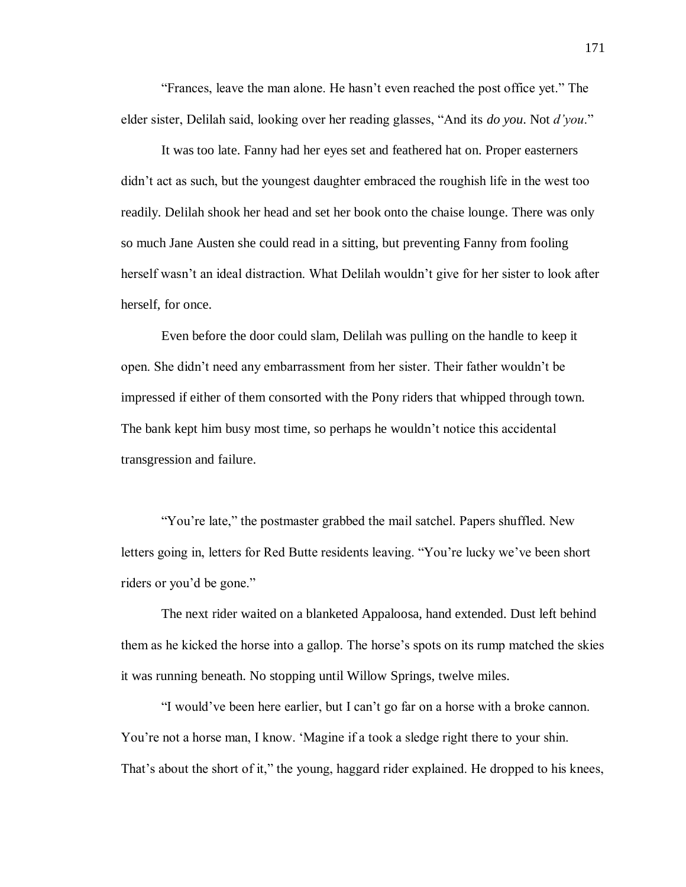"Frances, leave the man alone. He hasn't even reached the post office yet." The elder sister, Delilah said, looking over her reading glasses, "And its *do you*. Not *d'you*."

It was too late. Fanny had her eyes set and feathered hat on. Proper easterners didn't act as such, but the youngest daughter embraced the roughish life in the west too readily. Delilah shook her head and set her book onto the chaise lounge. There was only so much Jane Austen she could read in a sitting, but preventing Fanny from fooling herself wasn't an ideal distraction. What Delilah wouldn't give for her sister to look after herself, for once.

Even before the door could slam, Delilah was pulling on the handle to keep it open. She didn't need any embarrassment from her sister. Their father wouldn't be impressed if either of them consorted with the Pony riders that whipped through town. The bank kept him busy most time, so perhaps he wouldn't notice this accidental transgression and failure.

"You're late," the postmaster grabbed the mail satchel. Papers shuffled. New letters going in, letters for Red Butte residents leaving. "You're lucky we've been short riders or you'd be gone."

The next rider waited on a blanketed Appaloosa, hand extended. Dust left behind them as he kicked the horse into a gallop. The horse's spots on its rump matched the skies it was running beneath. No stopping until Willow Springs, twelve miles.

"I would've been here earlier, but I can't go far on a horse with a broke cannon. You're not a horse man, I know. 'Magine if a took a sledge right there to your shin. That's about the short of it," the young, haggard rider explained. He dropped to his knees,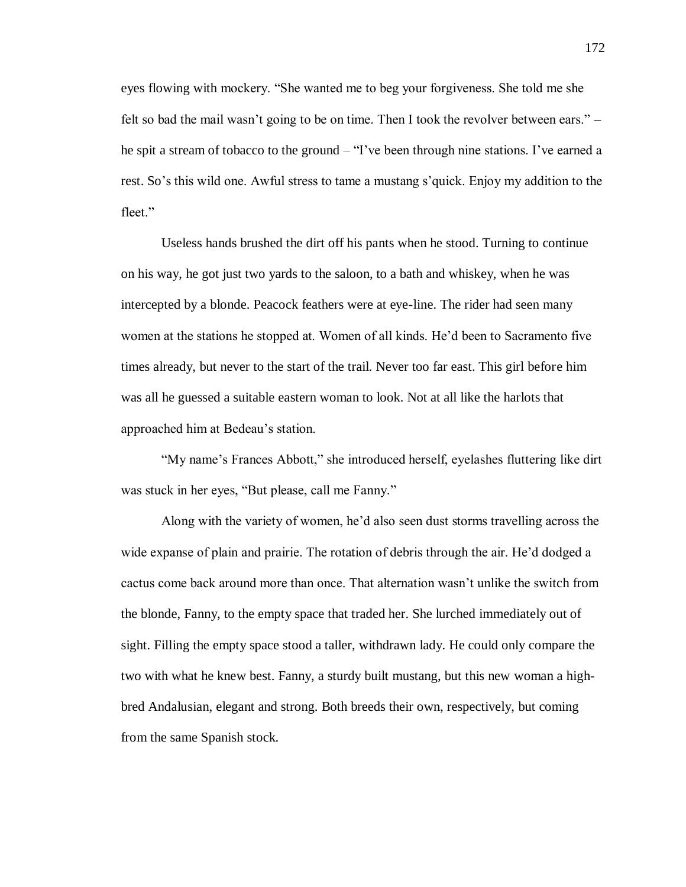eyes flowing with mockery. "She wanted me to beg your forgiveness. She told me she felt so bad the mail wasn't going to be on time. Then I took the revolver between ears." – he spit a stream of tobacco to the ground – "I've been through nine stations. I've earned a rest. So's this wild one. Awful stress to tame a mustang s'quick. Enjoy my addition to the fleet."

Useless hands brushed the dirt off his pants when he stood. Turning to continue on his way, he got just two yards to the saloon, to a bath and whiskey, when he was intercepted by a blonde. Peacock feathers were at eye-line. The rider had seen many women at the stations he stopped at. Women of all kinds. He'd been to Sacramento five times already, but never to the start of the trail. Never too far east. This girl before him was all he guessed a suitable eastern woman to look. Not at all like the harlots that approached him at Bedeau's station.

"My name's Frances Abbott," she introduced herself, eyelashes fluttering like dirt was stuck in her eyes, "But please, call me Fanny."

Along with the variety of women, he'd also seen dust storms travelling across the wide expanse of plain and prairie. The rotation of debris through the air. He'd dodged a cactus come back around more than once. That alternation wasn't unlike the switch from the blonde, Fanny, to the empty space that traded her. She lurched immediately out of sight. Filling the empty space stood a taller, withdrawn lady. He could only compare the two with what he knew best. Fanny, a sturdy built mustang, but this new woman a highbred Andalusian, elegant and strong. Both breeds their own, respectively, but coming from the same Spanish stock.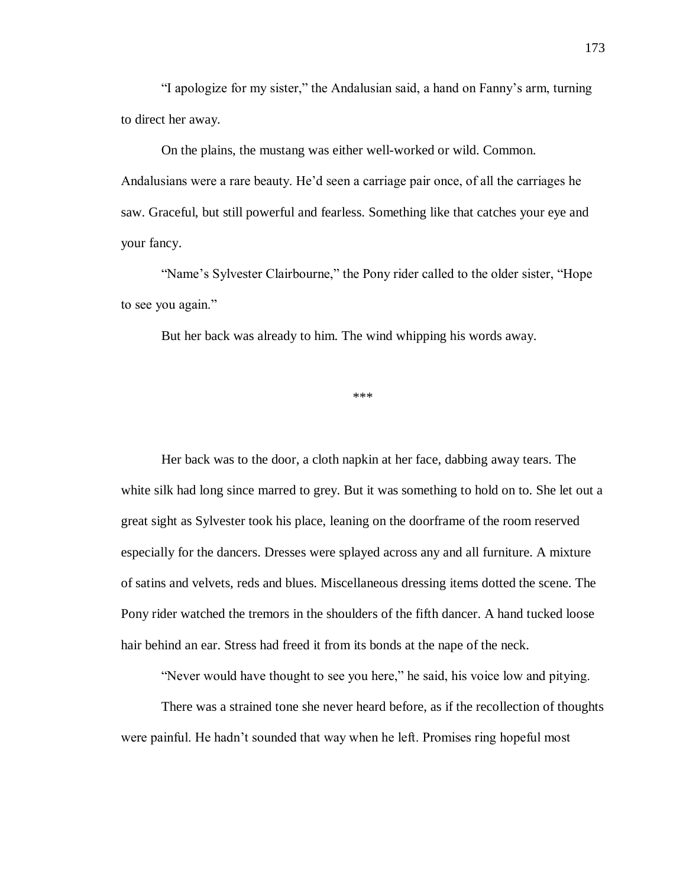"I apologize for my sister," the Andalusian said, a hand on Fanny's arm, turning to direct her away.

On the plains, the mustang was either well-worked or wild. Common. Andalusians were a rare beauty. He'd seen a carriage pair once, of all the carriages he saw. Graceful, but still powerful and fearless. Something like that catches your eye and your fancy.

"Name's Sylvester Clairbourne," the Pony rider called to the older sister, "Hope to see you again."

But her back was already to him. The wind whipping his words away.

\*\*\*

Her back was to the door, a cloth napkin at her face, dabbing away tears. The white silk had long since marred to grey. But it was something to hold on to. She let out a great sight as Sylvester took his place, leaning on the doorframe of the room reserved especially for the dancers. Dresses were splayed across any and all furniture. A mixture of satins and velvets, reds and blues. Miscellaneous dressing items dotted the scene. The Pony rider watched the tremors in the shoulders of the fifth dancer. A hand tucked loose hair behind an ear. Stress had freed it from its bonds at the nape of the neck.

"Never would have thought to see you here," he said, his voice low and pitying.

There was a strained tone she never heard before, as if the recollection of thoughts were painful. He hadn't sounded that way when he left. Promises ring hopeful most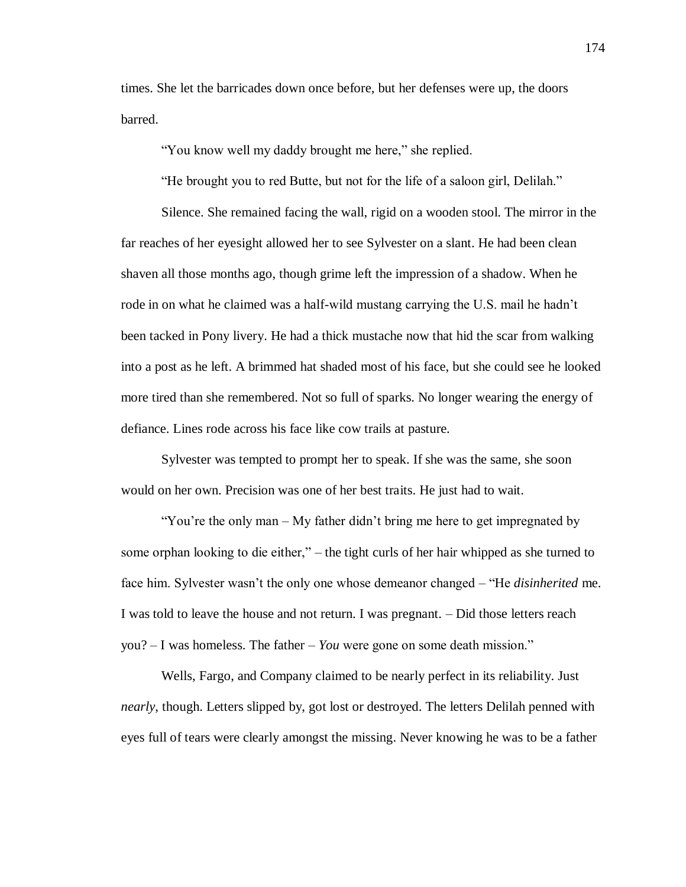times. She let the barricades down once before, but her defenses were up, the doors barred.

"You know well my daddy brought me here," she replied.

"He brought you to red Butte, but not for the life of a saloon girl, Delilah."

Silence. She remained facing the wall, rigid on a wooden stool. The mirror in the far reaches of her eyesight allowed her to see Sylvester on a slant. He had been clean shaven all those months ago, though grime left the impression of a shadow. When he rode in on what he claimed was a half-wild mustang carrying the U.S. mail he hadn't been tacked in Pony livery. He had a thick mustache now that hid the scar from walking into a post as he left. A brimmed hat shaded most of his face, but she could see he looked more tired than she remembered. Not so full of sparks. No longer wearing the energy of defiance. Lines rode across his face like cow trails at pasture.

Sylvester was tempted to prompt her to speak. If she was the same, she soon would on her own. Precision was one of her best traits. He just had to wait.

"You're the only man – My father didn't bring me here to get impregnated by some orphan looking to die either," – the tight curls of her hair whipped as she turned to face him. Sylvester wasn't the only one whose demeanor changed – "He *disinherited* me. I was told to leave the house and not return. I was pregnant. – Did those letters reach you? – I was homeless. The father – *You* were gone on some death mission."

Wells, Fargo, and Company claimed to be nearly perfect in its reliability. Just *nearly*, though. Letters slipped by, got lost or destroyed. The letters Delilah penned with eyes full of tears were clearly amongst the missing. Never knowing he was to be a father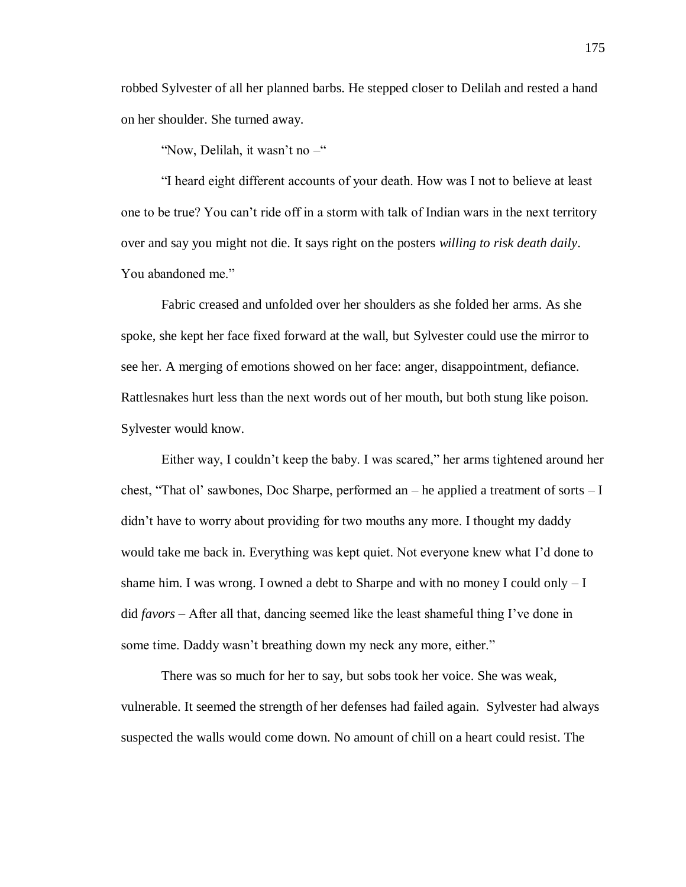robbed Sylvester of all her planned barbs. He stepped closer to Delilah and rested a hand on her shoulder. She turned away.

"Now, Delilah, it wasn't no –"

"I heard eight different accounts of your death. How was I not to believe at least one to be true? You can't ride off in a storm with talk of Indian wars in the next territory over and say you might not die. It says right on the posters *willing to risk death daily*. You abandoned me."

Fabric creased and unfolded over her shoulders as she folded her arms. As she spoke, she kept her face fixed forward at the wall, but Sylvester could use the mirror to see her. A merging of emotions showed on her face: anger, disappointment, defiance. Rattlesnakes hurt less than the next words out of her mouth, but both stung like poison. Sylvester would know.

Either way, I couldn't keep the baby. I was scared," her arms tightened around her chest, "That ol' sawbones, Doc Sharpe, performed an – he applied a treatment of sorts  $-I$ didn't have to worry about providing for two mouths any more. I thought my daddy would take me back in. Everything was kept quiet. Not everyone knew what I'd done to shame him. I was wrong. I owned a debt to Sharpe and with no money I could only  $-I$ did *favors* – After all that, dancing seemed like the least shameful thing I've done in some time. Daddy wasn't breathing down my neck any more, either."

There was so much for her to say, but sobs took her voice. She was weak, vulnerable. It seemed the strength of her defenses had failed again. Sylvester had always suspected the walls would come down. No amount of chill on a heart could resist. The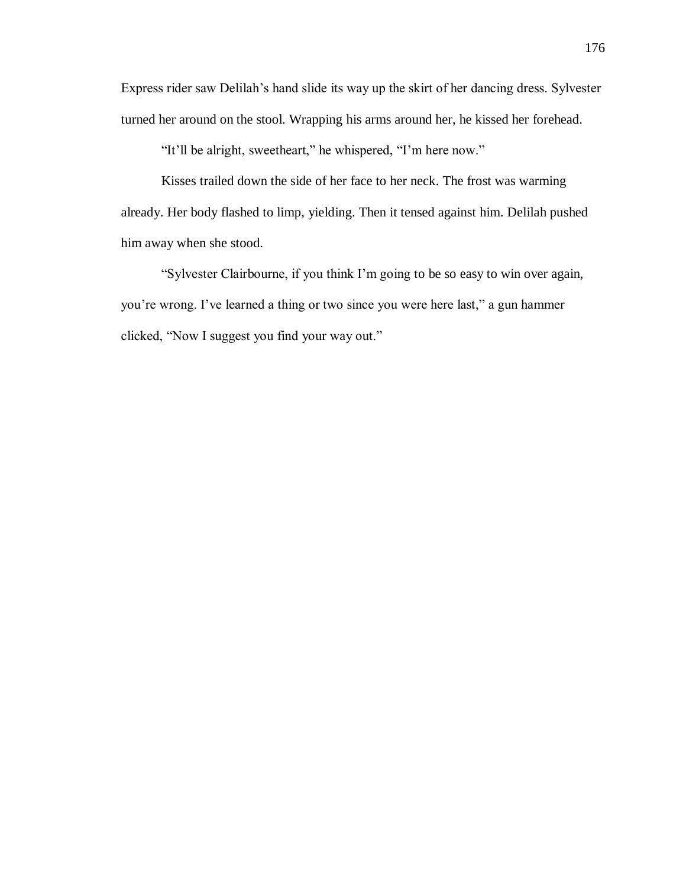Express rider saw Delilah's hand slide its way up the skirt of her dancing dress. Sylvester turned her around on the stool. Wrapping his arms around her, he kissed her forehead.

"It'll be alright, sweetheart," he whispered, "I'm here now."

Kisses trailed down the side of her face to her neck. The frost was warming already. Her body flashed to limp, yielding. Then it tensed against him. Delilah pushed him away when she stood.

"Sylvester Clairbourne, if you think I'm going to be so easy to win over again, you're wrong. I've learned a thing or two since you were here last," a gun hammer clicked, "Now I suggest you find your way out."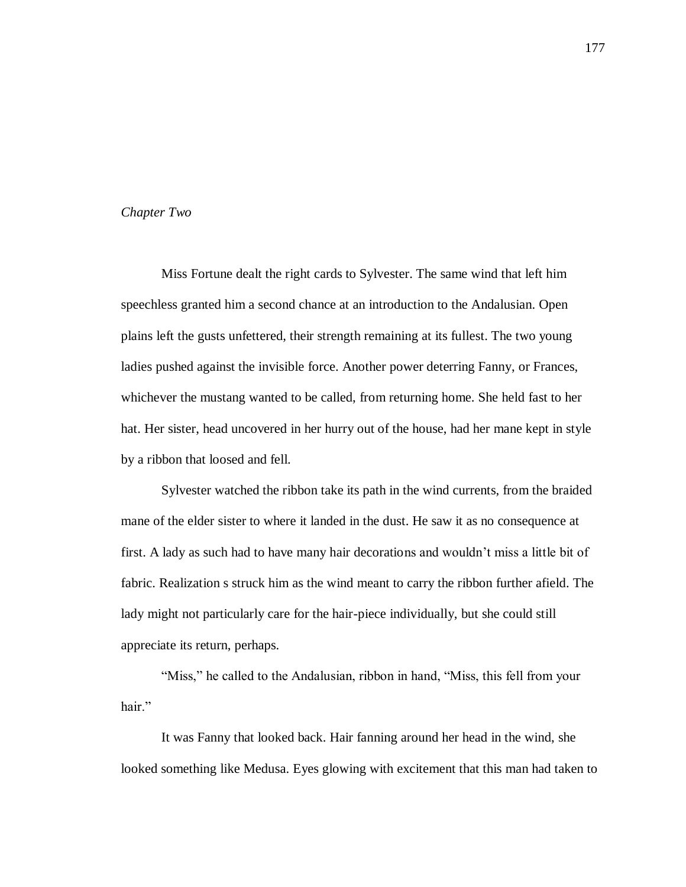# *Chapter Two*

Miss Fortune dealt the right cards to Sylvester. The same wind that left him speechless granted him a second chance at an introduction to the Andalusian. Open plains left the gusts unfettered, their strength remaining at its fullest. The two young ladies pushed against the invisible force. Another power deterring Fanny, or Frances, whichever the mustang wanted to be called, from returning home. She held fast to her hat. Her sister, head uncovered in her hurry out of the house, had her mane kept in style by a ribbon that loosed and fell.

Sylvester watched the ribbon take its path in the wind currents, from the braided mane of the elder sister to where it landed in the dust. He saw it as no consequence at first. A lady as such had to have many hair decorations and wouldn't miss a little bit of fabric. Realization s struck him as the wind meant to carry the ribbon further afield. The lady might not particularly care for the hair-piece individually, but she could still appreciate its return, perhaps.

"Miss," he called to the Andalusian, ribbon in hand, "Miss, this fell from your hair."

It was Fanny that looked back. Hair fanning around her head in the wind, she looked something like Medusa. Eyes glowing with excitement that this man had taken to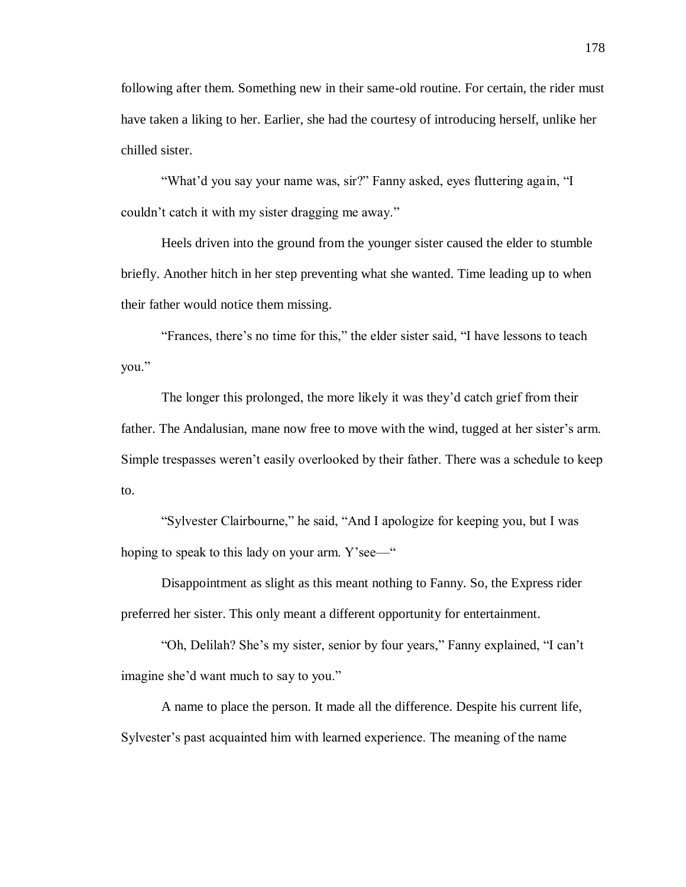following after them. Something new in their same-old routine. For certain, the rider must have taken a liking to her. Earlier, she had the courtesy of introducing herself, unlike her chilled sister.

"What'd you say your name was, sir?" Fanny asked, eyes fluttering again, "I couldn't catch it with my sister dragging me away."

Heels driven into the ground from the younger sister caused the elder to stumble briefly. Another hitch in her step preventing what she wanted. Time leading up to when their father would notice them missing.

"Frances, there's no time for this," the elder sister said, "I have lessons to teach you."

The longer this prolonged, the more likely it was they'd catch grief from their father. The Andalusian, mane now free to move with the wind, tugged at her sister's arm. Simple trespasses weren't easily overlooked by their father. There was a schedule to keep to.

"Sylvester Clairbourne," he said, "And I apologize for keeping you, but I was hoping to speak to this lady on your arm. Y'see—"

Disappointment as slight as this meant nothing to Fanny. So, the Express rider preferred her sister. This only meant a different opportunity for entertainment.

"Oh, Delilah? She's my sister, senior by four years," Fanny explained, "I can't imagine she'd want much to say to you."

A name to place the person. It made all the difference. Despite his current life, Sylvester's past acquainted him with learned experience. The meaning of the name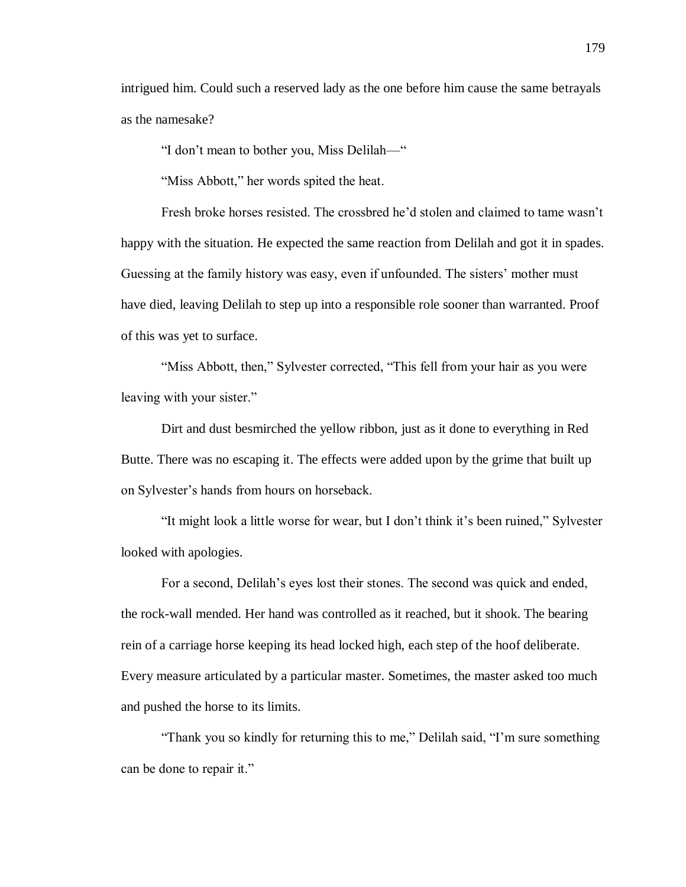intrigued him. Could such a reserved lady as the one before him cause the same betrayals as the namesake?

"I don't mean to bother you, Miss Delilah—"

"Miss Abbott," her words spited the heat.

Fresh broke horses resisted. The crossbred he'd stolen and claimed to tame wasn't happy with the situation. He expected the same reaction from Delilah and got it in spades. Guessing at the family history was easy, even if unfounded. The sisters' mother must have died, leaving Delilah to step up into a responsible role sooner than warranted. Proof of this was yet to surface.

"Miss Abbott, then," Sylvester corrected, "This fell from your hair as you were leaving with your sister."

Dirt and dust besmirched the yellow ribbon, just as it done to everything in Red Butte. There was no escaping it. The effects were added upon by the grime that built up on Sylvester's hands from hours on horseback.

"It might look a little worse for wear, but I don't think it's been ruined," Sylvester looked with apologies.

For a second, Delilah's eyes lost their stones. The second was quick and ended, the rock-wall mended. Her hand was controlled as it reached, but it shook. The bearing rein of a carriage horse keeping its head locked high, each step of the hoof deliberate. Every measure articulated by a particular master. Sometimes, the master asked too much and pushed the horse to its limits.

"Thank you so kindly for returning this to me," Delilah said, "I'm sure something can be done to repair it."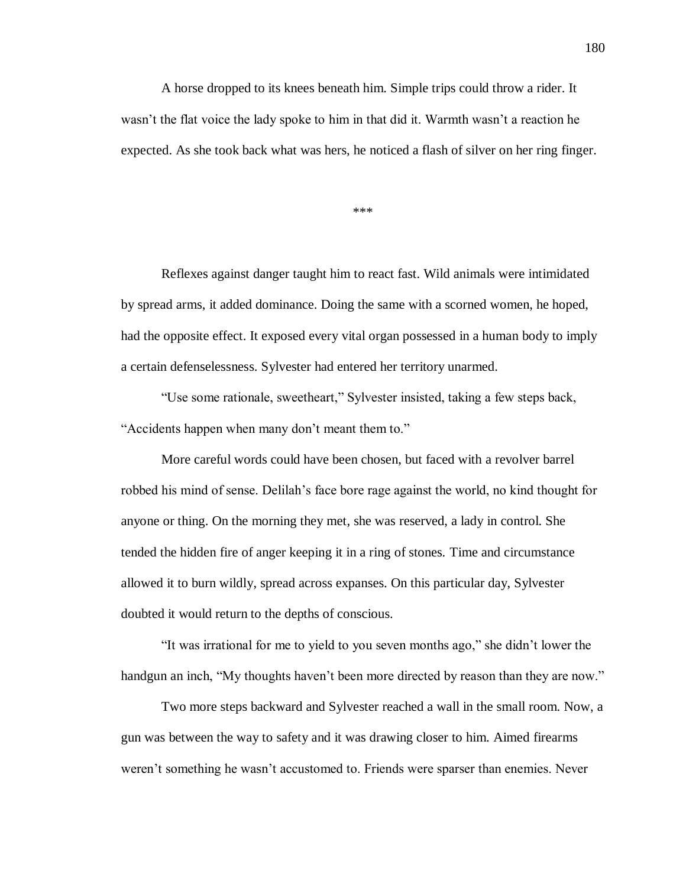A horse dropped to its knees beneath him. Simple trips could throw a rider. It wasn't the flat voice the lady spoke to him in that did it. Warmth wasn't a reaction he expected. As she took back what was hers, he noticed a flash of silver on her ring finger.

\*\*\*

Reflexes against danger taught him to react fast. Wild animals were intimidated by spread arms, it added dominance. Doing the same with a scorned women, he hoped, had the opposite effect. It exposed every vital organ possessed in a human body to imply a certain defenselessness. Sylvester had entered her territory unarmed.

"Use some rationale, sweetheart," Sylvester insisted, taking a few steps back, "Accidents happen when many don't meant them to."

More careful words could have been chosen, but faced with a revolver barrel robbed his mind of sense. Delilah's face bore rage against the world, no kind thought for anyone or thing. On the morning they met, she was reserved, a lady in control. She tended the hidden fire of anger keeping it in a ring of stones. Time and circumstance allowed it to burn wildly, spread across expanses. On this particular day, Sylvester doubted it would return to the depths of conscious.

"It was irrational for me to yield to you seven months ago," she didn't lower the handgun an inch, "My thoughts haven't been more directed by reason than they are now."

Two more steps backward and Sylvester reached a wall in the small room. Now, a gun was between the way to safety and it was drawing closer to him. Aimed firearms weren't something he wasn't accustomed to. Friends were sparser than enemies. Never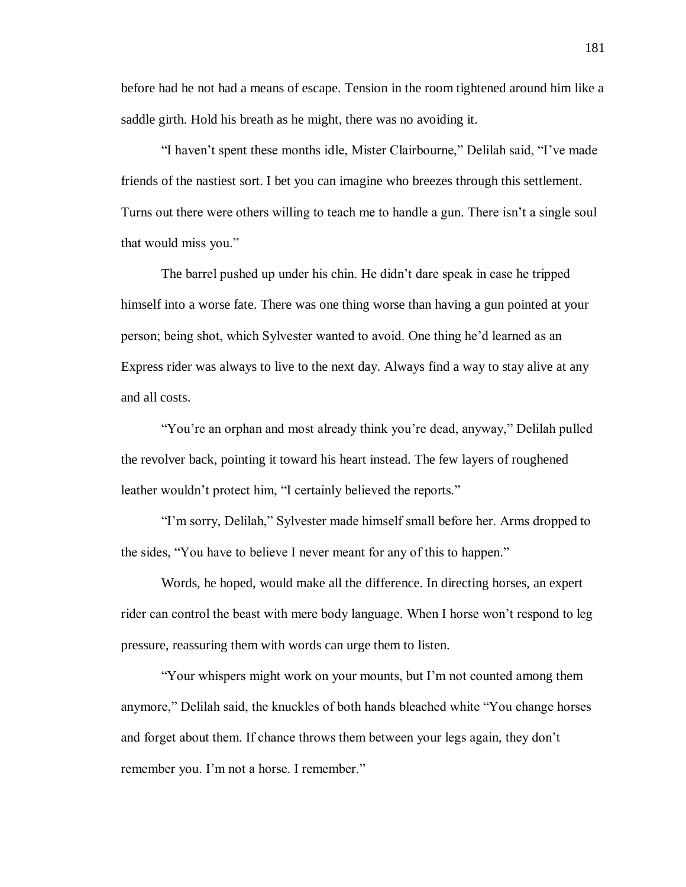before had he not had a means of escape. Tension in the room tightened around him like a saddle girth. Hold his breath as he might, there was no avoiding it.

"I haven't spent these months idle, Mister Clairbourne," Delilah said, "I've made friends of the nastiest sort. I bet you can imagine who breezes through this settlement. Turns out there were others willing to teach me to handle a gun. There isn't a single soul that would miss you."

The barrel pushed up under his chin. He didn't dare speak in case he tripped himself into a worse fate. There was one thing worse than having a gun pointed at your person; being shot, which Sylvester wanted to avoid. One thing he'd learned as an Express rider was always to live to the next day. Always find a way to stay alive at any and all costs.

"You're an orphan and most already think you're dead, anyway," Delilah pulled the revolver back, pointing it toward his heart instead. The few layers of roughened leather wouldn't protect him, "I certainly believed the reports."

"I'm sorry, Delilah," Sylvester made himself small before her. Arms dropped to the sides, "You have to believe I never meant for any of this to happen."

Words, he hoped, would make all the difference. In directing horses, an expert rider can control the beast with mere body language. When I horse won't respond to leg pressure, reassuring them with words can urge them to listen.

"Your whispers might work on your mounts, but I'm not counted among them anymore," Delilah said, the knuckles of both hands bleached white "You change horses and forget about them. If chance throws them between your legs again, they don't remember you. I'm not a horse. I remember."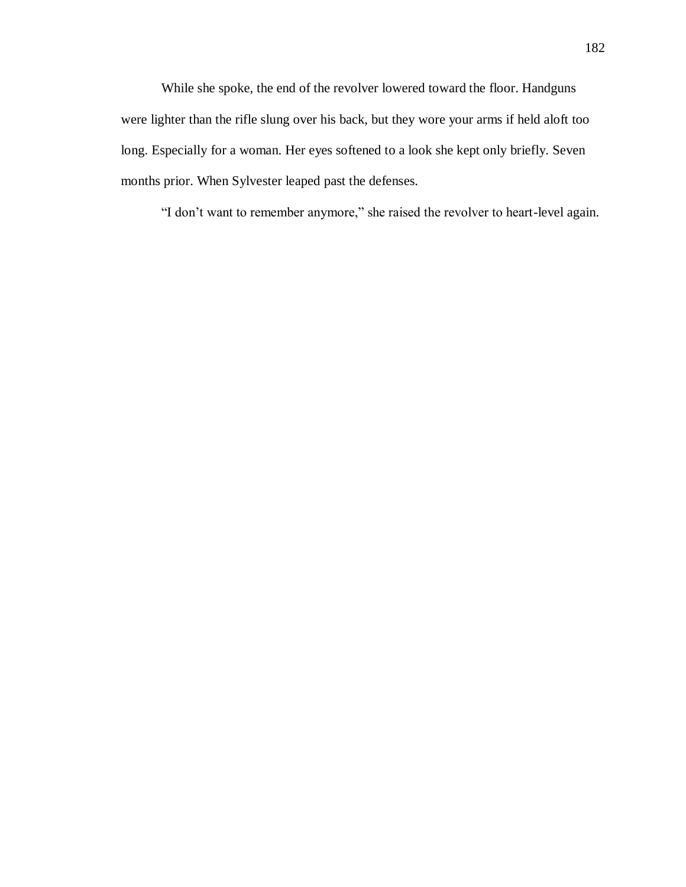While she spoke, the end of the revolver lowered toward the floor. Handguns were lighter than the rifle slung over his back, but they wore your arms if held aloft too long. Especially for a woman. Her eyes softened to a look she kept only briefly. Seven months prior. When Sylvester leaped past the defenses.

"I don't want to remember anymore," she raised the revolver to heart-level again.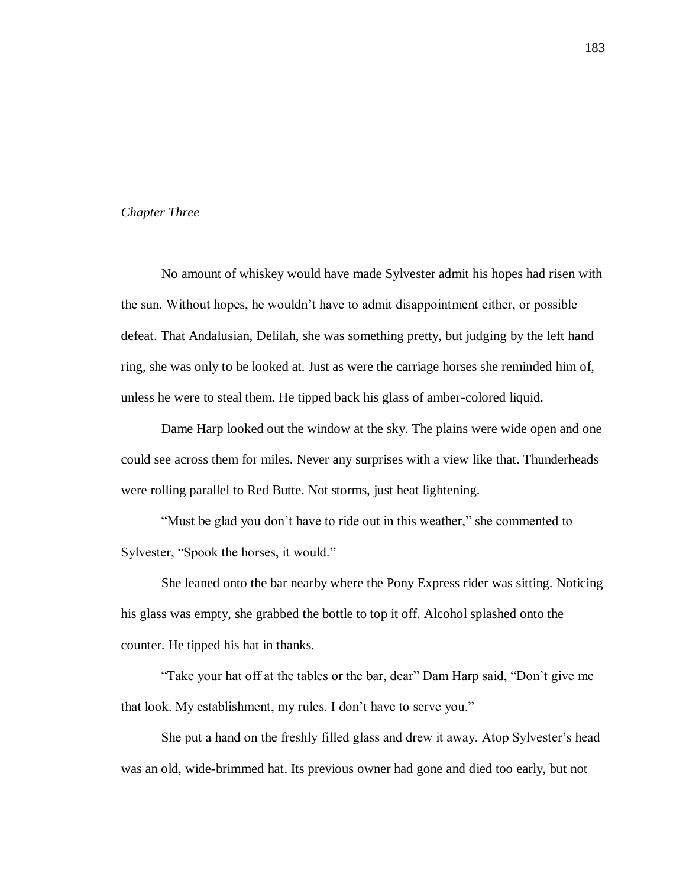# *Chapter Three*

No amount of whiskey would have made Sylvester admit his hopes had risen with the sun. Without hopes, he wouldn't have to admit disappointment either, or possible defeat. That Andalusian, Delilah, she was something pretty, but judging by the left hand ring, she was only to be looked at. Just as were the carriage horses she reminded him of, unless he were to steal them. He tipped back his glass of amber-colored liquid.

Dame Harp looked out the window at the sky. The plains were wide open and one could see across them for miles. Never any surprises with a view like that. Thunderheads were rolling parallel to Red Butte. Not storms, just heat lightening.

"Must be glad you don't have to ride out in this weather," she commented to Sylvester, "Spook the horses, it would."

She leaned onto the bar nearby where the Pony Express rider was sitting. Noticing his glass was empty, she grabbed the bottle to top it off. Alcohol splashed onto the counter. He tipped his hat in thanks.

"Take your hat off at the tables or the bar, dear" Dam Harp said, "Don't give me that look. My establishment, my rules. I don't have to serve you."

She put a hand on the freshly filled glass and drew it away. Atop Sylvester's head was an old, wide-brimmed hat. Its previous owner had gone and died too early, but not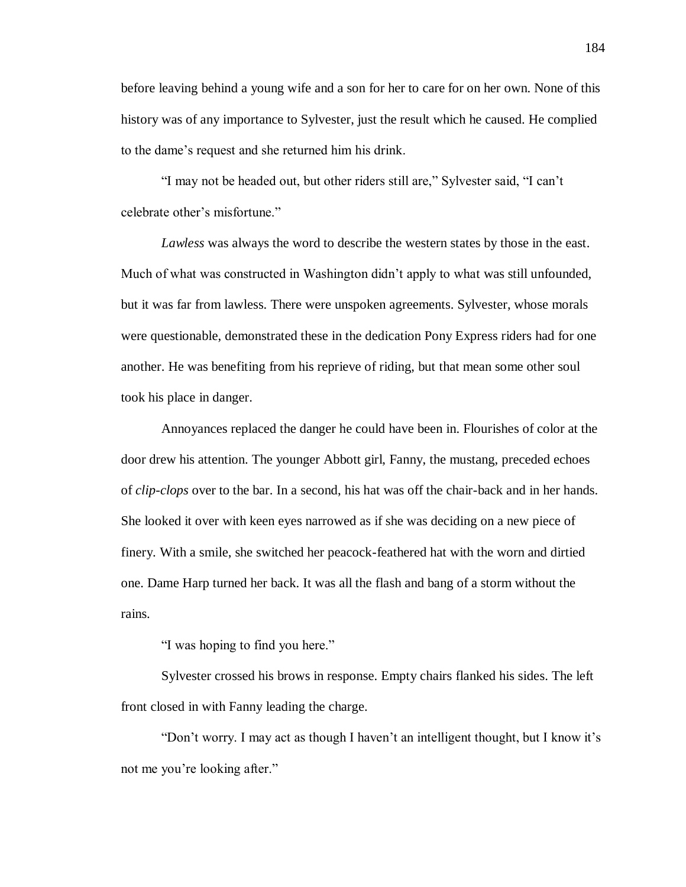before leaving behind a young wife and a son for her to care for on her own. None of this history was of any importance to Sylvester, just the result which he caused. He complied to the dame's request and she returned him his drink.

"I may not be headed out, but other riders still are," Sylvester said, "I can't celebrate other's misfortune."

*Lawless* was always the word to describe the western states by those in the east. Much of what was constructed in Washington didn't apply to what was still unfounded, but it was far from lawless. There were unspoken agreements. Sylvester, whose morals were questionable, demonstrated these in the dedication Pony Express riders had for one another. He was benefiting from his reprieve of riding, but that mean some other soul took his place in danger.

Annoyances replaced the danger he could have been in. Flourishes of color at the door drew his attention. The younger Abbott girl, Fanny, the mustang, preceded echoes of *clip-clops* over to the bar. In a second, his hat was off the chair-back and in her hands. She looked it over with keen eyes narrowed as if she was deciding on a new piece of finery. With a smile, she switched her peacock-feathered hat with the worn and dirtied one. Dame Harp turned her back. It was all the flash and bang of a storm without the rains.

"I was hoping to find you here."

Sylvester crossed his brows in response. Empty chairs flanked his sides. The left front closed in with Fanny leading the charge.

"Don't worry. I may act as though I haven't an intelligent thought, but I know it's not me you're looking after."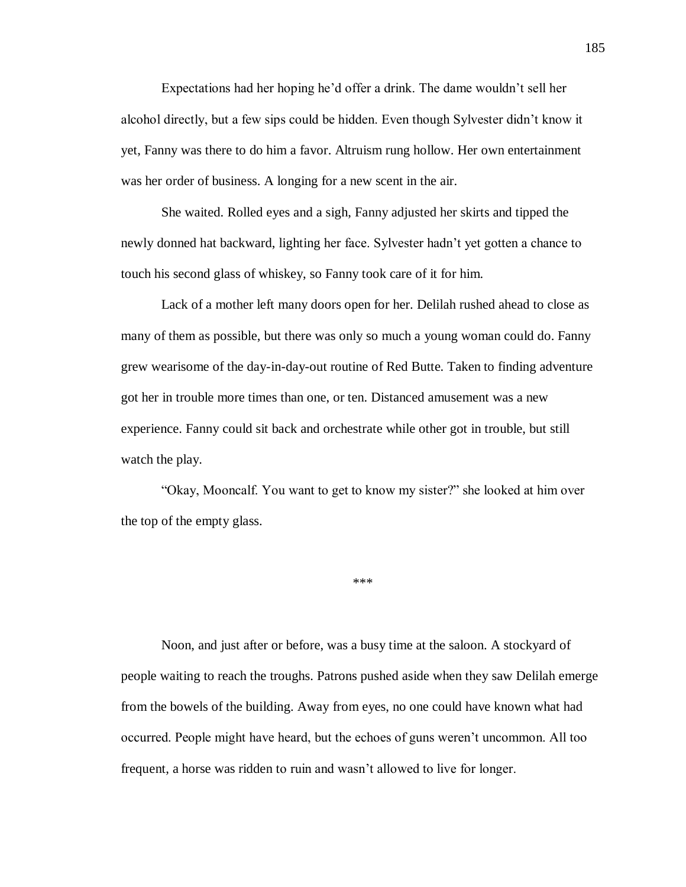Expectations had her hoping he'd offer a drink. The dame wouldn't sell her alcohol directly, but a few sips could be hidden. Even though Sylvester didn't know it yet, Fanny was there to do him a favor. Altruism rung hollow. Her own entertainment was her order of business. A longing for a new scent in the air.

She waited. Rolled eyes and a sigh, Fanny adjusted her skirts and tipped the newly donned hat backward, lighting her face. Sylvester hadn't yet gotten a chance to touch his second glass of whiskey, so Fanny took care of it for him.

Lack of a mother left many doors open for her. Delilah rushed ahead to close as many of them as possible, but there was only so much a young woman could do. Fanny grew wearisome of the day-in-day-out routine of Red Butte. Taken to finding adventure got her in trouble more times than one, or ten. Distanced amusement was a new experience. Fanny could sit back and orchestrate while other got in trouble, but still watch the play.

"Okay, Mooncalf. You want to get to know my sister?" she looked at him over the top of the empty glass.

\*\*\*

Noon, and just after or before, was a busy time at the saloon. A stockyard of people waiting to reach the troughs. Patrons pushed aside when they saw Delilah emerge from the bowels of the building. Away from eyes, no one could have known what had occurred. People might have heard, but the echoes of guns weren't uncommon. All too frequent, a horse was ridden to ruin and wasn't allowed to live for longer.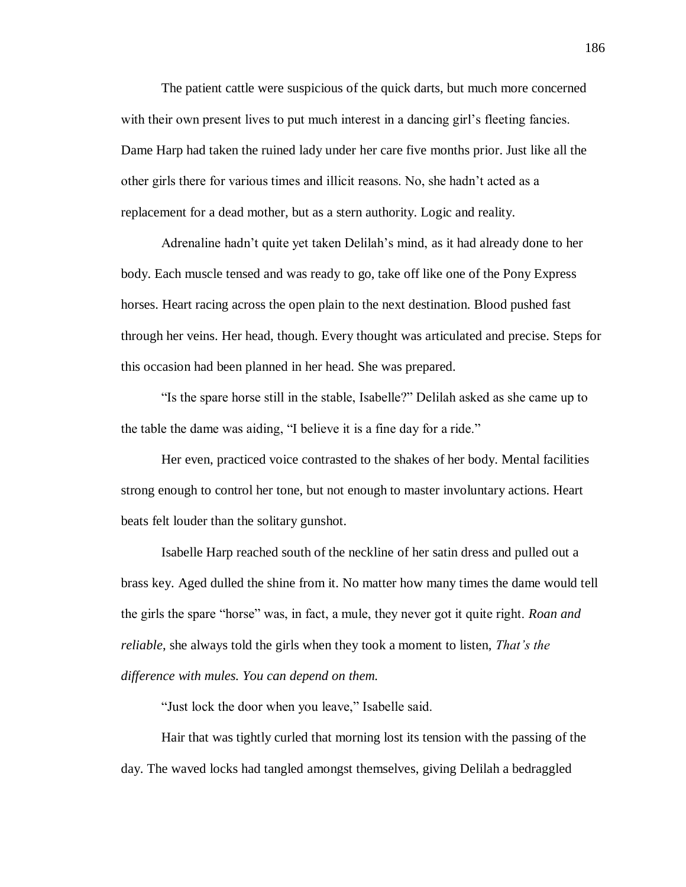The patient cattle were suspicious of the quick darts, but much more concerned with their own present lives to put much interest in a dancing girl's fleeting fancies. Dame Harp had taken the ruined lady under her care five months prior. Just like all the other girls there for various times and illicit reasons. No, she hadn't acted as a replacement for a dead mother, but as a stern authority. Logic and reality.

Adrenaline hadn't quite yet taken Delilah's mind, as it had already done to her body. Each muscle tensed and was ready to go, take off like one of the Pony Express horses. Heart racing across the open plain to the next destination. Blood pushed fast through her veins. Her head, though. Every thought was articulated and precise. Steps for this occasion had been planned in her head. She was prepared.

"Is the spare horse still in the stable, Isabelle?" Delilah asked as she came up to the table the dame was aiding, "I believe it is a fine day for a ride."

Her even, practiced voice contrasted to the shakes of her body. Mental facilities strong enough to control her tone, but not enough to master involuntary actions. Heart beats felt louder than the solitary gunshot.

Isabelle Harp reached south of the neckline of her satin dress and pulled out a brass key. Aged dulled the shine from it. No matter how many times the dame would tell the girls the spare "horse" was, in fact, a mule, they never got it quite right. *Roan and reliable*, she always told the girls when they took a moment to listen, *That's the difference with mules. You can depend on them.*

"Just lock the door when you leave," Isabelle said.

Hair that was tightly curled that morning lost its tension with the passing of the day. The waved locks had tangled amongst themselves, giving Delilah a bedraggled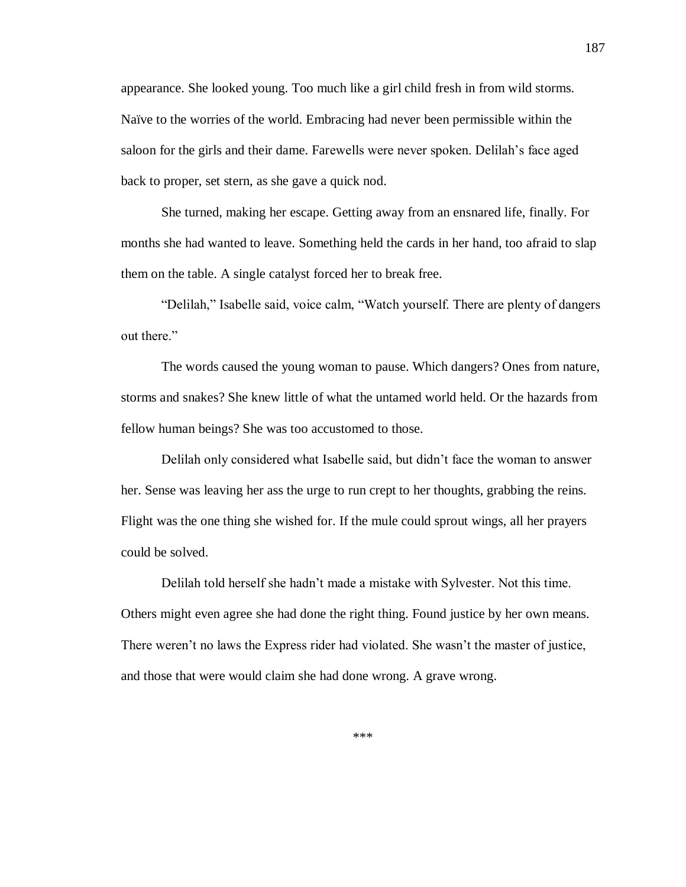appearance. She looked young. Too much like a girl child fresh in from wild storms. Naïve to the worries of the world. Embracing had never been permissible within the saloon for the girls and their dame. Farewells were never spoken. Delilah's face aged back to proper, set stern, as she gave a quick nod.

She turned, making her escape. Getting away from an ensnared life, finally. For months she had wanted to leave. Something held the cards in her hand, too afraid to slap them on the table. A single catalyst forced her to break free.

"Delilah," Isabelle said, voice calm, "Watch yourself. There are plenty of dangers out there."

The words caused the young woman to pause. Which dangers? Ones from nature, storms and snakes? She knew little of what the untamed world held. Or the hazards from fellow human beings? She was too accustomed to those.

Delilah only considered what Isabelle said, but didn't face the woman to answer her. Sense was leaving her ass the urge to run crept to her thoughts, grabbing the reins. Flight was the one thing she wished for. If the mule could sprout wings, all her prayers could be solved.

Delilah told herself she hadn't made a mistake with Sylvester. Not this time. Others might even agree she had done the right thing. Found justice by her own means. There weren't no laws the Express rider had violated. She wasn't the master of justice, and those that were would claim she had done wrong. A grave wrong.

\*\*\*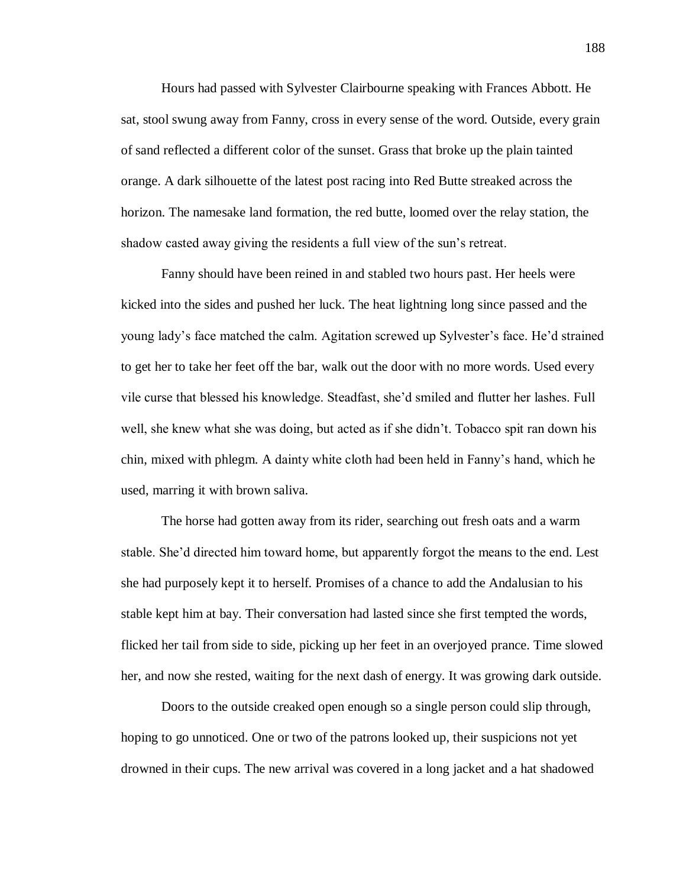Hours had passed with Sylvester Clairbourne speaking with Frances Abbott. He sat, stool swung away from Fanny, cross in every sense of the word. Outside, every grain of sand reflected a different color of the sunset. Grass that broke up the plain tainted orange. A dark silhouette of the latest post racing into Red Butte streaked across the horizon. The namesake land formation, the red butte, loomed over the relay station, the shadow casted away giving the residents a full view of the sun's retreat.

Fanny should have been reined in and stabled two hours past. Her heels were kicked into the sides and pushed her luck. The heat lightning long since passed and the young lady's face matched the calm. Agitation screwed up Sylvester's face. He'd strained to get her to take her feet off the bar, walk out the door with no more words. Used every vile curse that blessed his knowledge. Steadfast, she'd smiled and flutter her lashes. Full well, she knew what she was doing, but acted as if she didn't. Tobacco spit ran down his chin, mixed with phlegm. A dainty white cloth had been held in Fanny's hand, which he used, marring it with brown saliva.

The horse had gotten away from its rider, searching out fresh oats and a warm stable. She'd directed him toward home, but apparently forgot the means to the end. Lest she had purposely kept it to herself. Promises of a chance to add the Andalusian to his stable kept him at bay. Their conversation had lasted since she first tempted the words, flicked her tail from side to side, picking up her feet in an overjoyed prance. Time slowed her, and now she rested, waiting for the next dash of energy. It was growing dark outside.

Doors to the outside creaked open enough so a single person could slip through, hoping to go unnoticed. One or two of the patrons looked up, their suspicions not yet drowned in their cups. The new arrival was covered in a long jacket and a hat shadowed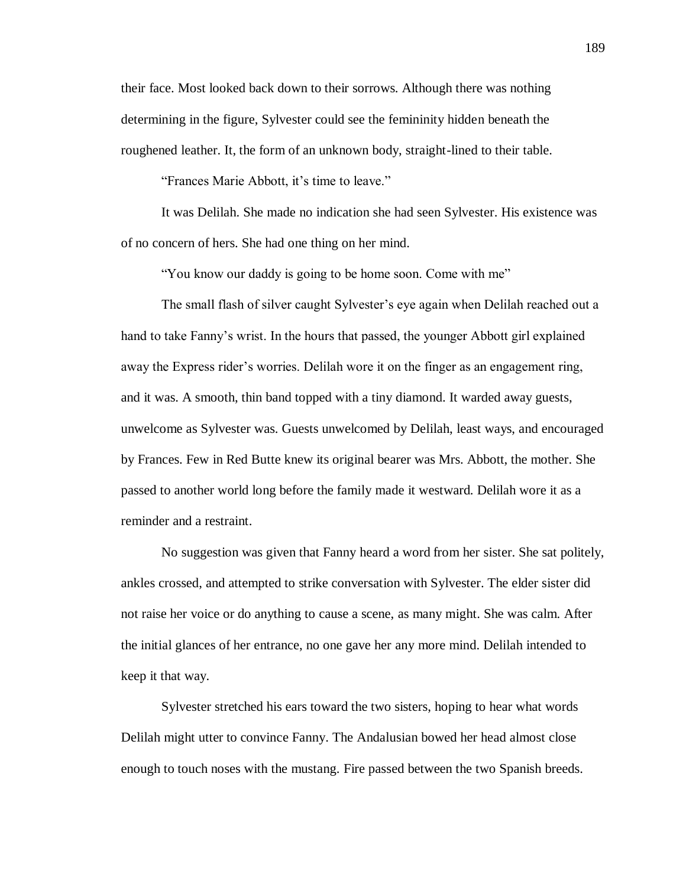their face. Most looked back down to their sorrows. Although there was nothing determining in the figure, Sylvester could see the femininity hidden beneath the roughened leather. It, the form of an unknown body, straight-lined to their table.

"Frances Marie Abbott, it's time to leave."

It was Delilah. She made no indication she had seen Sylvester. His existence was of no concern of hers. She had one thing on her mind.

"You know our daddy is going to be home soon. Come with me"

The small flash of silver caught Sylvester's eye again when Delilah reached out a hand to take Fanny's wrist. In the hours that passed, the younger Abbott girl explained away the Express rider's worries. Delilah wore it on the finger as an engagement ring, and it was. A smooth, thin band topped with a tiny diamond. It warded away guests, unwelcome as Sylvester was. Guests unwelcomed by Delilah, least ways, and encouraged by Frances. Few in Red Butte knew its original bearer was Mrs. Abbott, the mother. She passed to another world long before the family made it westward. Delilah wore it as a reminder and a restraint.

No suggestion was given that Fanny heard a word from her sister. She sat politely, ankles crossed, and attempted to strike conversation with Sylvester. The elder sister did not raise her voice or do anything to cause a scene, as many might. She was calm. After the initial glances of her entrance, no one gave her any more mind. Delilah intended to keep it that way.

Sylvester stretched his ears toward the two sisters, hoping to hear what words Delilah might utter to convince Fanny. The Andalusian bowed her head almost close enough to touch noses with the mustang. Fire passed between the two Spanish breeds.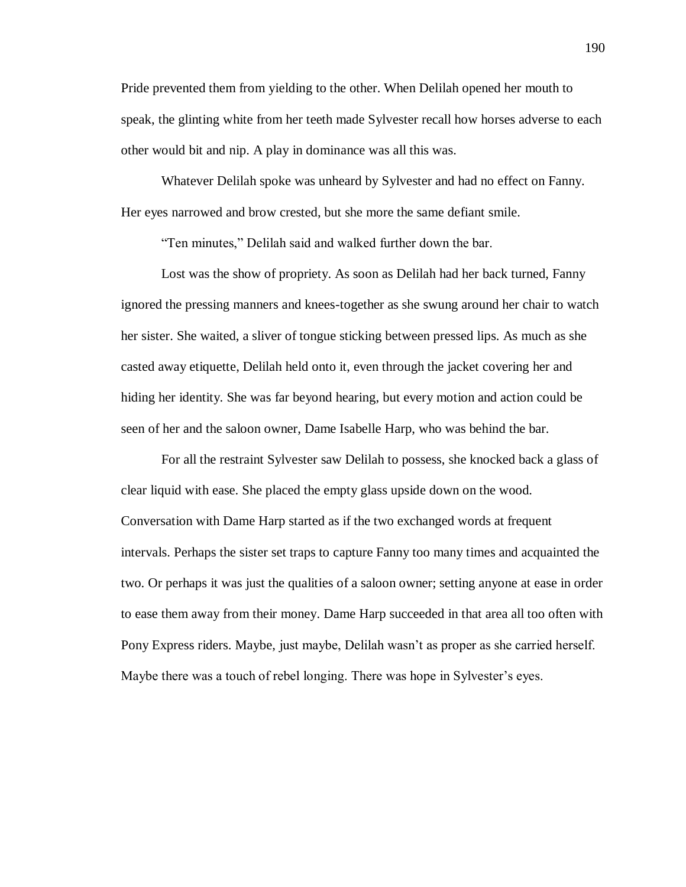Pride prevented them from yielding to the other. When Delilah opened her mouth to speak, the glinting white from her teeth made Sylvester recall how horses adverse to each other would bit and nip. A play in dominance was all this was.

Whatever Delilah spoke was unheard by Sylvester and had no effect on Fanny. Her eyes narrowed and brow crested, but she more the same defiant smile.

"Ten minutes," Delilah said and walked further down the bar.

Lost was the show of propriety. As soon as Delilah had her back turned, Fanny ignored the pressing manners and knees-together as she swung around her chair to watch her sister. She waited, a sliver of tongue sticking between pressed lips. As much as she casted away etiquette, Delilah held onto it, even through the jacket covering her and hiding her identity. She was far beyond hearing, but every motion and action could be seen of her and the saloon owner, Dame Isabelle Harp, who was behind the bar.

For all the restraint Sylvester saw Delilah to possess, she knocked back a glass of clear liquid with ease. She placed the empty glass upside down on the wood. Conversation with Dame Harp started as if the two exchanged words at frequent intervals. Perhaps the sister set traps to capture Fanny too many times and acquainted the two. Or perhaps it was just the qualities of a saloon owner; setting anyone at ease in order to ease them away from their money. Dame Harp succeeded in that area all too often with Pony Express riders. Maybe, just maybe, Delilah wasn't as proper as she carried herself. Maybe there was a touch of rebel longing. There was hope in Sylvester's eyes.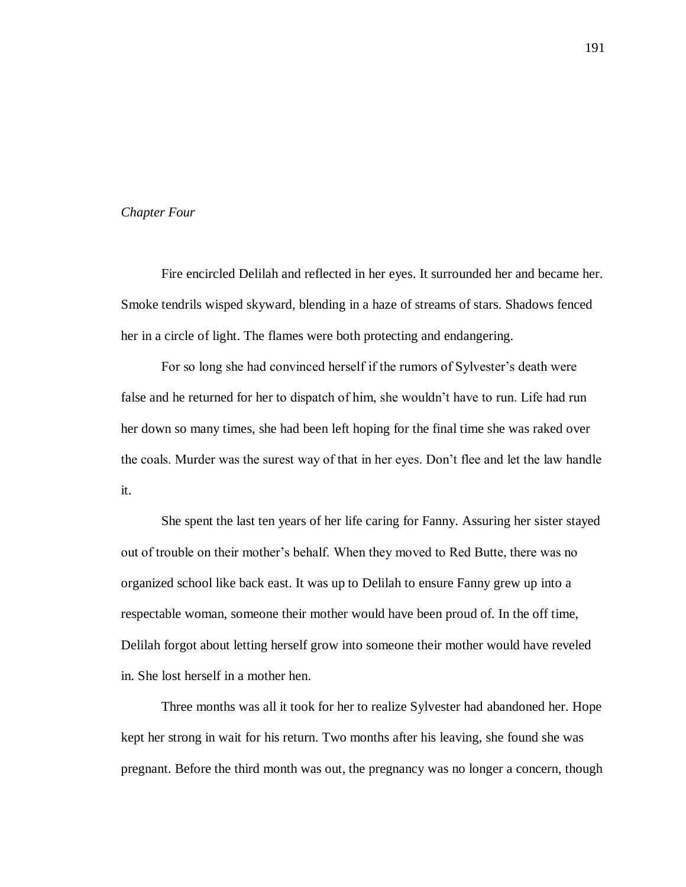# *Chapter Four*

Fire encircled Delilah and reflected in her eyes. It surrounded her and became her. Smoke tendrils wisped skyward, blending in a haze of streams of stars. Shadows fenced her in a circle of light. The flames were both protecting and endangering.

For so long she had convinced herself if the rumors of Sylvester's death were false and he returned for her to dispatch of him, she wouldn't have to run. Life had run her down so many times, she had been left hoping for the final time she was raked over the coals. Murder was the surest way of that in her eyes. Don't flee and let the law handle it.

She spent the last ten years of her life caring for Fanny. Assuring her sister stayed out of trouble on their mother's behalf. When they moved to Red Butte, there was no organized school like back east. It was up to Delilah to ensure Fanny grew up into a respectable woman, someone their mother would have been proud of. In the off time, Delilah forgot about letting herself grow into someone their mother would have reveled in. She lost herself in a mother hen.

Three months was all it took for her to realize Sylvester had abandoned her. Hope kept her strong in wait for his return. Two months after his leaving, she found she was pregnant. Before the third month was out, the pregnancy was no longer a concern, though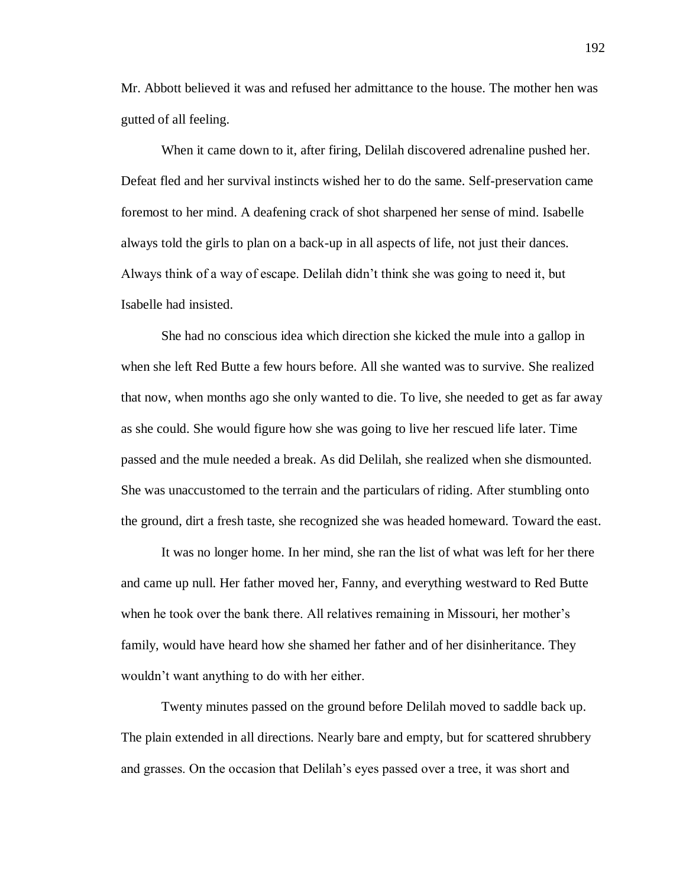Mr. Abbott believed it was and refused her admittance to the house. The mother hen was gutted of all feeling.

When it came down to it, after firing, Delilah discovered adrenaline pushed her. Defeat fled and her survival instincts wished her to do the same. Self-preservation came foremost to her mind. A deafening crack of shot sharpened her sense of mind. Isabelle always told the girls to plan on a back-up in all aspects of life, not just their dances. Always think of a way of escape. Delilah didn't think she was going to need it, but Isabelle had insisted.

She had no conscious idea which direction she kicked the mule into a gallop in when she left Red Butte a few hours before. All she wanted was to survive. She realized that now, when months ago she only wanted to die. To live, she needed to get as far away as she could. She would figure how she was going to live her rescued life later. Time passed and the mule needed a break. As did Delilah, she realized when she dismounted. She was unaccustomed to the terrain and the particulars of riding. After stumbling onto the ground, dirt a fresh taste, she recognized she was headed homeward. Toward the east.

It was no longer home. In her mind, she ran the list of what was left for her there and came up null. Her father moved her, Fanny, and everything westward to Red Butte when he took over the bank there. All relatives remaining in Missouri, her mother's family, would have heard how she shamed her father and of her disinheritance. They wouldn't want anything to do with her either.

Twenty minutes passed on the ground before Delilah moved to saddle back up. The plain extended in all directions. Nearly bare and empty, but for scattered shrubbery and grasses. On the occasion that Delilah's eyes passed over a tree, it was short and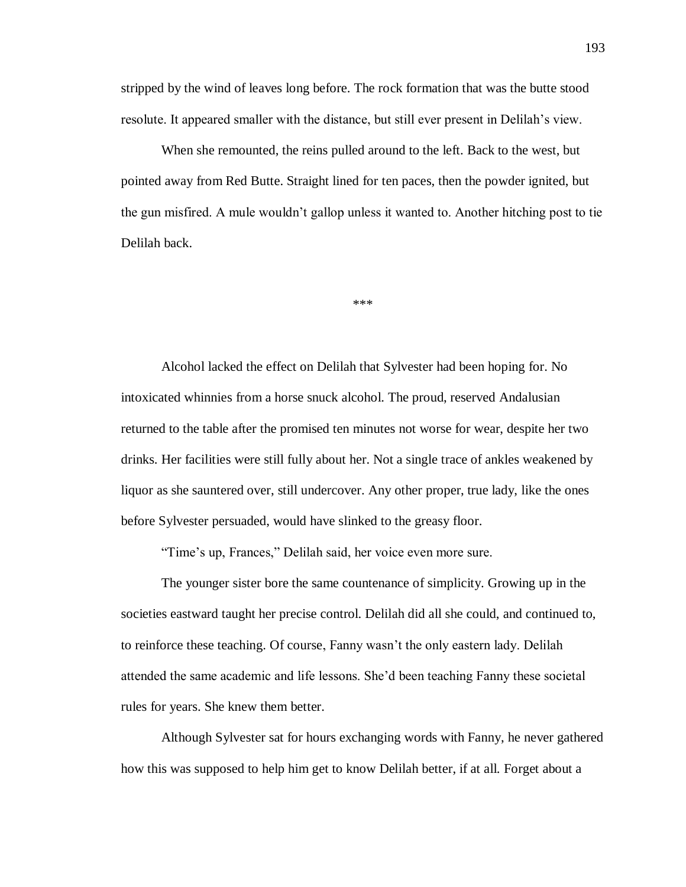stripped by the wind of leaves long before. The rock formation that was the butte stood resolute. It appeared smaller with the distance, but still ever present in Delilah's view.

When she remounted, the reins pulled around to the left. Back to the west, but pointed away from Red Butte. Straight lined for ten paces, then the powder ignited, but the gun misfired. A mule wouldn't gallop unless it wanted to. Another hitching post to tie Delilah back.

\*\*\*

Alcohol lacked the effect on Delilah that Sylvester had been hoping for. No intoxicated whinnies from a horse snuck alcohol. The proud, reserved Andalusian returned to the table after the promised ten minutes not worse for wear, despite her two drinks. Her facilities were still fully about her. Not a single trace of ankles weakened by liquor as she sauntered over, still undercover. Any other proper, true lady, like the ones before Sylvester persuaded, would have slinked to the greasy floor.

"Time's up, Frances," Delilah said, her voice even more sure.

The younger sister bore the same countenance of simplicity. Growing up in the societies eastward taught her precise control. Delilah did all she could, and continued to, to reinforce these teaching. Of course, Fanny wasn't the only eastern lady. Delilah attended the same academic and life lessons. She'd been teaching Fanny these societal rules for years. She knew them better.

Although Sylvester sat for hours exchanging words with Fanny, he never gathered how this was supposed to help him get to know Delilah better, if at all. Forget about a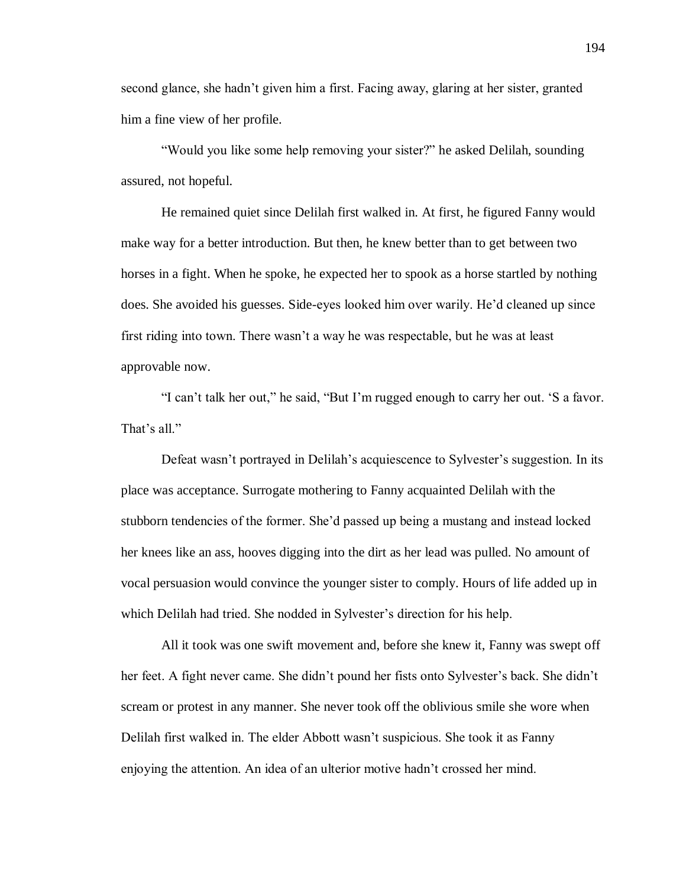second glance, she hadn't given him a first. Facing away, glaring at her sister, granted him a fine view of her profile.

"Would you like some help removing your sister?" he asked Delilah, sounding assured, not hopeful.

He remained quiet since Delilah first walked in. At first, he figured Fanny would make way for a better introduction. But then, he knew better than to get between two horses in a fight. When he spoke, he expected her to spook as a horse startled by nothing does. She avoided his guesses. Side-eyes looked him over warily. He'd cleaned up since first riding into town. There wasn't a way he was respectable, but he was at least approvable now.

"I can't talk her out," he said, "But I'm rugged enough to carry her out. 'S a favor. That's all."

Defeat wasn't portrayed in Delilah's acquiescence to Sylvester's suggestion. In its place was acceptance. Surrogate mothering to Fanny acquainted Delilah with the stubborn tendencies of the former. She'd passed up being a mustang and instead locked her knees like an ass, hooves digging into the dirt as her lead was pulled. No amount of vocal persuasion would convince the younger sister to comply. Hours of life added up in which Delilah had tried. She nodded in Sylvester's direction for his help.

All it took was one swift movement and, before she knew it, Fanny was swept off her feet. A fight never came. She didn't pound her fists onto Sylvester's back. She didn't scream or protest in any manner. She never took off the oblivious smile she wore when Delilah first walked in. The elder Abbott wasn't suspicious. She took it as Fanny enjoying the attention. An idea of an ulterior motive hadn't crossed her mind.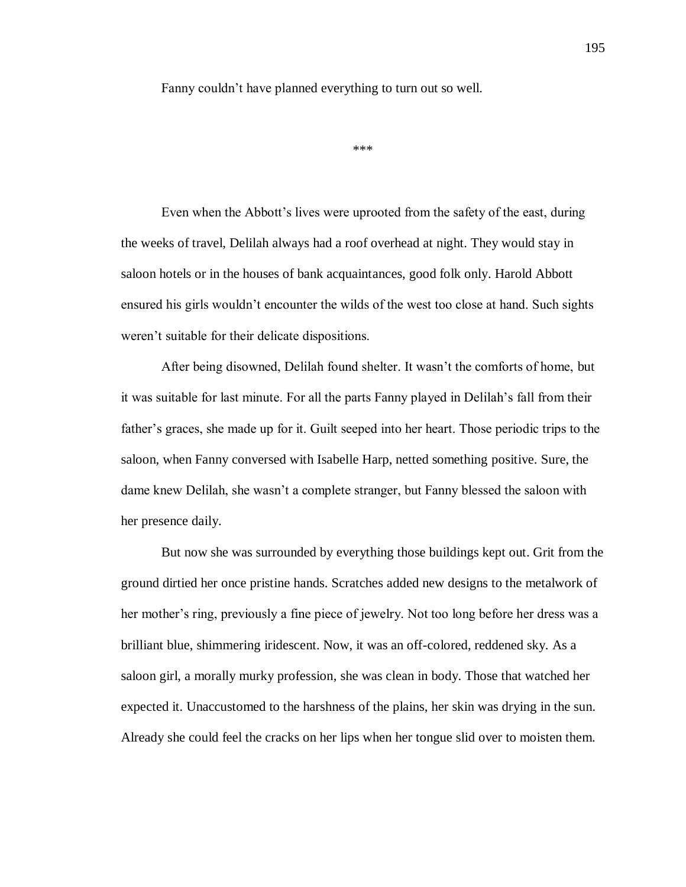Fanny couldn't have planned everything to turn out so well.

```
***
```
Even when the Abbott's lives were uprooted from the safety of the east, during the weeks of travel, Delilah always had a roof overhead at night. They would stay in saloon hotels or in the houses of bank acquaintances, good folk only. Harold Abbott ensured his girls wouldn't encounter the wilds of the west too close at hand. Such sights weren't suitable for their delicate dispositions.

After being disowned, Delilah found shelter. It wasn't the comforts of home, but it was suitable for last minute. For all the parts Fanny played in Delilah's fall from their father's graces, she made up for it. Guilt seeped into her heart. Those periodic trips to the saloon, when Fanny conversed with Isabelle Harp, netted something positive. Sure, the dame knew Delilah, she wasn't a complete stranger, but Fanny blessed the saloon with her presence daily.

But now she was surrounded by everything those buildings kept out. Grit from the ground dirtied her once pristine hands. Scratches added new designs to the metalwork of her mother's ring, previously a fine piece of jewelry. Not too long before her dress was a brilliant blue, shimmering iridescent. Now, it was an off-colored, reddened sky. As a saloon girl, a morally murky profession, she was clean in body. Those that watched her expected it. Unaccustomed to the harshness of the plains, her skin was drying in the sun. Already she could feel the cracks on her lips when her tongue slid over to moisten them.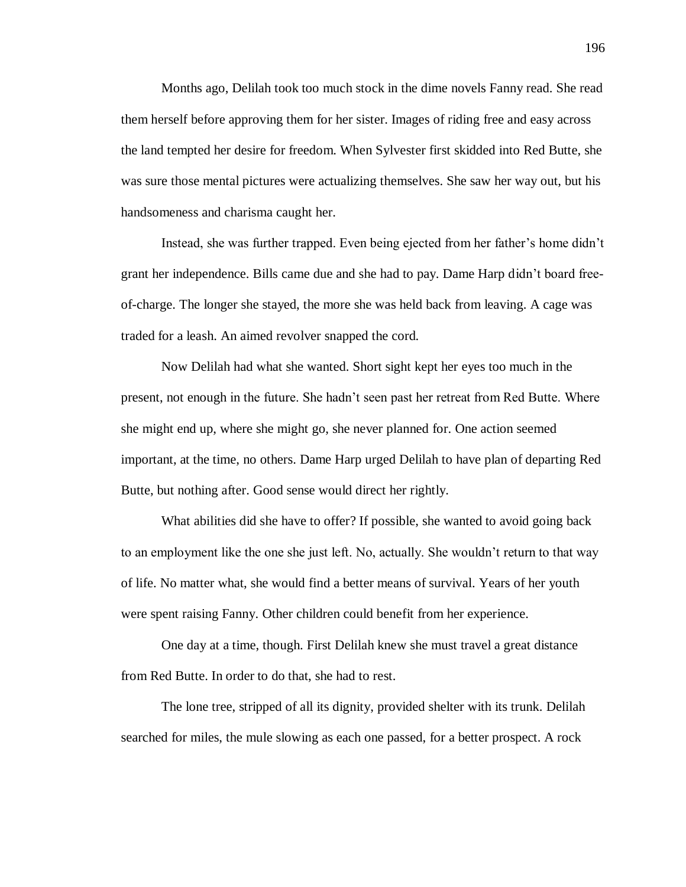Months ago, Delilah took too much stock in the dime novels Fanny read. She read them herself before approving them for her sister. Images of riding free and easy across the land tempted her desire for freedom. When Sylvester first skidded into Red Butte, she was sure those mental pictures were actualizing themselves. She saw her way out, but his handsomeness and charisma caught her.

Instead, she was further trapped. Even being ejected from her father's home didn't grant her independence. Bills came due and she had to pay. Dame Harp didn't board freeof-charge. The longer she stayed, the more she was held back from leaving. A cage was traded for a leash. An aimed revolver snapped the cord.

Now Delilah had what she wanted. Short sight kept her eyes too much in the present, not enough in the future. She hadn't seen past her retreat from Red Butte. Where she might end up, where she might go, she never planned for. One action seemed important, at the time, no others. Dame Harp urged Delilah to have plan of departing Red Butte, but nothing after. Good sense would direct her rightly.

What abilities did she have to offer? If possible, she wanted to avoid going back to an employment like the one she just left. No, actually. She wouldn't return to that way of life. No matter what, she would find a better means of survival. Years of her youth were spent raising Fanny. Other children could benefit from her experience.

One day at a time, though. First Delilah knew she must travel a great distance from Red Butte. In order to do that, she had to rest.

The lone tree, stripped of all its dignity, provided shelter with its trunk. Delilah searched for miles, the mule slowing as each one passed, for a better prospect. A rock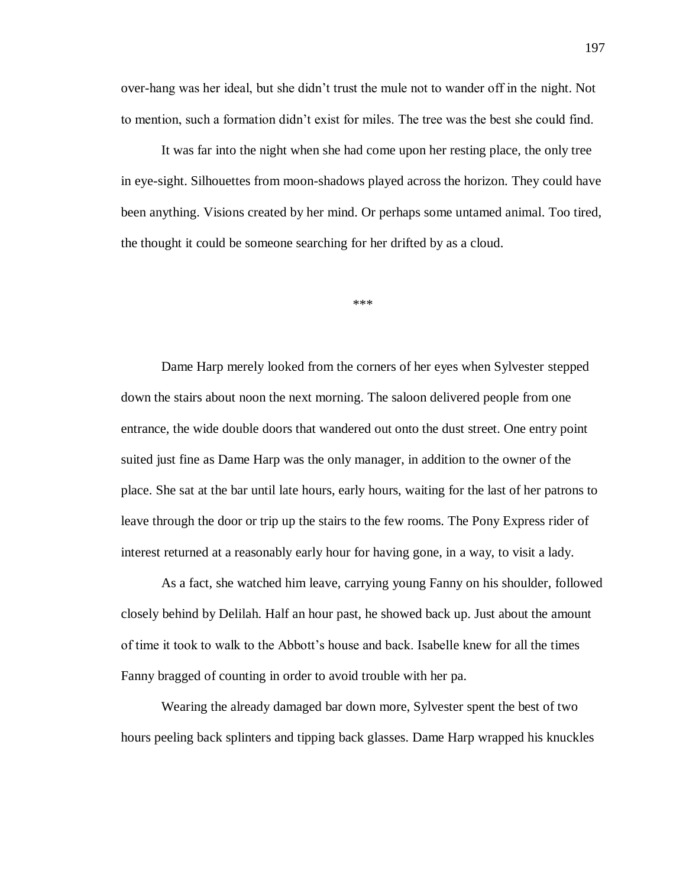over-hang was her ideal, but she didn't trust the mule not to wander off in the night. Not to mention, such a formation didn't exist for miles. The tree was the best she could find.

It was far into the night when she had come upon her resting place, the only tree in eye-sight. Silhouettes from moon-shadows played across the horizon. They could have been anything. Visions created by her mind. Or perhaps some untamed animal. Too tired, the thought it could be someone searching for her drifted by as a cloud.

\*\*\*

Dame Harp merely looked from the corners of her eyes when Sylvester stepped down the stairs about noon the next morning. The saloon delivered people from one entrance, the wide double doors that wandered out onto the dust street. One entry point suited just fine as Dame Harp was the only manager, in addition to the owner of the place. She sat at the bar until late hours, early hours, waiting for the last of her patrons to leave through the door or trip up the stairs to the few rooms. The Pony Express rider of interest returned at a reasonably early hour for having gone, in a way, to visit a lady.

As a fact, she watched him leave, carrying young Fanny on his shoulder, followed closely behind by Delilah. Half an hour past, he showed back up. Just about the amount of time it took to walk to the Abbott's house and back. Isabelle knew for all the times Fanny bragged of counting in order to avoid trouble with her pa.

Wearing the already damaged bar down more, Sylvester spent the best of two hours peeling back splinters and tipping back glasses. Dame Harp wrapped his knuckles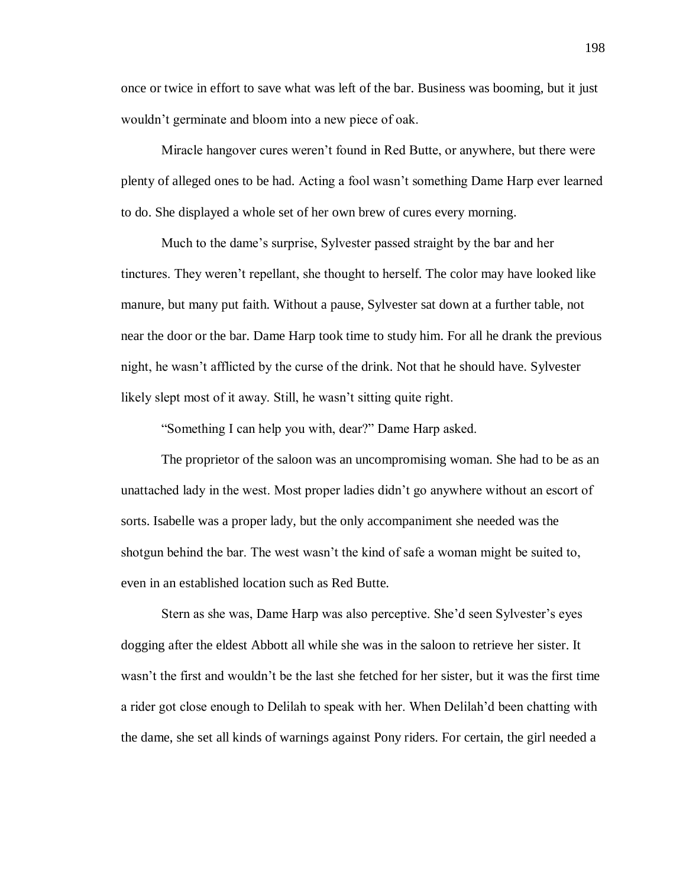once or twice in effort to save what was left of the bar. Business was booming, but it just wouldn't germinate and bloom into a new piece of oak.

Miracle hangover cures weren't found in Red Butte, or anywhere, but there were plenty of alleged ones to be had. Acting a fool wasn't something Dame Harp ever learned to do. She displayed a whole set of her own brew of cures every morning.

Much to the dame's surprise, Sylvester passed straight by the bar and her tinctures. They weren't repellant, she thought to herself. The color may have looked like manure, but many put faith. Without a pause, Sylvester sat down at a further table, not near the door or the bar. Dame Harp took time to study him. For all he drank the previous night, he wasn't afflicted by the curse of the drink. Not that he should have. Sylvester likely slept most of it away. Still, he wasn't sitting quite right.

"Something I can help you with, dear?" Dame Harp asked.

The proprietor of the saloon was an uncompromising woman. She had to be as an unattached lady in the west. Most proper ladies didn't go anywhere without an escort of sorts. Isabelle was a proper lady, but the only accompaniment she needed was the shotgun behind the bar. The west wasn't the kind of safe a woman might be suited to, even in an established location such as Red Butte.

Stern as she was, Dame Harp was also perceptive. She'd seen Sylvester's eyes dogging after the eldest Abbott all while she was in the saloon to retrieve her sister. It wasn't the first and wouldn't be the last she fetched for her sister, but it was the first time a rider got close enough to Delilah to speak with her. When Delilah'd been chatting with the dame, she set all kinds of warnings against Pony riders. For certain, the girl needed a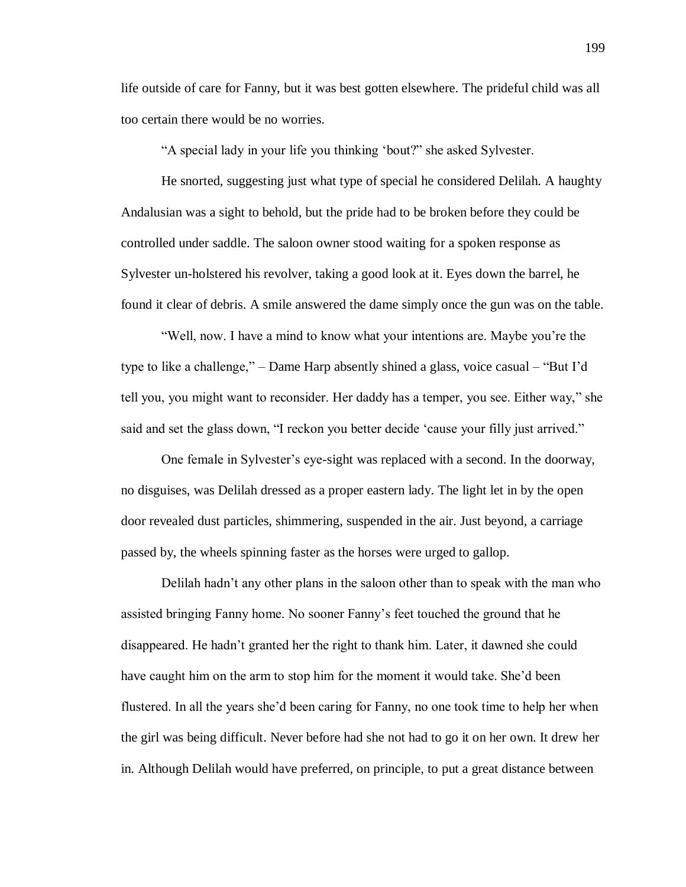life outside of care for Fanny, but it was best gotten elsewhere. The prideful child was all too certain there would be no worries.

"A special lady in your life you thinking 'bout?" she asked Sylvester.

He snorted, suggesting just what type of special he considered Delilah. A haughty Andalusian was a sight to behold, but the pride had to be broken before they could be controlled under saddle. The saloon owner stood waiting for a spoken response as Sylvester un-holstered his revolver, taking a good look at it. Eyes down the barrel, he found it clear of debris. A smile answered the dame simply once the gun was on the table.

"Well, now. I have a mind to know what your intentions are. Maybe you're the type to like a challenge," – Dame Harp absently shined a glass, voice casual – "But I'd tell you, you might want to reconsider. Her daddy has a temper, you see. Either way," she said and set the glass down, "I reckon you better decide 'cause your filly just arrived."

One female in Sylvester's eye-sight was replaced with a second. In the doorway, no disguises, was Delilah dressed as a proper eastern lady. The light let in by the open door revealed dust particles, shimmering, suspended in the air. Just beyond, a carriage passed by, the wheels spinning faster as the horses were urged to gallop.

Delilah hadn't any other plans in the saloon other than to speak with the man who assisted bringing Fanny home. No sooner Fanny's feet touched the ground that he disappeared. He hadn't granted her the right to thank him. Later, it dawned she could have caught him on the arm to stop him for the moment it would take. She'd been flustered. In all the years she'd been caring for Fanny, no one took time to help her when the girl was being difficult. Never before had she not had to go it on her own. It drew her in. Although Delilah would have preferred, on principle, to put a great distance between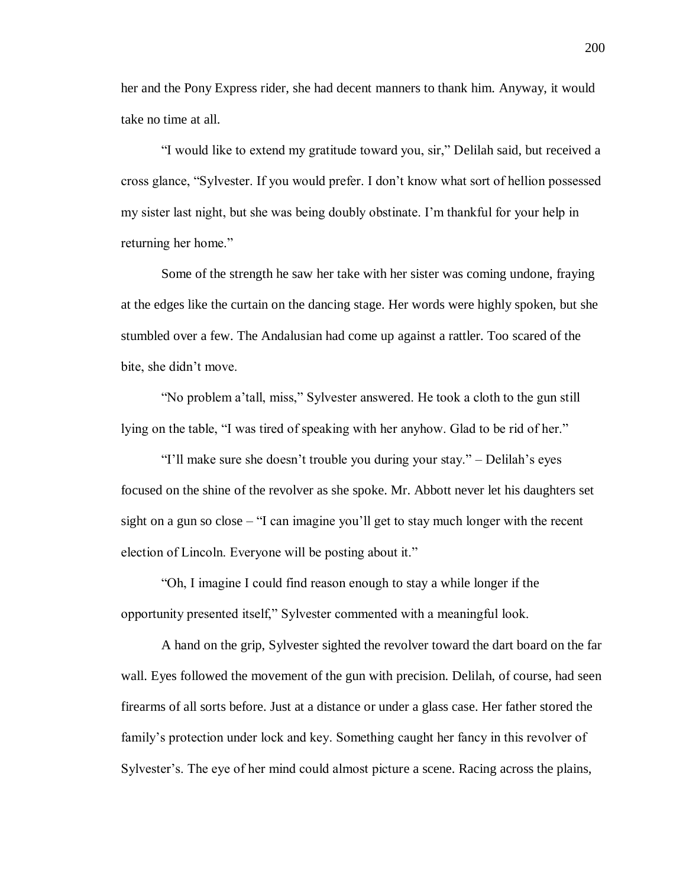her and the Pony Express rider, she had decent manners to thank him. Anyway, it would take no time at all.

"I would like to extend my gratitude toward you, sir," Delilah said, but received a cross glance, "Sylvester. If you would prefer. I don't know what sort of hellion possessed my sister last night, but she was being doubly obstinate. I'm thankful for your help in returning her home."

Some of the strength he saw her take with her sister was coming undone, fraying at the edges like the curtain on the dancing stage. Her words were highly spoken, but she stumbled over a few. The Andalusian had come up against a rattler. Too scared of the bite, she didn't move.

"No problem a'tall, miss," Sylvester answered. He took a cloth to the gun still lying on the table, "I was tired of speaking with her anyhow. Glad to be rid of her."

"I'll make sure she doesn't trouble you during your stay." – Delilah's eyes focused on the shine of the revolver as she spoke. Mr. Abbott never let his daughters set sight on a gun so close – "I can imagine you'll get to stay much longer with the recent election of Lincoln. Everyone will be posting about it."

"Oh, I imagine I could find reason enough to stay a while longer if the opportunity presented itself," Sylvester commented with a meaningful look.

A hand on the grip, Sylvester sighted the revolver toward the dart board on the far wall. Eyes followed the movement of the gun with precision. Delilah, of course, had seen firearms of all sorts before. Just at a distance or under a glass case. Her father stored the family's protection under lock and key. Something caught her fancy in this revolver of Sylvester's. The eye of her mind could almost picture a scene. Racing across the plains,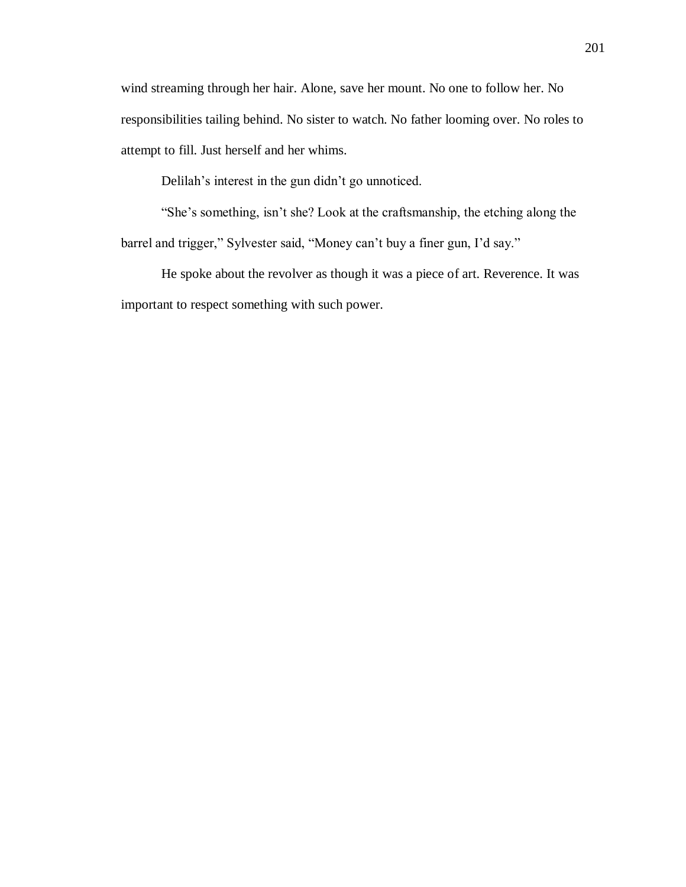wind streaming through her hair. Alone, save her mount. No one to follow her. No responsibilities tailing behind. No sister to watch. No father looming over. No roles to attempt to fill. Just herself and her whims.

Delilah's interest in the gun didn't go unnoticed.

"She's something, isn't she? Look at the craftsmanship, the etching along the barrel and trigger," Sylvester said, "Money can't buy a finer gun, I'd say."

He spoke about the revolver as though it was a piece of art. Reverence. It was important to respect something with such power.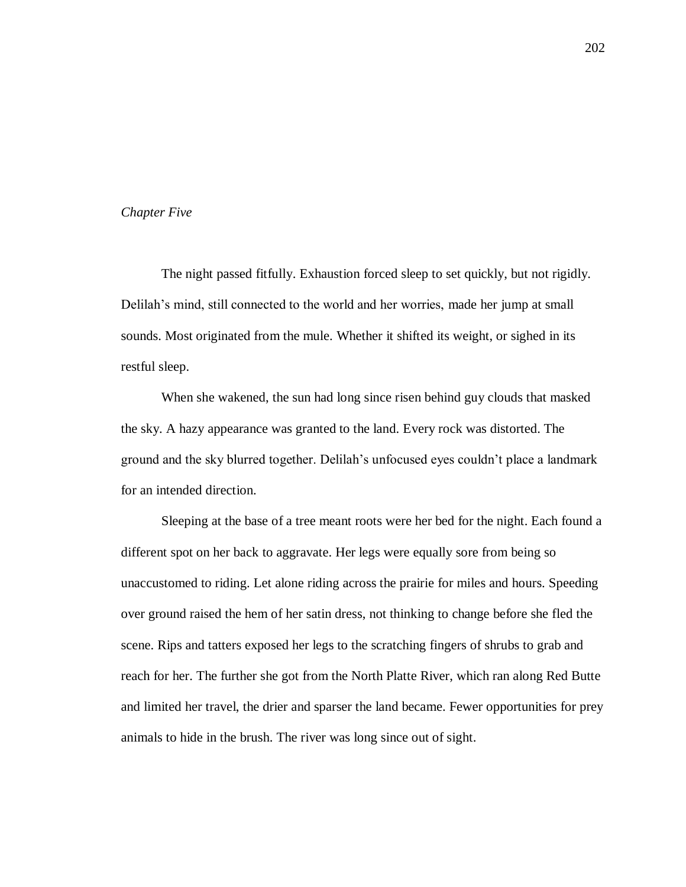# *Chapter Five*

The night passed fitfully. Exhaustion forced sleep to set quickly, but not rigidly. Delilah's mind, still connected to the world and her worries, made her jump at small sounds. Most originated from the mule. Whether it shifted its weight, or sighed in its restful sleep.

When she wakened, the sun had long since risen behind guy clouds that masked the sky. A hazy appearance was granted to the land. Every rock was distorted. The ground and the sky blurred together. Delilah's unfocused eyes couldn't place a landmark for an intended direction.

Sleeping at the base of a tree meant roots were her bed for the night. Each found a different spot on her back to aggravate. Her legs were equally sore from being so unaccustomed to riding. Let alone riding across the prairie for miles and hours. Speeding over ground raised the hem of her satin dress, not thinking to change before she fled the scene. Rips and tatters exposed her legs to the scratching fingers of shrubs to grab and reach for her. The further she got from the North Platte River, which ran along Red Butte and limited her travel, the drier and sparser the land became. Fewer opportunities for prey animals to hide in the brush. The river was long since out of sight.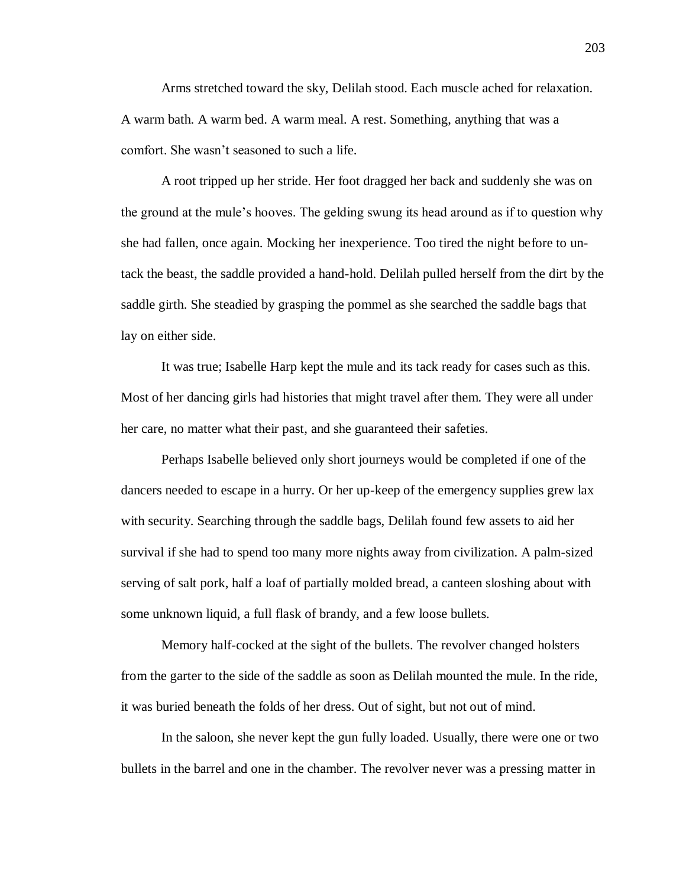Arms stretched toward the sky, Delilah stood. Each muscle ached for relaxation. A warm bath. A warm bed. A warm meal. A rest. Something, anything that was a comfort. She wasn't seasoned to such a life.

A root tripped up her stride. Her foot dragged her back and suddenly she was on the ground at the mule's hooves. The gelding swung its head around as if to question why she had fallen, once again. Mocking her inexperience. Too tired the night before to untack the beast, the saddle provided a hand-hold. Delilah pulled herself from the dirt by the saddle girth. She steadied by grasping the pommel as she searched the saddle bags that lay on either side.

It was true; Isabelle Harp kept the mule and its tack ready for cases such as this. Most of her dancing girls had histories that might travel after them. They were all under her care, no matter what their past, and she guaranteed their safeties.

Perhaps Isabelle believed only short journeys would be completed if one of the dancers needed to escape in a hurry. Or her up-keep of the emergency supplies grew lax with security. Searching through the saddle bags, Delilah found few assets to aid her survival if she had to spend too many more nights away from civilization. A palm-sized serving of salt pork, half a loaf of partially molded bread, a canteen sloshing about with some unknown liquid, a full flask of brandy, and a few loose bullets.

Memory half-cocked at the sight of the bullets. The revolver changed holsters from the garter to the side of the saddle as soon as Delilah mounted the mule. In the ride, it was buried beneath the folds of her dress. Out of sight, but not out of mind.

In the saloon, she never kept the gun fully loaded. Usually, there were one or two bullets in the barrel and one in the chamber. The revolver never was a pressing matter in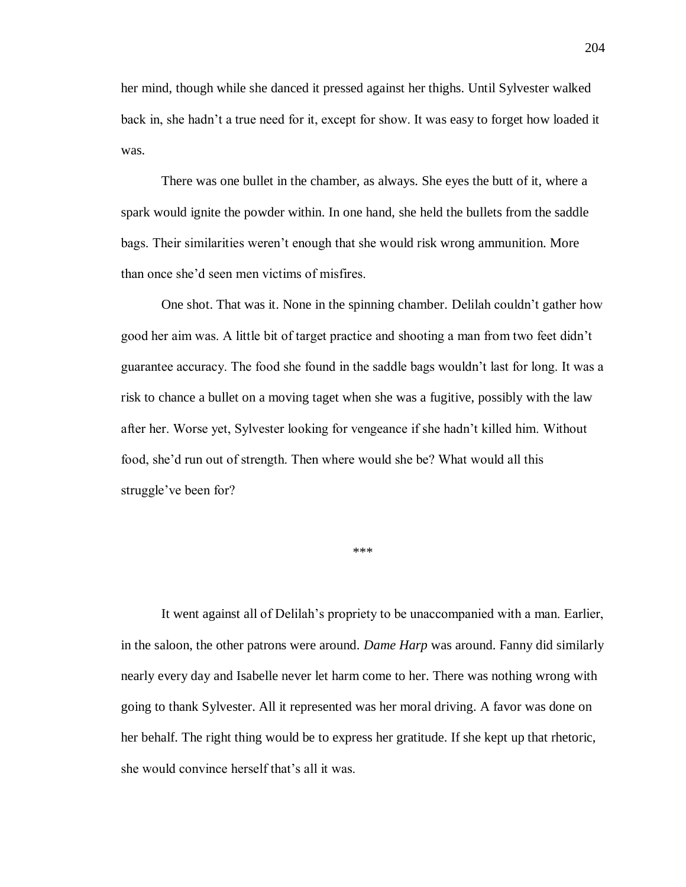her mind, though while she danced it pressed against her thighs. Until Sylvester walked back in, she hadn't a true need for it, except for show. It was easy to forget how loaded it was.

There was one bullet in the chamber, as always. She eyes the butt of it, where a spark would ignite the powder within. In one hand, she held the bullets from the saddle bags. Their similarities weren't enough that she would risk wrong ammunition. More than once she'd seen men victims of misfires.

One shot. That was it. None in the spinning chamber. Delilah couldn't gather how good her aim was. A little bit of target practice and shooting a man from two feet didn't guarantee accuracy. The food she found in the saddle bags wouldn't last for long. It was a risk to chance a bullet on a moving taget when she was a fugitive, possibly with the law after her. Worse yet, Sylvester looking for vengeance if she hadn't killed him. Without food, she'd run out of strength. Then where would she be? What would all this struggle've been for?

\*\*\*

It went against all of Delilah's propriety to be unaccompanied with a man. Earlier, in the saloon, the other patrons were around. *Dame Harp* was around. Fanny did similarly nearly every day and Isabelle never let harm come to her. There was nothing wrong with going to thank Sylvester. All it represented was her moral driving. A favor was done on her behalf. The right thing would be to express her gratitude. If she kept up that rhetoric, she would convince herself that's all it was.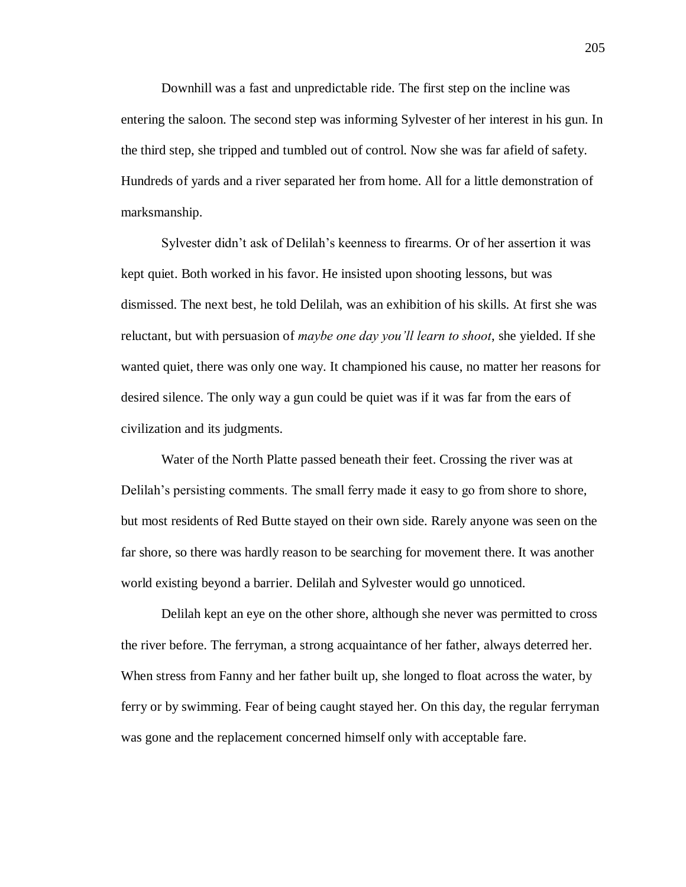Downhill was a fast and unpredictable ride. The first step on the incline was entering the saloon. The second step was informing Sylvester of her interest in his gun. In the third step, she tripped and tumbled out of control. Now she was far afield of safety. Hundreds of yards and a river separated her from home. All for a little demonstration of marksmanship.

Sylvester didn't ask of Delilah's keenness to firearms. Or of her assertion it was kept quiet. Both worked in his favor. He insisted upon shooting lessons, but was dismissed. The next best, he told Delilah, was an exhibition of his skills. At first she was reluctant, but with persuasion of *maybe one day you'll learn to shoot*, she yielded. If she wanted quiet, there was only one way. It championed his cause, no matter her reasons for desired silence. The only way a gun could be quiet was if it was far from the ears of civilization and its judgments.

Water of the North Platte passed beneath their feet. Crossing the river was at Delilah's persisting comments. The small ferry made it easy to go from shore to shore, but most residents of Red Butte stayed on their own side. Rarely anyone was seen on the far shore, so there was hardly reason to be searching for movement there. It was another world existing beyond a barrier. Delilah and Sylvester would go unnoticed.

Delilah kept an eye on the other shore, although she never was permitted to cross the river before. The ferryman, a strong acquaintance of her father, always deterred her. When stress from Fanny and her father built up, she longed to float across the water, by ferry or by swimming. Fear of being caught stayed her. On this day, the regular ferryman was gone and the replacement concerned himself only with acceptable fare.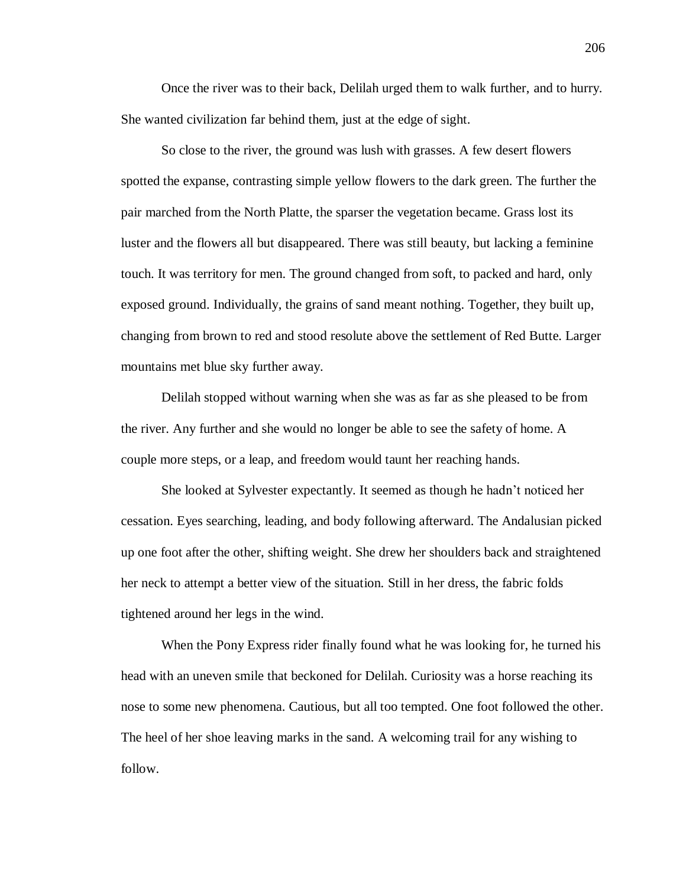Once the river was to their back, Delilah urged them to walk further, and to hurry. She wanted civilization far behind them, just at the edge of sight.

So close to the river, the ground was lush with grasses. A few desert flowers spotted the expanse, contrasting simple yellow flowers to the dark green. The further the pair marched from the North Platte, the sparser the vegetation became. Grass lost its luster and the flowers all but disappeared. There was still beauty, but lacking a feminine touch. It was territory for men. The ground changed from soft, to packed and hard, only exposed ground. Individually, the grains of sand meant nothing. Together, they built up, changing from brown to red and stood resolute above the settlement of Red Butte. Larger mountains met blue sky further away.

Delilah stopped without warning when she was as far as she pleased to be from the river. Any further and she would no longer be able to see the safety of home. A couple more steps, or a leap, and freedom would taunt her reaching hands.

She looked at Sylvester expectantly. It seemed as though he hadn't noticed her cessation. Eyes searching, leading, and body following afterward. The Andalusian picked up one foot after the other, shifting weight. She drew her shoulders back and straightened her neck to attempt a better view of the situation. Still in her dress, the fabric folds tightened around her legs in the wind.

When the Pony Express rider finally found what he was looking for, he turned his head with an uneven smile that beckoned for Delilah. Curiosity was a horse reaching its nose to some new phenomena. Cautious, but all too tempted. One foot followed the other. The heel of her shoe leaving marks in the sand. A welcoming trail for any wishing to follow.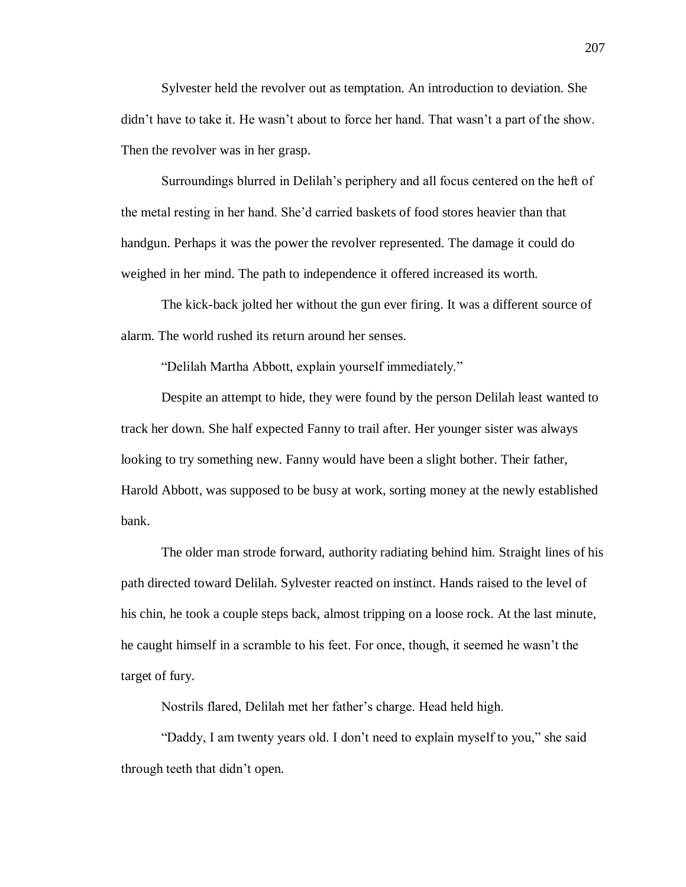Sylvester held the revolver out as temptation. An introduction to deviation. She didn't have to take it. He wasn't about to force her hand. That wasn't a part of the show. Then the revolver was in her grasp.

Surroundings blurred in Delilah's periphery and all focus centered on the heft of the metal resting in her hand. She'd carried baskets of food stores heavier than that handgun. Perhaps it was the power the revolver represented. The damage it could do weighed in her mind. The path to independence it offered increased its worth.

The kick-back jolted her without the gun ever firing. It was a different source of alarm. The world rushed its return around her senses.

"Delilah Martha Abbott, explain yourself immediately."

Despite an attempt to hide, they were found by the person Delilah least wanted to track her down. She half expected Fanny to trail after. Her younger sister was always looking to try something new. Fanny would have been a slight bother. Their father, Harold Abbott, was supposed to be busy at work, sorting money at the newly established bank.

The older man strode forward, authority radiating behind him. Straight lines of his path directed toward Delilah. Sylvester reacted on instinct. Hands raised to the level of his chin, he took a couple steps back, almost tripping on a loose rock. At the last minute, he caught himself in a scramble to his feet. For once, though, it seemed he wasn't the target of fury.

Nostrils flared, Delilah met her father's charge. Head held high.

"Daddy, I am twenty years old. I don't need to explain myself to you," she said through teeth that didn't open.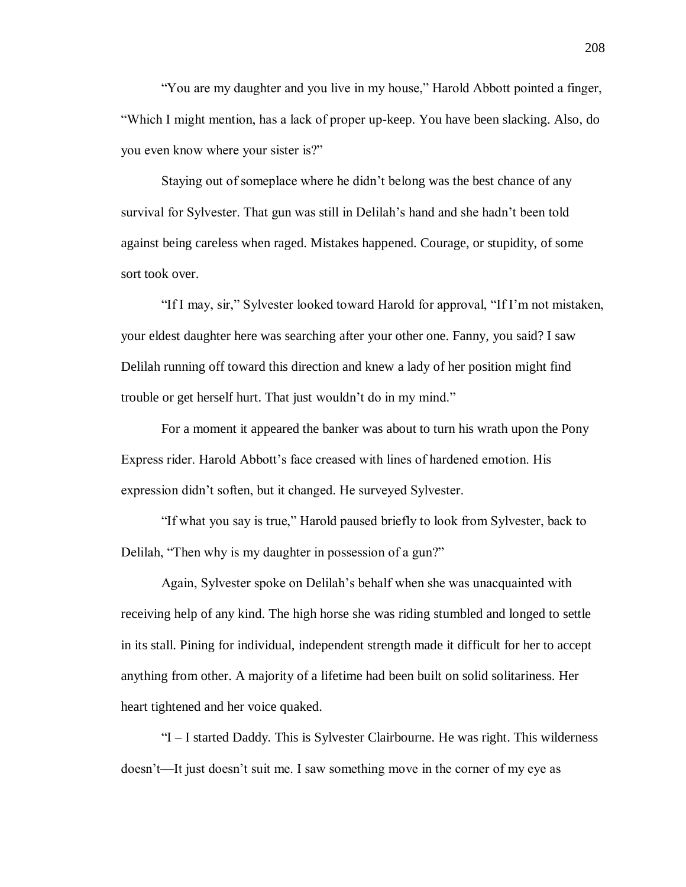"You are my daughter and you live in my house," Harold Abbott pointed a finger, "Which I might mention, has a lack of proper up-keep. You have been slacking. Also, do you even know where your sister is?"

Staying out of someplace where he didn't belong was the best chance of any survival for Sylvester. That gun was still in Delilah's hand and she hadn't been told against being careless when raged. Mistakes happened. Courage, or stupidity, of some sort took over.

"If I may, sir," Sylvester looked toward Harold for approval, "If I'm not mistaken, your eldest daughter here was searching after your other one. Fanny, you said? I saw Delilah running off toward this direction and knew a lady of her position might find trouble or get herself hurt. That just wouldn't do in my mind."

For a moment it appeared the banker was about to turn his wrath upon the Pony Express rider. Harold Abbott's face creased with lines of hardened emotion. His expression didn't soften, but it changed. He surveyed Sylvester.

"If what you say is true," Harold paused briefly to look from Sylvester, back to Delilah, "Then why is my daughter in possession of a gun?"

Again, Sylvester spoke on Delilah's behalf when she was unacquainted with receiving help of any kind. The high horse she was riding stumbled and longed to settle in its stall. Pining for individual, independent strength made it difficult for her to accept anything from other. A majority of a lifetime had been built on solid solitariness. Her heart tightened and her voice quaked.

"I – I started Daddy. This is Sylvester Clairbourne. He was right. This wilderness doesn't—It just doesn't suit me. I saw something move in the corner of my eye as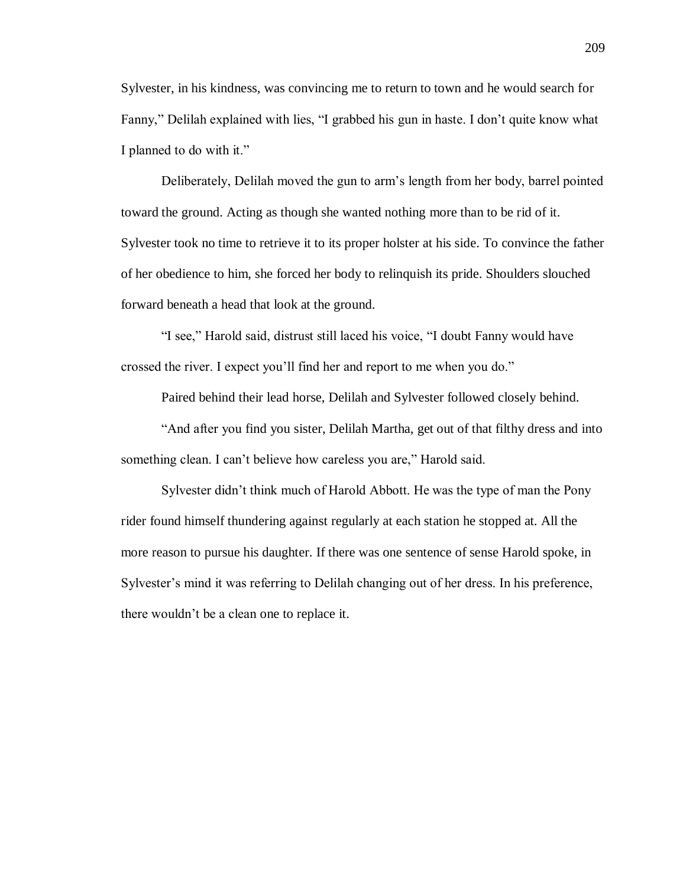Sylvester, in his kindness, was convincing me to return to town and he would search for Fanny," Delilah explained with lies, "I grabbed his gun in haste. I don't quite know what I planned to do with it."

Deliberately, Delilah moved the gun to arm's length from her body, barrel pointed toward the ground. Acting as though she wanted nothing more than to be rid of it. Sylvester took no time to retrieve it to its proper holster at his side. To convince the father of her obedience to him, she forced her body to relinquish its pride. Shoulders slouched forward beneath a head that look at the ground.

"I see," Harold said, distrust still laced his voice, "I doubt Fanny would have crossed the river. I expect you'll find her and report to me when you do."

Paired behind their lead horse, Delilah and Sylvester followed closely behind.

"And after you find you sister, Delilah Martha, get out of that filthy dress and into something clean. I can't believe how careless you are," Harold said.

Sylvester didn't think much of Harold Abbott. He was the type of man the Pony rider found himself thundering against regularly at each station he stopped at. All the more reason to pursue his daughter. If there was one sentence of sense Harold spoke, in Sylvester's mind it was referring to Delilah changing out of her dress. In his preference, there wouldn't be a clean one to replace it.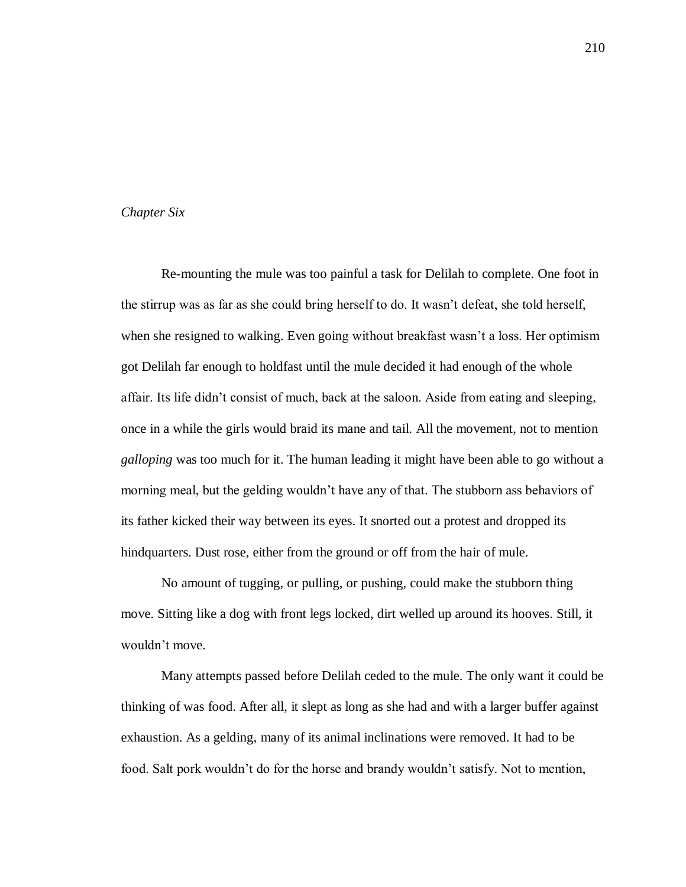# *Chapter Six*

Re-mounting the mule was too painful a task for Delilah to complete. One foot in the stirrup was as far as she could bring herself to do. It wasn't defeat, she told herself, when she resigned to walking. Even going without breakfast wasn't a loss. Her optimism got Delilah far enough to holdfast until the mule decided it had enough of the whole affair. Its life didn't consist of much, back at the saloon. Aside from eating and sleeping, once in a while the girls would braid its mane and tail. All the movement, not to mention *galloping* was too much for it. The human leading it might have been able to go without a morning meal, but the gelding wouldn't have any of that. The stubborn ass behaviors of its father kicked their way between its eyes. It snorted out a protest and dropped its hindquarters. Dust rose, either from the ground or off from the hair of mule.

No amount of tugging, or pulling, or pushing, could make the stubborn thing move. Sitting like a dog with front legs locked, dirt welled up around its hooves. Still, it wouldn't move.

Many attempts passed before Delilah ceded to the mule. The only want it could be thinking of was food. After all, it slept as long as she had and with a larger buffer against exhaustion. As a gelding, many of its animal inclinations were removed. It had to be food. Salt pork wouldn't do for the horse and brandy wouldn't satisfy. Not to mention,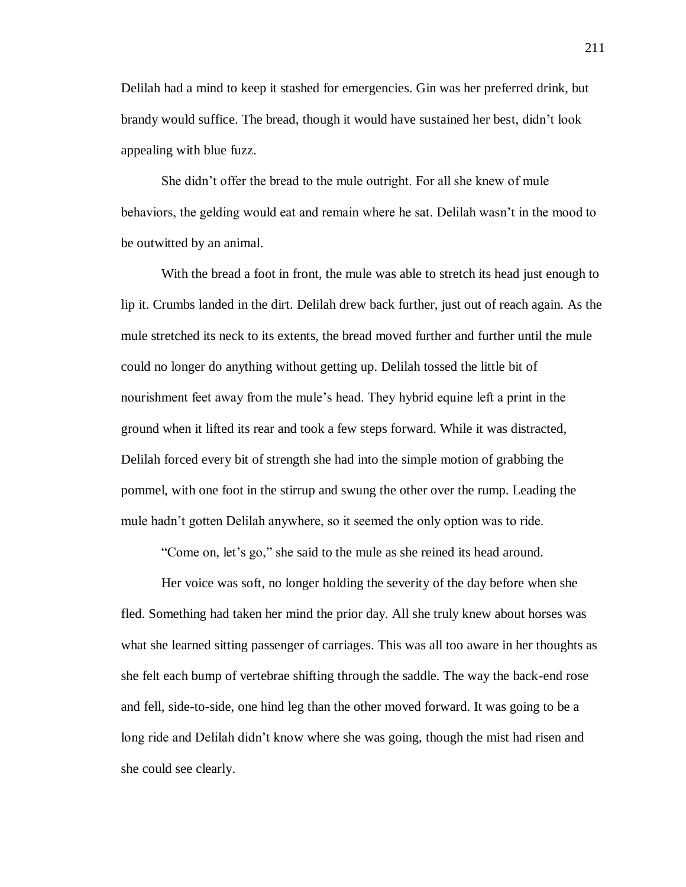Delilah had a mind to keep it stashed for emergencies. Gin was her preferred drink, but brandy would suffice. The bread, though it would have sustained her best, didn't look appealing with blue fuzz.

She didn't offer the bread to the mule outright. For all she knew of mule behaviors, the gelding would eat and remain where he sat. Delilah wasn't in the mood to be outwitted by an animal.

With the bread a foot in front, the mule was able to stretch its head just enough to lip it. Crumbs landed in the dirt. Delilah drew back further, just out of reach again. As the mule stretched its neck to its extents, the bread moved further and further until the mule could no longer do anything without getting up. Delilah tossed the little bit of nourishment feet away from the mule's head. They hybrid equine left a print in the ground when it lifted its rear and took a few steps forward. While it was distracted, Delilah forced every bit of strength she had into the simple motion of grabbing the pommel, with one foot in the stirrup and swung the other over the rump. Leading the mule hadn't gotten Delilah anywhere, so it seemed the only option was to ride.

"Come on, let's go," she said to the mule as she reined its head around.

Her voice was soft, no longer holding the severity of the day before when she fled. Something had taken her mind the prior day. All she truly knew about horses was what she learned sitting passenger of carriages. This was all too aware in her thoughts as she felt each bump of vertebrae shifting through the saddle. The way the back-end rose and fell, side-to-side, one hind leg than the other moved forward. It was going to be a long ride and Delilah didn't know where she was going, though the mist had risen and she could see clearly.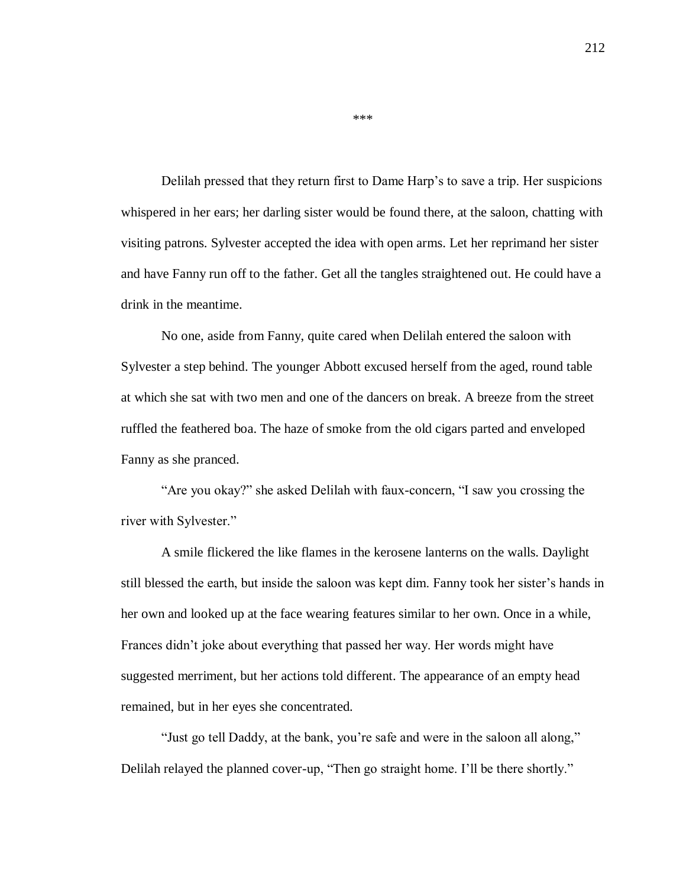Delilah pressed that they return first to Dame Harp's to save a trip. Her suspicions whispered in her ears; her darling sister would be found there, at the saloon, chatting with visiting patrons. Sylvester accepted the idea with open arms. Let her reprimand her sister and have Fanny run off to the father. Get all the tangles straightened out. He could have a drink in the meantime.

No one, aside from Fanny, quite cared when Delilah entered the saloon with Sylvester a step behind. The younger Abbott excused herself from the aged, round table at which she sat with two men and one of the dancers on break. A breeze from the street ruffled the feathered boa. The haze of smoke from the old cigars parted and enveloped Fanny as she pranced.

"Are you okay?" she asked Delilah with faux-concern, "I saw you crossing the river with Sylvester."

A smile flickered the like flames in the kerosene lanterns on the walls. Daylight still blessed the earth, but inside the saloon was kept dim. Fanny took her sister's hands in her own and looked up at the face wearing features similar to her own. Once in a while, Frances didn't joke about everything that passed her way. Her words might have suggested merriment, but her actions told different. The appearance of an empty head remained, but in her eyes she concentrated.

"Just go tell Daddy, at the bank, you're safe and were in the saloon all along," Delilah relayed the planned cover-up, "Then go straight home. I'll be there shortly."

\*\*\*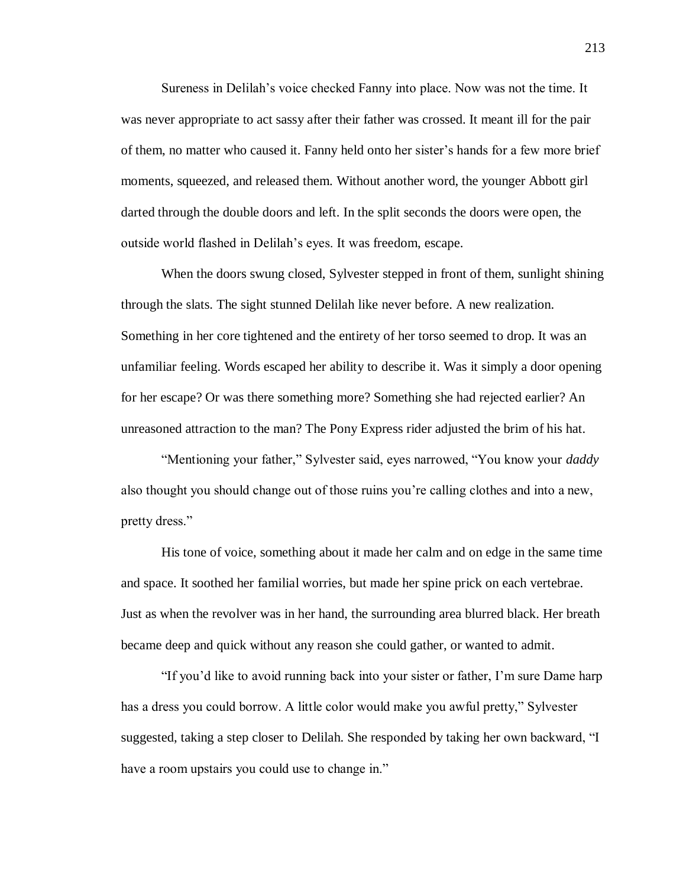Sureness in Delilah's voice checked Fanny into place. Now was not the time. It was never appropriate to act sassy after their father was crossed. It meant ill for the pair of them, no matter who caused it. Fanny held onto her sister's hands for a few more brief moments, squeezed, and released them. Without another word, the younger Abbott girl darted through the double doors and left. In the split seconds the doors were open, the outside world flashed in Delilah's eyes. It was freedom, escape.

When the doors swung closed, Sylvester stepped in front of them, sunlight shining through the slats. The sight stunned Delilah like never before. A new realization. Something in her core tightened and the entirety of her torso seemed to drop. It was an unfamiliar feeling. Words escaped her ability to describe it. Was it simply a door opening for her escape? Or was there something more? Something she had rejected earlier? An unreasoned attraction to the man? The Pony Express rider adjusted the brim of his hat.

"Mentioning your father," Sylvester said, eyes narrowed, "You know your *daddy* also thought you should change out of those ruins you're calling clothes and into a new, pretty dress."

His tone of voice, something about it made her calm and on edge in the same time and space. It soothed her familial worries, but made her spine prick on each vertebrae. Just as when the revolver was in her hand, the surrounding area blurred black. Her breath became deep and quick without any reason she could gather, or wanted to admit.

"If you'd like to avoid running back into your sister or father, I'm sure Dame harp has a dress you could borrow. A little color would make you awful pretty," Sylvester suggested, taking a step closer to Delilah. She responded by taking her own backward, "I have a room upstairs you could use to change in."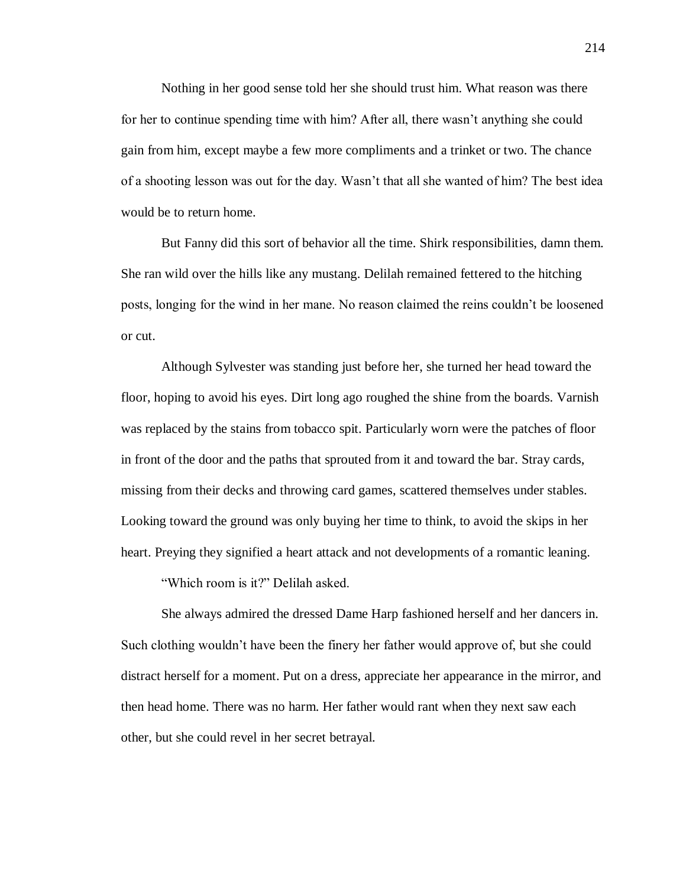Nothing in her good sense told her she should trust him. What reason was there for her to continue spending time with him? After all, there wasn't anything she could gain from him, except maybe a few more compliments and a trinket or two. The chance of a shooting lesson was out for the day. Wasn't that all she wanted of him? The best idea would be to return home.

But Fanny did this sort of behavior all the time. Shirk responsibilities, damn them. She ran wild over the hills like any mustang. Delilah remained fettered to the hitching posts, longing for the wind in her mane. No reason claimed the reins couldn't be loosened or cut.

Although Sylvester was standing just before her, she turned her head toward the floor, hoping to avoid his eyes. Dirt long ago roughed the shine from the boards. Varnish was replaced by the stains from tobacco spit. Particularly worn were the patches of floor in front of the door and the paths that sprouted from it and toward the bar. Stray cards, missing from their decks and throwing card games, scattered themselves under stables. Looking toward the ground was only buying her time to think, to avoid the skips in her heart. Preying they signified a heart attack and not developments of a romantic leaning.

"Which room is it?" Delilah asked.

She always admired the dressed Dame Harp fashioned herself and her dancers in. Such clothing wouldn't have been the finery her father would approve of, but she could distract herself for a moment. Put on a dress, appreciate her appearance in the mirror, and then head home. There was no harm. Her father would rant when they next saw each other, but she could revel in her secret betrayal.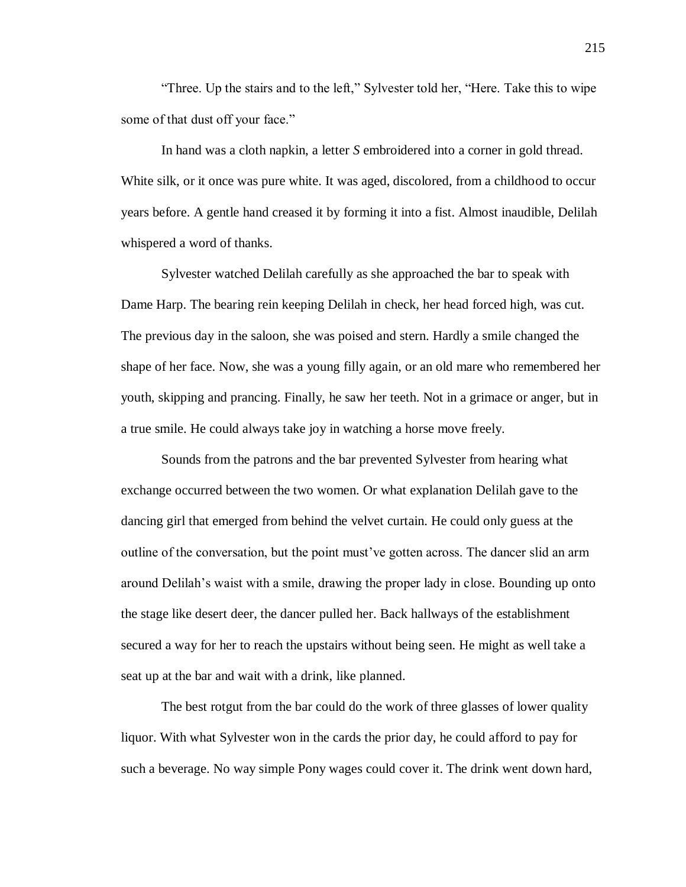"Three. Up the stairs and to the left," Sylvester told her, "Here. Take this to wipe some of that dust off your face."

In hand was a cloth napkin, a letter *S* embroidered into a corner in gold thread. White silk, or it once was pure white. It was aged, discolored, from a childhood to occur years before. A gentle hand creased it by forming it into a fist. Almost inaudible, Delilah whispered a word of thanks.

Sylvester watched Delilah carefully as she approached the bar to speak with Dame Harp. The bearing rein keeping Delilah in check, her head forced high, was cut. The previous day in the saloon, she was poised and stern. Hardly a smile changed the shape of her face. Now, she was a young filly again, or an old mare who remembered her youth, skipping and prancing. Finally, he saw her teeth. Not in a grimace or anger, but in a true smile. He could always take joy in watching a horse move freely.

Sounds from the patrons and the bar prevented Sylvester from hearing what exchange occurred between the two women. Or what explanation Delilah gave to the dancing girl that emerged from behind the velvet curtain. He could only guess at the outline of the conversation, but the point must've gotten across. The dancer slid an arm around Delilah's waist with a smile, drawing the proper lady in close. Bounding up onto the stage like desert deer, the dancer pulled her. Back hallways of the establishment secured a way for her to reach the upstairs without being seen. He might as well take a seat up at the bar and wait with a drink, like planned.

The best rotgut from the bar could do the work of three glasses of lower quality liquor. With what Sylvester won in the cards the prior day, he could afford to pay for such a beverage. No way simple Pony wages could cover it. The drink went down hard,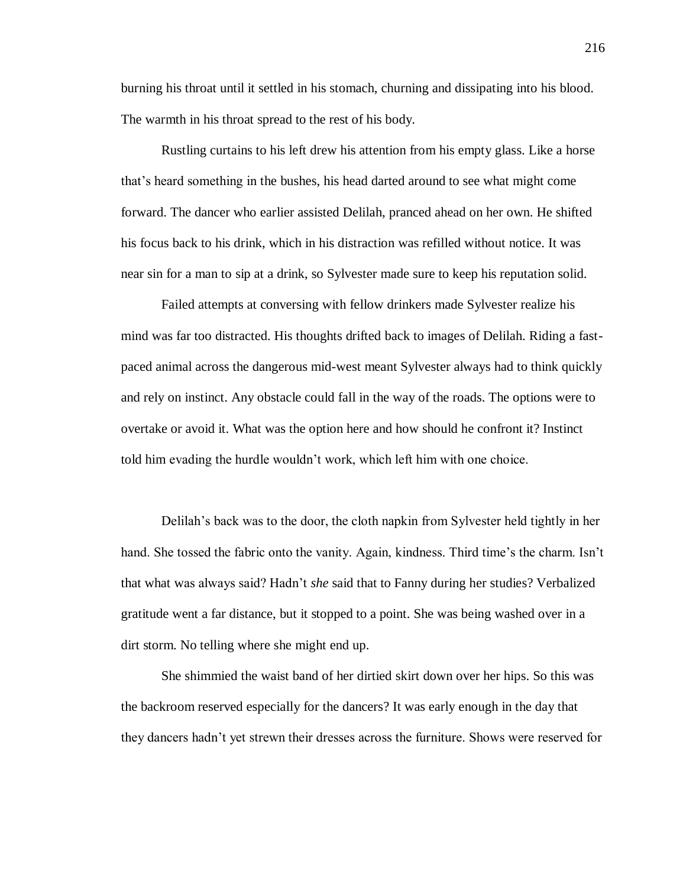burning his throat until it settled in his stomach, churning and dissipating into his blood. The warmth in his throat spread to the rest of his body.

Rustling curtains to his left drew his attention from his empty glass. Like a horse that's heard something in the bushes, his head darted around to see what might come forward. The dancer who earlier assisted Delilah, pranced ahead on her own. He shifted his focus back to his drink, which in his distraction was refilled without notice. It was near sin for a man to sip at a drink, so Sylvester made sure to keep his reputation solid.

Failed attempts at conversing with fellow drinkers made Sylvester realize his mind was far too distracted. His thoughts drifted back to images of Delilah. Riding a fastpaced animal across the dangerous mid-west meant Sylvester always had to think quickly and rely on instinct. Any obstacle could fall in the way of the roads. The options were to overtake or avoid it. What was the option here and how should he confront it? Instinct told him evading the hurdle wouldn't work, which left him with one choice.

Delilah's back was to the door, the cloth napkin from Sylvester held tightly in her hand. She tossed the fabric onto the vanity. Again, kindness. Third time's the charm. Isn't that what was always said? Hadn't *she* said that to Fanny during her studies? Verbalized gratitude went a far distance, but it stopped to a point. She was being washed over in a dirt storm. No telling where she might end up.

She shimmied the waist band of her dirtied skirt down over her hips. So this was the backroom reserved especially for the dancers? It was early enough in the day that they dancers hadn't yet strewn their dresses across the furniture. Shows were reserved for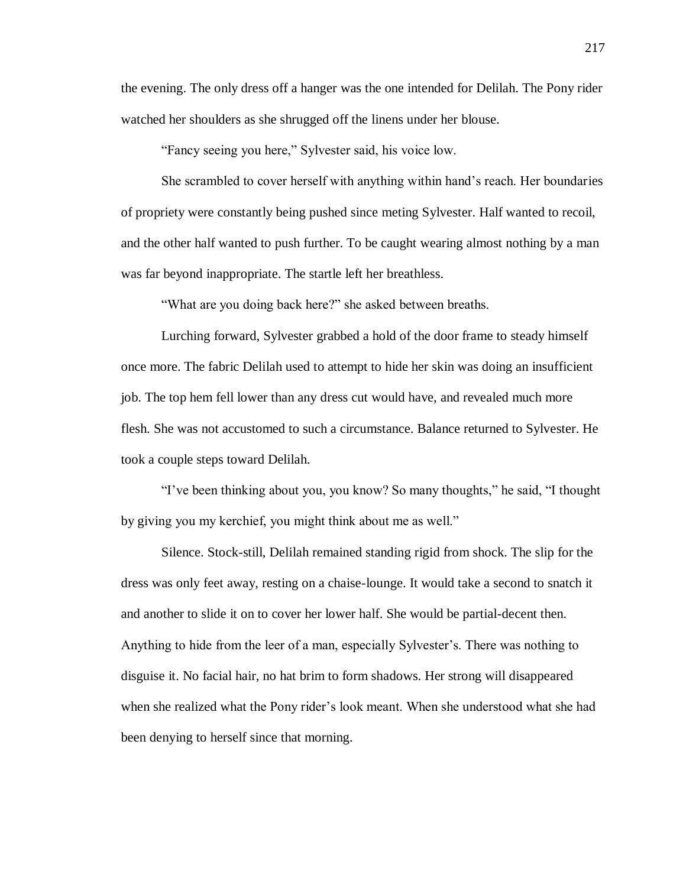the evening. The only dress off a hanger was the one intended for Delilah. The Pony rider watched her shoulders as she shrugged off the linens under her blouse.

"Fancy seeing you here," Sylvester said, his voice low.

She scrambled to cover herself with anything within hand's reach. Her boundaries of propriety were constantly being pushed since meting Sylvester. Half wanted to recoil, and the other half wanted to push further. To be caught wearing almost nothing by a man was far beyond inappropriate. The startle left her breathless.

"What are you doing back here?" she asked between breaths.

Lurching forward, Sylvester grabbed a hold of the door frame to steady himself once more. The fabric Delilah used to attempt to hide her skin was doing an insufficient job. The top hem fell lower than any dress cut would have, and revealed much more flesh. She was not accustomed to such a circumstance. Balance returned to Sylvester. He took a couple steps toward Delilah.

"I've been thinking about you, you know? So many thoughts," he said, "I thought by giving you my kerchief, you might think about me as well."

Silence. Stock-still, Delilah remained standing rigid from shock. The slip for the dress was only feet away, resting on a chaise-lounge. It would take a second to snatch it and another to slide it on to cover her lower half. She would be partial-decent then. Anything to hide from the leer of a man, especially Sylvester's. There was nothing to disguise it. No facial hair, no hat brim to form shadows. Her strong will disappeared when she realized what the Pony rider's look meant. When she understood what she had been denying to herself since that morning.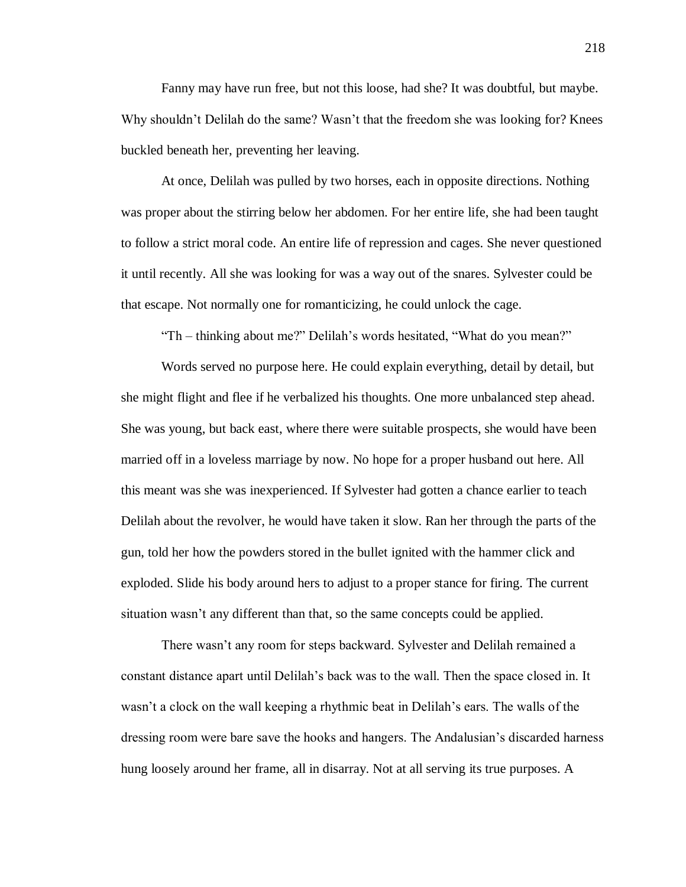Fanny may have run free, but not this loose, had she? It was doubtful, but maybe. Why shouldn't Delilah do the same? Wasn't that the freedom she was looking for? Knees buckled beneath her, preventing her leaving.

At once, Delilah was pulled by two horses, each in opposite directions. Nothing was proper about the stirring below her abdomen. For her entire life, she had been taught to follow a strict moral code. An entire life of repression and cages. She never questioned it until recently. All she was looking for was a way out of the snares. Sylvester could be that escape. Not normally one for romanticizing, he could unlock the cage.

"Th – thinking about me?" Delilah's words hesitated, "What do you mean?"

Words served no purpose here. He could explain everything, detail by detail, but she might flight and flee if he verbalized his thoughts. One more unbalanced step ahead. She was young, but back east, where there were suitable prospects, she would have been married off in a loveless marriage by now. No hope for a proper husband out here. All this meant was she was inexperienced. If Sylvester had gotten a chance earlier to teach Delilah about the revolver, he would have taken it slow. Ran her through the parts of the gun, told her how the powders stored in the bullet ignited with the hammer click and exploded. Slide his body around hers to adjust to a proper stance for firing. The current situation wasn't any different than that, so the same concepts could be applied.

There wasn't any room for steps backward. Sylvester and Delilah remained a constant distance apart until Delilah's back was to the wall. Then the space closed in. It wasn't a clock on the wall keeping a rhythmic beat in Delilah's ears. The walls of the dressing room were bare save the hooks and hangers. The Andalusian's discarded harness hung loosely around her frame, all in disarray. Not at all serving its true purposes. A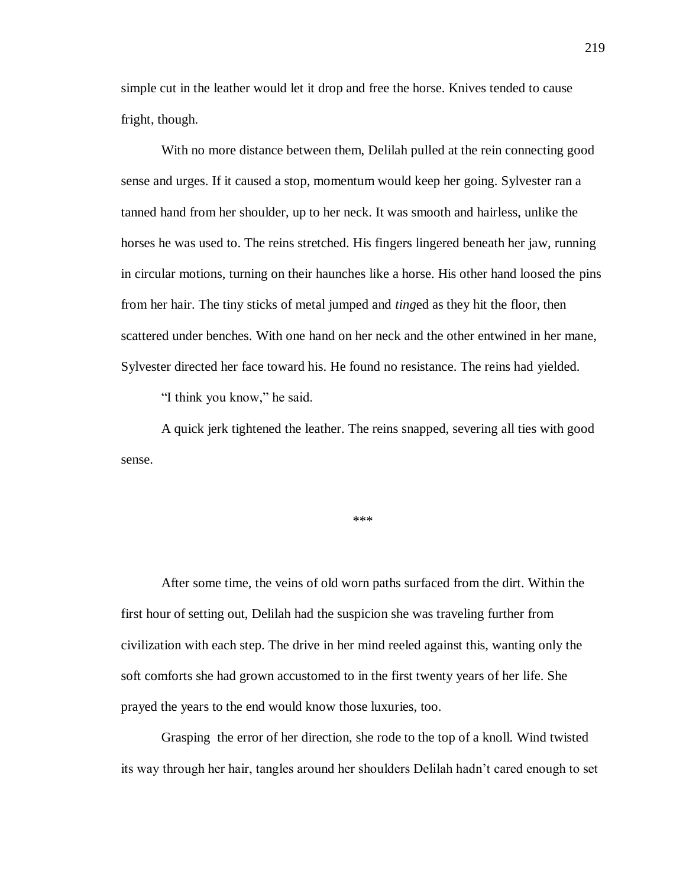simple cut in the leather would let it drop and free the horse. Knives tended to cause fright, though.

With no more distance between them, Delilah pulled at the rein connecting good sense and urges. If it caused a stop, momentum would keep her going. Sylvester ran a tanned hand from her shoulder, up to her neck. It was smooth and hairless, unlike the horses he was used to. The reins stretched. His fingers lingered beneath her jaw, running in circular motions, turning on their haunches like a horse. His other hand loosed the pins from her hair. The tiny sticks of metal jumped and *ting*ed as they hit the floor, then scattered under benches. With one hand on her neck and the other entwined in her mane, Sylvester directed her face toward his. He found no resistance. The reins had yielded.

"I think you know," he said.

A quick jerk tightened the leather. The reins snapped, severing all ties with good sense.

\*\*\*

After some time, the veins of old worn paths surfaced from the dirt. Within the first hour of setting out, Delilah had the suspicion she was traveling further from civilization with each step. The drive in her mind reeled against this, wanting only the soft comforts she had grown accustomed to in the first twenty years of her life. She prayed the years to the end would know those luxuries, too.

Grasping the error of her direction, she rode to the top of a knoll. Wind twisted its way through her hair, tangles around her shoulders Delilah hadn't cared enough to set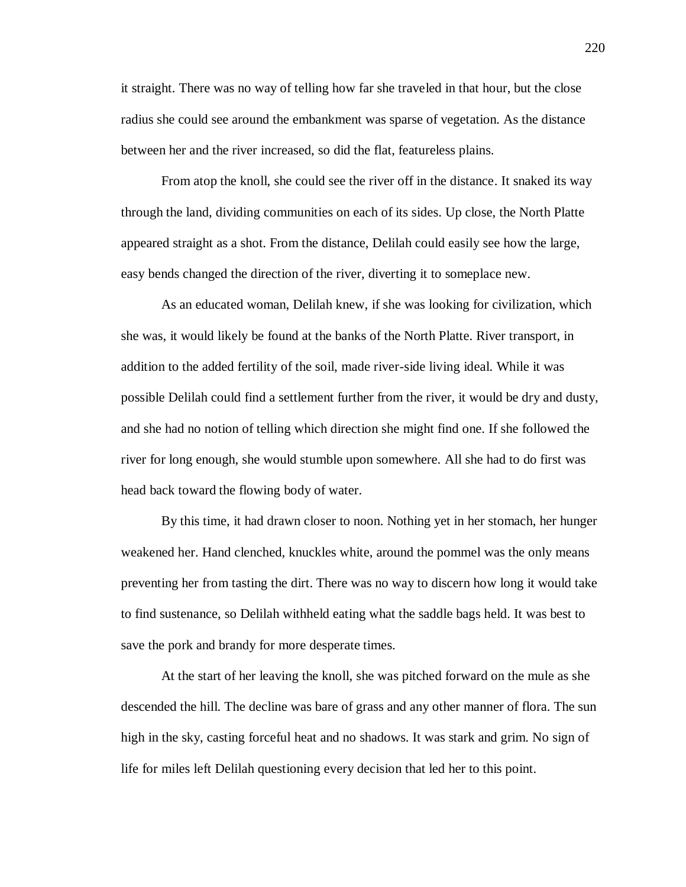it straight. There was no way of telling how far she traveled in that hour, but the close radius she could see around the embankment was sparse of vegetation. As the distance between her and the river increased, so did the flat, featureless plains.

From atop the knoll, she could see the river off in the distance. It snaked its way through the land, dividing communities on each of its sides. Up close, the North Platte appeared straight as a shot. From the distance, Delilah could easily see how the large, easy bends changed the direction of the river, diverting it to someplace new.

As an educated woman, Delilah knew, if she was looking for civilization, which she was, it would likely be found at the banks of the North Platte. River transport, in addition to the added fertility of the soil, made river-side living ideal. While it was possible Delilah could find a settlement further from the river, it would be dry and dusty, and she had no notion of telling which direction she might find one. If she followed the river for long enough, she would stumble upon somewhere. All she had to do first was head back toward the flowing body of water.

By this time, it had drawn closer to noon. Nothing yet in her stomach, her hunger weakened her. Hand clenched, knuckles white, around the pommel was the only means preventing her from tasting the dirt. There was no way to discern how long it would take to find sustenance, so Delilah withheld eating what the saddle bags held. It was best to save the pork and brandy for more desperate times.

At the start of her leaving the knoll, she was pitched forward on the mule as she descended the hill. The decline was bare of grass and any other manner of flora. The sun high in the sky, casting forceful heat and no shadows. It was stark and grim. No sign of life for miles left Delilah questioning every decision that led her to this point.

220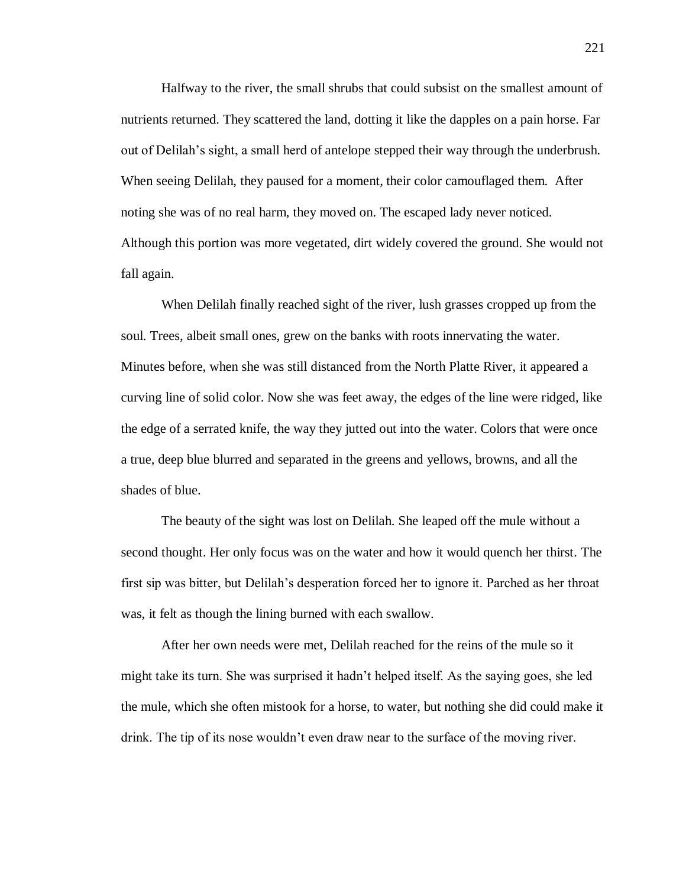Halfway to the river, the small shrubs that could subsist on the smallest amount of nutrients returned. They scattered the land, dotting it like the dapples on a pain horse. Far out of Delilah's sight, a small herd of antelope stepped their way through the underbrush. When seeing Delilah, they paused for a moment, their color camouflaged them. After noting she was of no real harm, they moved on. The escaped lady never noticed. Although this portion was more vegetated, dirt widely covered the ground. She would not fall again.

When Delilah finally reached sight of the river, lush grasses cropped up from the soul. Trees, albeit small ones, grew on the banks with roots innervating the water. Minutes before, when she was still distanced from the North Platte River, it appeared a curving line of solid color. Now she was feet away, the edges of the line were ridged, like the edge of a serrated knife, the way they jutted out into the water. Colors that were once a true, deep blue blurred and separated in the greens and yellows, browns, and all the shades of blue.

The beauty of the sight was lost on Delilah. She leaped off the mule without a second thought. Her only focus was on the water and how it would quench her thirst. The first sip was bitter, but Delilah's desperation forced her to ignore it. Parched as her throat was, it felt as though the lining burned with each swallow.

After her own needs were met, Delilah reached for the reins of the mule so it might take its turn. She was surprised it hadn't helped itself. As the saying goes, she led the mule, which she often mistook for a horse, to water, but nothing she did could make it drink. The tip of its nose wouldn't even draw near to the surface of the moving river.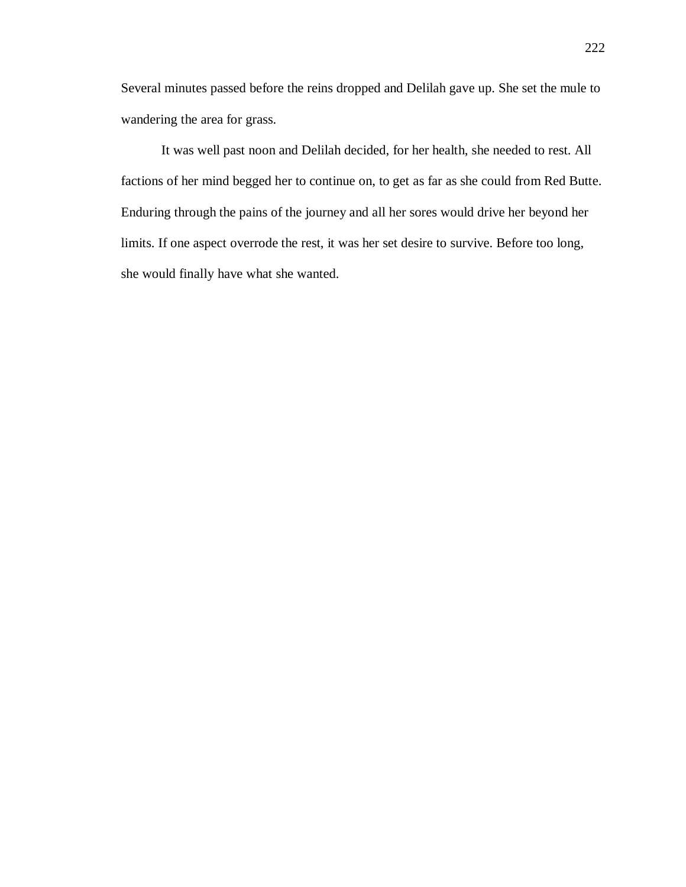Several minutes passed before the reins dropped and Delilah gave up. She set the mule to wandering the area for grass.

It was well past noon and Delilah decided, for her health, she needed to rest. All factions of her mind begged her to continue on, to get as far as she could from Red Butte. Enduring through the pains of the journey and all her sores would drive her beyond her limits. If one aspect overrode the rest, it was her set desire to survive. Before too long, she would finally have what she wanted.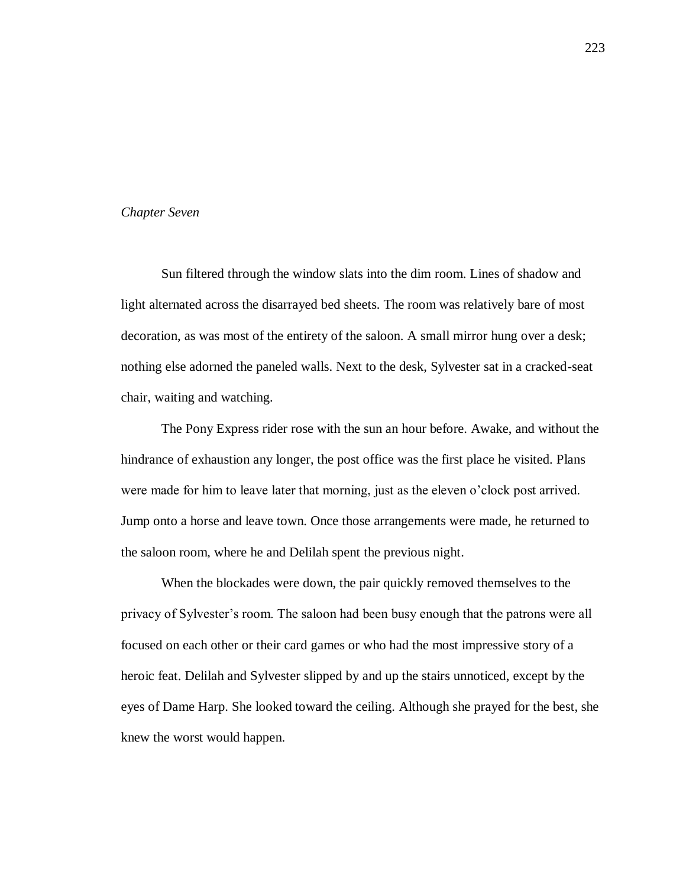## *Chapter Seven*

Sun filtered through the window slats into the dim room. Lines of shadow and light alternated across the disarrayed bed sheets. The room was relatively bare of most decoration, as was most of the entirety of the saloon. A small mirror hung over a desk; nothing else adorned the paneled walls. Next to the desk, Sylvester sat in a cracked-seat chair, waiting and watching.

The Pony Express rider rose with the sun an hour before. Awake, and without the hindrance of exhaustion any longer, the post office was the first place he visited. Plans were made for him to leave later that morning, just as the eleven o'clock post arrived. Jump onto a horse and leave town. Once those arrangements were made, he returned to the saloon room, where he and Delilah spent the previous night.

When the blockades were down, the pair quickly removed themselves to the privacy of Sylvester's room. The saloon had been busy enough that the patrons were all focused on each other or their card games or who had the most impressive story of a heroic feat. Delilah and Sylvester slipped by and up the stairs unnoticed, except by the eyes of Dame Harp. She looked toward the ceiling. Although she prayed for the best, she knew the worst would happen.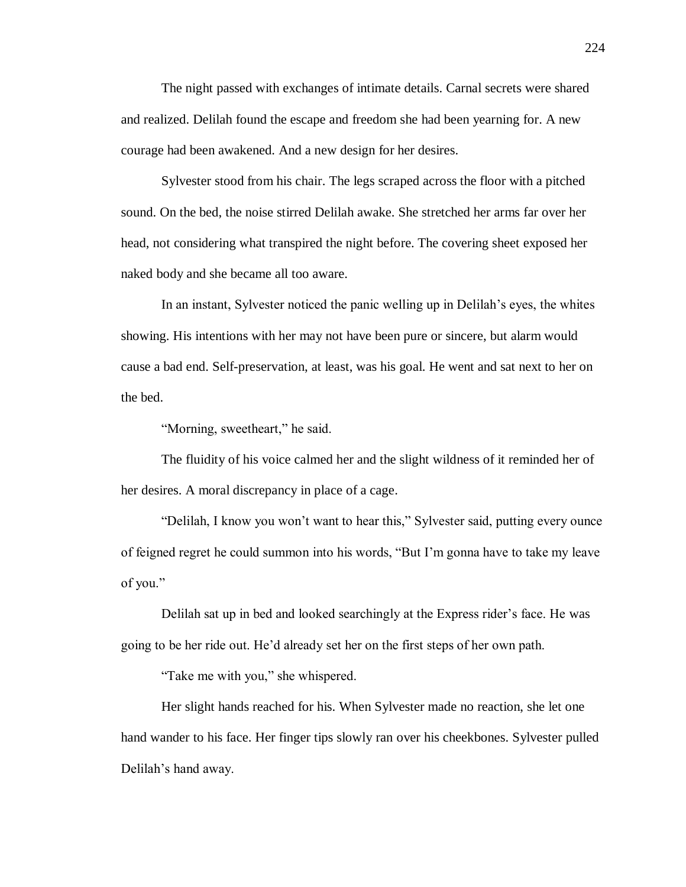The night passed with exchanges of intimate details. Carnal secrets were shared and realized. Delilah found the escape and freedom she had been yearning for. A new courage had been awakened. And a new design for her desires.

Sylvester stood from his chair. The legs scraped across the floor with a pitched sound. On the bed, the noise stirred Delilah awake. She stretched her arms far over her head, not considering what transpired the night before. The covering sheet exposed her naked body and she became all too aware.

In an instant, Sylvester noticed the panic welling up in Delilah's eyes, the whites showing. His intentions with her may not have been pure or sincere, but alarm would cause a bad end. Self-preservation, at least, was his goal. He went and sat next to her on the bed.

"Morning, sweetheart," he said.

The fluidity of his voice calmed her and the slight wildness of it reminded her of her desires. A moral discrepancy in place of a cage.

"Delilah, I know you won't want to hear this," Sylvester said, putting every ounce of feigned regret he could summon into his words, "But I'm gonna have to take my leave of you."

Delilah sat up in bed and looked searchingly at the Express rider's face. He was going to be her ride out. He'd already set her on the first steps of her own path.

"Take me with you," she whispered.

Her slight hands reached for his. When Sylvester made no reaction, she let one hand wander to his face. Her finger tips slowly ran over his cheekbones. Sylvester pulled Delilah's hand away.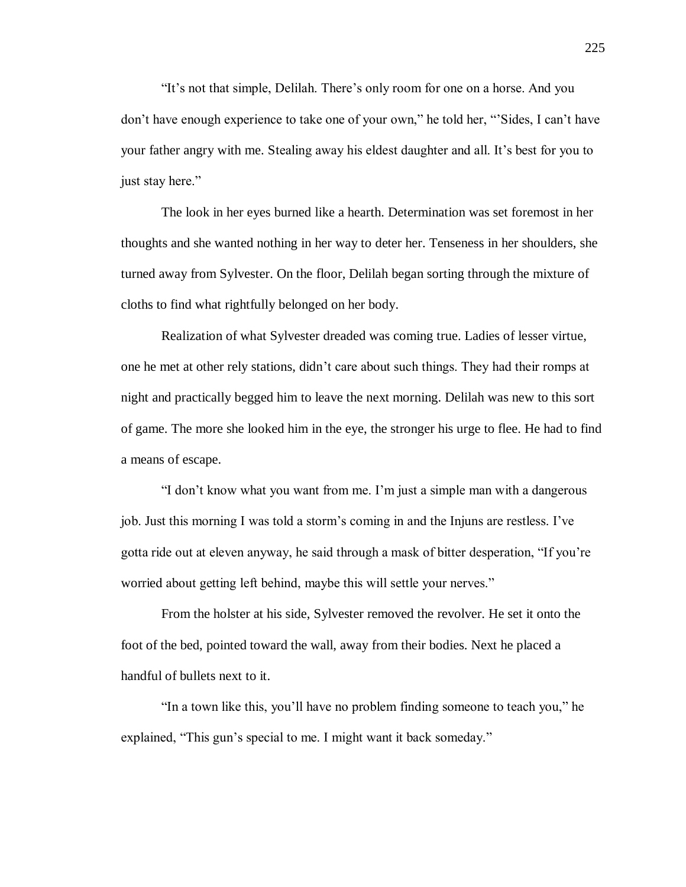"It's not that simple, Delilah. There's only room for one on a horse. And you don't have enough experience to take one of your own," he told her, "'Sides, I can't have your father angry with me. Stealing away his eldest daughter and all. It's best for you to just stay here."

The look in her eyes burned like a hearth. Determination was set foremost in her thoughts and she wanted nothing in her way to deter her. Tenseness in her shoulders, she turned away from Sylvester. On the floor, Delilah began sorting through the mixture of cloths to find what rightfully belonged on her body.

Realization of what Sylvester dreaded was coming true. Ladies of lesser virtue, one he met at other rely stations, didn't care about such things. They had their romps at night and practically begged him to leave the next morning. Delilah was new to this sort of game. The more she looked him in the eye, the stronger his urge to flee. He had to find a means of escape.

"I don't know what you want from me. I'm just a simple man with a dangerous job. Just this morning I was told a storm's coming in and the Injuns are restless. I've gotta ride out at eleven anyway, he said through a mask of bitter desperation, "If you're worried about getting left behind, maybe this will settle your nerves."

From the holster at his side, Sylvester removed the revolver. He set it onto the foot of the bed, pointed toward the wall, away from their bodies. Next he placed a handful of bullets next to it.

"In a town like this, you'll have no problem finding someone to teach you," he explained, "This gun's special to me. I might want it back someday."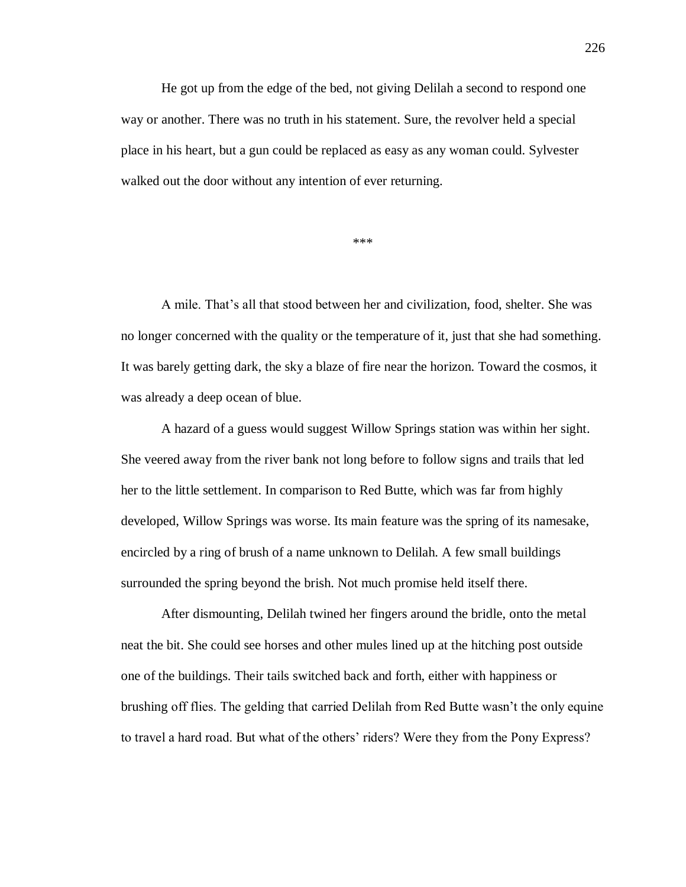He got up from the edge of the bed, not giving Delilah a second to respond one way or another. There was no truth in his statement. Sure, the revolver held a special place in his heart, but a gun could be replaced as easy as any woman could. Sylvester walked out the door without any intention of ever returning.

\*\*\*

A mile. That's all that stood between her and civilization, food, shelter. She was no longer concerned with the quality or the temperature of it, just that she had something. It was barely getting dark, the sky a blaze of fire near the horizon. Toward the cosmos, it was already a deep ocean of blue.

A hazard of a guess would suggest Willow Springs station was within her sight. She veered away from the river bank not long before to follow signs and trails that led her to the little settlement. In comparison to Red Butte, which was far from highly developed, Willow Springs was worse. Its main feature was the spring of its namesake, encircled by a ring of brush of a name unknown to Delilah. A few small buildings surrounded the spring beyond the brish. Not much promise held itself there.

After dismounting, Delilah twined her fingers around the bridle, onto the metal neat the bit. She could see horses and other mules lined up at the hitching post outside one of the buildings. Their tails switched back and forth, either with happiness or brushing off flies. The gelding that carried Delilah from Red Butte wasn't the only equine to travel a hard road. But what of the others' riders? Were they from the Pony Express?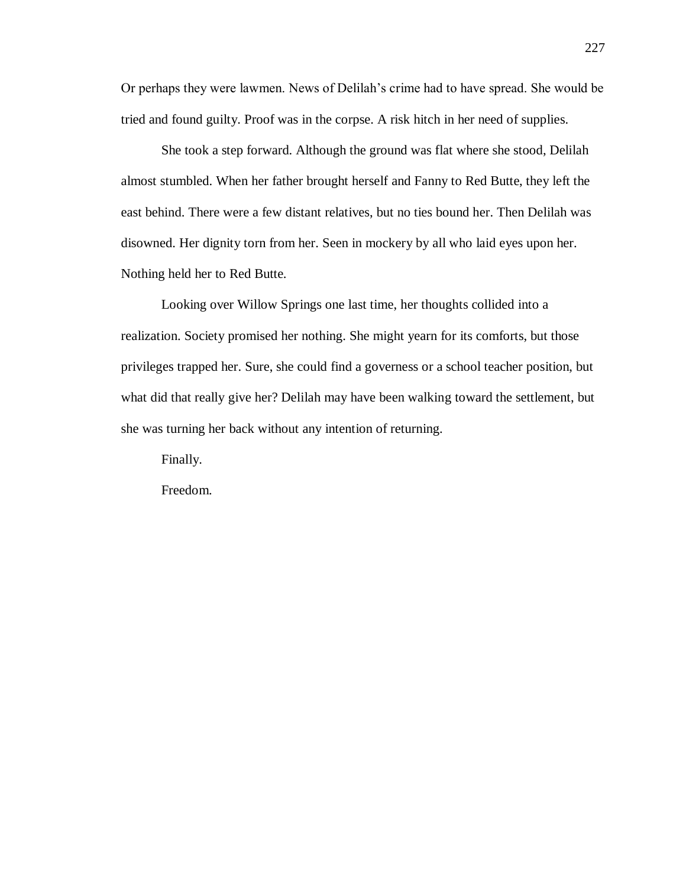Or perhaps they were lawmen. News of Delilah's crime had to have spread. She would be tried and found guilty. Proof was in the corpse. A risk hitch in her need of supplies.

She took a step forward. Although the ground was flat where she stood, Delilah almost stumbled. When her father brought herself and Fanny to Red Butte, they left the east behind. There were a few distant relatives, but no ties bound her. Then Delilah was disowned. Her dignity torn from her. Seen in mockery by all who laid eyes upon her. Nothing held her to Red Butte.

Looking over Willow Springs one last time, her thoughts collided into a realization. Society promised her nothing. She might yearn for its comforts, but those privileges trapped her. Sure, she could find a governess or a school teacher position, but what did that really give her? Delilah may have been walking toward the settlement, but she was turning her back without any intention of returning.

Finally.

Freedom.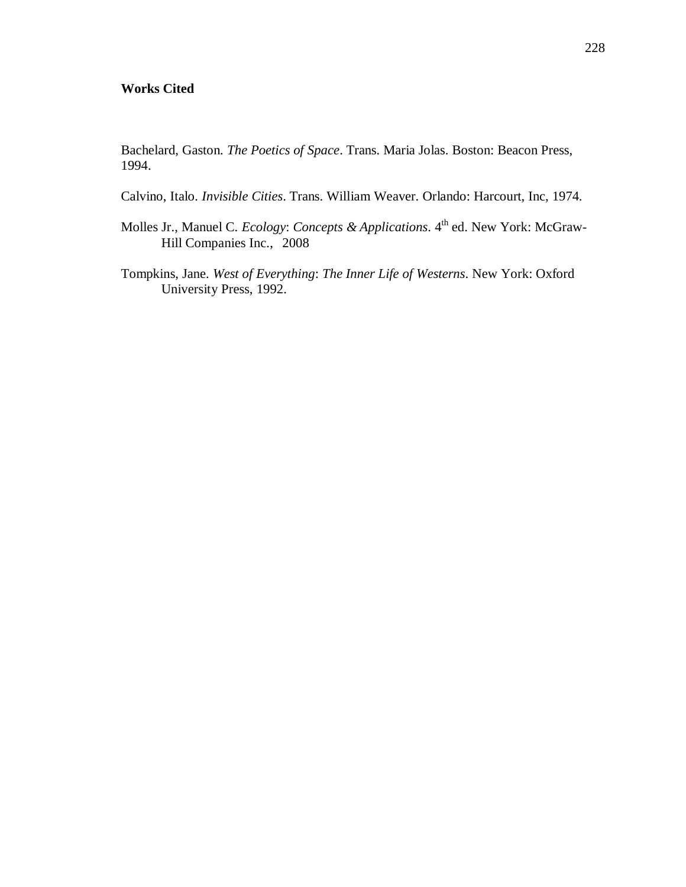## **Works Cited**

Bachelard, Gaston. *The Poetics of Space*. Trans. Maria Jolas. Boston: Beacon Press, 1994.

- Calvino, Italo. *Invisible Cities*. Trans. William Weaver. Orlando: Harcourt, Inc, 1974.
- Molles Jr., Manuel C. *Ecology: Concepts & Applications*. 4<sup>th</sup> ed. New York: McGraw-Hill Companies Inc., 2008
- Tompkins, Jane. *West of Everything*: *The Inner Life of Westerns*. New York: Oxford University Press, 1992.